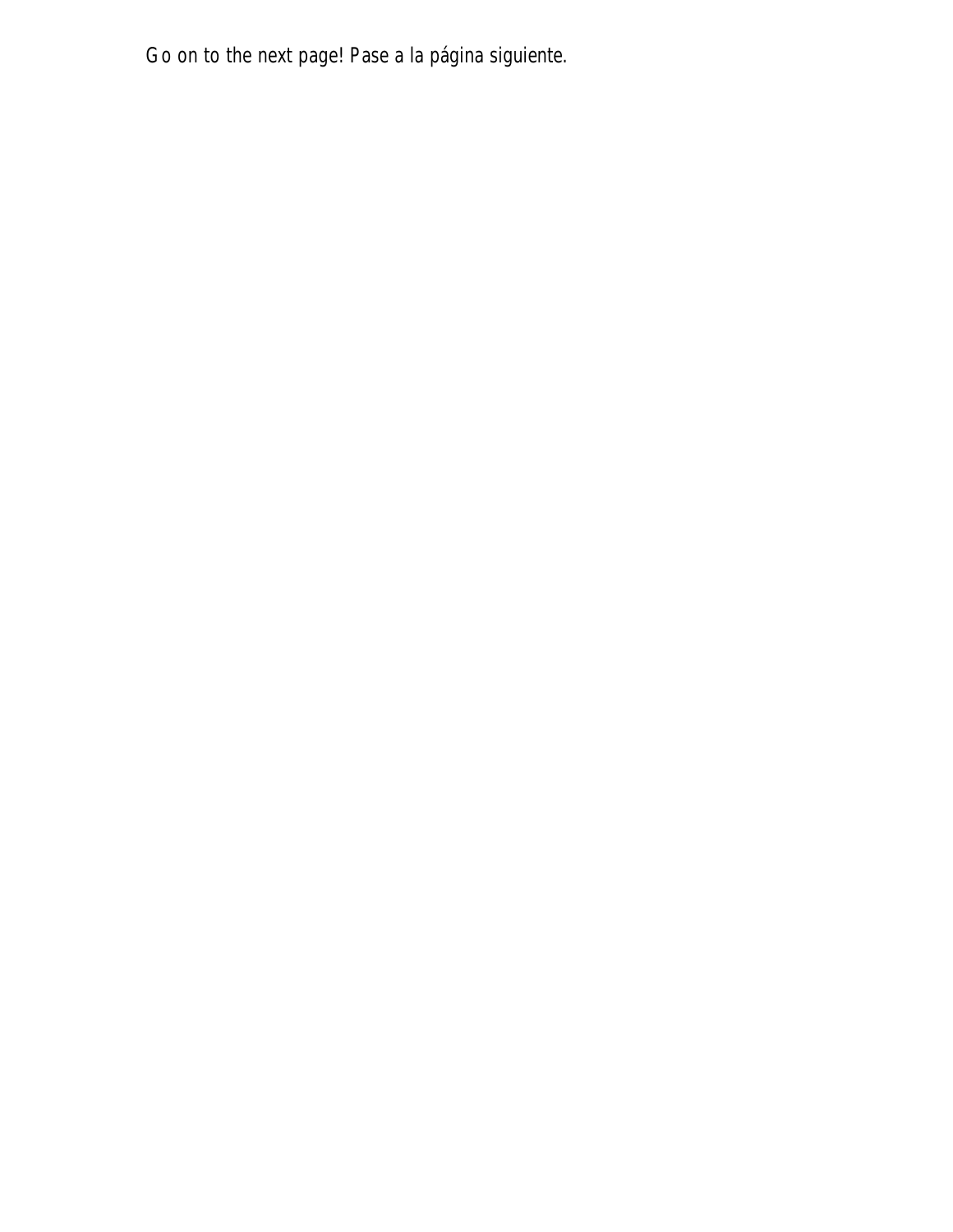Go on to the next page! Pase a la página siguiente.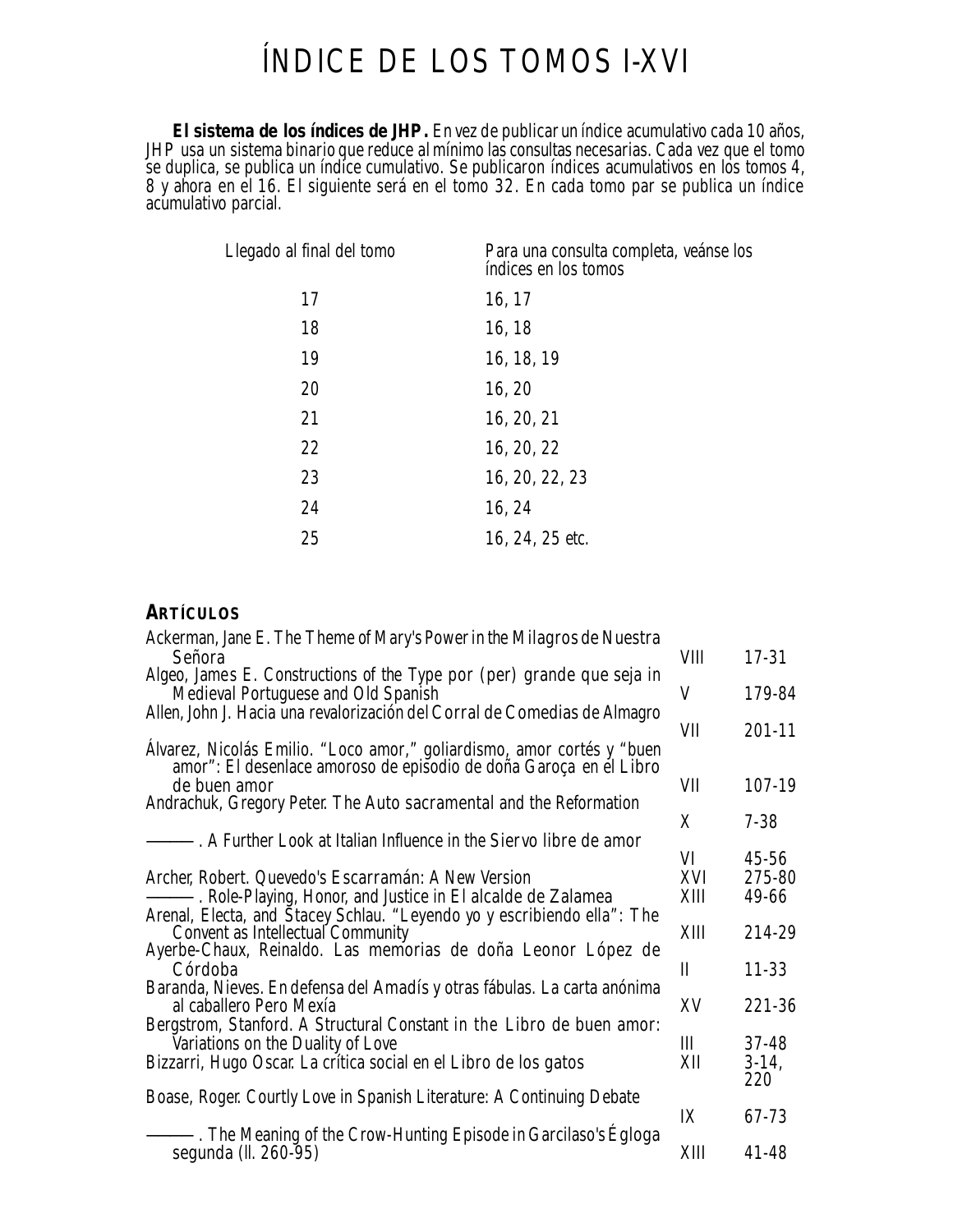# ÍNDICE DE LOS TOMOS I-XVI

**El sistema de los índices de** *JHP***.** En vez de publicar un índice acumulativo cada 10 años, *JHP* usa un sistema binario que reduce al mínimo las consultas necesarias. Cada vez que el tomo se duplica, se publica un índice cumulativo. Se publicaron índices acumulativos en los tomos 4, 8 y ahora en el 16. El siguiente será en el tomo 32. En cada tomo par se publica un índice acumulativo parcial.

| Llegado al final del tomo | Para una consulta completa, veánse los<br>índices en los tomos |
|---------------------------|----------------------------------------------------------------|
| 17                        | 16, 17                                                         |
| 18                        | 16, 18                                                         |
| 19                        | 16, 18, 19                                                     |
| 20                        | 16, 20                                                         |
| 21                        | 16, 20, 21                                                     |
| 22                        | 16, 20, 22                                                     |
| 23                        | 16, 20, 22, 23                                                 |
| 24                        | 16, 24                                                         |
| 25                        | 16, 24, 25 etc.                                                |
|                           |                                                                |

#### **ARTÍCULOS**

| Ackerman, Jane E. The Theme of Mary's Power in the <i>Milagros de Nuestra</i>                       |              |           |
|-----------------------------------------------------------------------------------------------------|--------------|-----------|
| Señora                                                                                              | VIII         | 17-31     |
| Algeo, James E. Constructions of the Type por (per) grande que seja in                              |              |           |
| Medieval Portuguese and Old Spanish                                                                 | V            | 179-84    |
| Allen, John J. Hacia una revalorización del Corral de Comedias de Almagro                           |              |           |
|                                                                                                     | VII          | 201-11    |
| Alvarez, Nicolás Emilio. "Loco amor," goliardismo, amor cortés y "buen                              |              |           |
| amor": El desenlace amoroso de episodio de doña Garoça en el Libro                                  |              |           |
| de buen amor                                                                                        | VII          | 107-19    |
| Andrachuk, Gregory Peter. The Auto sacramental and the Reformation                                  |              |           |
|                                                                                                     | X            | $7 - 38$  |
| -. A Further Look at Italian Influence in the <i>Siervo libre de amor</i>                           |              |           |
|                                                                                                     | VI           | $45 - 56$ |
| Archer, Robert. Quevedo's <i>Escarramán</i> : A New Version                                         | XVI          | 275-80    |
| -. Role-Playing, Honor, and Justice in El alcalde de Zalamea                                        | XIII         | 49-66     |
| Arenal, Electa, and Stacey Schlau. "Leyendo yo y escribiendo ella": The                             |              |           |
| Convent as Intellectual Community                                                                   | XIII         | 214-29    |
| Ayerbe-Chaux, Reinaldo. Las memorias de doña Leonor López de                                        |              |           |
| Córdoba                                                                                             | $\mathbf{I}$ | 11-33     |
| Baranda, Nieves. En defensa del Amadís y otras fábulas. La carta anónima<br>al caballero Pero Mexía | XV           | 221-36    |
| Bergstrom, Stanford. A Structural Constant in the Libro de buen amor:                               |              |           |
| Variations on the Duality of Love                                                                   | III          | 37-48     |
| Bizzarri, Hugo Oscar. La crítica social en el Libro de los gatos                                    | XII          | $3-14$ ,  |
|                                                                                                     |              | 220       |
| Boase, Roger Courtly Love in Spanish Literature: A Continuing Debate                                |              |           |
|                                                                                                     | IX           | 67-73     |
| -. The Meaning of the Crow-Hunting Episode in Garcilaso's <i>Egloga</i>                             |              |           |
| <i>segunda</i> (ll. 260-95)                                                                         | XIII         | 41-48     |
|                                                                                                     |              |           |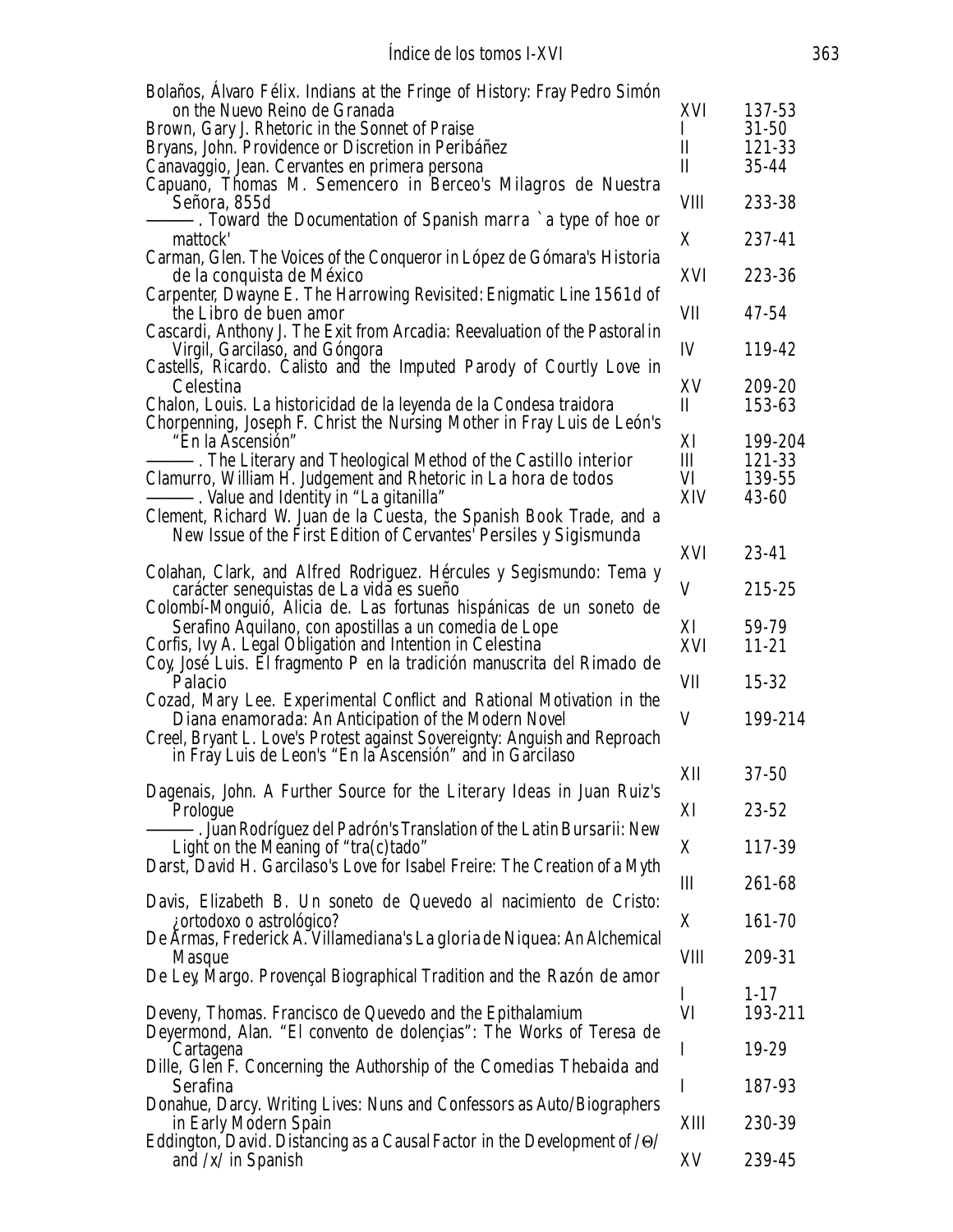| Bolaños, Alvaro Félix. Indians at the Fringe of History: Fray Pedro Simón                                                                                |                    |                     |
|----------------------------------------------------------------------------------------------------------------------------------------------------------|--------------------|---------------------|
| on the Nuevo Reino de Granada<br>Brown, Gary J. Rhetoric in the Sonnet of Praise                                                                         | XVI<br>I           | 137-53<br>$31 - 50$ |
| Bryans, John. Providence or Discretion in <i>Peribáñez</i>                                                                                               | $\mathbf I$        | 121-33              |
| Canavaggio, Jean. Cervantes en primera persona                                                                                                           | $\mathbf{I}$       | 35-44               |
| Capuano, Thomas M. Semencero in Berceo's Milagros de Nuestra<br>Señora, 855d                                                                             | <b>VIII</b>        | 233-38              |
| -. Toward the Documentation of Spanish <i>marra</i> `a type of hoe or<br>mattock'                                                                        | X                  | 237-41              |
| Carman, Glen. The Voices of the Conqueror in López de Gómara's Historia<br>de la conquista de México                                                     | XVI                | 223-36              |
| Carpenter, Dwayne E. The Harrowing Revisited: Enigmatic Line 1561d of<br>the Libro de buen amor                                                          | VII                | 47-54               |
| Cascardi, Anthony J. The Exit from Arcadia: Reevaluation of the Pastoral in<br>Virgil, Garcilaso, and Góngora                                            | IV                 | 119-42              |
| Castells, Ricardo. Calisto and the Imputed Parody of Courtly Love in<br>Celestina<br>Chalon, Louis. La historicidad de la leyenda de la Condesa traidora | XV<br>$\mathbf{I}$ | 209-20<br>153-63    |
| Chorpenning, Joseph F. Christ the Nursing Mother in Fray Luis de León's<br>"En la Ascensión"                                                             | XI                 | 199-204             |
| -. The Literary and Theological Method of the <i>Castillo interior</i>                                                                                   | III                | 121-33              |
| Clamurro, William H. Judgement and Rhetoric in La hora de todos                                                                                          | VI                 | 139-55              |
| -. Value and Identity in "La gitanilla"<br>Clement, Richard W. Juan de la Cuesta, the Spanish Book Trade, and a                                          | XIV                | 43-60               |
| New Issue of the First Edition of Cervantes' Persiles y Sigismunda                                                                                       |                    |                     |
|                                                                                                                                                          | XVI                | 23-41               |
| Colahan, Clark, and Alfred Rodriguez. Hércules y Segismundo: Tema y<br>carácter senequistas de La vida es sueño                                          | V                  | 215-25              |
| Colombí-Monguió, Alicia de. Las fortunas hispánicas de un soneto de                                                                                      |                    |                     |
| Serafino Aquilano, con apostillas a un comedia de Lope                                                                                                   | XI<br>XVI          | 59-79               |
| Corfis, Ivy A. Legal Obligation and Intention in Celestina<br>Coy, José Luis. El fragmento P en la tradición manuscrita del Rimado de                    |                    | $11 - 21$           |
| Palacio                                                                                                                                                  | VII                | 15-32               |
| Cozad, Mary Lee. Experimental Conflict and Rational Motivation in the                                                                                    |                    |                     |
| Diana enamorada: An Anticipation of the Modern Novel                                                                                                     | V                  | 199-214             |
| Creel, Bryant L. Love's Protest against Sovereignty: Anguish and Reproach                                                                                |                    |                     |
| in Fray Luis de Leon's "En la Ascensión" and in Garcilaso                                                                                                | XII                | 37-50               |
| Dagenais, John. A Further Source for the Literary Ideas in Juan Ruiz's<br>Prologue                                                                       | XI                 | 23-52               |
| . Juan Rodríguez del Padrón's Translation of the Latin <i>Bursarii</i> : New                                                                             |                    |                     |
| Light on the Meaning of " $tra(c)$ tado"                                                                                                                 | X                  | 117-39              |
| Darst, David H. Garcilaso's Love for Isabel Freire: The Creation of a Myth                                                                               |                    |                     |
|                                                                                                                                                          | Ш                  | 261-68              |
| Davis, Elizabeth B. Un soneto de Quevedo al nacimiento de Cristo:<br>¿ortodoxo o astrológico?                                                            | X                  | 161-70              |
| De Armas, Frederick A. Villamediana's <i>La gloria de Niquea</i> : An Alchemical                                                                         |                    |                     |
| Masque                                                                                                                                                   | VIII               | 209-31              |
| De Ley, Margo. Provençal Biographical Tradition and the Razón de amor                                                                                    |                    |                     |
|                                                                                                                                                          | $\mathbf{I}$       | $1 - 17$            |
| Deveny, Thomas. Francisco de Quevedo and the Epithalamium<br>Deyermond, Alan. "El convento de dolençias": The Works of Teresa de                         | VI                 | 193-211             |
| Cartagena                                                                                                                                                | $\bf{l}$           | 19-29               |
| Dille, Glen F. Concerning the Authorship of the <i>Comedias Thebaida</i> and                                                                             |                    |                     |
| Serafina                                                                                                                                                 | $\bf{l}$           | 187-93              |
| Donahue, Darcy. Writing Lives: Nuns and Confessors as Auto/Biographers<br>in Early Modern Spain                                                          | XIII               | 230-39              |
| Eddington, David. Distancing as a Causal Factor in the Development of $\sqrt{\Theta}$                                                                    |                    |                     |
| and $/x/$ in Spanish                                                                                                                                     | XV                 | 239-45              |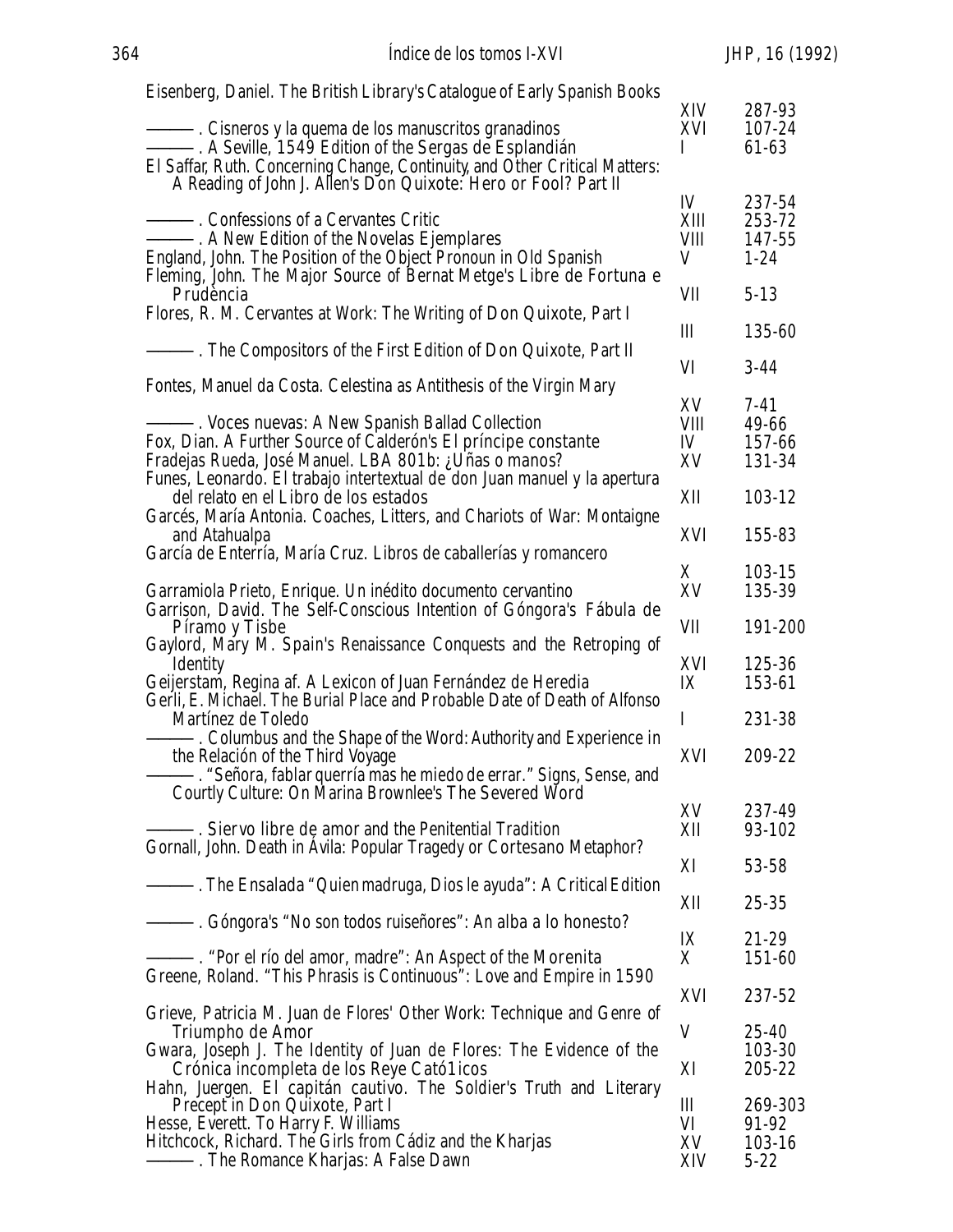| Eisenberg, Daniel. The British Library's Catalogue of Early Spanish Books                                                                      |              |                 |
|------------------------------------------------------------------------------------------------------------------------------------------------|--------------|-----------------|
|                                                                                                                                                | XIV          | 287-93          |
| -. Cisneros y la quema de los manuscritos granadinos                                                                                           | XVI          | 107-24          |
| -. A Seville, 1549 Edition of the Sergas de Esplandián                                                                                         | I            | 61-63           |
| El Saffar, Ruth. Concerning Change, Continuity, and Other Critical Matters:<br>A Reading of John J. Allen's Don Quixote: Hero or Fool? Part II |              |                 |
|                                                                                                                                                | IV           | 237-54          |
| -. Confessions of a Cervantes Critic                                                                                                           | XIII         | 253-72          |
|                                                                                                                                                | VIII         | 147-55          |
| England, John. The Position of the Object Pronoun in Old Spanish                                                                               | V            | $1 - 24$        |
| Fleming, John. The Major Source of Bernat Metge's Libre de Fortuna e                                                                           |              |                 |
| Prudència                                                                                                                                      | VII          | $5-13$          |
| Flores, R. M. Cervantes at Work: The Writing of <i>Don Quixote</i> , Part I                                                                    | $\mathbf{I}$ | 135-60          |
| –. The Compositors of the First Edition of <i>Don Quixote</i> , Part II                                                                        |              |                 |
|                                                                                                                                                | VI           | $3-44$          |
| Fontes, Manuel da Costa. Celestina as Antithesis of the Virgin Mary                                                                            |              |                 |
|                                                                                                                                                | XV           | $7-41$          |
| — <i>Voces nuevas</i> : A New Spanish Ballad Collection                                                                                        | <b>VIII</b>  | 49-66           |
| Fox, Dian. A Further Source of Calderón's El príncipe constante                                                                                | IV           | 157-66          |
| Fradejas Rueda, José Manuel. LBA 801b: ¿Uñas o manos?                                                                                          | XV           | 131-34          |
| Funes, Leonardo. El trabajo intertextual de don Juan manuel y la apertura<br>del relato en el Libro de los estados                             | XII          | 103-12          |
| Garcés, María Antonia. Coaches, Litters, and Chariots of War: Montaigne                                                                        |              |                 |
| and Atahualpa                                                                                                                                  | XVI          | 155-83          |
| García de Enterría, María Cruz. Libros de caballerías y romancero                                                                              |              |                 |
|                                                                                                                                                | X            | 103-15          |
| Garramiola Prieto, Enrique. Un inédito documento cervantino                                                                                    | XV           | 135-39          |
| Garrison, David. The Self-Conscious Intention of Góngora's Fábula de<br>Píramo y Tisbe                                                         | VII          | 191-200         |
| Gaylord, Mary M. Spain's Renaissance Conquests and the Retroping of                                                                            |              |                 |
| Identity                                                                                                                                       | XVI          | 125-36          |
| Geijerstam, Regina af. A Lexicon of Juan Fernández de Heredia                                                                                  | IX           | 153-61          |
| Gerli, E. Michael. The Burial Place and Probable Date of Death of Alfonso                                                                      |              |                 |
| Martínez de Toledo                                                                                                                             | I            | 231-38          |
| -. Columbus and the Shape of the Word: Authority and Experience in                                                                             |              | 209-22          |
| the Relación of the Third Voyage<br>"Señora, fablar querría mas he miedo de errar." Signs, Sense, and                                          | XVI          |                 |
| Courtly Culture: On Marina Brownlee's The Severed Word                                                                                         |              |                 |
|                                                                                                                                                | XV           | 237-49          |
| -. <i>Siervo libre de amor</i> and the Penitential Tradition                                                                                   | XII          | 93-102          |
| Gornall, John. Death in Avila: Popular Tragedy or <i>Cortesano</i> Metaphor?                                                                   |              |                 |
|                                                                                                                                                | XI           | 53-58           |
| –. The <i>Ensalada</i> "Quien madruga, Dios le ayuda": A Critical Edition                                                                      | XII          | 25-35           |
| -. Góngora's "No son todos ruiseñores": An <i>alba a lo honesto</i> ?                                                                          |              |                 |
|                                                                                                                                                | IX           | 21-29           |
| ————. "Por el río del amor, madre": An Aspect of the <i>Morenita</i>                                                                           | X            | 151-60          |
| Greene, Roland. "This Phrasis is Continuous": Love and Empire in 1590                                                                          |              |                 |
|                                                                                                                                                | XVI          | 237-52          |
| Grieve, Patricia M. Juan de Flores' Other Work: Technique and Genre of                                                                         |              |                 |
| Triumpho de Amor<br>Gwara, Joseph J. The Identity of Juan de Flores: The Evidence of the                                                       | V            | 25-40<br>103-30 |
| Crónica incompleta de los Reye Cató1icos                                                                                                       | XI           | 205-22          |
| Hahn, Juergen. El capitán cautivo. The Soldier's Truth and Literary                                                                            |              |                 |
| Precept in <i>Don Quixote</i> , Part I                                                                                                         | Ш            | 269-303         |
| Hesse, Everett. To Harry F. Williams                                                                                                           | VI           | 91-92           |
| Hitchcock, Richard. The Girls from Cádiz and the <i>Kharjas</i>                                                                                | XV           | 103-16          |
| -. The Romance <i>Kharjas</i> : A False Dawn                                                                                                   | XIV          | $5 - 22$        |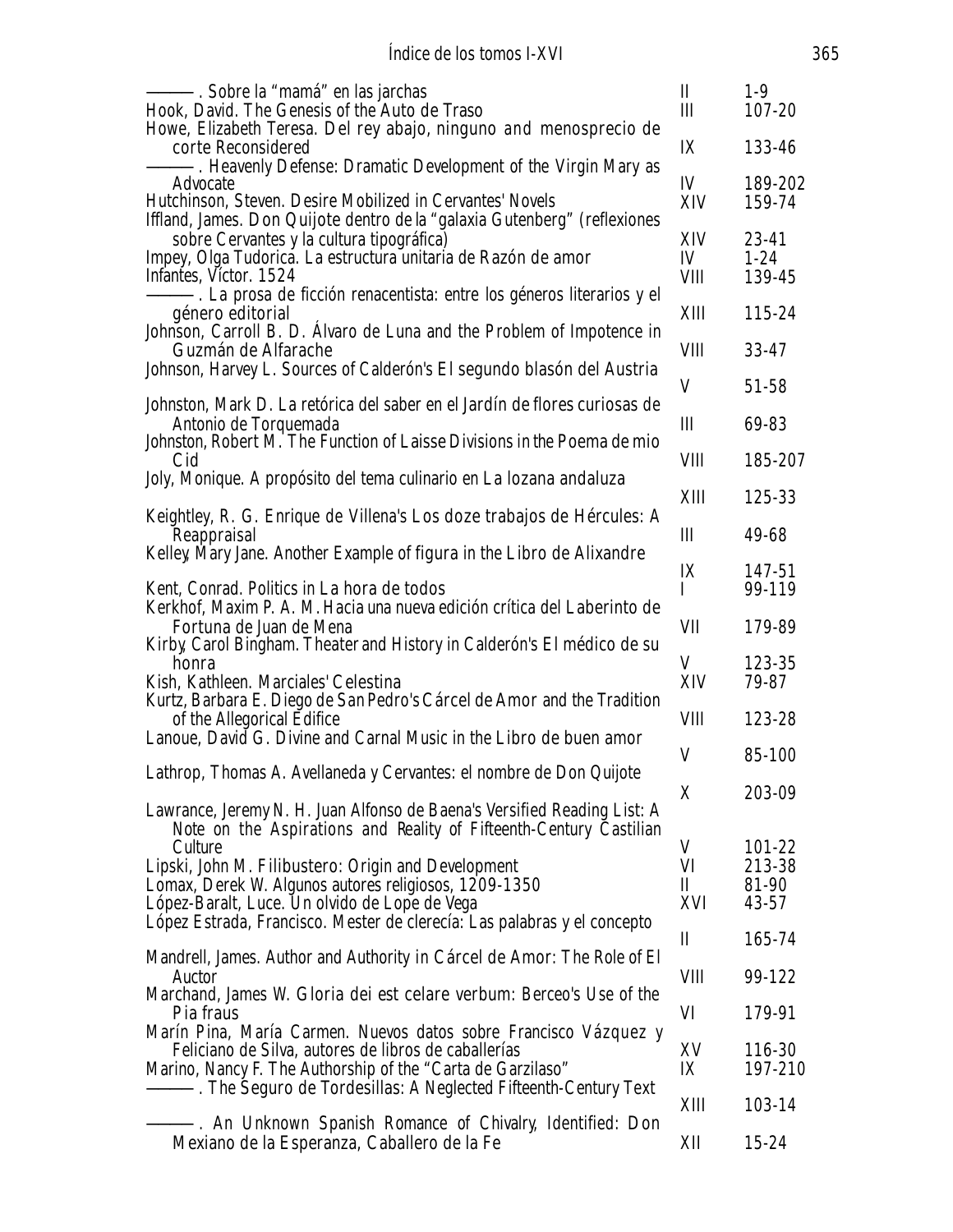| ————. Sobre la "mamá" en las jarchas<br>Hook, David. The Genesis of the Auto de Traso                                                                                                                                                                                                                                      | $\mathbf{I}$<br>III      | $1-9$<br>107-20                    |
|----------------------------------------------------------------------------------------------------------------------------------------------------------------------------------------------------------------------------------------------------------------------------------------------------------------------------|--------------------------|------------------------------------|
| Howe, Elizabeth Teresa. Del rey abajo, ninguno and menosprecio de<br>corte Reconsidered<br>-. Heavenly Defense: Dramatic Development of the Virgin Mary as                                                                                                                                                                 | IX                       | 133-46                             |
| Advocate<br>Hutchinson, Steven. Desire Mobilized in Cervantes' Novels                                                                                                                                                                                                                                                      | IV<br>XIV                | 189-202<br>159-74                  |
| Iffland, James. <i>Don Quijote</i> dentro de la "galaxia Gutenberg" (reflexiones<br>sobre Cervantes y la cultura tipográfica)<br>Impey, Olga Tudorica. La estructura unitaria de Razón de amor<br>Infantes, Víctor. 1524                                                                                                   | XIV<br>IV<br><b>VIII</b> | 23-41<br>$1 - 24$<br>139-45        |
| -. La prosa de ficción renacentista: entre los géneros literarios y el<br>género editorial                                                                                                                                                                                                                                 | XIII                     | 115-24                             |
| Johnson, Carroll B. D. Alvaro de Luna and the Problem of Impotence in<br><i>Guzmán de Alfarache</i>                                                                                                                                                                                                                        | VШ                       | 33-47                              |
| Johnson, Harvey L. Sources of Calderón's El segundo blasón del Austria<br>Johnston, Mark D. La retórica del saber en el Jardín de flores curiosas de                                                                                                                                                                       | V                        | 51-58                              |
| Antonio de Torquemada<br>Johnston, Robert M. The Function of Laisse Divisions in the Poema de mio                                                                                                                                                                                                                          | Ш                        | 69-83                              |
| Cid<br>Joly, Monique. A propósito del tema culinario en La lozana andaluza                                                                                                                                                                                                                                                 | <b>VIII</b>              | 185-207                            |
| Keightley, R. G. Enrique de Villena's Los doze trabajos de Hércules: A                                                                                                                                                                                                                                                     | XIII                     | 125-33                             |
| Reappraisal<br>Kelley, Mary Jane. Another Example of <i>figura</i> in the Libro de Alixandre                                                                                                                                                                                                                               | Ш                        | 49-68                              |
| Kent, Conrad. Politics in La hora de todos                                                                                                                                                                                                                                                                                 | IX<br>I                  | 147-51<br>99-119                   |
| Kerkhof, Maxim P. A. M. Hacia una nueva edición crítica del Laberinto de<br><i>Fortuna</i> de Juan de Mena<br>Kirby, Carol Bingham. Theater and History in Calderón's El médico de su                                                                                                                                      | VII                      | 179-89                             |
| honra<br>Kish, Kathleen. Marciales' Celestina                                                                                                                                                                                                                                                                              | V<br>XIV                 | 123-35<br>79-87                    |
| Kurtz, Barbara E. Diego de San Pedro's Cárcel de Amor and the Tradition<br>of the Allegorical Edifice<br>Lanoue, David G. Divine and Carnal Music in the Libro de buen amor                                                                                                                                                | <b>VIII</b>              | 123-28                             |
| Lathrop, Thomas A. Avellaneda y Cervantes: el nombre de Don Quijote                                                                                                                                                                                                                                                        | V                        | 85-100                             |
| Lawrance, Jeremy N. H. Juan Alfonso de Baena's Versified Reading List: A                                                                                                                                                                                                                                                   | X                        | 203-09                             |
| Note on the Aspirations and Reality of Fifteenth-Century Castilian<br>Culture<br>Lipski, John M. Filibustero: Origin and Development<br>Lomax, Derek W. Algunos autores religiosos, 1209-1350<br>López-Baralt, Luce. Un olvido de Lope de Vega<br>López Estrada, Francisco. Mester de clerecía: Las palabras y el concepto | V<br>VI<br>II<br>XVI     | 101-22<br>213-38<br>81-90<br>43-57 |
| Mandrell, James. Author and Authority in <i>Cárcel de Amor</i> : The Role of El                                                                                                                                                                                                                                            | Ш                        | 165-74                             |
| Auctor<br>Marchand, James W. Gloria dei est celare verbum: Berceo's Use of the                                                                                                                                                                                                                                             | <b>VIII</b>              | 99-122                             |
| Pia fraus<br>Marín Pina, María Carmen. Nuevos datos sobre Francisco Vázquez y<br>Feliciano de Silva, autores de libros de caballerías<br>Marino, Nancy F. The Authorship of the "Carta de Garzilaso"                                                                                                                       | VI<br>XV<br>IX           | 179-91<br>116-30<br>197-210        |
| –. The <i>Seguro de Tordesillas</i> : A Neglected Fifteenth-Century Text<br>——, An Unknown Spanish Romance of Chivalry, Identified: <i>Don</i>                                                                                                                                                                             | XIII                     | 103-14                             |
| Mexiano de la Esperanza, Caballero de la Fe                                                                                                                                                                                                                                                                                | XII                      | 15-24                              |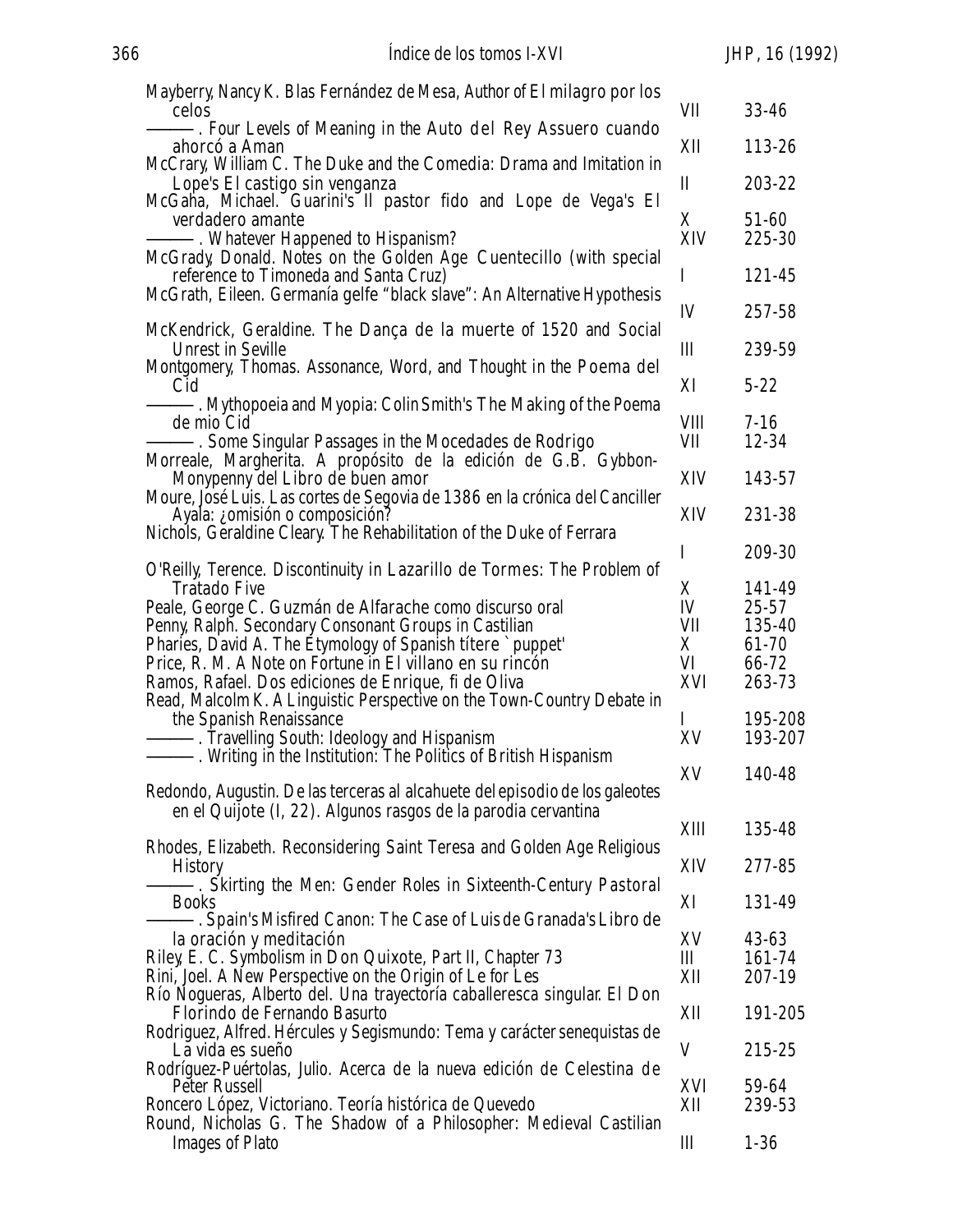| Mayberry, Nancy K. Blas Fernández de Mesa, Author of El milagro por los                                                                                                                                                                                                                                                            |                                  |                                                           |
|------------------------------------------------------------------------------------------------------------------------------------------------------------------------------------------------------------------------------------------------------------------------------------------------------------------------------------|----------------------------------|-----------------------------------------------------------|
| celos<br>. Four Levels of Meaning in the Auto del Rey Assuero cuando                                                                                                                                                                                                                                                               | VII                              | 33-46                                                     |
| ahorcó a Aman<br>McCrary, William C. The Duke and the <i>Comedia</i> : Drama and Imitation in                                                                                                                                                                                                                                      | XII                              | 113-26                                                    |
| Lope's El castigo sin venganza<br>McGaha, Michael. Guarini's <i>Il pastor fido</i> and Lope de Vega's <i>El</i>                                                                                                                                                                                                                    | $\mathbf{I}$                     | 203-22                                                    |
| verdadero amante<br>-. Whatever Happened to Hispanism?                                                                                                                                                                                                                                                                             | X<br>XIV                         | 51-60<br>225-30                                           |
| McGrady, Donald. Notes on the Golden Age Cuentecillo (with special<br>reference to Timoneda and Santa Cruz)                                                                                                                                                                                                                        | I                                | 121-45                                                    |
| McGrath, Eileen. Germanía gelfe "black slave": An Alternative Hypothesis                                                                                                                                                                                                                                                           | IV                               | 257-58                                                    |
| McKendrick, Geraldine. The Dança de la muerte of 1520 and Social<br><b>Unrest in Seville</b>                                                                                                                                                                                                                                       | $\mathbf{I}$                     | 239-59                                                    |
| Montgomery, Thomas. Assonance, Word, and Thought in the Poema del<br>Cid                                                                                                                                                                                                                                                           | XI                               | $5 - 22$                                                  |
| Mythopoeia and Myopia: Colin Smith's The Making of the Poema<br>de mio Cid<br>-. Some Singular Passages in the Mocedades de Rodrigo                                                                                                                                                                                                | <b>VIII</b><br>VII               | $7 - 16$<br>12-34                                         |
| Morreale, Margherita. A propósito de la edición de G.B. Gybbon-<br>Monypenny del Libro de buen amor                                                                                                                                                                                                                                | XIV                              | 143-57                                                    |
| Moure, José Luis. Las cortes de Segovia de 1386 en la crónica del Canciller<br>Ayala: ¿omisión o composición?<br>Nichols, Geraldine Cleary. The Rehabilitation of the Duke of Ferrara                                                                                                                                              | XIV                              | 231-38                                                    |
| O'Reilly, Terence. Discontinuity in <i>Lazarillo de Tormes</i> : The Problem of                                                                                                                                                                                                                                                    | I                                | 209-30                                                    |
| <i>Tratado</i> Five<br>Peale, George C. Guzmán de Alfarache como discurso oral<br>Penny, Ralph. Secondary Consonant Groups in Castilian<br>Pharies, David A. The Etymology of Spanish titere `puppet'<br>Price, R. M. A Note on Fortune in El villano en su rincón<br>Ramos, Rafael. Dos ediciones de <i>Enrique</i> , fi de Oliva | X<br>IV<br>VII<br>X<br>VI<br>XVI | 141-49<br>$25 - 57$<br>135-40<br>61-70<br>66-72<br>263-73 |
| Read, Malcolm K. A Linguistic Perspective on the Town-Country Debate in<br>the Spanish Renaissance<br>-. Travelling South: Ideology and Hispanism<br>. Writing in the Institution: The Politics of British Hispanism                                                                                                               | I<br>XV                          | 195-208<br>193-207                                        |
| Redondo, Augustin. De las terceras al alcahuete del episodio de los galeotes<br>en el <i>Quijote</i> (I, 22). Algunos rasgos de la parodia cervantina                                                                                                                                                                              | XV                               | 140-48                                                    |
|                                                                                                                                                                                                                                                                                                                                    | XIII                             | 135-48                                                    |
| Rhodes, Elizabeth. Reconsidering Saint Teresa and Golden Age Religious<br><b>History</b><br>. Skirting the Men: Gender Roles in Sixteenth-Century Pastoral                                                                                                                                                                         | XIV                              | 277-85                                                    |
| <b>Books</b><br>. Spain's Misfired Canon: The Case of Luis de Granada's Libro de                                                                                                                                                                                                                                                   | XI                               | 131-49                                                    |
| la oración y meditación<br>Riley, E. C. Symbolism in <i>Don Quixote</i> , Part II, Chapter 73<br>Rini, Joel. A New Perspective on the Origin of Le for Les                                                                                                                                                                         | XV<br>Ш<br>XII                   | 43-63<br>161-74<br>207-19                                 |
| Río Nogueras, Alberto del. Una trayectoría caballeresca singular. El Don<br><i>Florindo</i> de Fernando Basurto                                                                                                                                                                                                                    | XII                              | 191-205                                                   |
| Rodriguez, Alfred. Hércules y Segismundo: Tema y carácter senequistas de<br>La vida es sueño                                                                                                                                                                                                                                       | V                                | 215-25                                                    |
| Rodríguez-Puértolas, Julio. Acerca de la nueva edición de Celestina de<br>Peter Russell<br>Roncero López, Victoriano. Teoría histórica de Quevedo                                                                                                                                                                                  | XVI<br>XII                       | 59-64<br>239-53                                           |
| Round, Nicholas G. The Shadow of a Philosopher: Medieval Castilian<br>Images of Plato                                                                                                                                                                                                                                              | Ш                                | $1 - 36$                                                  |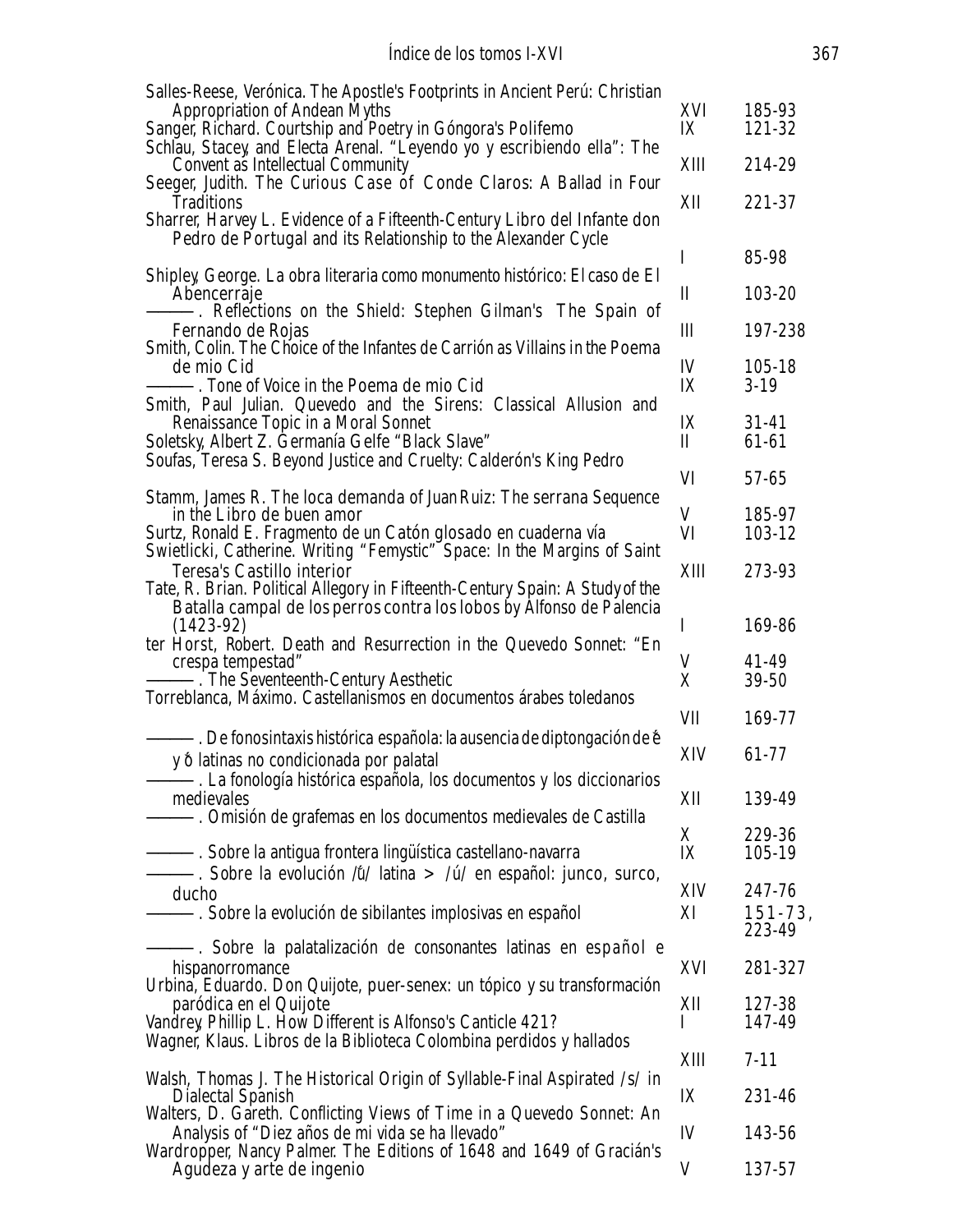| Salles-Reese, Verónica. The Apostle's Footprints in Ancient Perú: Christian<br><b>Appropriation of Andean Myths</b><br>Sanger, Richard. Courtship and Poetry in Góngora's Polifemo      | XVI<br>IX           | 185-93<br>121-32                 |
|-----------------------------------------------------------------------------------------------------------------------------------------------------------------------------------------|---------------------|----------------------------------|
| Schlau, Stacey, and Electa Arenal. "Leyendo yo y escribiendo ella": The<br>Convent as Intellectual Community                                                                            | XIII                | 214-29                           |
| Seeger, Judith. The Curious Case of Conde Claros: A Ballad in Four<br><b>Traditions</b><br>Sharrer, Harvey L. Evidence of a Fifteenth-Century Libro del Infante don                     | XII                 | 221-37                           |
| <i>Pedro de Portugal</i> and its Relationship to the Alexander Cycle                                                                                                                    | I                   | 85-98                            |
| Shipley, George. La obra literaria como monumento histórico: El caso de El<br>Abencerraje<br>-. Reflections on the Shield: Stephen Gilman's The Spain of                                | $\mathbf I$         | 103-20                           |
| Fernando de Rojas<br>Smith, Colin. The Choice of the Infantes de Carrión as Villains in the Poema                                                                                       | Ш                   | 197-238                          |
| de mio Cid<br>-. Tone of Voice in the <i>Poema de mio Cid</i>                                                                                                                           | IV<br>IX            | 105-18<br>$3-19$                 |
| Smith, Paul Julian. Quevedo and the Sirens: Classical Allusion and<br>Renaissance Topic in a Moral Sonnet<br>Soletsky, Albert Z. Germanía Gelfe "Black Slave"                           | IX<br>$\mathbf{I}$  | 31-41<br>61-61                   |
| Soufas, Teresa S. Beyond Justice and Cruelty: Calderón's King Pedro                                                                                                                     | VI                  | 57-65                            |
| Stamm, James R. The <i>loca demanda</i> of Juan Ruiz: The <i>serrana</i> Sequence<br>in the Libro de buen amor<br>Surtz, Ronald E. Fragmento de un Catón glosado en cuaderna vía        | V<br>VI             | 185-97<br>103-12                 |
| Swietlicki, Catherine. Writing "Femystic" Space: In the Margins of Saint<br>Teresa's Castillo interior<br>Tate, R. Brian. Political Allegory in Fifteenth-Century Spain: A Study of the | XIII                | 273-93                           |
| Batalla campal de los perros contra los lobos by Alfonso de Palencia<br>$(1423-92)$                                                                                                     | I                   | 169-86                           |
| ter Horst, Robert. Death and Resurrection in the Quevedo Sonnet: "En<br>crespa tempestad"<br>- The Seventeenth-Century Aesthetic                                                        | V<br>X              | 41-49<br>39-50                   |
| Torreblanca, Máximo. Castellanismos en documentos árabes toledanos                                                                                                                      | VII                 | 169-77                           |
| –. De fonosintaxis histórica española: la ausencia de diptongación de é<br>y ó latinas no condicionada por palatal                                                                      | XIV                 | 61-77                            |
| - La fonología histórica española, los documentos y los diccionarios<br>medievales<br>-. Omisión de grafemas en los documentos medievales de Castilla                                   | XII                 | 139-49                           |
|                                                                                                                                                                                         | X<br>IX             | 229-36<br>105-19                 |
| -. Sobre la evolución /uঁ/ latina > /ú/ en español: junco, surco,<br>ducho<br>–. Sobre la evolución de sibilantes implosivas en español                                                 | XIV<br>XI           | 247-76<br>$151 - 73$ ,<br>223-49 |
| -. Sobre la palatalización de consonantes latinas en español e<br>hispanorromance                                                                                                       | XVI                 | 281-327                          |
| Urbina, Eduardo. Don Quijote, <i>puer-senex</i> : un tópico y su transformación<br>paródica en el <i>Quijote</i><br>Vandrey, Phillip L. How Different is Alfonso's Canticle 421?        | XII<br>$\mathbf{I}$ | 127-38<br>147-49                 |
| Wagner, Klaus. Libros de la Biblioteca Colombina perdidos y hallados                                                                                                                    | XIII                | $7 - 11$                         |
| Walsh, Thomas J. The Historical Origin of Syllable-Final Aspirated $\sqrt{s}$ in<br>Dialectal Spanish                                                                                   | IX                  | 231-46                           |
| Walters, D. Gareth. Conflicting Views of Time in a Quevedo Sonnet: An<br>Analysis of "Diez años de mi vida se ha llevado"                                                               | IV                  | 143-56                           |
| Wardropper, Nancy Palmer. The Editions of 1648 and 1649 of Gracián's<br>Agudeza y arte de ingenio                                                                                       | V                   | 137-57                           |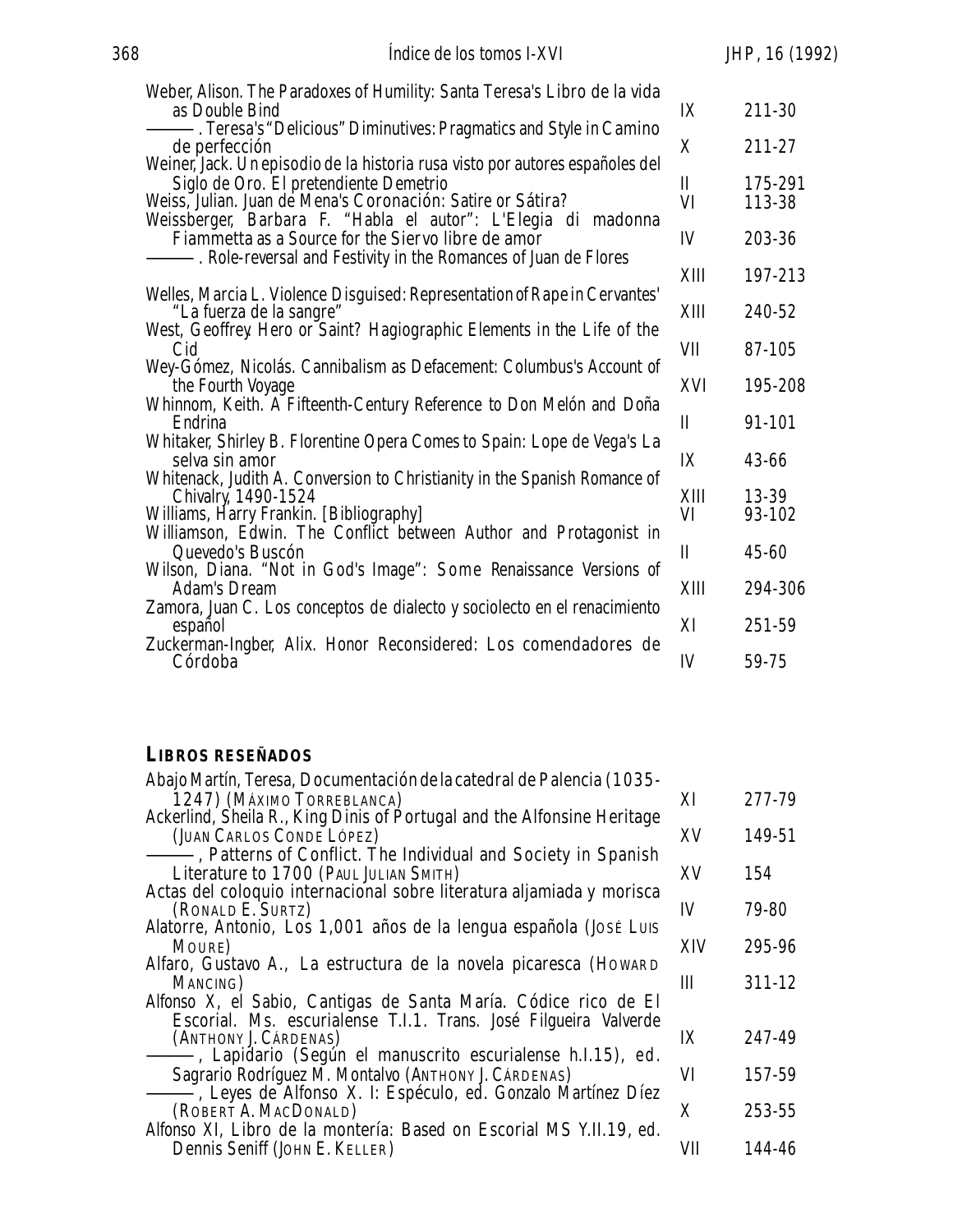| Weber, Alison. The Paradoxes of Humility: Santa Teresa's Libro de la vida                                    |              |         |
|--------------------------------------------------------------------------------------------------------------|--------------|---------|
| as Double Bind                                                                                               | IX           | 211-30  |
| -. Teresa's "Delicious" Diminutives: Pragmatics and Style in Camino                                          |              |         |
| de perfección                                                                                                | X            | 211-27  |
| Weiner, Jack. Un episodio de la historia rusa visto por autores españoles del                                | $\mathbf{I}$ | 175-291 |
| Siglo de Oro. El pretendiente Demetrio<br>Weiss, Julian. Juan de Mena's Coronación: Satire or Sátira?        | VI           | 113-38  |
| Weissberger, Barbara F. "Habla el autor": L'Elegia di madonna                                                |              |         |
| Fiammetta as a Source for the Siervo libre de amor                                                           | IV           | 203-36  |
| -. Role-reversal and Festivity in the Romances of Juan de Flores                                             |              |         |
|                                                                                                              | XIII         | 197-213 |
| Welles, Marcia L. Violence Disguised: Representation of Rape in Cervantes'                                   |              |         |
| "La fuerza de la sangre"                                                                                     | XIII         | 240-52  |
| West, Geoffrey Hero or Saint? Hagiographic Elements in the Life of the                                       |              |         |
| Cid<br>Wey-Gómez, Nicolás. Cannibalism as Defacement: Columbus's Account of                                  | VII          | 87-105  |
| the Fourth Voyage                                                                                            | XVI          | 195-208 |
| Whinnom, Keith. A Fifteenth-Century Reference to Don Melón and Doña                                          |              |         |
| Endrina                                                                                                      | $\mathbf{I}$ | 91-101  |
| Whitaker, Shirley B. Florentine Opera Comes to Spain: Lope de Vega's La                                      |              |         |
| selva sin amor                                                                                               | IX           | 43-66   |
| Whitenack, Judith A. Conversion to Christianity in the Spanish Romance of                                    |              |         |
| Chivalry, 1490-1524                                                                                          | XIII         | 13-39   |
| Williams, Harry Frankin. [Bibliography]<br>Williamson, Edwin. The Conflict between Author and Protagonist in | VI           | 93-102  |
| Quevedo's Buscón                                                                                             | $\mathbf{I}$ | 45-60   |
| Wilson, Diana. "Not in God's Image": Some Renaissance Versions of                                            |              |         |
| Adam's Dream                                                                                                 | XIII         | 294-306 |
| Zamora, Juan C. Los conceptos de dialecto y sociolecto en el renacimiento                                    |              |         |
| español                                                                                                      | XI           | 251-59  |
| Zuckerman-Ingber, Alix. Honor Reconsidered: Los comendadores de                                              |              |         |
| Córdoba                                                                                                      | IV           | 59-75   |

### **LIBROS RESEÑADOS**

| Abajo Martín, Teresa, Documentación de la catedral de Palencia (1035-     |     |        |
|---------------------------------------------------------------------------|-----|--------|
| 1247) (MÁXIMO TORREBLANCA)                                                | XI  | 277-79 |
| Ackerlind, Sheila R., King Dinis of Portugal and the Alfonsine Heritage   |     |        |
| (JUAN CARLOS CONDE LÓPEZ)                                                 | XV  | 149-51 |
| ------------, Patterns of Conflict. The Individual and Society in Spanish |     |        |
| Literature to 1700 (PAUL JULIAN SMITH)                                    | XV  | 154    |
| Actas del coloquio internacional sobre literatura aljamiada y morisca     |     |        |
| (RONALD E. SURTZ)                                                         | IV  | 79-80  |
| Alatorre, Antonio, Los 1,001 años de la lengua española (José Luis        |     |        |
| MOURE)                                                                    | XIV | 295-96 |
| Alfaro, Gustavo A., La estructura de la novela picaresca (HOWARD          |     |        |
| MANCING)                                                                  | Ш   | 311-12 |
| Alfonso X, el Sabio, Cantigas de Santa María. Códice rico de El           |     |        |
| Escorial. Ms. escurialense T.I.1. Trans. José Filgueira Valverde          |     |        |
| (ANTHONY J. CÁRDENAS)                                                     | IX  | 247-49 |
| -, <i>Lapidario (Según el manuscrito escurialense h.I.15)</i> , ed.       |     |        |
| Sagrario Rodríguez M. Montalvo (ANTHONY J. CÁRDENAS)                      | VI  | 157-59 |
| -, Leyes de Alfonso X. I: Espéculo, ed. Gonzalo Martínez Díez             |     |        |
| (ROBERT A. MACDONALD)                                                     | X   | 253-55 |
| Alfonso XI, Libro de la montería: Based on Escorial MS Y.II.19, ed.       |     |        |
| Dennis Seniff (JOHN E. KELLER)                                            | VII | 144-46 |
|                                                                           |     |        |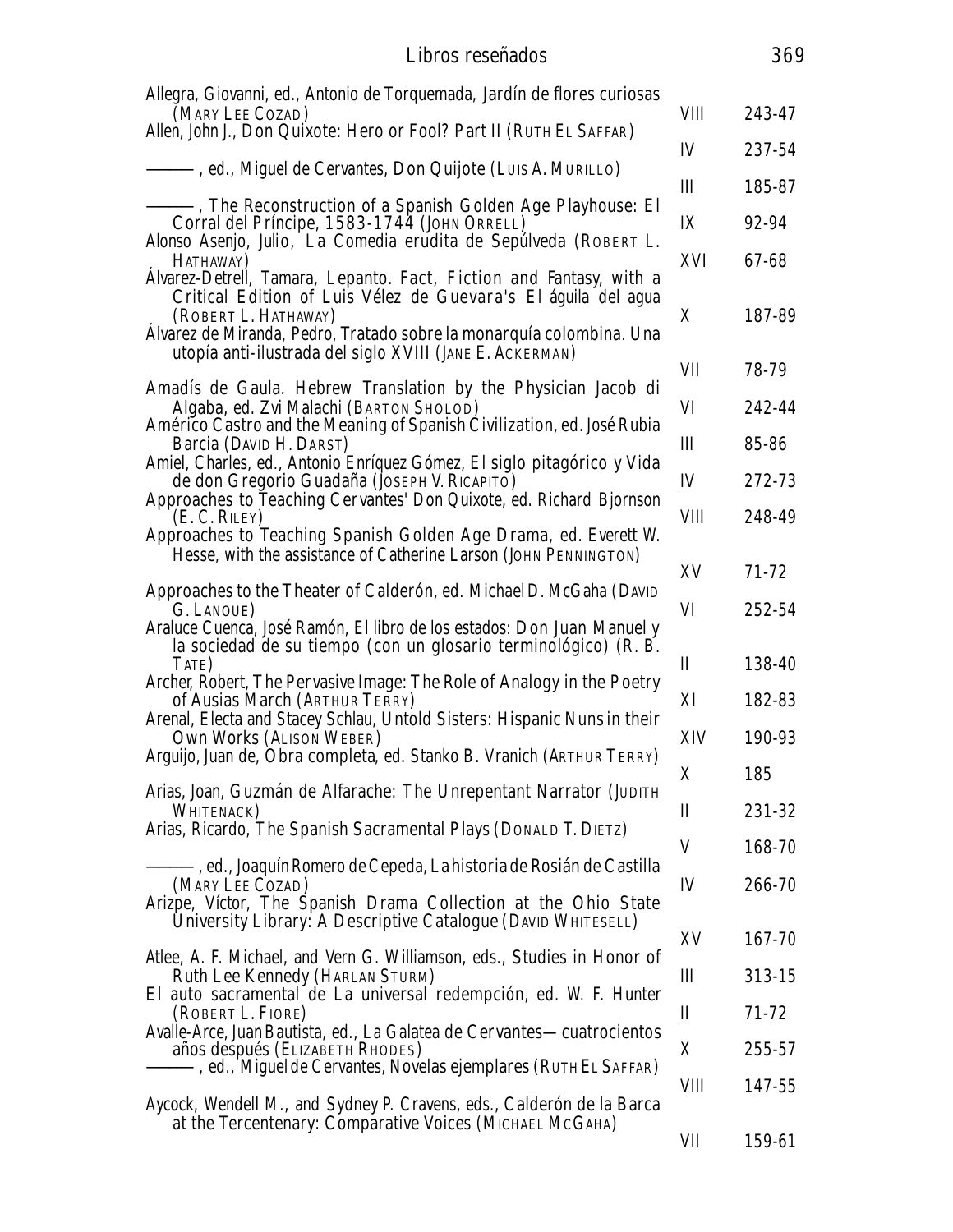| Libros reseñados                                                                                                                                                           |             | 369             |
|----------------------------------------------------------------------------------------------------------------------------------------------------------------------------|-------------|-----------------|
| Allegra, Giovanni, ed., Antonio de Torquemada, Jardín de flores curiosas<br>(MARY LEE COZAD)                                                                               | VШ          | 243-47          |
| Allen, John J., Don Quixote: Hero or Fool? Part II (RUTH EL SAFFAR)                                                                                                        | IV          | 237-54          |
| -, ed., Miguel de Cervantes, <i>Don Quijote</i> (LUIS A. MURILLO)                                                                                                          |             |                 |
| -, The Reconstruction of a Spanish Golden Age Playhouse: El                                                                                                                | Ш           | 185-87          |
| Corral del Príncipe, 1583-1744 (JOHN ORRELL)<br>Alonso Asenjo, Julio, La Comedia erudita de Sepúlveda (ROBERT L.                                                           | IX          | 92-94           |
| HATHAWAY)<br>Alvarez-Detrell, Tamara, Lepanto. Fact, Fiction and Fantasy, with a<br>Critical Edition of Luis Vélez de Guevara's El águila del agua<br>(ROBERT L. HATHAWAY) | XVI<br>X    | 67-68<br>187-89 |
| Alvarez de Miranda, Pedro, Tratado sobre la monarquía colombina. Una<br>utopía anti-ilustrada del siglo XVIII (JANE E. ACKERMAN)                                           |             |                 |
| Amadís de Gaula. Hebrew Translation by the Physician Jacob di                                                                                                              | VII         | 78-79           |
| Algaba, ed. Zvi Malachi (BARTON SHOLOD)<br>Américo Castro and the Meaning of Spanish Civilization, ed. José Rubia                                                          | VI          | 242-44          |
| Barcia (DAVID H. DARST)<br>Amiel, Charles, ed., Antonio Enríquez Gómez, El siglo pitagórico y Vida                                                                         | Ш           | 85-86           |
| de don Gregorio Guadaña (JOSEPH V. RICAPITO)<br>Approaches to Teaching Cervantes' Don Quixote, ed. Richard Bjornson                                                        | IV          | 272-73          |
| (E. C. RILEY)<br>Approaches to Teaching Spanish Golden Age Drama, ed. Everett W.<br>Hesse, with the assistance of Catherine Larson (JOHN PENNINGTON)                       | <b>VIII</b> | 248-49          |
| Approaches to the Theater of Calderón, ed. Michael D. McGaha (DAVID                                                                                                        | XV          | $71 - 72$       |
| G. LANOUE)<br>Araluce Cuenca, José Ramón, El libro de los estados: Don Juan Manuel y<br>la sociedad de su tiempo (con un glosario terminológico) (R. B.                    | VI          | 252-54          |
| TATE)<br>Archer, Robert, The Pervasive Image: The Role of Analogy in the Poetry                                                                                            | $\mathbf I$ | 138-40          |
| of Ausias March (ARTHUR TERRY)<br>Arenal, Electa and Stacey Schlau, Untold Sisters: Hispanic Nuns in their                                                                 | XI          | 182-83          |
| Own Works (ALISON WEBER)<br>Arguijo, Juan de, Obra completa, ed. Stanko B. Vranich (ARTHUR TERRY)                                                                          | XIV         | 190-93          |
| Arias, Joan, Guzmán de Alfarache: The Unrepentant Narrator (JUDITH                                                                                                         | X           | 185             |
| WHITENACK)<br>Arias, Ricardo, The Spanish Sacramental Plays (DONALD T. DIETZ)                                                                                              | $\mathbf I$ | 231-32          |
| -, ed., Joaquín Romero de Cepeda, <i>La historia de Rosián de Castilla</i>                                                                                                 | V           | 168-70          |
| (MARY LEE COZAD)<br>Arizpe, Victor, The Spanish Drama Collection at the Ohio State<br>University Library: A Descriptive Catalogue (DAVID WHITESELL)                        | IV          | 266-70          |
| Atlee, A. F. Michael, and Vern G. Williamson, eds., Studies in Honor of                                                                                                    | XV          | 167-70          |
| <b>Ruth Lee Kennedy (HARLAN STURM)</b><br>El auto sacramental de La universal redempción, ed. W. F. Hunter                                                                 | Ш           | 313-15          |
| (ROBERT L. FIORE)<br>Avalle-Arce, Juan Bautista, ed., La Galatea de Cervantes—cuatrocientos                                                                                | $\mathbf I$ | 71-72           |
| años después (ELIZABETH RHODES)<br>-, ed., Miguel de Cervantes, <i>Novelas ejemplares</i> (RUTHEL SAFFAR)                                                                  | X           | 255-57          |
| Aycock, Wendell M., and Sydney P. Cravens, eds., <i>Calderón de la Barca</i>                                                                                               | <b>VIII</b> | 147-55          |
| at the Tercentenary: Comparative Voices (MICHAEL MCGAHA)                                                                                                                   | VII         | 159-61          |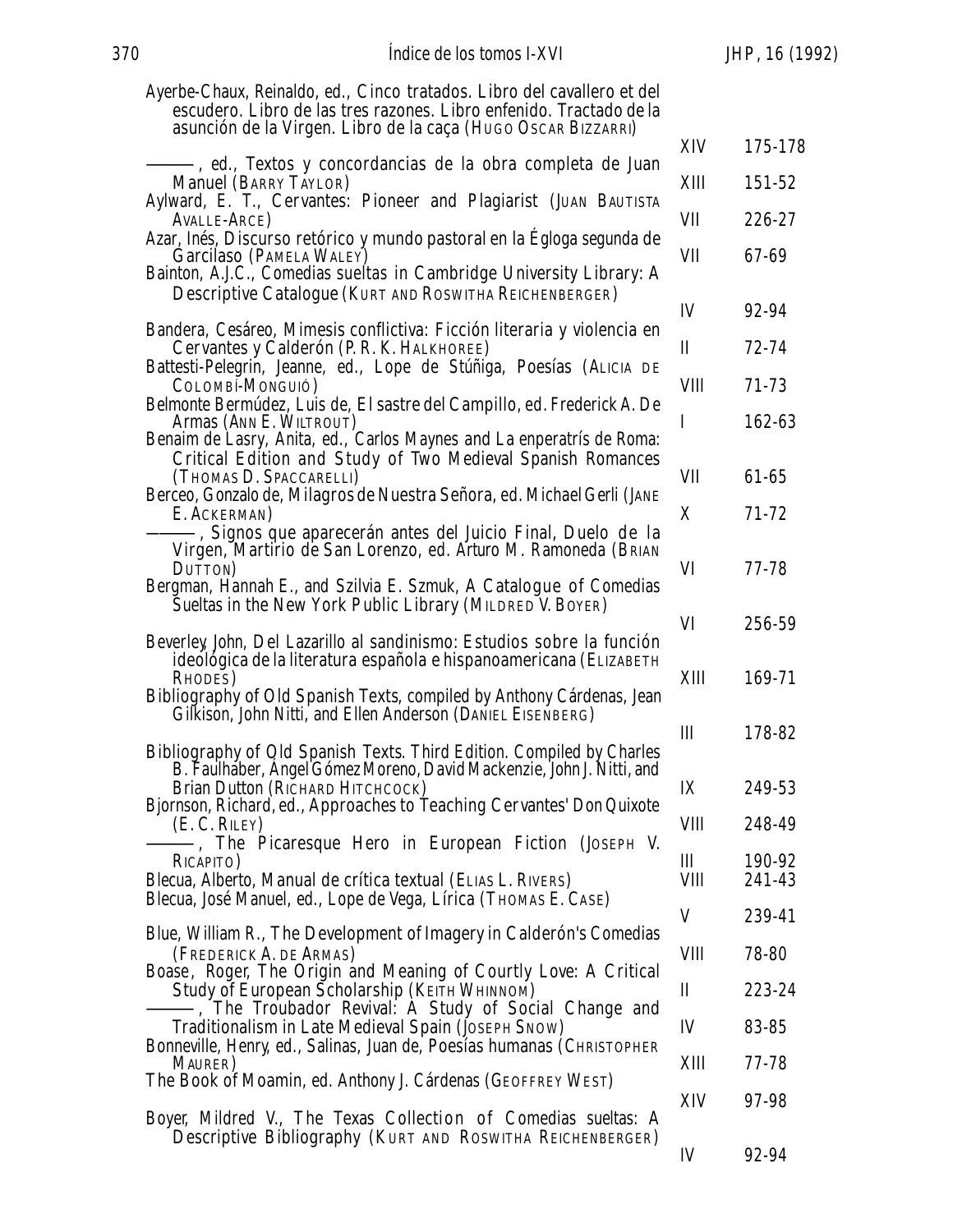Ayerbe-Chaux, Reinaldo, ed., *Cinco tratados. Libro del cavallero et del escudero. Libro de las tres razones. Libro enfenido. Tractado de la asunción de la Virgen. Libro de la caça* (HUGO OSCAR BIZZARRI)

| asuncion de la Virgen. Libro de la caça (HUGO OSCAR BIZZARRI)                                                                                                                               |                  |                  |
|---------------------------------------------------------------------------------------------------------------------------------------------------------------------------------------------|------------------|------------------|
| -, ed., <i>Textos y concordancias de la obra completa de Juan</i>                                                                                                                           | XIV              | 175-178          |
| Manuel (BARRY TAYLOR)<br>Aylward, E. T., Cervantes: Pioneer and Plagiarist (JUAN BAUTISTA                                                                                                   | XIII             | 151-52           |
| AVALLE-ARCE)                                                                                                                                                                                | VII              | 226-27           |
| Azar, Inés, Discurso retórico y mundo pastoral en la Égloga segunda de<br>Garcilaso (PAMELA WALEY)<br>Bainton, A.J.C., Comedias sueltas in Cambridge University Library: A                  | VII              | 67-69            |
| Descriptive Catalogue (KURT AND ROSWITHA REICHENBERGER)                                                                                                                                     | IV               | 92-94            |
| Bandera, Cesáreo, Mimesis conflictiva: Ficción literaria y violencia en<br>Cervantes y Calderón (P. R. K. HALKHOREE)<br>Battesti-Pelegrin, Jeanne, ed., Lope de Stúñiga, Poesías (ALICIA DE | Π                | 72-74            |
| COLOMBÍ-MONGUIÓ)                                                                                                                                                                            | <b>VIII</b>      | 71-73            |
| Belmonte Bermúdez, Luis de, El sastre del Campillo, ed. Frederick A. De<br>Armas (ANN E. WILTROUT)<br>Benaim de Lasry, Anita, ed., Carlos Maynes and La enperatrís de Roma:                 | I                | 162-63           |
| Critical Edition and Study of Two Medieval Spanish Romances<br>(THOMAS D. SPACCARELLI)                                                                                                      | VII              | 61-65            |
| Berceo, Gonzalo de, Milagros de Nuestra Señora, ed. Michael Gerli (JANE<br>E. ACKERMAN)                                                                                                     | X                | 71-72            |
| -, Signos que aparecerán antes del Juicio Final, Duelo de la<br>Virgen, Martírio de San Lorenzo, ed. Arturo M. Ramoneda (BRIAN<br>DUTTON)                                                   | VI               | 77-78            |
| Bergman, Hannah E., and Szilvia E. Szmuk, A Catalogue of Comedias<br>Sueltas in the New York Public Library (MILDRED V. BOYER)                                                              |                  |                  |
| Beverley, John, Del Lazarillo al sandinismo: Estudios sobre la función                                                                                                                      | VI               | 256-59           |
| ideológica de la literatura española e hispanoamericana (ELIZABETH<br>RHODES)<br>Bibliography of Old Spanish Texts, compiled by Anthony Cárdenas, Jean                                      | XIII             | 169-71           |
| Gilkison, John Nitti, and Ellen Anderson (DANIEL EISENBERG)                                                                                                                                 | Ш                | 178-82           |
| Bibliography of Old Spanish Texts. Third Edition. Compiled by Charles<br>B. Faulhåber, Angel Gómez Moreno, David Mackenzie, John J. Nitti, and                                              |                  |                  |
| Brian Dutton (RICHARD HITCHCOCK)<br>Bjornson, Richard, ed., Approaches to Teaching Cervantes' Don Quixote                                                                                   | IX               | 249-53           |
| (E. C. Riley)<br>The Picaresque Hero in European Fiction (JOSEPH V.                                                                                                                         | <b>VIII</b>      | 248-49           |
| RICAPITO)<br>Blecua, Alberto, <i>Manual de crítica textual</i> (ELIAS L. RIVERS)                                                                                                            | Ш<br><b>VIII</b> | 190-92<br>241-43 |
| Blecua, José Manuel, ed., Lope de Vega, Lírica (THOMAS E. CASE)                                                                                                                             | V                | 239-41           |
| Blue, William R., The Development of Imagery in Calderón's Comedias<br>(FREDERICK A. DE ARMAS)                                                                                              | <b>VIII</b>      | 78-80            |
| Boase, Roger, The Origin and Meaning of Courtly Love: A Critical<br><b>Study of European Scholarship (KETTH WHINNOM)</b><br>The Troubador Revival: A Study of Social Change and             | $\mathbf I$      | 223-24           |
| Traditionalism in Late Medieval Spain (JOSEPH SNOW)<br>Bonneville, Henry, ed., Salinas, Juan de, <i>Poesías humanas</i> (CHRISTOPHER                                                        | IV               | 83-85            |
| MAURER)<br><i>The Book of Moamin, ed. Anthony J. Cárdenas (GEOFFREY WEST)</i>                                                                                                               | XIII             | 77-78            |
| Boyer, Mildred V., The Texas Collection of Comedias sueltas: A                                                                                                                              | XIV              | 97-98            |
| Descriptive Bibliography (KURT AND ROSWITHA REICHENBERGER)                                                                                                                                  | IV               | 92-94            |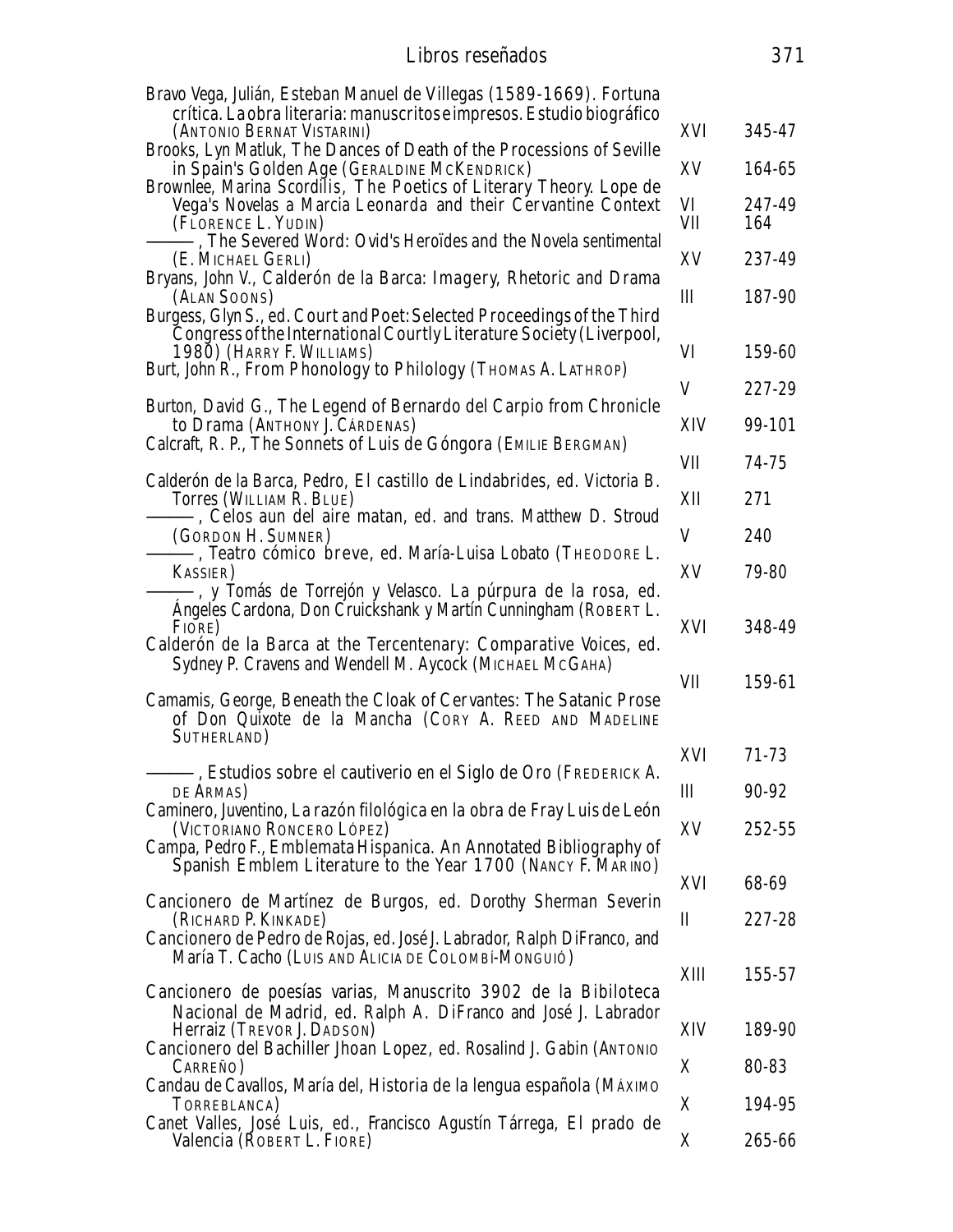| Bravo Vega, Julián, Esteban Manuel de Villegas (1589-1669). Fortuna                                                                                                                                                                          |           |               |
|----------------------------------------------------------------------------------------------------------------------------------------------------------------------------------------------------------------------------------------------|-----------|---------------|
| crítica. La obra literaria: manuscritos e impresos. Estudio biográfico<br>(ANTONIO BERNAT VISTARINI)<br>Brooks, Lyn Matluk, The Dances of Death of the Processions of Seville                                                                | XVI       | 345-47        |
| in Spain's Golden Age (GERALDINE MCKENDRICK)                                                                                                                                                                                                 | XV        | 164-65        |
| Brownlee, Marina Scordilis, The Poetics of Literary Theory. Lope de<br>Vega's Novelas a Marcia Leonarda and their Cervantine Context<br>(FLORENCE L. YUDIN)<br>-, <i>The Severed Word: Ovid's</i> Heroïdes <i>and the</i> Novela sentimental | VI<br>VII | 247-49<br>164 |
| (E. MICHAEL GERLI)<br>Bryans, John V., Calderón de la Barca: Imagery, Rhetoric and Drama                                                                                                                                                     | XV        | 237-49        |
| (ALAN SOONS)                                                                                                                                                                                                                                 | III       | 187-90        |
| Burgess, Glyn S., ed. Court and Poet: Selected Proceedings of the Third<br>Congress of the International Courtly Literature Society (Liverpool,<br>1980) (HARRY F. WILLIAMS)                                                                 | VI        | 159-60        |
| Burt, John R., From Phonology to Philology (THOMAS A. LATHROP)                                                                                                                                                                               | V         | 227-29        |
| Burton, David G., The Legend of Bernardo del Carpio from Chronicle<br>to Drama (ANTHONY J. CÁRDENAS)                                                                                                                                         | XIV       | 99-101        |
| Calcraft, R. P., The Sonnets of Luis de Góngora (EMILIE BERGMAN)                                                                                                                                                                             | VII       | 74-75         |
| Calderón de la Barca, Pedro, El castillo de Lindabrides, ed. Victoria B.<br>Torres (WILLIAM R. BLUE)<br>-, Celos aun del aire matan, ed. and trans. Matthew D. Stroud                                                                        | XII       | 271           |
| (GORDON H. SUMNER)<br>–, <i>Teatro cómico breve,</i> ed. María-Luisa Lobato (Theodore L.                                                                                                                                                     | V         | 240           |
| <b>KASSIER</b> )<br>-, y Tomás de Torrejón y Velasco. La púrpura de la rosa, ed.                                                                                                                                                             | XV        | 79-80         |
| Angeles Cardona, Don Cruickshank y Martín Cunningham (ROBERT L.<br>FIORE)<br>Calderón de la Barca at the Tercentenary: Comparative Voices, ed.                                                                                               | XVI       | 348-49        |
| Sydney P. Cravens and Wendell M. Aycock (MICHAEL MCGAHA)                                                                                                                                                                                     | VII       | 159-61        |
| Camamis, George, Beneath the Cloak of Cervantes: The Satanic Prose<br>of Don Quixote de la Mancha (CORY A. REED AND MADELINE<br>SUTHERLAND)                                                                                                  |           |               |
| -, Estudios sobre el cautiverio en el Siglo de Oro (FREDERICK A.                                                                                                                                                                             | XVI       | 71-73         |
| DE ARMAS)                                                                                                                                                                                                                                    | Ш         | 90-92         |
| Caminero, Juventino, La razón filológica en la obra de Fray Luis de León<br>(VICTORIANO RONCERO LÓPEZ)<br>Campa, Pedro F., Emblemata Hispanica. An Annotated Bibliography of                                                                 | XV        | 252-55        |
| Spanish Emblem Literature to the Year 1700 (NANCY F. MARINO)                                                                                                                                                                                 | XVI       | 68-69         |
| Cancionero de Martínez de Burgos, ed. Dorothy Sherman Severin<br>(RICHARD P. KINKADE)                                                                                                                                                        | Ш         | 227-28        |
| Cancionero de Pedro de Rojas, ed. José J. Labrador, Ralph DiFranco, and<br>María T. Cacho (LUIS AND ALICIA DE COLOMBÍ-MONGUIÓ)                                                                                                               |           |               |
| Cancionero de poesías varias, Manuscrito 3902 de la Bibiloteca                                                                                                                                                                               | XШ        | 155-57        |
| <i>Nacional de Madrid</i> , ed. Ralph A. DiFranco and José J. Labrador<br>Herraiz (TREVOR J. DADSON)                                                                                                                                         | XIV       | 189-90        |
| Cancionero del Bachiller Jhoan Lopez, ed. Rosalind J. Gabin (ANTONIO<br>CARREÑO)                                                                                                                                                             | X         | 80-83         |
| Candau de Cavallos, María del, <i>Historia de la lengua española</i> (MÁXIMO<br>TORREBLANCA)                                                                                                                                                 | X         | 194-95        |
| Canet Valles, José Luis, ed., Francisco Agustín Tárrega, El prado de<br><i>Valencia (</i> Robert L. Fiore)                                                                                                                                   | X         | 265-66        |

Libros reseñados 371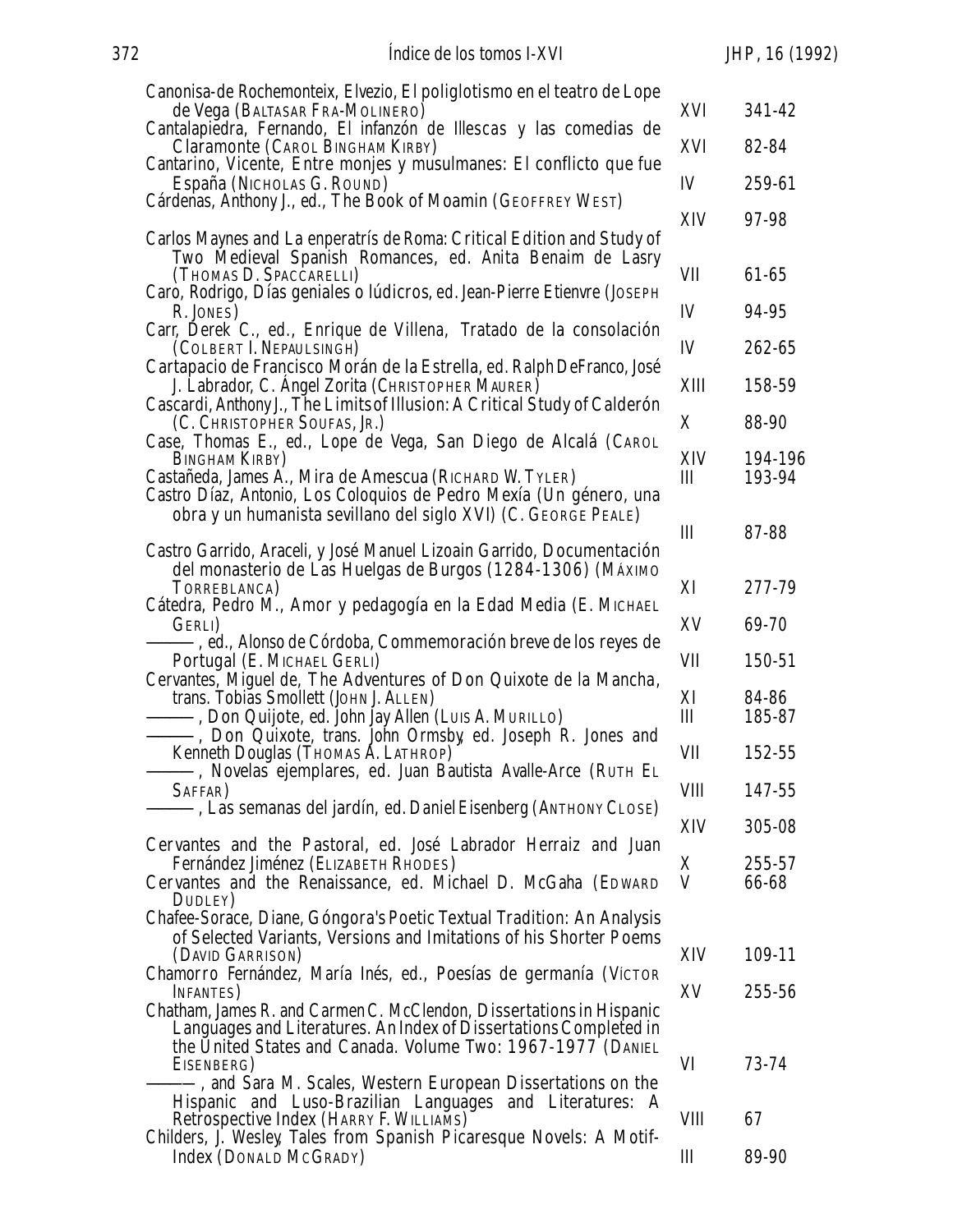| Canonisa-de Rochemonteix, Elvezio, El poliglotismo en el teatro de Lope                                                             |              |         |
|-------------------------------------------------------------------------------------------------------------------------------------|--------------|---------|
| de Vega (BALTASAR FRA-MOLINERO)                                                                                                     | XVI          | 341-42  |
| Cantalapiedra, Fernando, El infanzón de Illescas y las comedias de<br>Claramonte (CAROL BINGHAM KIRBY)                              | XVI          | 82-84   |
| Cantarino, Vicente, Entre monjes y musulmanes: El conflicto que fue<br>España (NICHOLAS G. ROUND)                                   | IV           | 259-61  |
| Cárdenas, Anthony J., ed., The Book of Moamin (GEOFFREY WEST)                                                                       | XIV          | 97-98   |
| Carlos Maynes and La enperatris de Roma: Critical Edition and Study of                                                              |              |         |
| Two Medieval Spanish Romances, ed. Anita Benaim de Lasry<br>(THOMAS D. SPACCARELLI)                                                 | VII          | 61-65   |
| Caro, Rodrigo, Días geniales o lúdicros, ed. Jean-Pierre Etienvre (JOSEPH<br>R. JONES)                                              | IV           | 94-95   |
| Carr, Derek C., ed., Enrique de Villena, Tratado de la consolación<br>(COLBERT I. NEPAULSINGH)                                      | IV           | 262-65  |
| Cartapacio de Francisco Morán de la Estrella, ed. Ralph DeFranco, José<br>J. Labrador, C. Angel Zorita (CHRISTOPHER MAURER)         | XIII         | 158-59  |
| Cascardi, Anthony J., The Limits of Illusion: A Critical Study of Calderón<br>(C. CHRISTOPHER SOUFAS, JR.)                          | X            | 88-90   |
| Case, Thomas E., ed., Lope de Vega, San Diego de Alcalá (CAROL<br>BINGHAM KIRBY)                                                    | XIV          | 194-196 |
| Castañeda, James A., Mira de Amescua (RICHARD W. TYLER)<br>Castro Díaz, Antonio, Los Coloquios de Pedro Mexía (Un género, una       | III          | 193-94  |
| obra y un humanista sevillano del siglo XVI) (C. GEORGE PEALE)                                                                      |              |         |
| Castro Garrido, Araceli, y José Manuel Lizoain Garrido, Documentación                                                               | Ш            | 87-88   |
| del monasterio de Las Huelgas de Burgos (1284-1306) (MÁXIMO<br>TORREBLANCA)                                                         | XI           | 277-79  |
| Cátedra, Pedro M., Amor y pedagogía en la Edad Media (E. MICHAEL                                                                    |              |         |
| GERLI)<br>, ed., Alonso de Córdoba, <i>Commemoración breve de los reyes de</i>                                                      | XV           | 69-70   |
| Portugal (E. MICHAEL GERLI)<br>Cervantes, Miguel de, The Adventures of Don Quixote de la Mancha,                                    | VII          | 150-51  |
| trans. Tobias Smollett (JOHN J. ALLEN)                                                                                              | XI           | 84-86   |
| —, <i>Don Quijote</i> , ed. John Jay Allen (LUIS A. MURILLO)<br>-, <i>Don Quixote</i> , trans. John Ormsby, ed. Joseph R. Jones and | $\mathbf{I}$ | 185-87  |
| Kenneth Douglas (THOMAS A. LATHROP)<br>-, <i>Novelas ejemplares</i> , ed. Juan Bautista Avalle-Arce (RUTH EL                        | VII          | 152-55  |
| SAFFAR)                                                                                                                             | <b>VIII</b>  | 147-55  |
| , <i>Las semanas del jardín</i> , ed. Daniel Eisenberg (ANTHONY CLOSE)                                                              | XIV          | 305-08  |
| Cervantes and the Pastoral, ed. José Labrador Herraiz and Juan<br>Fernández Jiménez (ELIZABETH RHODES)                              | X            | 255-57  |
| Cervantes and the Renaissance, ed. Michael D. McGaha (EDWARD                                                                        | V            | 66-68   |
| DUDLEY)<br>Chafee-Sorace, Diane, Góngora's Poetic Textual Tradition: An Analysis                                                    |              |         |
| of Selected Variants, Versions and Imitations of his Shorter Poems<br>(DAVID GARRISON)                                              | XIV          | 109-11  |
| Chamorro Fernández, María Inés, ed., <i>Poesías de germanía</i> (Víctor                                                             |              |         |
| INFANTES)<br>Chatham, James R. and Carmen C. McClendon, Dissertations in Hispanic                                                   | XV           | 255-56  |
| Languages and Literatures. An Index of Dissertations Completed in<br>the United States and Canada. Volume Two: 1967-1977 (DANIEL    |              |         |
| EISENBERG)                                                                                                                          | VI           | 73-74   |
| -, and Sara M. Scales, <i>Western European Dissertations on the</i><br>Hispanic and Luso-Brazilian Languages and Literatures: A     |              |         |
| Retrospective Index (HARRY F. WILLIAMS)<br>Childers, J. Wesley, Tales from Spanish Picaresque Novels: A Motif-                      | <b>VIII</b>  | 67      |
| <i>Index</i> (DONALD MCGRADY)                                                                                                       | Ш            | 89-90   |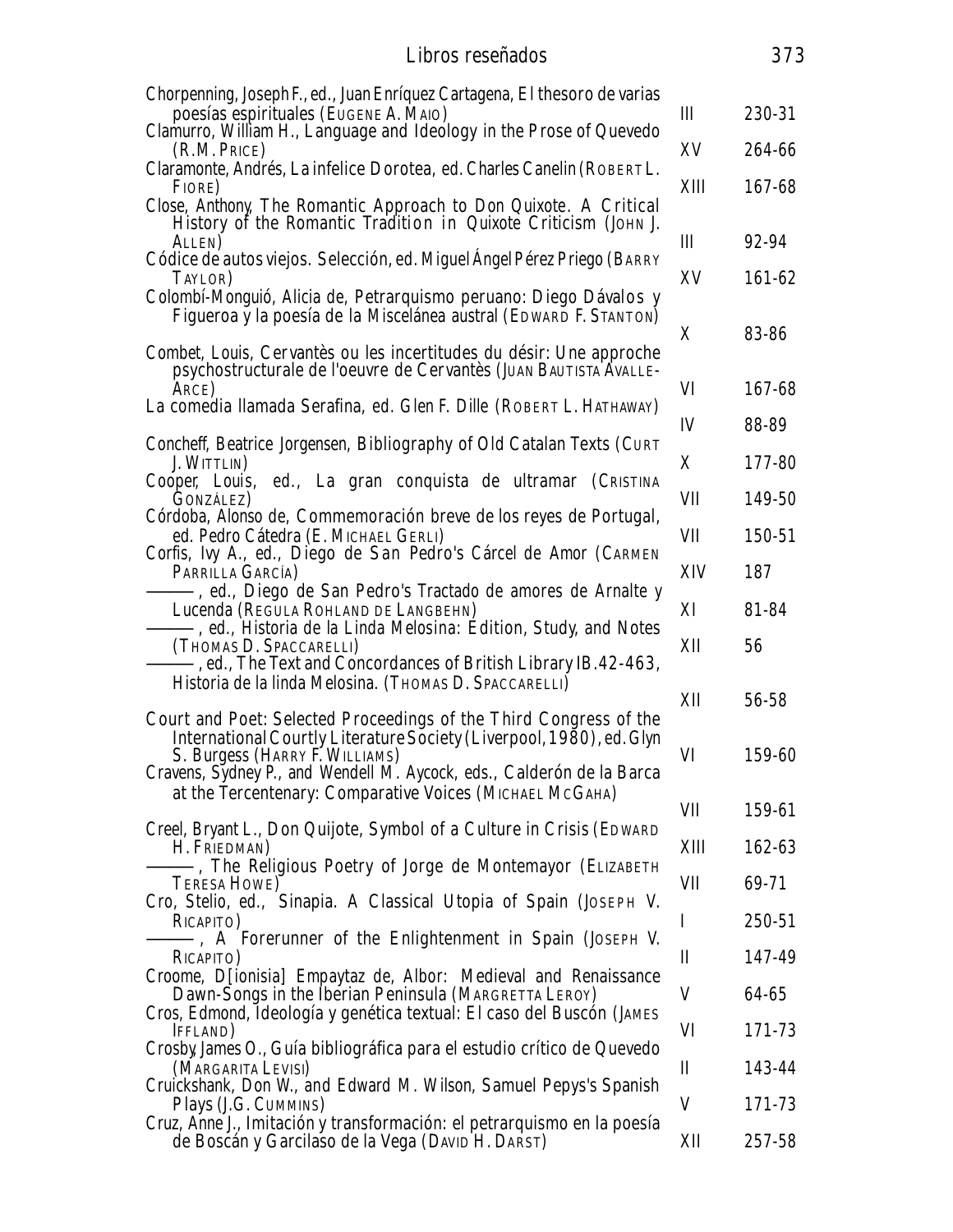| Libros reseñados                                                                                                                                                                                                                                                                     |                   | 373              |
|--------------------------------------------------------------------------------------------------------------------------------------------------------------------------------------------------------------------------------------------------------------------------------------|-------------------|------------------|
| Chorpenning, Joseph F., ed., Juan Enríquez Cartagena, El thesoro de varias<br>poesías espirituales (EUGENE A. MAIO)<br>Clamurro, William H., Language and Ideology in the Prose of Quevedo<br>(R.M. PRICE)<br>Claramonte, Andrés, La infelice Dorotea, ed. Charles Canelin (ROBERTL. | Ш<br>XV           | 230-31<br>264-66 |
| FIORE)<br>Close, Anthony, The Romantic Approach to Don Quixote. A Critical<br>History of the Romantic Tradition in Quixote Criticism (JOHN J.<br>ALLEN)                                                                                                                              | XIII<br>Ш         | 167-68<br>92-94  |
| Códice de autos viejos. Selección, ed. Miguel Ángel Pérez Priego (BARRY<br>TAYLOR)<br>Colombí-Monguió, Alicia de, Petrarquismo peruano: Diego Dávalos y<br>Figueroa y la poesía de la Miscelánea austral (EDWARD F. STANTON)                                                         | XV                | 161-62           |
| Combet, Louis, Cervantès ou les incertitudes du désir: Une approche<br><i>psychostructurale de l'oeuvre de Cervantès</i> (JUAN BAUTISTA AVALLE-                                                                                                                                      | X                 | 83-86            |
| ARCE)<br>La comedia llamada Serafina, ed. Glen F. Dille (ROBERT L. HATHAWAY)                                                                                                                                                                                                         | VI<br>IV          | 167-68<br>88-89  |
| Concheff, Beatrice Jorgensen, Bibliography of Old Catalan Texts (CURT)<br>J. WITTLIN)<br>ed., La gran conquista de ultramar (CRISTINA<br>Cooper, Louis,<br>GONZÁLEZ)                                                                                                                 | X<br>VII          | 177-80<br>149-50 |
| Córdoba, Alonso de, <i>Commemoración breve de los reyes de Portugal</i> ,<br>ed. Pedro Cátedra (E. MICHAEL GERLI)<br>Corfis, Ivy A., ed., Diego de San Pedro's Cárcel de Amor (CARMEN                                                                                                | VII               | 150-51           |
| PARRILLA GARCÍA)<br>-, ed., <i>Diego de San Pedro's</i> Tractado de amores de Arnalte y<br>Lucenda (REGULA ROHLAND DE LANGBEHN)                                                                                                                                                      | XIV<br>XI         | 187<br>81-84     |
| -, ed., Historia de la Linda Melosina: <i>Edition, Study, and Notes</i><br>(THOMAS D. SPACCARELLI)<br>-, ed., <i>The Text and Concordances of British Library IB.42-463</i> ,<br>Historia de la linda Melosina. (THOMAS D. SPACCARELLI)                                              | XII               | 56               |
| Court and Poet: Selected Proceedings of the Third Congress of the<br>International Courtly Literature Society (Liverpool, 1980), ed. Glyn                                                                                                                                            | XII               | 56-58            |
| S. Burgess (HARRY F. WILLIAMS)<br>Cravens, Sydney P., and Wendell M. Aycock, eds., Calderón de la Barca<br>at the Tercentenary: Comparative Voices (MICHAEL MCGAHA)                                                                                                                  | VI                | 159-60           |
| Creel, Bryant L., Don Quijote, Symbol of a Culture in Crisis (EDWARD                                                                                                                                                                                                                 | VII               | 159-61           |
| H. FRIEDMAN)<br>-, The Religious Poetry of Jorge de Montemayor (ELIZABETH<br>TERESA HOWE)                                                                                                                                                                                            | XIII<br>VII       | 162-63<br>69-71  |
| Cro, Stelio, ed., Sinapia. A Classical Utopia of Spain (JOSEPH V.<br>RICAPITO)                                                                                                                                                                                                       | $\bf{l}$          | 250-51           |
| Forerunner of the Enlightenment in Spain (JOSEPH V.<br>., А<br>RICAPITO)<br>Croome, D[ionisia] Empaytaz de, Albor: <i>Medieval and Renaissance</i>                                                                                                                                   | $\mathbf I$       | 147-49           |
| Dawn-Songs in the Iberian Peninsula (MARGRETTA LEROY)<br>Cros, Edmond, Ideología y genética textual: El caso del Buscón (JAMES                                                                                                                                                       | V                 | 64-65            |
| <b>IFFLAND</b> )<br>Crosby, James O., Guía bibliográfica para el estudio crítico de Quevedo                                                                                                                                                                                          | VI<br>$\mathbf I$ | 171-73           |
| (MARGARITA LEVISI)<br>Cruickshank, Don W., and Edward M. Wilson, Samuel Pepys's Spanish<br><i>Plays</i> (J.G. CUMMINS)                                                                                                                                                               | V                 | 143-44<br>171-73 |
| Cruz, Anne J., <i>Imitación y transformación: el petrarquismo en la poesía</i><br>de Boscán y Garcilaso de la Vega (DAVID H. DARST)                                                                                                                                                  | XII               | 257-58           |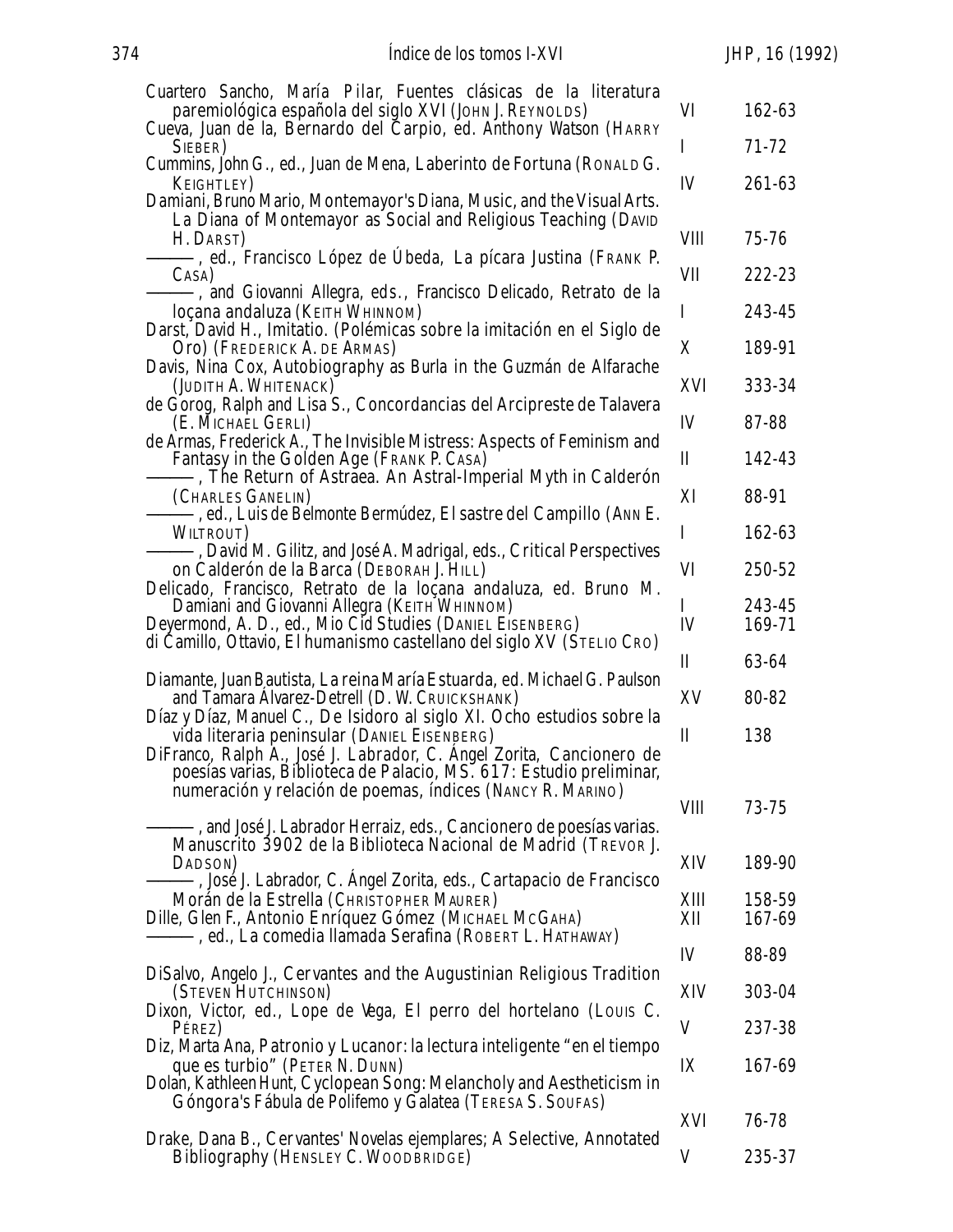| Cuartero Sancho, María Pilar, Fuentes clásicas de la literatura<br>paremiológica española del siglo XVI (JOHN J. REYNOLDS)              | VI          | 162-63           |
|-----------------------------------------------------------------------------------------------------------------------------------------|-------------|------------------|
| Cueva, Juan de la, Bernardo del Carpio, ed. Anthony Watson (HARRY<br>SIEBER)                                                            | I           | $71 - 72$        |
| Cummins, John G., ed., Juan de Mena, Laberinto de Fortuna (RONALD G.                                                                    |             |                  |
| <b>KEIGHTLEY</b> )                                                                                                                      | IV          | 261-63           |
| Damiani, Bruno Mario, Montemayor's Diana, Music, and the Visual Arts.<br>La Diana of Montemayor as Social and Religious Teaching (DAVID |             |                  |
| H. DARST)                                                                                                                               | <b>VIII</b> | 75-76            |
| —, ed., Francisco López de Úbeda, <i>La pícara Justina</i> (Frank P.<br>CASA)                                                           | VII         | 222-23           |
| -, and Giovanni Allegra, eds., Francisco Delicado, <i>Retrato de la</i>                                                                 |             |                  |
| <i>loçana andaluza</i> (KETTH WHINNOM)<br>Darst, David H., Imitatio. (Polémicas sobre la imitación en el Siglo de                       | L           | 243-45           |
| Oro) (FREDERICK A. DE ARMAS)                                                                                                            | X           | 189-91           |
| Davis, Nina Cox, Autobiography as Burla in the Guzmán de Alfarache<br>(JUDITH A. WHITENACK)                                             | XVI         | 333-34           |
| de Gorog, Ralph and Lisa S., Concordancias del Arcipreste de Talavera<br>(E. MICHAEL GERLI)                                             | IV          | 87-88            |
| de Armas, Frederick A., The Invisible Mistress: Aspects of Feminism and<br>Fantasy in the Golden Age (FRANK P. CASA)                    | $\mathbf I$ | 142-43           |
| -, The Return of Astraea. An Astral-Imperial Myth in Calderón                                                                           |             |                  |
| (CHARLES GANELIN)<br>-, ed., Luis de Belmonte Bermúdez, <i>El sastre del Campillo</i> (Ann E.                                           | XI          | 88-91            |
| WILTROUT)                                                                                                                               | I           | 162-63           |
| -, David M. Gilitz, and José A. Madrigal, eds., <i>Critical Perspectives</i><br>on Calderón de la Barca (DEBORAH J. HILL)               | VI          | 250-52           |
| Delicado, Francisco, Retrato de la loçana andaluza, ed. Bruno M.                                                                        |             |                  |
| Damiani and Giovanni Allegra (KETTH WHINNOM)<br>Deyermond, A. D., ed., Mio Cid Studies (DANIEL EISENBERG)                               | L<br>IV     | 243-45<br>169-71 |
| di Camillo, Ottavio, <i>El humanismo castellano del siglo XV</i> (STELIO CRO)                                                           |             |                  |
|                                                                                                                                         | П           | 63-64            |
| Diamante, Juan Bautista, <i>La reina María Estuarda</i> , ed. Michael G. Paulson<br>and Tamara Alvarez-Detrell (D. W. CRUICKSHANK)      | XV          | 80-82            |
| Díaz y Díaz, Manuel C., De Isidoro al siglo XI. Ocho estudios sobre la                                                                  |             |                  |
| vida literaria peninsular (DANIEL EISENBERG)<br>DiFranco, Ralph A., José J. Labrador, C. Ángel Zorita, Cancionero de                    | $\mathbf I$ | 138              |
| poesías varias, Biblioteca de Palacio, MS. 617: Estudio preliminar,<br>numeración y relación de poemas, índices (NANCY R. MARINO)       | VIII        | 73-75            |
| -, and José J. Labrador Herraiz, eds., <i>Cancionero de poesías varias.</i>                                                             |             |                  |
| Manuscrito 3902 de la Biblioteca Nacional de Madrid (TREVOR J.<br>DADSON)                                                               | XIV         | 189-90           |
| -, José J. Labrador, C. Ángel Zorita, eds., <i>Cartapacio de Francisco</i>                                                              |             |                  |
| Morán de la Estrella (CHRISTOPHER MAURER)<br>Dille, Glen F., Antonio Enríquez Gómez (MICHAEL MCGAHA)                                    | XIII<br>XII | 158-59<br>167-69 |
| -, ed., <i>La comedia llamada Serafina</i> (Robert L. Hathaway)                                                                         |             |                  |
| DiSalvo, Angelo J., Cervantes and the Augustinian Religious Tradition                                                                   | IV          | 88-89            |
| (STEVEN HUTCHINSON)                                                                                                                     | XIV         | 303-04           |
| Dixon, Victor, ed., Lope de Vega, El perro del hortelano (Louis C.<br>Pérez)                                                            | V           | 237-38           |
| Diz, Marta Ana, Patronio y Lucanor: la lectura inteligente "en el tiempo"                                                               |             |                  |
| que es turbio" (PETER N. DUNN)                                                                                                          | IX          | 167-69           |
| Dolan, Kathleen Hunt, Cyclopean Song: Melancholy and Aestheticism in<br>Góngora's Fábula de Polifemo y Galatea (TERESA S. SOUFAS)       |             |                  |
|                                                                                                                                         | XVI         | 76-78            |
| Drake, Dana B., Cervantes' Novelas ejemplares; A Selective, Annotated<br>Bibliography (HENSLEY C. WOODBRIDGE)                           | V           | 235-37           |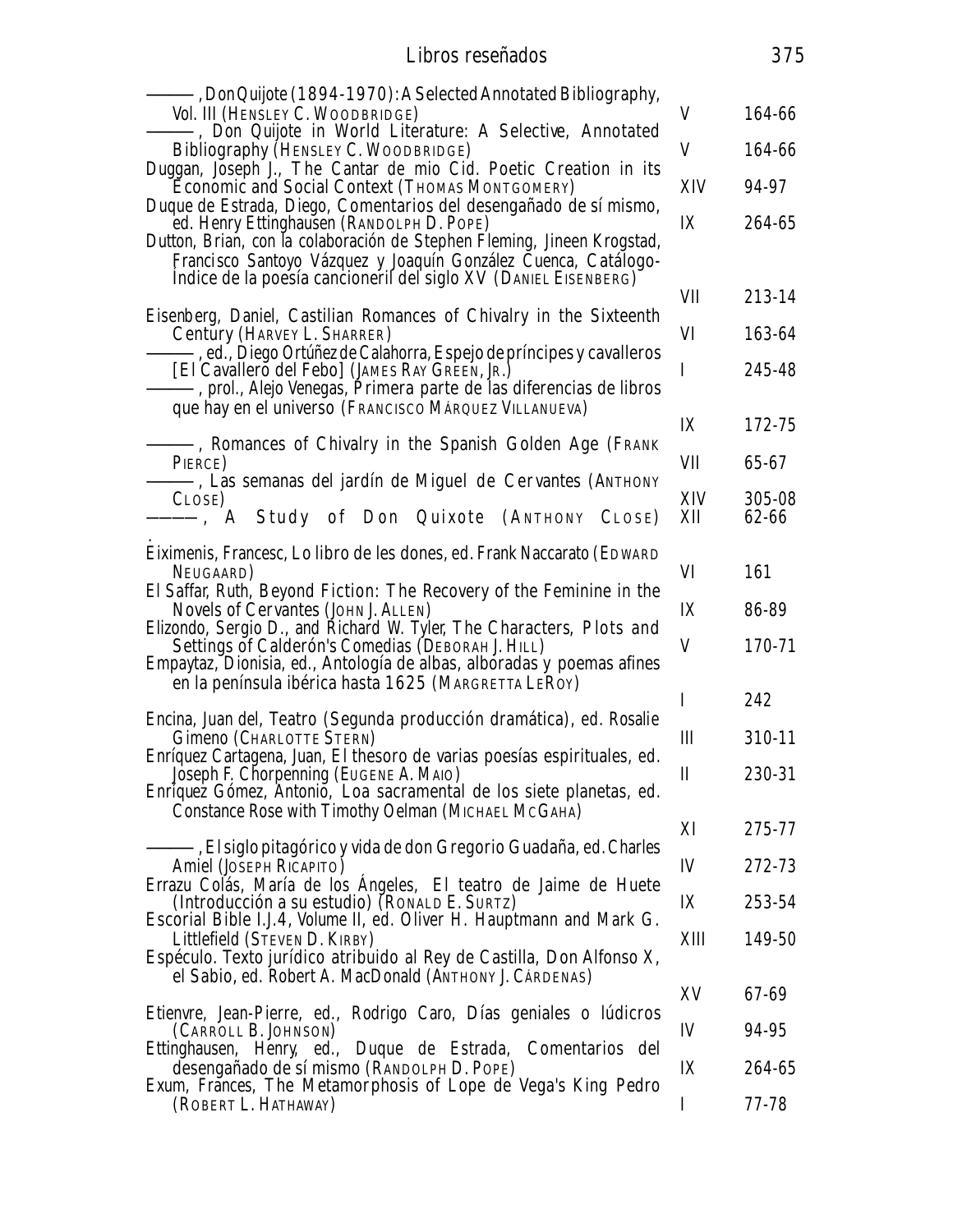| Libros reseñados                                                                                                                                                                                                                                                                                                              |            | 375             |
|-------------------------------------------------------------------------------------------------------------------------------------------------------------------------------------------------------------------------------------------------------------------------------------------------------------------------------|------------|-----------------|
| -, Don Quijote <i>(1894-1970): A Selected Annotated Bibliography</i> ,<br>Vol. III (HENSLEY C. WOODBRIDGE)                                                                                                                                                                                                                    | V          | 164-66          |
| -, Don Quijote in World Literature: A Selective, Annotated<br>Bibliography (HENSLEY C. WOODBRIDGE)                                                                                                                                                                                                                            | V          | 164-66          |
| Duggan, Joseph J., The Cantar de mio Cid. Poetic Creation in its<br><b>Economic and Social Context (THOMAS MONTGOMERY)</b>                                                                                                                                                                                                    | XIV        | 94-97           |
| Duque de Estrada, Diego, Comentarios del desengañado de símismo,<br>ed. Henry Ettinghausen (RANDOLPH D. POPE)<br>Dutton, Brian, con la colaboración de Stephen Fleming, Jineen Krogstad,<br>Francisco Santoyo Vázquez y Joaquín González Cuenca, Catálogo-<br>Indice de la poesía cancioneril del siglo XV (DANIEL EISENBERG) | IX         | 264-65          |
|                                                                                                                                                                                                                                                                                                                               | VII        | 213-14          |
| Eisenberg, Daniel, Castilian Romances of Chivalry in the Sixteenth<br>Century (HARVEY L. SHARRER)                                                                                                                                                                                                                             | VI         | 163-64          |
| -, ed., Diego Ortúñez de Calahorra, <i>Espejo de príncipes y cavalleros</i><br>[El Cavallero del Febo] (JAMES RAY GREEN, JR.)<br>-, prol., Alejo Venegas, <i>Primera parte de las diferencias de libros</i>                                                                                                                   | I          | 245-48          |
| que hay en el universo (FRANCISCO MÁRQUEZ VILLANUEVA)                                                                                                                                                                                                                                                                         | IX         | 172-75          |
| -, Romances of Chivalry in the Spanish Golden Age (FRANK<br>PIERCE)                                                                                                                                                                                                                                                           | VII        | 65-67           |
| -, Las semanas del jardín de Miguel de Cervantes (ANTHONY<br>CLOSE)<br>-, A <i>Study of</i> Don Quixote (ANTHONY CLOSE)                                                                                                                                                                                                       | XIV<br>XII | 305-08<br>62-66 |
| Eiximenis, Francesc, <i>Lo libro de les dones</i> , ed. Frank Naccarato (EDWARD)<br>NEUGAARD)                                                                                                                                                                                                                                 | VI         | 161             |
| El Saffar, Ruth, Beyond Fiction: The Recovery of the Feminine in the<br><b>Novels of Cervantes (JOHN J. ALLEN)</b><br>Elizondo, Sergio D., and Richard W. Tyler, The Characters, Plots and<br>Settings of Calderón's Comedias (DEBORAH J. HILL)<br>Empaytaz, Dionisia, ed., Antología de albas, alboradas y poemas afines     | IX         | 86-89           |
|                                                                                                                                                                                                                                                                                                                               | V          | 170-71          |
| en la península ibérica hasta 1625 (MARGRETTA LEROY)                                                                                                                                                                                                                                                                          | I          | 242             |
| Encina, Juan del, Teatro (Segunda producción dramática), ed. Rosalie<br><b>Gimeno (CHARLOTTE STERN)</b>                                                                                                                                                                                                                       | Ш          | 310-11          |
| Enríquez Cartagena, Juan, El thesoro de varias poesías espirituales, ed.<br>Joseph F. Chorpenning (EUGENE A. MAIO)<br>Enríquez Gómez, Antonio, Loa sacramental de los siete planetas, ed.                                                                                                                                     | II         | 230-31          |
| Constance Rose with Timothy Oelman (MICHAEL MCGAHA)                                                                                                                                                                                                                                                                           | XI         | 275-77          |
| -, El siglo pitagórico y vida de don Gregorio Guadaña, ed. Charles<br>Amiel (JOSEPH RICAPITO)                                                                                                                                                                                                                                 | IV         | 272-73          |
| Errazu Colás, María de los Ángeles, El teatro de Jaime de Huete<br>(Introducción a su estudio) (RONALD E. SURTZ)<br>Escorial Bible I.J.4, Volume II, ed. Oliver H. Hauptmann and Mark G.<br>Littlefield (STEVEN D. KIRBY)<br>Espéculo. Texto jurídico atribuido al Rey de Castilla, Don Alfonso X,                            | IX         | 253-54          |
|                                                                                                                                                                                                                                                                                                                               | XIII       | 149-50          |
| el Sabio, ed. Robert A. MacDonald (ANTHONY J. CÁRDENAS)                                                                                                                                                                                                                                                                       | XV         | 67-69           |
| Etienvre, Jean-Pierre, ed., Rodrigo Caro, Días geniales o lúdicros<br>(CARROLL B. JOHNSON)                                                                                                                                                                                                                                    | IV         | 94-95           |
| Ettinghausen, Henry, ed., Duque de Estrada, Comentarios del<br>desengañado de sí mismo (RANDOLPH D. POPE)                                                                                                                                                                                                                     | IX         | 264-65          |
| Exum, Frances, The Metamorphosis of Lope de Vega's King Pedro<br>(ROBERT L. HATHAWAY)                                                                                                                                                                                                                                         | I          | 77-78           |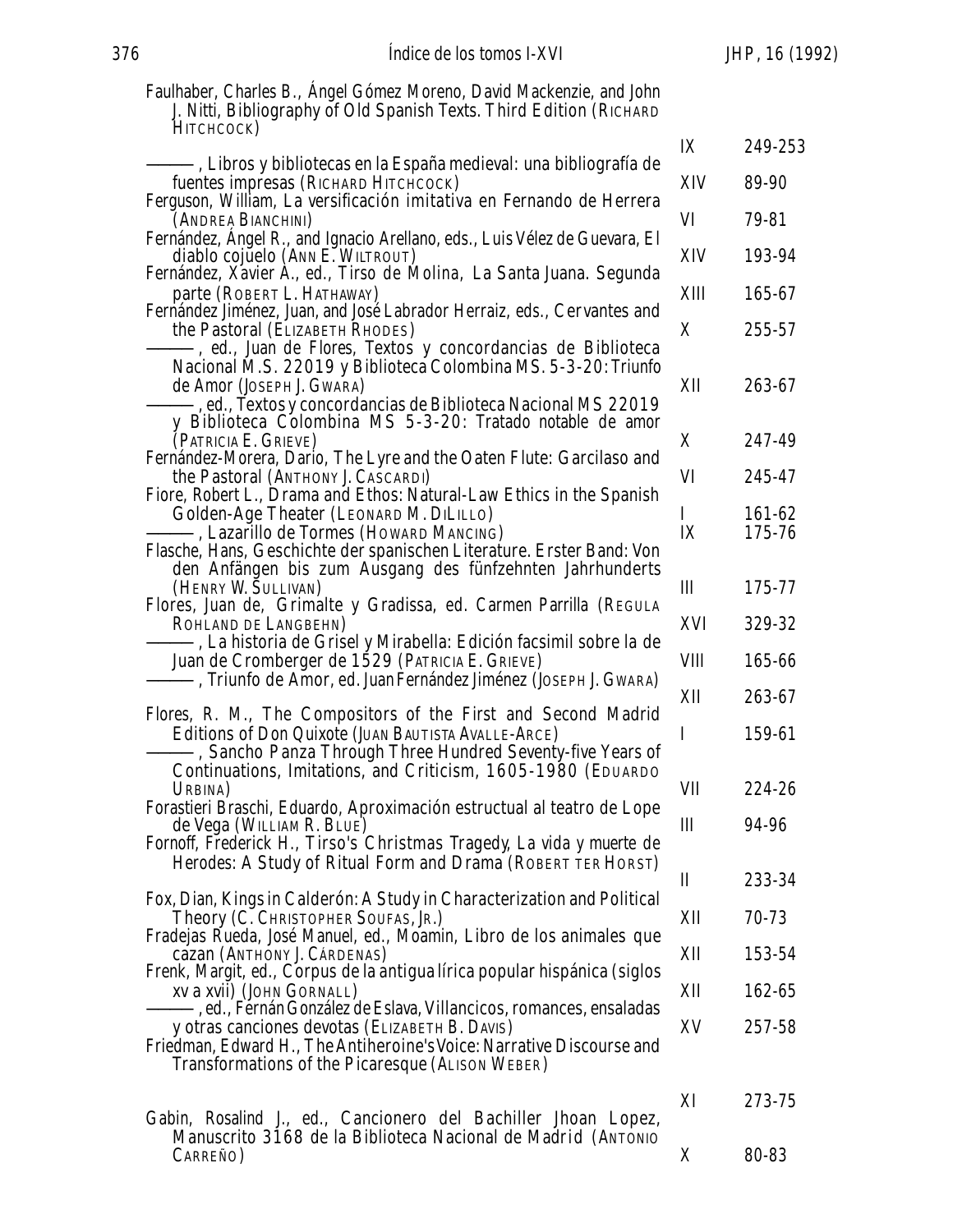|            | Faulhaber, Charles B., Ángel Gómez Moreno, David Mackenzie, and John |
|------------|----------------------------------------------------------------------|
|            | J. Nitti, Bibliography of Old Spanish Texts. Third Edition (RICHARD  |
| НІТСНСОСК) |                                                                      |

|                                                                                                                                                                                                                                                            | IX           | 249-253          |
|------------------------------------------------------------------------------------------------------------------------------------------------------------------------------------------------------------------------------------------------------------|--------------|------------------|
| –, Libros y bibliotecas en la España medieval: una bibliografía de<br>fuentes impresas (RICHARD HITCHCOCK)                                                                                                                                                 | XIV          | 89-90            |
| Ferguson, William, La versificación imitativa en Fernando de Herrera<br>(ANDREA BIANCHINI)                                                                                                                                                                 | VI           | 79-81            |
| Fernández, Ángel R., and Ignacio Arellano, eds., Luis Vélez de Guevara, El<br>diablo cojuelo (ANN E. WILTROUT)                                                                                                                                             | XIV          | 193-94           |
| Fernández, Xavier A., ed., Tirso de Molina, La Santa Juana. Segunda<br><i>parte</i> (ROBERT L. HATHAWAY)<br>Fernández Jiménez, Juan, and José Labrador Herraiz, eds., Cervantes and                                                                        | XIII         | 165-67           |
| <i>the Pastoral</i> (ELIZABETH RHODES)<br>-, ed., Juan de Flores, Textos y concordancias de Biblioteca                                                                                                                                                     | X            | 255-57           |
| Nacional M.S. 22019 y Biblioteca Colombina MS. 5-3-20: Triunfo<br>de Amor (JOSEPH J. GWARA)<br>-, ed., <i>Textos</i> y concordancias de Biblioteca Nacional MS 22019<br>y Biblioteca Colombina MS 5-3-20: Tratado notable de amor                          | XII          | 263-67           |
| (PATRICIA E. GRIEVE)<br>Fernández-Morera, Dario, The Lyre and the Oaten Flute: Garcilaso and                                                                                                                                                               | X            | 247-49           |
| the Pastoral (ANTHONY J. CASCARDI)<br>Fiore, Robert L., Drama and Ethos: Natural-Law Ethics in the Spanish                                                                                                                                                 | VI           | 245-47           |
| Golden-Age Theater (LEONARD M. DILILLO)<br>—, Lazarillo de Tormes (HOWARD MANCING)<br>Flasche, Hans, Geschichte der spanischen Literature. Erster Band: Von<br>den Anfängen bis zum Ausgang des fünfzehnten Jahrhunderts                                   | IX           | 161-62<br>175-76 |
| (HENRY W. SULLIVAN)<br>Flores, Juan de, Grimalte y Gradissa, ed. Carmen Parrilla (REGULA                                                                                                                                                                   | $\mathbf{I}$ | 175-77           |
| ROHLAND DE LANGBEHN)<br>-, La historia de Grisel y Mirabella: Edición facsimil sobre la de                                                                                                                                                                 | XVI          | 329-32           |
| Juan de Cromberger de 1529 (PATRICIA E. GRIEVE)<br>-, <i>Triunfo de Amor</i> , ed. Juan Fernández Jiménez (JOSEPH J. GWARA)                                                                                                                                | VIII         | 165-66           |
|                                                                                                                                                                                                                                                            | XII          | 263-67           |
| Flores, R. M., The Compositors of the First and Second Madrid<br>Editions of Don Quixote (JUAN BAUTISTA AVALLE-ARCE)<br>-, Sancho Panza Through Three Hundred Seventy-five Years of<br>Continuations, Imitations, and Criticism, 1605-1980 (EDUARDO        | L            | 159-61           |
| URBINA)                                                                                                                                                                                                                                                    | VII          | 224-26           |
| Forastieri Braschi, Eduardo, Aproximación estructual al teatro de Lope<br>de Vega (WILLIAM R. BLUE)<br>Fornoff, Frederick H., Tirso's Christmas Tragedy, La vida y muerte de                                                                               | Ш            | 94-96            |
| Herodes: A Study of Ritual Form and Drama (ROBERT TER HORST)                                                                                                                                                                                               | $\mathbf{I}$ | 233-34           |
| Fox, Dian, Kings in Calderón: A Study in Characterization and Political<br><i>Theory</i> (C. Christopher Soufas, Jr.)                                                                                                                                      | XII          | 70-73            |
| Fradejas Řueda, José Manuel, ed., Moamin, Libro de los animales que<br>cazan (ANTHONY J. CÁRDENAS)                                                                                                                                                         | XII          | 153-54           |
| Frenk, Margit, ed., Corpus de la antigua lírica popular hispánica (siglos<br><i>xv a xvii)</i> (JOHN GORNALL)                                                                                                                                              | XII          | 162-65           |
| ——, ed., Fernán González de Eslava, <i>Villancicos, romances, ensaladas</i><br>y otras canciones devotas (ELIZABETH B. DAVIS)<br>Friedman, Edward H., The Antiheroine's Voice: Narrative Discourse and<br>Transformations of the Picaresque (ALISON WEBER) | XV           | 257-58           |
| Gabin, Rosalind J., ed., Cancionero del Bachiller Jhoan Lopez,                                                                                                                                                                                             | XI           | 273-75           |
| Manuscrito 3168 de la Biblioteca Nacional de Madrid (ANTONIO<br>CARREÑO)                                                                                                                                                                                   | X            | 80-83            |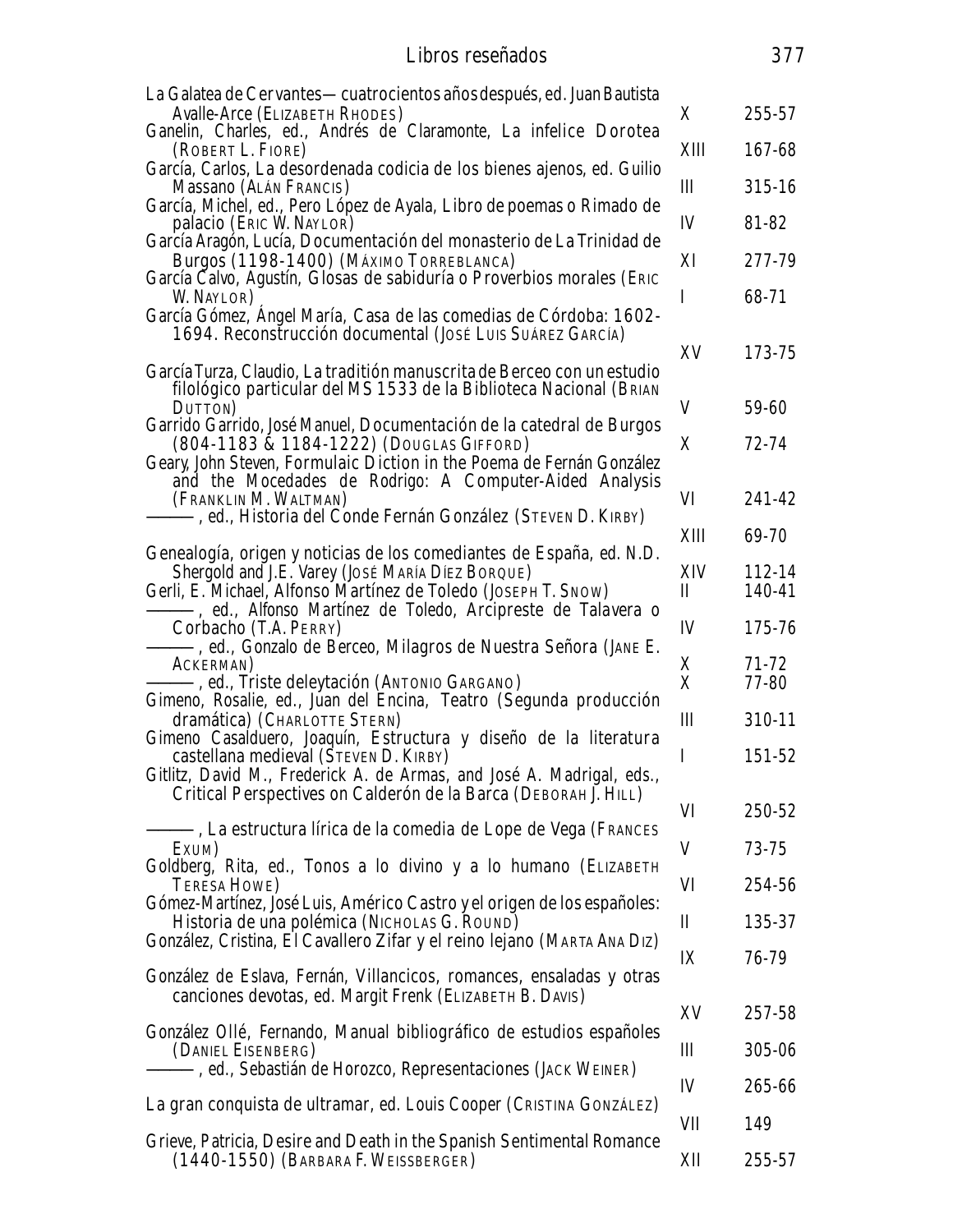| Libros reseñados                                                                                                                                                                                |                      | 377              |
|-------------------------------------------------------------------------------------------------------------------------------------------------------------------------------------------------|----------------------|------------------|
| La Galatea <i>de Cervantes—cuatrocientos años después</i> , ed. Juan Bautista<br>Avalle-Arce (ELIZABETH RHODES)<br>Ganelin, Charles, ed., Andrés de Claramonte, La infelice Dorotea             | X                    | 255-57           |
| (ROBERT L. FIORE)<br>García, Carlos, La desordenada codicia de los bienes ajenos, ed. Guilio<br>Massano (ALAN FRANCIS)                                                                          | XIII<br>$\mathbf{I}$ | 167-68<br>315-16 |
| García, Michel, ed., Pero López de Ayala, Libro de poemas o Rimado de<br><i>palacio</i> (ERIC W. NAYLOR)                                                                                        | IV                   | 81-82            |
| García Aragón, Lucía, Documentación del monasterio de La Trinidad de<br>Burgos (1198-1400) (MÁXIMO TORREBLANCA)<br>García Calvo, Agustín, <i>Glosas de sabiduría o Proverbios morales</i> (ERIC | XI                   | 277-79           |
| W. NAYLOR)<br>García Gómez, Angel María, Casa de las comedias de Córdoba: 1602-                                                                                                                 | I                    | 68-71            |
| 1694. Reconstrucción documental (JOSÉ LUIS SUÁREZ GARCÍA)<br>García Turza, Claudio, La traditión manuscrita de Berceo con un estudio                                                            | XV                   | 173-75           |
| filológico particular del MS 1533 de la Biblioteca Nacional (BRIAN<br>DUTTON)<br>Garrido Garrido, José Manuel, Documentación de la catedral de Burgos                                           | V                    | 59-60            |
| (804-1183 & 1184-1222) (DOUGLAS GIFFORD)<br>Geary, John Steven, Formulaic Diction in the Poema de Fernán González                                                                               | X                    | 72-74            |
| and the Mocedades de Rodrigo: A Computer-Aided Analysis<br>(FRANKLIN M. WALTMAN)<br>-, ed., <i>Historia del Conde Fernán González (</i> Steven D. KIRBY)                                        | VI                   | 241-42           |
| Genealogía, origen y noticias de los comediantes de España, ed. N.D.                                                                                                                            | XIII                 | 69-70            |
| Shergold and J.E. Varey (JOSÉ MARÍA DÍEZ BORQUE)<br>Gerli, E. Michael, Alfonso Martínez de Toledo (JOSEPH T. SNOW)<br>-, ed., Alfonso Martínez de Toledo, Arcipreste de Talavera o              | XIV<br>$\mathbf{I}$  | 112-14<br>140-41 |
| Corbacho (T.A. PERRY)<br>-, ed., Gonzalo de Berceo, Milagros de Nuestra Señora (JANE E.                                                                                                         | IV                   | 175-76           |
| ACKERMAN)<br>-, ed., <i>Triste deleytación</i> (Antonio Gargano)<br>Gimeno, Rosalie, ed., Juan del Encina, Teatro (Segunda producción                                                           | X<br>X               | 71-72<br>77-80   |
| dramática) (CHARLOTTE STERN)<br>Gimeno Casalduero, Joaquín, Estructura y diseño de la literatura                                                                                                | III                  | 310-11           |
| castellana medieval (STEVEN D. KIRBY)<br>Gitlitz, David M., Frederick A. de Armas, and José A. Madrigal, eds.,<br>Critical Perspectives on Calderón de la Barca (DEBORAH J. HILL)               | I                    | 151-52           |
| ——, La estructura lírica de la comedia de Lope de Vega (Frances                                                                                                                                 | VI                   | 250-52           |
| EXUM)<br>Goldberg, Rita, ed., Tonos a lo divino y a lo humano (ELIZABETH<br><b>TERESA HOWE</b> )                                                                                                | V<br>VI              | 73-75<br>254-56  |
| Gómez-Martínez, José Luis, Américo Castro y el origen de los españoles:<br>Historia de una polémica (NICHOLAS G. ROUND)                                                                         | $\mathbf I$          | 135-37           |
| González, Cristina, <i>El Cavallero Zifar y el reino lejano</i> (MARTA ANA DIZ)<br>González de Eslava, Fernán, <i>Villancicos, romances, ensaladas y otras</i>                                  | IX                   | 76-79            |
| canciones devotas, ed. Margit Frenk (ELIZABETH B. DAVIS)                                                                                                                                        | XV                   | 257-58           |
| González Ollé, Fernando, Manual bibliográfico de estudios españoles<br>(DANIEL EISENBERG)<br>-, ed., Sebastián de Horozco, <i>Representaciones</i> (JACK WEINER)                                | Ш                    | 305-06           |
| La gran conquista de ultramar, ed. Louis Cooper (CRISTINA GONZÁLEZ)                                                                                                                             | IV                   | 265-66           |
| Grieve, Patricia, Desire and Death in the Spanish Sentimental Romance<br>$(1440 - 1550)$ (Barbara F. Weissberger)                                                                               | VII<br>XII           | 149<br>255-57    |
|                                                                                                                                                                                                 |                      |                  |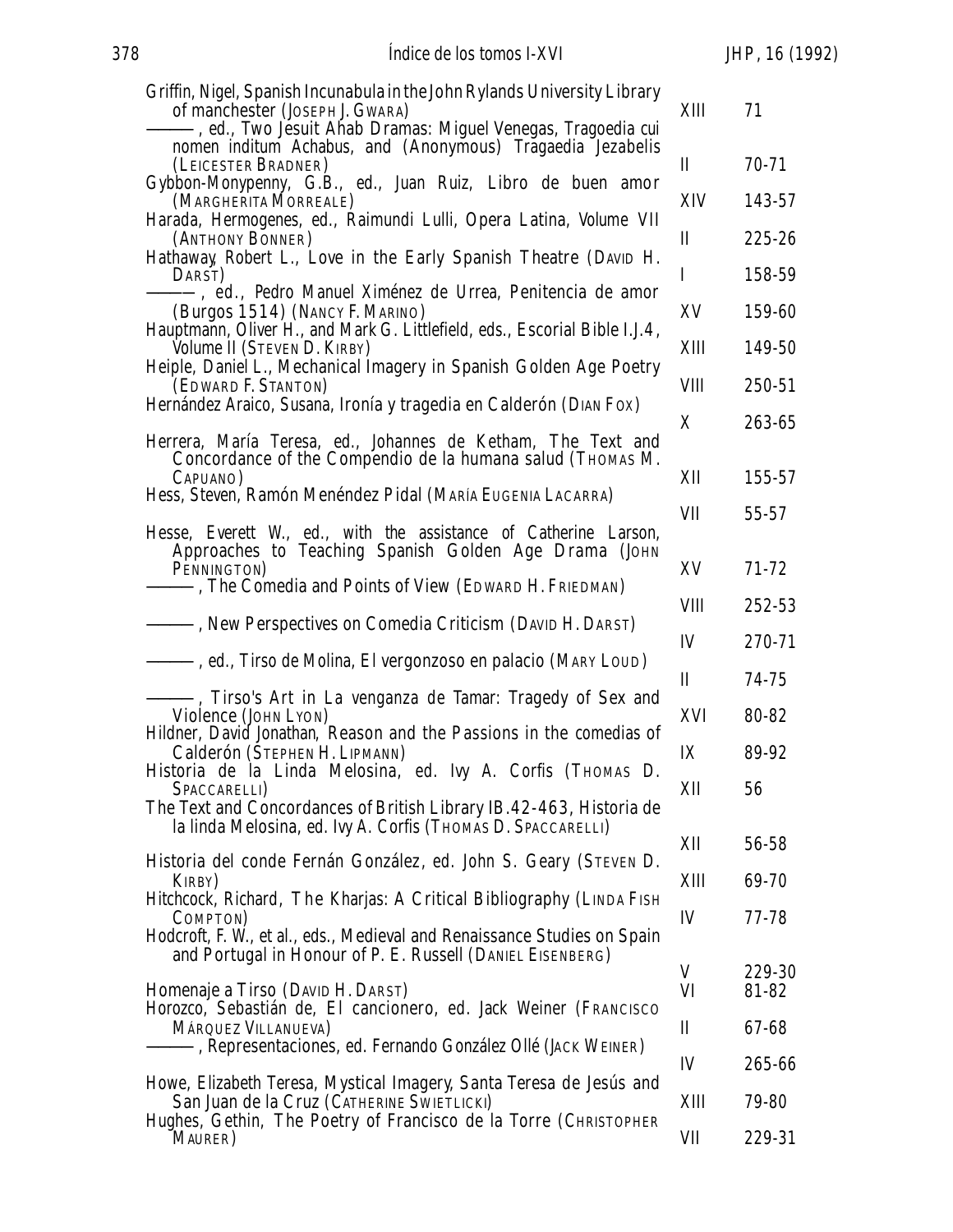| Griffin, Nigel, Spanish Incunabula in the John Rylands University Library<br>of manchester (JOSEPH J. GWARA)<br>-, ed., <i>Two Jesuit Ahab Dramas: Miguel Venegas</i> , Tragoedia cui | XIII         | 71              |
|---------------------------------------------------------------------------------------------------------------------------------------------------------------------------------------|--------------|-----------------|
| nomen inditum Achabus, and (Anonymous) Tragaedia Jezabelis<br>(LEICESTER BRADNER)                                                                                                     | $\mathbf{I}$ | $70-71$         |
| Gybbon-Monypenny, G.B., ed., Juan Ruiz, Libro de buen amor<br>(MARGHERITA MORREALE)                                                                                                   | XIV          | 143-57          |
| Harada, Hermogenes, ed., Raimundi Lulli, Opera Latina, Volume VII<br>(ANTHONY BONNER)                                                                                                 | $\mathbf I$  | 225-26          |
| Hathaway, Robert L., Love in the Early Spanish Theatre (DAVID H.<br>DARST)                                                                                                            | I            | 158-59          |
| -, ed., Pedro Manuel Ximénez de Urrea, <i>Penitencia de amor</i><br>$(Burgos 1514)$ (NANCY F. MARINO)                                                                                 | XV           | 159-60          |
| Hauptmann, Oliver H., and Mark G. Littlefield, eds., Escorial Bible I.J.4,<br>Volume II (STEVEN D. KIRBY)                                                                             | XIII         | 149-50          |
| Heiple, Daniel L., Mechanical Imagery in Spanish Golden Age Poetry<br>(EDWARD F. STANTON)                                                                                             | <b>VIII</b>  | 250-51          |
| Hernández Araico, Susana, Ironía y tragedia en Calderón (DIAN FOX)                                                                                                                    | X            | 263-65          |
| Herrera, María Teresa, ed., Johannes de Ketham, The Text and<br>Concordance of the Compendio de la humana salud (THOMAS M.                                                            |              |                 |
| CAPUANO)<br>Hess, Steven, Ramón Menéndez Pidal (MARÍA EUGENIA LACARRA)                                                                                                                | XII<br>VII   | 155-57<br>55-57 |
| Hesse, Everett W., ed., with the assistance of Catherine Larson,<br>Approaches to Teaching Spanish Golden Age Drama (JOHN                                                             |              |                 |
| PENNINGTON)<br>-, The Comedia and Points of View (EDWARD H. FRIEDMAN)                                                                                                                 | XV           | $71 - 72$       |
| -----------, New Perspectives on Comedia Criticism (DAVID H. DARST)                                                                                                                   | <b>VIII</b>  | 252-53          |
|                                                                                                                                                                                       | IV           | 270-71          |
| -, ed., Tirso de Molina, <i>El vergonzoso en palacio</i> (MARY LOUD)                                                                                                                  | $\mathbf{I}$ | 74-75           |
| ——, <i>Tirso's Art in</i> La venganza de Tamar: <i>Tragedy of Sex and</i><br>Violence (JOHN LYON)<br>Hildner, David Jonathan, Reason and the Passions in the comedias of              | XVI          | 80-82           |
| Calderón (STEPHEN H. LIPMANN)<br>Historia de la Linda Melosina, ed. Ivy A. Corfis (THOMAS D.                                                                                          | IX           | 89-92           |
| SPACCARELLI)<br>The Text and Concordances of British Library IB.42-463, Historia de                                                                                                   | XII          | 56              |
| <i>la linda Melosina, ed. Ivy A. Corfis (THOMAS D. SPACCARELLI)</i>                                                                                                                   | XII          | 56-58           |
| Historia del conde Fernán González, ed. John S. Geary (STEVEN D.<br><b>KIRBY</b> )                                                                                                    | XIII         | 69-70           |
| Hitchcock, Richard, The Kharjas: A Critical Bibliography (LINDA FISH<br>COMPTON)                                                                                                      | IV           | 77-78           |
| Hodcroft, F. W., et al., eds., Medieval and Renaissance Studies on Spain<br>and Portugal in Honour of P. E. Russell (DANIEL EISENBERG)                                                |              |                 |
| Homenaje a Tirso (DAVID H. DARST)                                                                                                                                                     | V<br>VI      | 229-30<br>81-82 |
| Horozco, Sebastián de, El cancionero, ed. Jack Weiner (FRANCISCO<br>MÁRQUEZ VILLANUEVA)                                                                                               | $\mathbf I$  | 67-68           |
| -, Representaciones, ed. Fernando González Ollé (JACK WEINER)                                                                                                                         | IV           | 265-66          |
| Howe, Elizabeth Teresa, Mystical Imagery, Santa Teresa de Jesús and<br>San Juan de la Cruz (CATHERINE SWIETLICKI)                                                                     | XIII         | 79-80           |
| Hughes, Gethin, The Poetry of Francisco de la Torre (CHRISTOPHER<br>MAURER)                                                                                                           | VII          | 229-31          |
|                                                                                                                                                                                       |              |                 |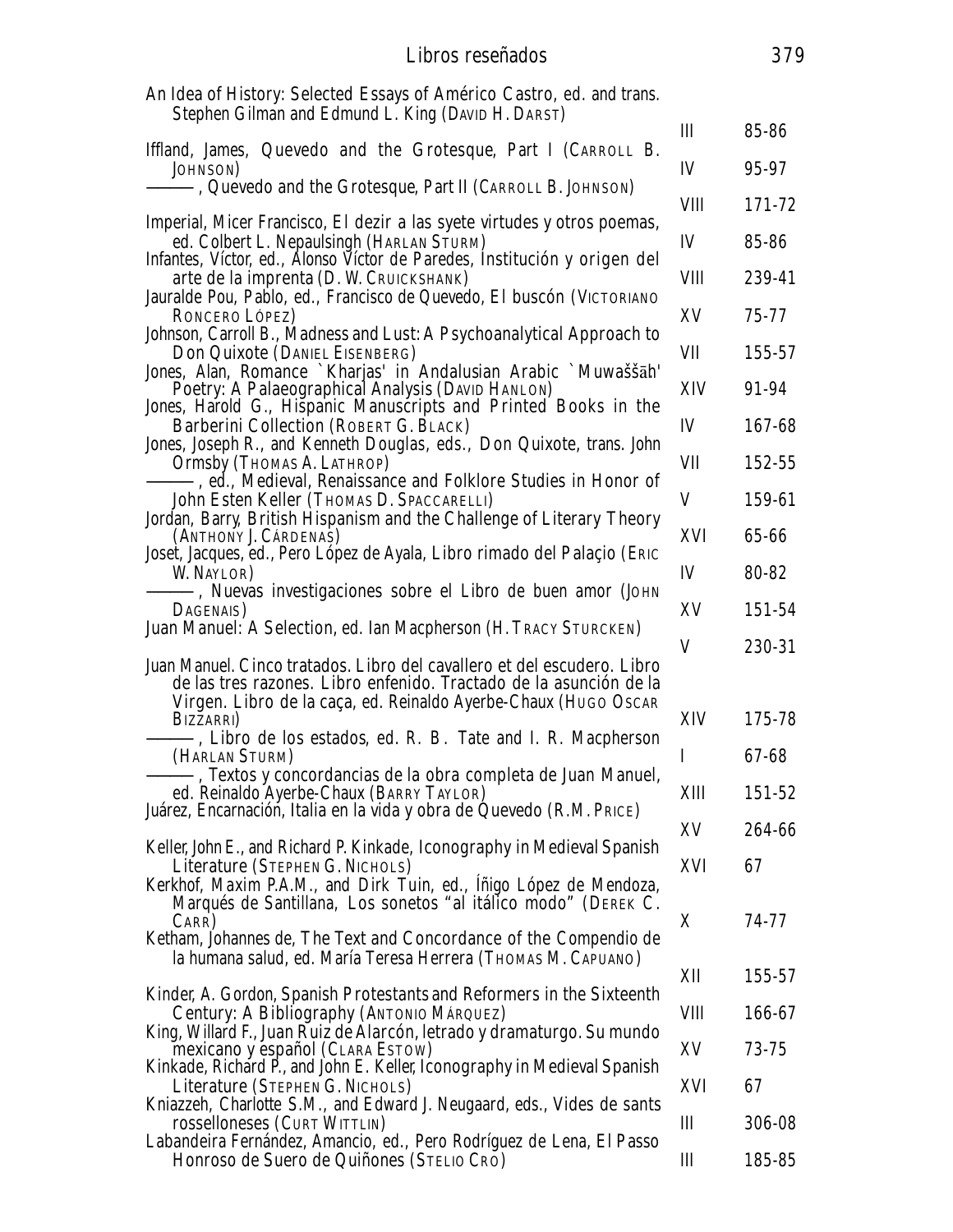| Libros reseñados                                                                                                                                                                                                   |              | 379    |
|--------------------------------------------------------------------------------------------------------------------------------------------------------------------------------------------------------------------|--------------|--------|
| An Idea of History: Selected Essays of Américo Castro, ed. and trans.<br>Stephen Gilman and Edmund L. King (DAVID H. DARST)                                                                                        | Ш            | 85-86  |
| Iffland, James, Quevedo and the Grotesque, Part I (CARROLL B.                                                                                                                                                      |              |        |
| JOHNSON)<br>-, <i>Quevedo and the Grotesque</i> , Part II (CARROLL B. JOHNSON)                                                                                                                                     | IV           | 95-97  |
| Imperial, Micer Francisco, El dezir a las syete virtudes y otros poemas,                                                                                                                                           | <b>VIII</b>  | 171-72 |
| ed. Colbert L. Nepaulsingh (HARLAN STURM)<br>Infantes, Víctor, ed., Alonso Víctor de Paredes, Institución y origen del                                                                                             | IV           | 85-86  |
| arte de la imprenta (D. W. CRUICKSHANK)<br>Jauralde Pou, Pablo, ed., Francisco de Quevedo, El buscón (VICTORIANO                                                                                                   | VIII         | 239-41 |
| RONCERO LÓPEZ)                                                                                                                                                                                                     | XV           | 75-77  |
| Johnson, Carroll B., Madness and Lust: A Psychoanalytical Approach to<br>Don Quixote (DANIEL EISENBERG)                                                                                                            | VII          | 155-57 |
| Jones, Alan, Romance `Kharjas' in Andalusian Arabic `Muwaššāh'<br>Poetry: A Palaeographical Analysis (DAVID HANLON)                                                                                                | XIV          | 91-94  |
| Jones, Harold G., Hispanic Manuscripts and Printed Books in the<br><b>Barberini Collection (ROBERT G. BLACK)</b>                                                                                                   | IV           | 167-68 |
| Jones, Joseph R., and Kenneth Douglas, eds., <i>Don Quixote</i> , trans. John<br>Ormsby (THOMAS A. LATHROP)                                                                                                        | VII          | 152-55 |
| -, ed., Medieval, Renaissance and Folklore Studies in Honor of<br>John Esten Keller (THOMAS D. SPACCARELLI)                                                                                                        | V            | 159-61 |
| Jordan, Barry, <i>British Hispanism and the Challenge of Literary Theory</i><br>(ANTHONY J. CÁRDENAS)                                                                                                              | XVI          | 65-66  |
| Joset, Jacques, ed., Pero López de Ayala, Libro rimado del Palaçio (ERIC<br>W. NAYLOR)                                                                                                                             | IV           | 80-82  |
| –, <i>Nuevas investigaciones sobre el</i> Libro de buen amor (JOHN<br>DAGENAIS)                                                                                                                                    | XV           | 151-54 |
| Juan Manuel: A Selection, ed. Ian Macpherson (H. TRACY STURCKEN)                                                                                                                                                   | V            | 230-31 |
| Juan Manuel. Cinco tratados. Libro del cavallero et del escudero. Libro<br>de las tres razones. Libro enfenido. Tractado de la asunción de la<br>Virgen. Libro de la caça, ed. Reinaldo Ayerbe-Chaux (HUGO OSCAR   |              |        |
| BIZZARRI)                                                                                                                                                                                                          | XIV          | 175-78 |
| , <i>Libro de los estados</i> , ed. R. B. Tate and I. R. Macpherson<br>(HARLAN STURM)                                                                                                                              | $\mathbf{I}$ | 67-68  |
| -, Textos y concordancias de la obra completa de Juan Manuel,<br>ed. Reinaldo Ayerbe-Chaux (BARRY TAYLOR)                                                                                                          | XШ           | 151-52 |
| Juárez, Encarnación, Italia en la vida y obra de Quevedo (R.M. PRICE)                                                                                                                                              | XV           | 264-66 |
| Keller, John E., and Richard P. Kinkade, <i>Iconography in Medieval Spanish</i><br>Literature (STEPHEN G. NICHOLS)                                                                                                 | XVI          | 67     |
| Kerkhof, Maxim P.A.M., and Dirk Tuin, ed., Iñigo López de Mendoza,<br>Marqués de Santillana, Los sonetos "al itálico modo" (DEREK C.<br>CARR)<br>Ketham, Johannes de, The Text and Concordance of the Compendio de | X            | 74-77  |
| la humana salud, ed. María Teresa Herrera (THOMAS M. CAPUANO)                                                                                                                                                      | XII          | 155-57 |
| Kinder, A. Gordon, Spanish Protestants and Reformers in the Sixteenth<br>Century: A Bibliography (ANTONIO MÁRQUEZ)                                                                                                 | VIII         | 166-67 |
| King, Willard F., Juan Ruiz de Alarcón, letrado y dramaturgo. Su mundo<br>mexicano y español (CLARA ESTOW)                                                                                                         | XV           | 73-75  |
| Kinkade, Richard P., and John E. Keller, <i>Iconography in Medieval Spanish</i><br>Literature (STEPHEN G. NICHOLS)                                                                                                 | XVI          | 67     |
| Kniazzeh, Charlotte S.M., and Edward J. Neugaard, eds., Vides de sants<br>rosselloneses (CURT WITTLIN)                                                                                                             | Ш            | 306-08 |
| Labandeira Fernández, Amancio, ed., Pero Rodríguez de Lena, El Passo                                                                                                                                               |              |        |
| Honroso de Suero de Quiñones (STELIO CRO)                                                                                                                                                                          | Ш            | 185-85 |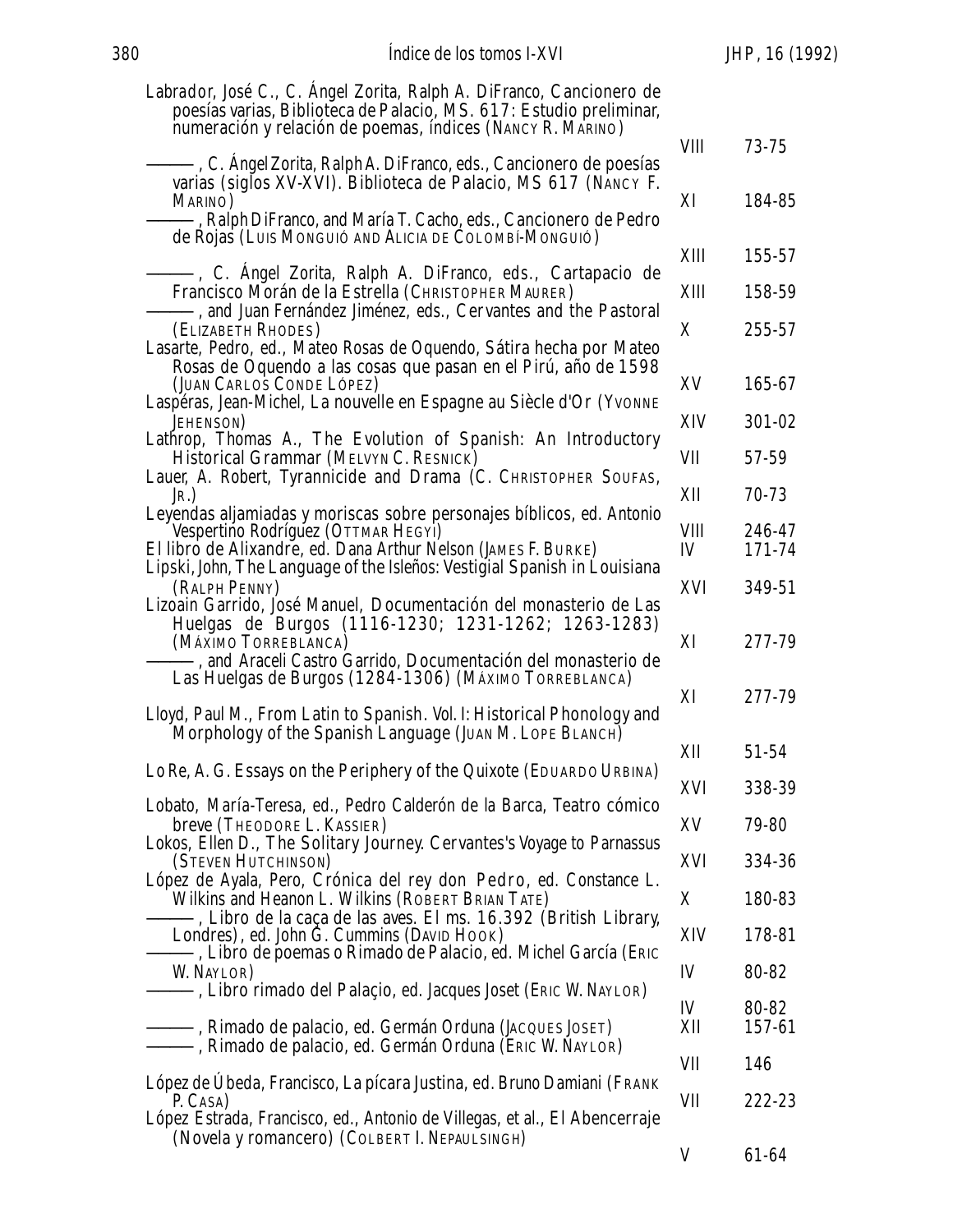| Labrador, José C., C. Angel Zorita, Ralph A. DiFranco, Cancionero de<br>poesías varias, Biblioteca de Palacio, MS. 617: Estudio preliminar,<br>numeración y relación de poemas, índices (NANCY R. MARINO)      |             |        |
|----------------------------------------------------------------------------------------------------------------------------------------------------------------------------------------------------------------|-------------|--------|
| -, C. Angel Zorita, Ralph A. DiFranco, eds., <i>Cancionero de poesías</i>                                                                                                                                      | <b>VIII</b> | 73-75  |
| varias (siglos XV-XVI). Biblioteca de Palacio, MS 617 (NANCY F.<br>MARINO)<br>-, Ralph DiFranco, and María T. Cacho, eds., <i>Cancionero de Pedro</i><br>de Rojas (LUIS MONGUIÓ AND ALICIA DE COLOMBÍ-MONGUIÓ) | XI          | 184-85 |
|                                                                                                                                                                                                                | XIII        | 155-57 |
| -, C. Angel Zorita, Ralph A. DiFranco, eds., Cartapacio de<br>Francisco Morán de la Estrella (CHRISTOPHER MAURER)<br>-, and Juan Fernández Jiménez, eds., <i>Cervantes and the Pastoral</i>                    | XIII        | 158-59 |
| (ELIZABETH RHODES)<br>Lasarte, Pedro, ed., Mateo Rosas de Oquendo, Sátira hecha por Mateo                                                                                                                      | X           | 255-57 |
| Rosas de Oquendo a las cosas que pasan en el Pirú, año de 1598<br>(JUAN CARLOS CONDE LÓPEZ)<br>Laspéras, Jean-Michel, La nouvelle en Espagne au Siècle d'Or (YVONNE                                            | XV          | 165-67 |
| <b>JEHENSON</b> )                                                                                                                                                                                              | XIV         | 301-02 |
| Lathrop, Thomas A., The Evolution of Spanish: An Introductory<br>Historical Grammar (MELVYN C. RESNICK)<br>Lauer, A. Robert, Tyrannicide and Drama (C. CHRISTOPHER SOUFAS,                                     | VII         | 57-59  |
| $J_{R}$ )                                                                                                                                                                                                      | XII         | 70-73  |
| Leyendas aljamiadas y moriscas sobre personajes bíblicos, ed. Antonio<br>Vespertino Rodríguez (OTTMAR HEGYI)                                                                                                   | <b>VIII</b> | 246-47 |
| El libro de Alixandre, ed. Dana Arthur Nelson (JAMES F. BURKE)<br>Lipski, John, The Language of the Isleños: Vestigial Spanish in Louisiana                                                                    | IV          | 171-74 |
| (RALPH PENNY)<br>Lizoain Garrido, José Manuel, <i>Documentación del monasterio de Las</i><br>Huelgas de Burgos (1116-1230; 1231-1262; 1263-1283)                                                               | XVI         | 349-51 |
| (MÁXIMO TORREBLANCA)<br>-, and Araceli Castro Garrido, <i>Documentación del monasterio de</i>                                                                                                                  | XI          | 277-79 |
| Las Huelgas de Burgos (1284-1306) (MÁXIMO TORREBLANCA)                                                                                                                                                         | XI          | 277-79 |
| Lloyd, Paul M., From Latin to Spanish. Vol. I: Historical Phonology and<br>Morphology of the Spanish Language (JUAN M. LOPE BLANCH)                                                                            |             |        |
| Lo Re, A. G. Essays on the Periphery of the Quixote (EDUARDO URBINA)                                                                                                                                           | XII         | 51-54  |
| Lobato, María-Teresa, ed., Pedro Calderón de la Barca, <i>Teatro cómico</i>                                                                                                                                    | XVI         | 338-39 |
| breve (Theodore L. Kassier)                                                                                                                                                                                    | XV          | 79-80  |
| Lokos, Ellen D., The Solitary Journey. Cervantes's Voyage to Parnassus<br>(STEVEN HUTCHINSON)                                                                                                                  | XVI         | 334-36 |
| López de Ayala, Pero, Crónica del rey don Pedro, ed. Constance L.<br>Wilkins and Heanon L. Wilkins (ROBERT BRIAN TATE)                                                                                         | X           | 180-83 |
| -, Libro de la caça de las aves. El ms. 16.392 (British Library,<br>Londres), ed. John G. Cummins (DAVID HOOK)                                                                                                 | XIV         | 178-81 |
| –, <i>Libro de poemas o Rimado de Palacio,</i> ed. Michel García (Eric<br>W. NAYLOR)                                                                                                                           | IV          | 80-82  |
| -, <i>Libro rimado del Palaçio</i> , ed. Jacques Joset (Eric W. Naylor)                                                                                                                                        | IV          | 80-82  |
| ———, <i>Rimado de palacio</i> , ed. Germán Orduna (JACQUES JOSET)<br>——, <i>Rimado de palacio</i> , ed. Germán Orduna (Eric W. NAYLOR)                                                                         | XII         | 157-61 |
| López de Ubeda, Francisco, La pícara Justina, ed. Bruno Damiani (FRANK                                                                                                                                         | VII         | 146    |
| P. CASA)<br>López Estrada, Francisco, ed., Antonio de Villegas, et al., El Abencerraje                                                                                                                         | VII         | 222-23 |
| (Novela y romancero) (COLBERT I. NEPAULSINGH)                                                                                                                                                                  | V           | 61-64  |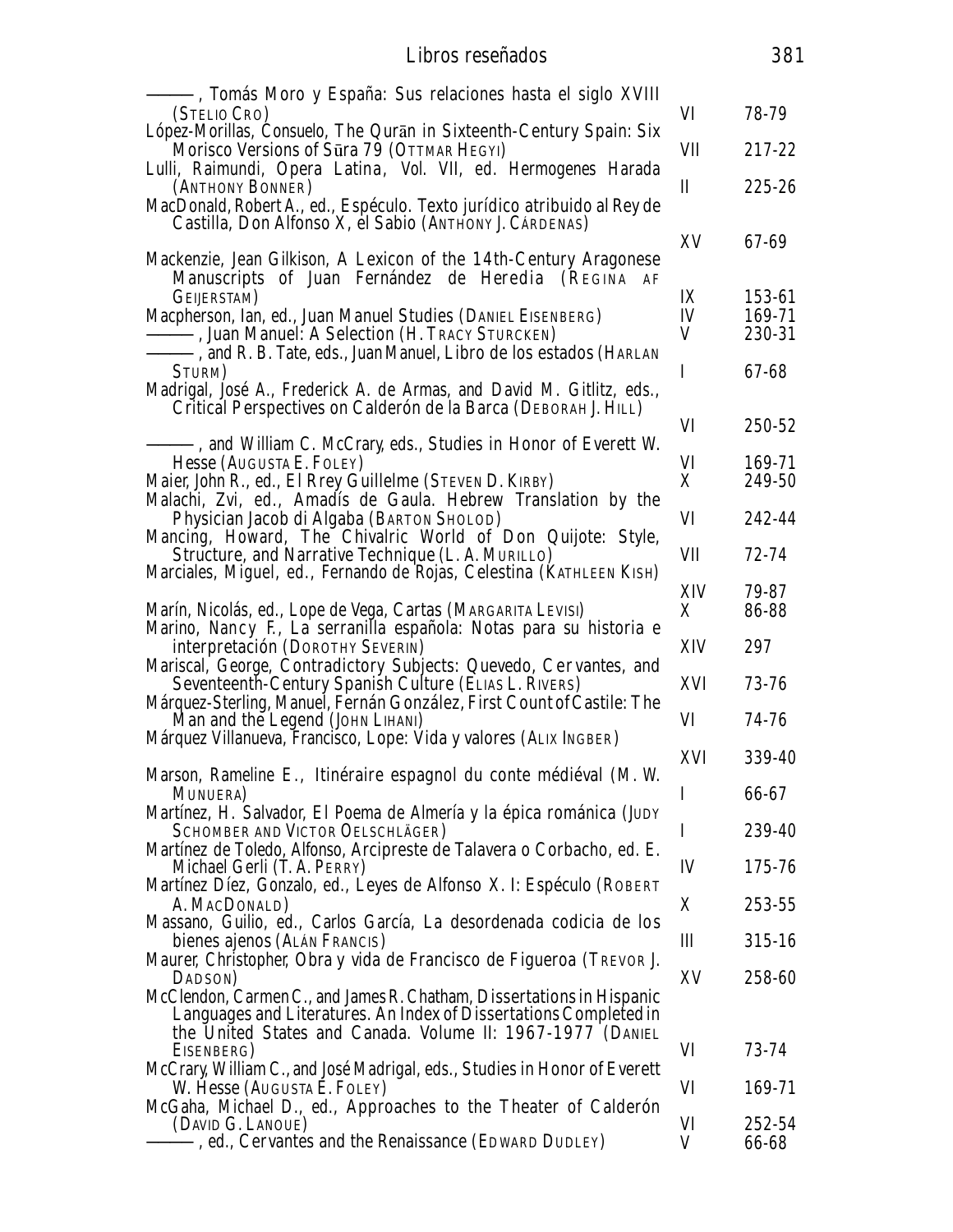| Libros reseñados                                                                                                                                                                                            |               | 381                        |
|-------------------------------------------------------------------------------------------------------------------------------------------------------------------------------------------------------------|---------------|----------------------------|
| -, Tomás Moro y España: Sus relaciones hasta el siglo XVIII                                                                                                                                                 |               |                            |
| (Stelio Cro)<br>López-Morillas, Consuelo, The Qurān in Sixteenth-Century Spain: Six                                                                                                                         | VI            | 78-79                      |
| Morisco Versions of Sūra 79 (OTTMAR HEGYI)<br>Lulli, Raimundi, Opera Latina, Vol. VII, ed. Hermogenes Harada                                                                                                | VІІ           | 217-22                     |
| (ANTHONY BONNER)<br>MacDonald, Robert A., ed., <i>Espéculo. Texto jurídico atribuido al Rey de</i><br>Castilla, Don Alfonso X, el Sabio (ANTHONY J. CÁRDENAS)                                               | Ш             | 225-26                     |
| Mackenzie, Jean Gilkison, A Lexicon of the 14th-Century Aragonese<br>Manuscripts of Juan Fernández de Heredia (REGINA AF                                                                                    | XV            | 67-69                      |
| GEIJERSTAM)<br>Macpherson, Ian, ed., Juan Manuel Studies (DANIEL EISENBERG)<br>-, Juan Manuel: A Selection (H. Tracy Sturcken)<br>-, and R. B. Tate, eds., Juan Manuel, <i>Libro de los estados</i> (HARLAN | IX<br>IV<br>V | 153-61<br>169-71<br>230-31 |
| STURM)<br>Madrigal, José A., Frederick A. de Armas, and David M. Gitlitz, eds.,                                                                                                                             | L             | 67-68                      |
| Critical Perspectives on Calderón de la Barca (DEBORAH J. HILL)                                                                                                                                             | VI            | 250-52                     |
| -, and William C. McCrary, eds., <i>Studies in Honor of Everett W.</i><br>Hesse (AUGUSTA E. FOLEY)<br>Maier, John R., ed., El Rrey Guillelme (STEVEN D. KIRBY)                                              | VI<br>X       | 169-71<br>249-50           |
| Malachi, Zvi, ed., Amadís de Gaula. Hebrew Translation by the<br>Physician Jacob di Algaba (BARTON SHOLOD)                                                                                                  | VI            | 242-44                     |
| Mancing, Howard, The Chivalric World of Don Quijote: Style,<br>Structure, and Narrative Technique (L. A. MURILLO)<br>Marciales, Miguel, ed., Fernando de Rojas, Celestina (KATHLEEN KISH)                   | VII           | 72-74                      |
| Marín, Nicolás, ed., Lope de Vega, Cartas (MARGARITA LEVISI)                                                                                                                                                | XIV<br>X      | 79-87<br>86-88             |
| Marino, Nancy F, La serranilla española: Notas para su historia e<br><i>interpretación</i> (DOROTHY SEVERIN)                                                                                                | XIV           | 297                        |
| Mariscal, George, Contradictory Subjects: Quevedo, Cervantes, and<br>Seventeenth-Century Spanish Culture (ELIAS L. RIVERS)                                                                                  | XVI           | 73-76                      |
| Márquez-Sterling, Manuel, Fernán González, First Count of Castile: The<br>Man and the Legend (JOHN LIHANI)<br>Márquez Villanueva, Francisco, Lope: Vida y valores (ALIX INGBER)                             | VI            | 74-76                      |
| Marson, Rameline E., Itinéraire espagnol du conte médiéval (M. W.                                                                                                                                           | XVI           | 339-40                     |
| MUNUERA)                                                                                                                                                                                                    | 1             | 66-67                      |
| Martínez, H. Salvador, <i>El</i> Poema de Almería y la épica románica (JUDY<br>SCHOMBER AND VICTOR OELSCHLÄGER)                                                                                             | $\bf{l}$      | 239-40                     |
| Martínez de Toledo, Alfonso, Arcipreste de Talavera o Corbacho, ed. E.<br>Michael Gerli (T. A. PERRY)                                                                                                       | IV            | 175-76                     |
| Martínez Díez, Gonzalo, ed., Leyes de Alfonso X. I: Espéculo (ROBERT<br>A. MACDONALD)                                                                                                                       | X             | 253-55                     |
| Massano, Guilio, ed., Carlos García, La desordenada codicia de los<br><i>bienes ajenos</i> (ALAN FRANCIS)                                                                                                   | Ш             | 315-16                     |
| Maurer, Christopher, Obra y vida de Francisco de Figueroa (TREVOR J.<br>DADSON)                                                                                                                             | XV            | 258-60                     |
| McClendon, Carmen C., and James R. Chatham, Dissertations in Hispanic<br>Languages and Literatures. An Index of Dissertations Completed in<br>the United States and Canada. Volume II: 1967-1977 (DANIEL    |               |                            |
| EISENBERG)<br>McCrary, William C., and José Madrigal, eds., Studies in Honor of Everett                                                                                                                     | VI            | 73-74                      |
| W. Hesse (AUGUSTA E. FOLEY)<br>McGaha, Michael D., ed., Approaches to the Theater of Calderón                                                                                                               | VI            | 169-71                     |
| (DAVID G. LANOUE)<br>, ed., <i>Cervantes and the Renaissance</i> (EDWARD DUDLEY)                                                                                                                            | VI<br>V       | 252-54<br>66-68            |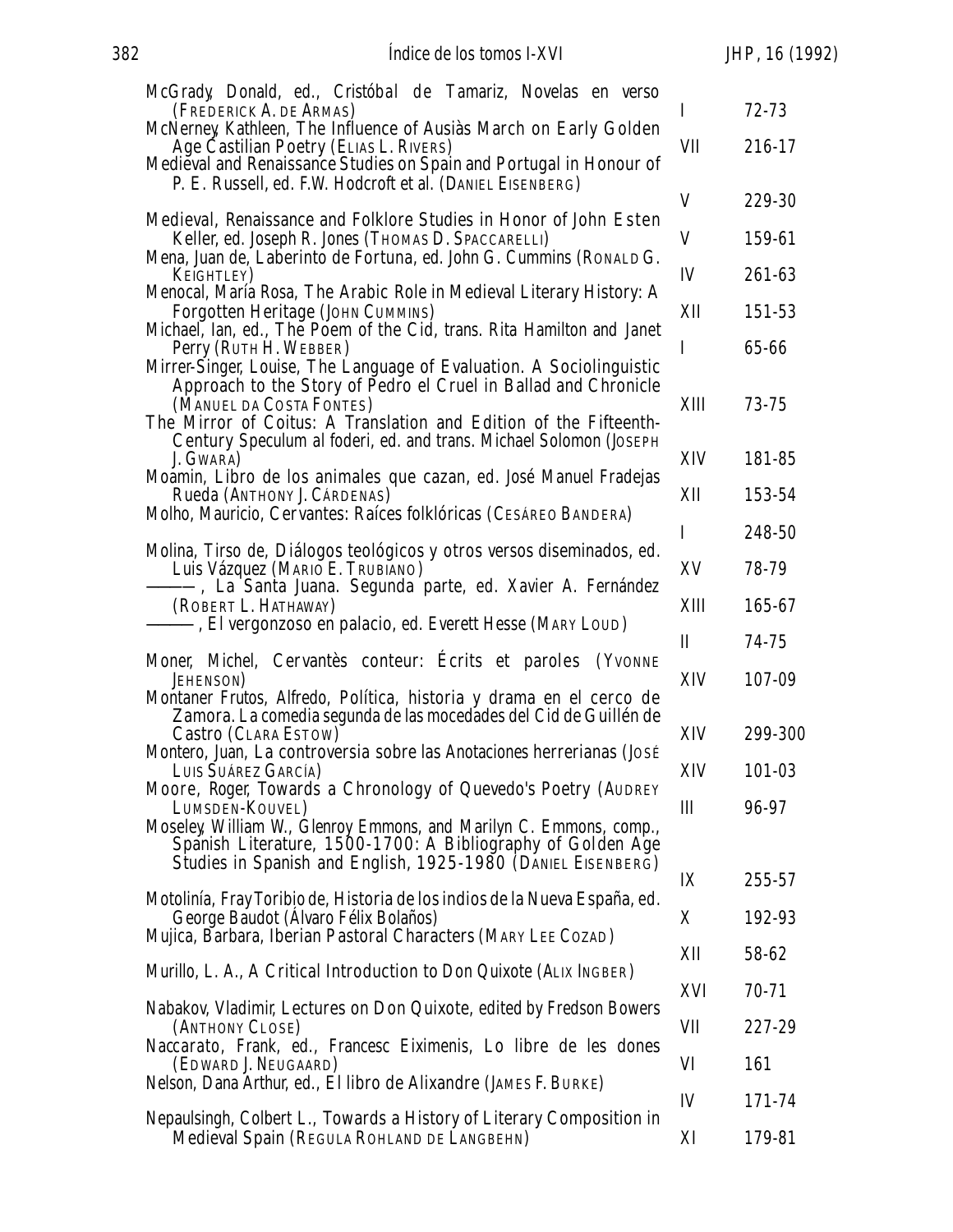| McGrady, Donald, ed., Cristóbal de Tamariz, Novelas en verso                                                                                                                                      |              |         |
|---------------------------------------------------------------------------------------------------------------------------------------------------------------------------------------------------|--------------|---------|
| (FREDERICK A. DE ARMAS)<br>McNerney, Kathleen, The Influence of Ausias March on Early Golden                                                                                                      | L            | 72-73   |
| Age Castilian Poetry (ELIAS L. RIVERS)<br>Medieval and Renaissance Studies on Spain and Portugal in Honour of                                                                                     | VII          | 216-17  |
| P. E. Russell, ed. F.W. Hodcroft et al. (DANIEL EISENBERG)                                                                                                                                        | V            | 229-30  |
| Medieval, Renaissance and Folklore Studies in Honor of John Esten<br>Keller, ed. Joseph R. Jones (THOMAS D. SPACCARELLI)                                                                          | V            | 159-61  |
| Mena, Juan de, <i>Laberinto de Fortuna</i> , ed. John G. Cummins (RONALD G.<br>KEIGHTLEY)<br>Menocal, María Rosa, The Arabic Role in Medieval Literary History: A                                 | IV           | 261-63  |
| Forgotten Heritage (JOHN CUMMINS)<br>Michael, Ian, ed., The Poem of the Cid, trans. Rita Hamilton and Janet                                                                                       | XII          | 151-53  |
| Perry (RUTH H. WEBBER)<br>Mirrer-Singer, Louise, The Language of Evaluation. A Sociolinguistic                                                                                                    | L            | 65-66   |
| Approach to the Story of Pedro el Cruel in Ballad and Chronicle<br>(MANUEL DA COSTA FONTES)<br>The Mirror of Coitus: A Translation and Edition of the Fifteenth-                                  | XIII         | 73-75   |
| Century Speculum al foderi, ed. and trans. Michael Solomon (JOSEPH<br>J. GWARA)                                                                                                                   | XIV          | 181-85  |
| Moamin, Libro de los animales que cazan, ed. José Manuel Fradejas<br>Rueda (ANTHONY J. CÁRDENAS)                                                                                                  | XII          | 153-54  |
| Molho, Mauricio, Cervantes: Raíces folklóricas (CESÁREO BANDERA)                                                                                                                                  | Ι            | 248-50  |
| Molina, Tirso de, Diálogos teológicos y otros versos diseminados, ed.<br>Luis Vázquez (MARIO E. TRUBIANO)                                                                                         | XV           | 78-79   |
| -, La Santa Juana. Segunda parte, ed. Xavier A. Fernández<br>(ROBERT L. HATHAWAY)                                                                                                                 | XIII         | 165-67  |
| -----, El vergonzoso en palacio, ed. Everett Hesse (MARY LOUD)                                                                                                                                    | $\mathbf{I}$ | 74-75   |
| Moner, Michel, Cervantès conteur: Écrits et paroles (YVONNE<br>JEHENSON)                                                                                                                          | XIV          | 107-09  |
| Montaner Frutos, Alfredo, Política, historia y drama en el cerco de Zamora. La comedia segunda de las mocedades del Cid de Guillén de<br>Castro (CLARA ESTOW)                                     | XIV          | 299-300 |
| Montero, Juan, La controversia sobre las Anotaciones herrerianas (JOSÉ<br>LUIS SUÁREZ GARCÍA)                                                                                                     | XIV          | 101-03  |
| Moore, Roger, Towards a Chronology of Quevedo's Poetry (AUDREY<br>LUMSDEN-KOUVEL)                                                                                                                 | Ш            | 96-97   |
| Moseley, William W., Glenroy Emmons, and Marilyn C. Emmons, comp.,<br>Spanish Literature, 1500-1700: A Bibliography of Golden Age<br>Studies in Spanish and English, 1925-1980 (DANIEL EISENBERG) |              |         |
| Motolinía, Fray Toribio de, Historia de los indios de la Nueva España, ed.                                                                                                                        | IX           | 255-57  |
| George Baudot (Álvaro Félix Bolaños)<br>Mujica, Barbara, <i>Iberian Pastoral Characters</i> (MARY LEE COZAD)                                                                                      | X            | 192-93  |
| Murillo, L. A., A Critical Introduction to Don Quixote (ALIX INGBER)                                                                                                                              | XII          | 58-62   |
| Nabakov, Vladimir, Lectures on Don Quixote, edited by Fredson Bowers                                                                                                                              | XVI          | 70-71   |
| (ANTHONY CLOSE)<br>Naccarato, Frank, ed., Francesc Eiximenis, Lo libre de les dones                                                                                                               | VII          | 227-29  |
| (EDWARD J. NEUGAARD)<br>Nelson, Dana Arthur, ed., El libro de Alixandre (JAMES F. BURKE)                                                                                                          | VI           | 161     |
| Nepaulsingh, Colbert L., Towards a History of Literary Composition in                                                                                                                             | IV           | 171-74  |
| Medieval Spain (REGULA ROHLAND DE LANGBEHN)                                                                                                                                                       | XI           | 179-81  |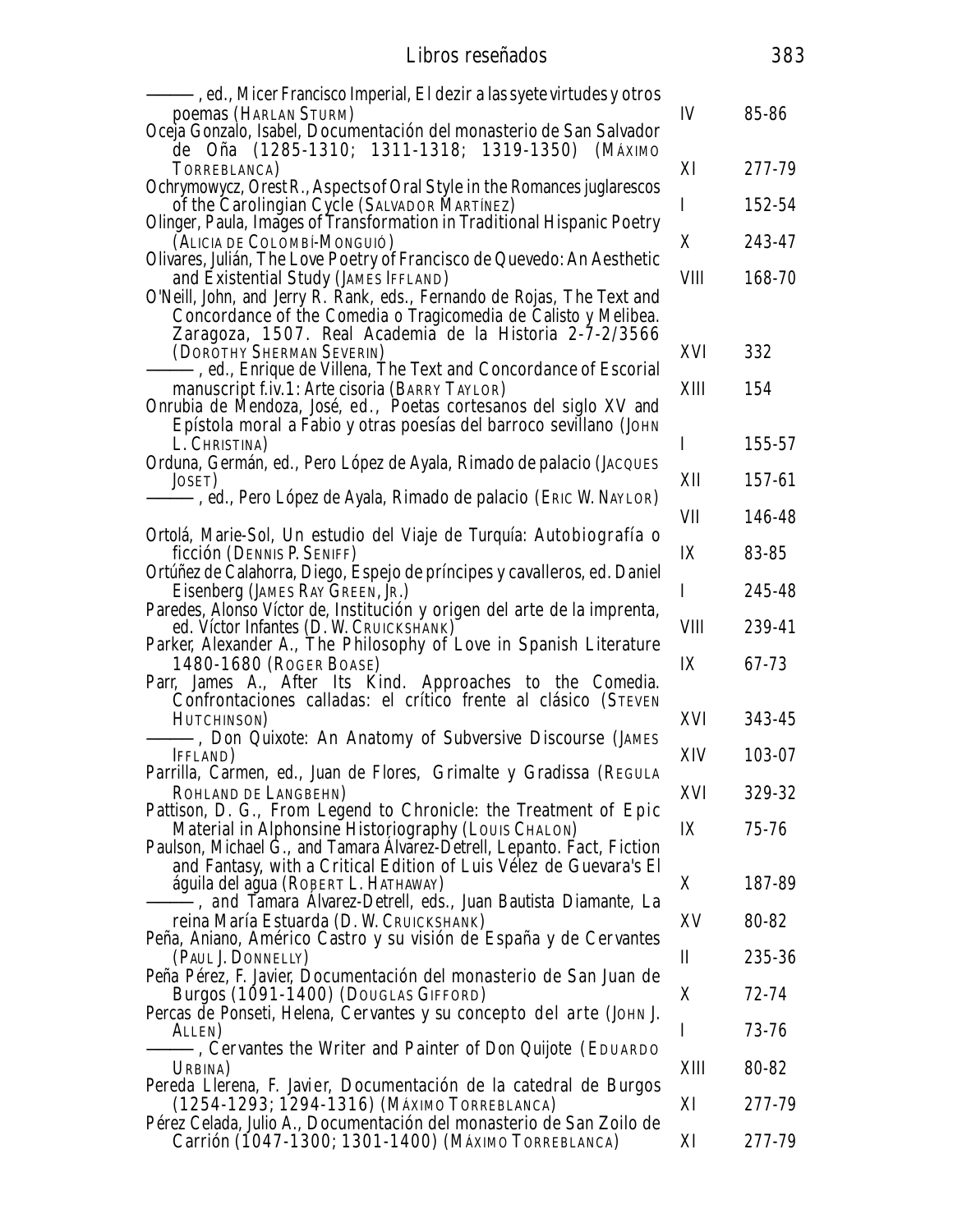| Libros reseñados                                                                                                                                                                                                                                               |              | 383    |
|----------------------------------------------------------------------------------------------------------------------------------------------------------------------------------------------------------------------------------------------------------------|--------------|--------|
| -, ed., Micer Francisco Imperial, <i>El dezir a las syete virtudes y otros</i><br><i>poemas</i> (HARLAN STURM)<br>Oceja Gonzalo, Isabel, Documentación del monasterio de San Salvador<br>de Oña (1285-1310; 1311-1318; 1319-1350)<br>(MÁXIMO                   | IV           | 85-86  |
| TORREBLANCA)                                                                                                                                                                                                                                                   | XI           | 277-79 |
| Ochrymowycz, Orest R., Aspects of Oral Style in the Romances juglarescos<br>of the Carolingian Cycle (SALVADOR MARTÍNEZ)                                                                                                                                       | Ι            | 152-54 |
| Olinger, Paula, Images of Transformation in Traditional Hispanic Poetry<br>(ALICIA DE COLOMBÍ-MONGUIÓ)                                                                                                                                                         | X            | 243-47 |
| Olivares, Julián, The Love Poetry of Francisco de Quevedo: An Aesthetic<br>and Existential Study (JAMES IFFLAND)<br>O'Neill, John, and Jerry R. Rank, eds., Fernando de Rojas, The Text and<br>Concordance of the Comedia o Tragicomedia de Calisto y Melibea. | <b>VIII</b>  | 168-70 |
| Zaragoza, 1507. Real Academia de la Historia 2-7-2/3566<br>(DOROTHY SHERMAN SEVERIN)<br>-, ed., Enrique de Villena, The Text and Concordance of Escorial                                                                                                       | XVI          | 332    |
| <i>manuscript f.iv. 1:</i> Arte cisoria (BARRY TAYLOR)<br>Onrubia de Mendoza, José, ed., Poetas cortesanos del siglo XV and                                                                                                                                    | XIII         | 154    |
| Epístola moral a Fabio y otras poesías del barroco sevillano (JOHN<br>L. CHRISTINA)<br>Orduna, Germán, ed., Pero López de Ayala, Rimado de palacio (JACQUES                                                                                                    | Ι            | 155-57 |
| JOSET)<br>-, ed., Pero López de Ayala, <i>Rimado de palacio</i> (Eric W. NAYLOR)                                                                                                                                                                               | XII          | 157-61 |
| Ortolá, Marie-Sol, Un estudio del Viaje de Turquía: Autobiografía o                                                                                                                                                                                            | VII          | 146-48 |
| ficción (DENNIS P. SENIFF)<br>Ortúñez de Calahorra, Diego, Espejo de príncipes y cavalleros, ed. Daniel                                                                                                                                                        | IX           | 83-85  |
| Eisenberg (JAMES RAY GREEN, JR.)<br>Paredes, Alonso Víctor de, Institución y origen del arte de la imprenta,                                                                                                                                                   | I            | 245-48 |
| ed. Víctor Infantes (D. W. CRUICKSHANK)<br>Parker, Alexander A., The Philosophy of Love in Spanish Literature                                                                                                                                                  | <b>VIII</b>  | 239-41 |
| 1480-1680 (Roger Boase)<br>Parr, James A., After Its Kind. Approaches to the Comedia.<br>Confrontaciones calladas: el crítico frente al clásico (STEVEN                                                                                                        | IX           | 67-73  |
| HUTCHINSON)                                                                                                                                                                                                                                                    | XVI          | 343-45 |
| Don Quixote: An Anatomy of Subversive Discourse (JAMES<br><b>IFFLAND</b> )<br>Parrilla, Carmen, ed., Juan de Flores, <i>Grimalte y Gradissa</i> (REGULA                                                                                                        | XIV          | 103-07 |
| ROHLAND DE LANGBEHN)                                                                                                                                                                                                                                           | XVI          | 329-32 |
| Pattison, D. G., From Legend to Chronicle: the Treatment of Epic<br>Material in Alphonsine Historiography (LOUIS CHALON)<br>Paulson, Michael G., and Tamara Alvarez-Detrell, Lepanto. Fact, Fiction                                                            | IX           | 75-76  |
| and Fantasy, with a Critical Edition of Luis Vélez de Guevara's El<br>águila del agua (ROBERT L. HATHAWAY)<br>-, and Tamara Alvarez-Detrell, eds., Juan Bautista Diamante, <i>La</i>                                                                           | X            | 187-89 |
| <i>reina María Estuarda</i> (D. W. Cruickshank)<br>Peña, Aniano, Américo Castro y su visión de España y de Cervantes                                                                                                                                           | XV           | 80-82  |
| (PAUL J. DONNELLY)<br>Peña Pérez, F. Javier, Documentación del monasterio de San Juan de                                                                                                                                                                       | $\mathbf{I}$ | 235-36 |
| Burgos (1091-1400) (DOUGLAS GIFFORD)                                                                                                                                                                                                                           | X            | 72-74  |
| Percas de Ponseti, Helena, Cervantes y su concepto del arte (JOHN J.<br>ALLEN)                                                                                                                                                                                 | L            | 73-76  |
| , <i>Cervantes the Writer and Painter of Don Quijote</i> (EDUARDO<br>URBINA)                                                                                                                                                                                   | XIII         | 80-82  |
| Pereda Llerena, F. Javier, <i>Documentación de la catedral de Burgos</i><br>$(1254-1293; 1294-1316)$ (Máximo Torreblanca)                                                                                                                                      | XI           | 277-79 |
| Pérez Celada, Julio A., Documentación del monasterio de San Zoilo de<br>Carrión (1047-1300; 1301-1400) (MÁXIMO TORREBLANCA)                                                                                                                                    | XI           | 277-79 |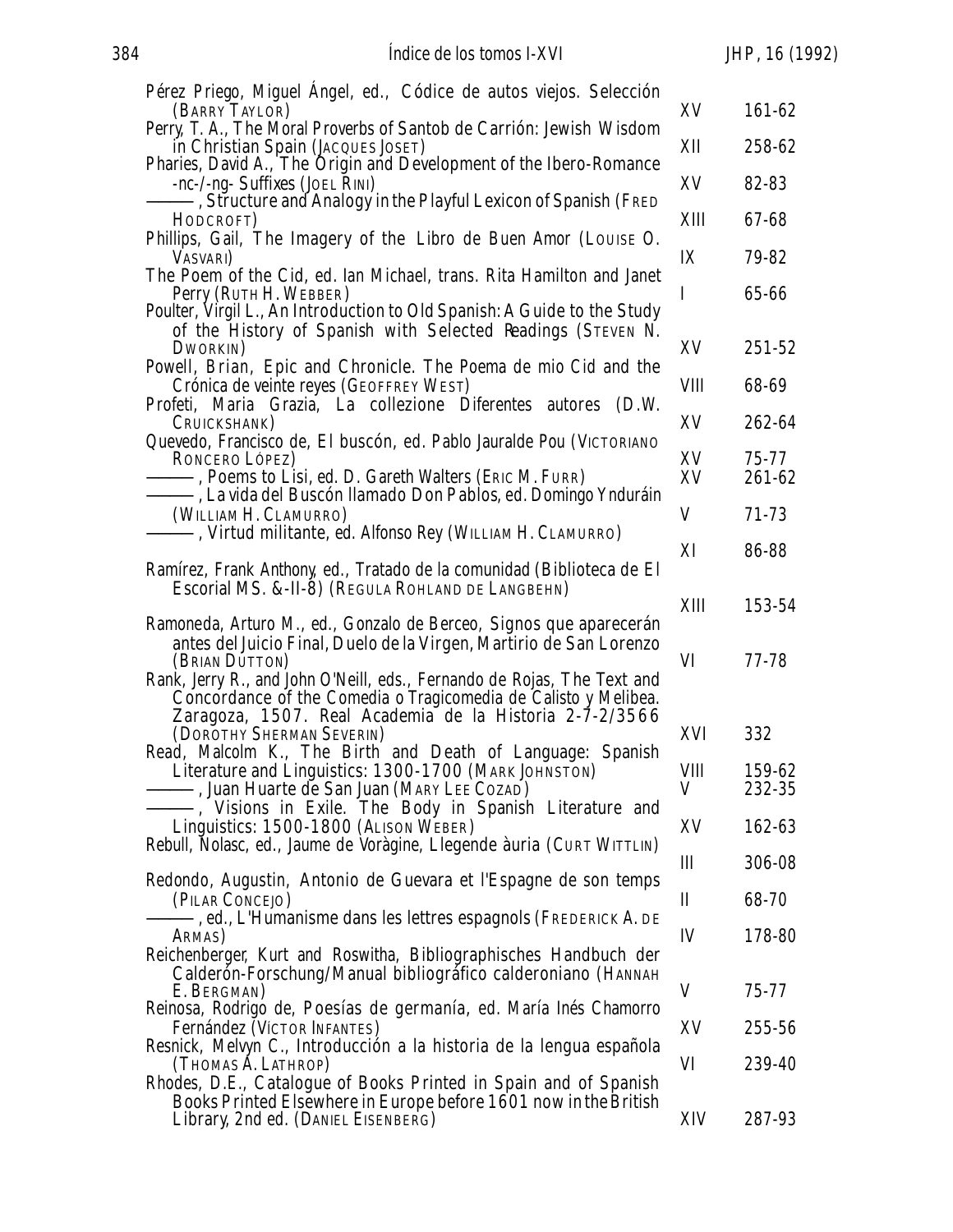| Pérez Priego, Miguel Angel, ed., Códice de autos viejos. Selección                                                                         |             |        |
|--------------------------------------------------------------------------------------------------------------------------------------------|-------------|--------|
| (BARRY TAYLOR)                                                                                                                             | XV          | 161-62 |
| Perry, T. A., The Moral Proverbs of Santob de Carrión: Jewish Wisdom<br>in Christian Spain (JACQUES JOSET)                                 | XII         | 258-62 |
| Pharies, David A., The Origin and Development of the Ibero-Romance<br>-nc-/-ng- Suffixes (JOEL RINI)                                       | XV          | 82-83  |
| -, Structure and Analogy in the Playful Lexicon of Spanish (Fred                                                                           |             |        |
| HODCROFT)<br>Phillips, Gail, The Imagery of the Libro de Buen Amor (LOUISE O.                                                              | XIII        | 67-68  |
| VASVARI)                                                                                                                                   | IX          | 79-82  |
| The Poem of the Cid, ed. Ian Michael, trans. Rita Hamilton and Janet<br>Perry (RUTH H. WEBBER)                                             | I           | 65-66  |
| Poulter, Virgil L., An Introduction to Old Spanish: A Guide to the Study                                                                   |             |        |
| of the History of Spanish with Selected Readings (STEVEN N.<br>DWORKIN)                                                                    | XV          | 251-52 |
| Powell, Brian, <i>Epic and Chronicle. The Poema de mio Cid and the</i>                                                                     |             |        |
| Crónica de veinte reyes (GEOFFREY WEST)<br>Profeti, Maria Grazia, La collezione Diferentes autores<br>(D.W.                                | <b>VIII</b> | 68-69  |
| CRUICKSHANK)                                                                                                                               | XV          | 262-64 |
| Quevedo, Francisco de, El buscón, ed. Pablo Jauralde Pou (VICTORIANO<br>RONCERO LÓPEZ)                                                     | XV          | 75-77  |
| -, <i>Poems to Lisi,</i> ed. D. Gareth Walters (Eric M. Furr)                                                                              | XV          | 261-62 |
| -, <i>La vida del Buscón llamado Don Pablos</i> , ed. Domingo Ynduráin<br>(WILLIAM H. CLAMURRO)                                            | V           | 71-73  |
| -, Virtud militante, ed. Alfonso Rey (WILLIAM H. CLAMURRO)                                                                                 |             |        |
|                                                                                                                                            | XI          | 86-88  |
| Ramírez, Frank Anthony, ed., Tratado de la comunidad (Biblioteca de El<br>Escorial MS. &-II-8) (REGULA ROHLAND DE LANGBEHN)                |             |        |
|                                                                                                                                            | XIII        | 153-54 |
| Ramoneda, Arturo M., ed., Gonzalo de Berceo, Signos que aparecerán<br>antes del Juicio Final, Duelo de la Virgen, Martirio de San Lorenzo  |             |        |
| (BRIAN DUTTON)                                                                                                                             | VI          | 77-78  |
| Rank, Jerry R., and John O'Neill, eds., Fernando de Rojas, The Text and<br>Concordance of the Comedia o Tragicomedia de Calisto y Melibea. |             |        |
| Zaragoza, 1507. Real Academia de la Historia 2-7-2/3566                                                                                    |             |        |
| (DOROTHY SHERMAN SEVERIN)<br>Read, Malcolm K., The Birth and Death of Language: Spanish                                                    | XVI         | 332    |
| Literature and Linguistics: 1300-1700 (MARK JOHNSTON)                                                                                      | VIII        | 159-62 |
| –, Juan Huarte de San Juan (MARY LEE COZAD)                                                                                                | V           | 232-35 |
| Visions in Exile. The Body in Spanish Literature and<br>Linguistics: 1500-1800 (ALISON WEBER)                                              | XV          | 162-63 |
| Rebull, Nolasc, ed., Jaume de Voràgine, <i>Llegende àuria</i> (CURT WITTLIN)                                                               |             |        |
| Redondo, Augustin, Antonio de Guevara et l'Espagne de son temps                                                                            | III         | 306-08 |
| (PILAR CONCEJO)                                                                                                                            | $\mathbb I$ | 68-70  |
| , ed., <i>L'Humanisme dans les lettres espagnols</i> (Frederick A. de<br>ARMAS)                                                            | IV          | 178-80 |
| Reichenberger, Kurt and Roswitha, Bibliographisches Handbuch der                                                                           |             |        |
| Calderón-Forschung/Manual bibliográfico calderoniano (HANNAH                                                                               | V           |        |
| E. BERGMAN)<br>Reinosa, Rodrigo de, Poesías de germanía, ed. María Inés Chamorro                                                           |             | 75-77  |
| Fernández (Víctor INFANTES)                                                                                                                | XV          | 255-56 |
| Resnick, Melvyn C., Introducción a la historia de la lengua española                                                                       |             |        |
|                                                                                                                                            |             |        |
| (THOMAS A. LATHROP)<br>Rhodes, D.E., Catalogue of Books Printed in Spain and of Spanish                                                    | VI          | 239-40 |
| Books Printed Elsewhere in Europe before 1601 now in the British<br>Library, 2nd ed. (DANIEL EISENBERG)                                    | XIV         | 287-93 |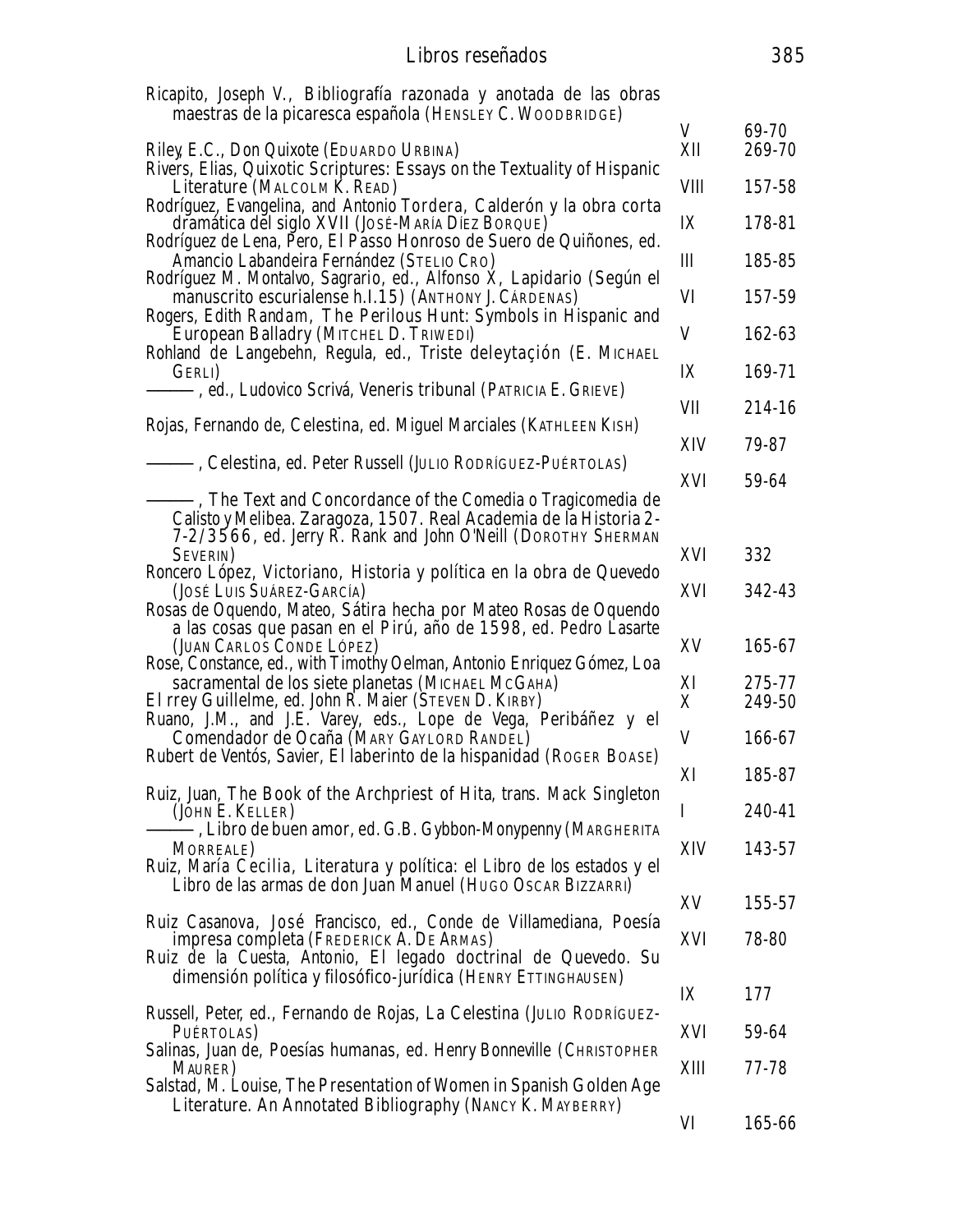| maesiras de la picaresca española (HENSLEY C. WOODBRIDGE)                                                                                                                                                     |          |                  |
|---------------------------------------------------------------------------------------------------------------------------------------------------------------------------------------------------------------|----------|------------------|
| Riley, E.C., Don Quixote (EDUARDO URBINA)<br>Rivers, Elias, Quixotic Scriptures: Essays on the Textuality of Hispanic                                                                                         | V<br>XII | 69-70<br>269-70  |
| Literature (MALCOLM K. READ)                                                                                                                                                                                  | VШ       | 157-58           |
| Rodríguez, Evangelina, and Antonio Tordera, Calderón y la obra corta<br>dramática del siglo XVII (JOSÉ-MARÍA DÍEZ BORQUE)<br>Rodríguez de Lena, Pero, <i>El Passo Honroso de Suero de Quiñones</i> , ed.      | IX       | 178-81           |
| Amancio Labandeira Fernández (STELIO CRO)                                                                                                                                                                     | III      | 185-85           |
| Rodríguez M. Montalvo, Sagrario, ed., Alfonso X, Lapidario (Según el<br>manuscrito escurialense h.l. 15) (ANTHONY J. CÁRDENAS)                                                                                | VI       | 157-59           |
| Rogers, Edith Randam, The Perilous Hunt: Symbols in Hispanic and<br>European Balladry (MITCHEL D. TRIWEDI)                                                                                                    | V        | 162-63           |
| Rohland de Langebehn, Regula, ed., Triste deleytaçión (E. MICHAEL<br>GERLI)                                                                                                                                   | IX       | 169-71           |
| -, ed., Ludovico Scrivá, <i>Veneris tribunal</i> (Patricia E. Grieve)                                                                                                                                         | VII      | 214-16           |
| Rojas, Fernando de, Celestina, ed. Miguel Marciales (KATHLEEN KISH)                                                                                                                                           | XIV      | 79-87            |
| -, <i>Celestina</i> , ed. Peter Russell (JULIO RODRÍGUEZ-PUÉRTOLAS)                                                                                                                                           | XVI      | 59-64            |
| -, <i>The Text and Concordance of the</i> Comedia o Tragicomedia de<br>Calisto y Melibea. Zaragoza, 1507. Real Academia de la Historia 2-<br>$7-2/3566$ , ed. Jerry R. Rank and John O'Neill (DOROTHY SHERMAN |          |                  |
| SEVERIN)                                                                                                                                                                                                      | XVI      | 332              |
| Roncero López, Victoriano, Historia y política en la obra de Quevedo<br>(JOSÉ LUIS SUÁREZ-GARCÍA)<br>Rosas de Oquendo, Mateo, Sátira hecha por Mateo Rosas de Oquendo                                         | XVI      | 342-43           |
| a las cosas que pasan en el Pirú, año de 1598, ed. Pedro Lasarte<br>(JUAN CARLOS CONDE LÓPEZ)                                                                                                                 | XV       | 165-67           |
| Rose, Constance, ed., with Timothy Oelman, Antonio Enriquez Gómez, Loa<br>sacramental de los siete planetas (MICHAEL MCGAHA)<br>El rrey Guillelme, ed. John R. Maier (STEVEN D. KIRBY)                        | XI<br>X  | 275-77<br>249-50 |
| Ruano, J.M., and J.E. Varey, eds., Lope de Vega, Peribáñez y el<br>Comendador de Ocaña (MARY GAYLORD RANDEL)                                                                                                  | V        | 166-67           |
| Rubert de Ventós, Savier, El laberinto de la hispanidad (ROGER BOASE)                                                                                                                                         | XI       | 185-87           |
| Ruiz, Juan, <i>The Book of the Archpriest of Hita</i> , trans. Mack Singleton<br>(JOHN E. KELLER)                                                                                                             | L        | 240-41           |
| -, <i>Libro de buen amor</i> , ed. G.B. Gybbon-Monypenny (MARGHERITA<br>MORREALE)<br>Ruiz, María Cecilia, Literatura y política: el Libro de los estados y el                                                 | XIV      | 143-57           |
| Libro de las armas <i>de don Juan Manuel</i> (HUGO OSCAR BIZZARRI)                                                                                                                                            | XV       | 155-57           |
| Ruiz Casanova, José Francisco, ed., Conde de Villamediana, Poesía<br><i>impresa completa</i> (FREDERICK A. DE ARMAS)<br>Ruiz de la Cuesta, Antonio, <i>El legado doctrinal de Quevedo. Su</i>                 | XVI      | 78-80            |
| dimensión política y filosófico-jurídica (HENRY ETTINGHAUSEN)                                                                                                                                                 | IX       | 177              |
| Russell, Peter, ed., Fernando de Rojas, La Celestina (JULIO RODRÍGUEZ-                                                                                                                                        |          |                  |
| PUÉRTOLAS)<br>Salinas, Juan de, <i>Poesías humanas</i> , ed. Henry Bonneville (CHRISTOPHER                                                                                                                    | XVI      | 59-64            |
| MAURER)<br>Salstad, M. Louise, The Presentation of Women in Spanish Golden Age                                                                                                                                | XIII     | 77-78            |
| Literature. An Annotated Bibliography (NANCY K. MAYBERRY)                                                                                                                                                     | VI       | 165-66           |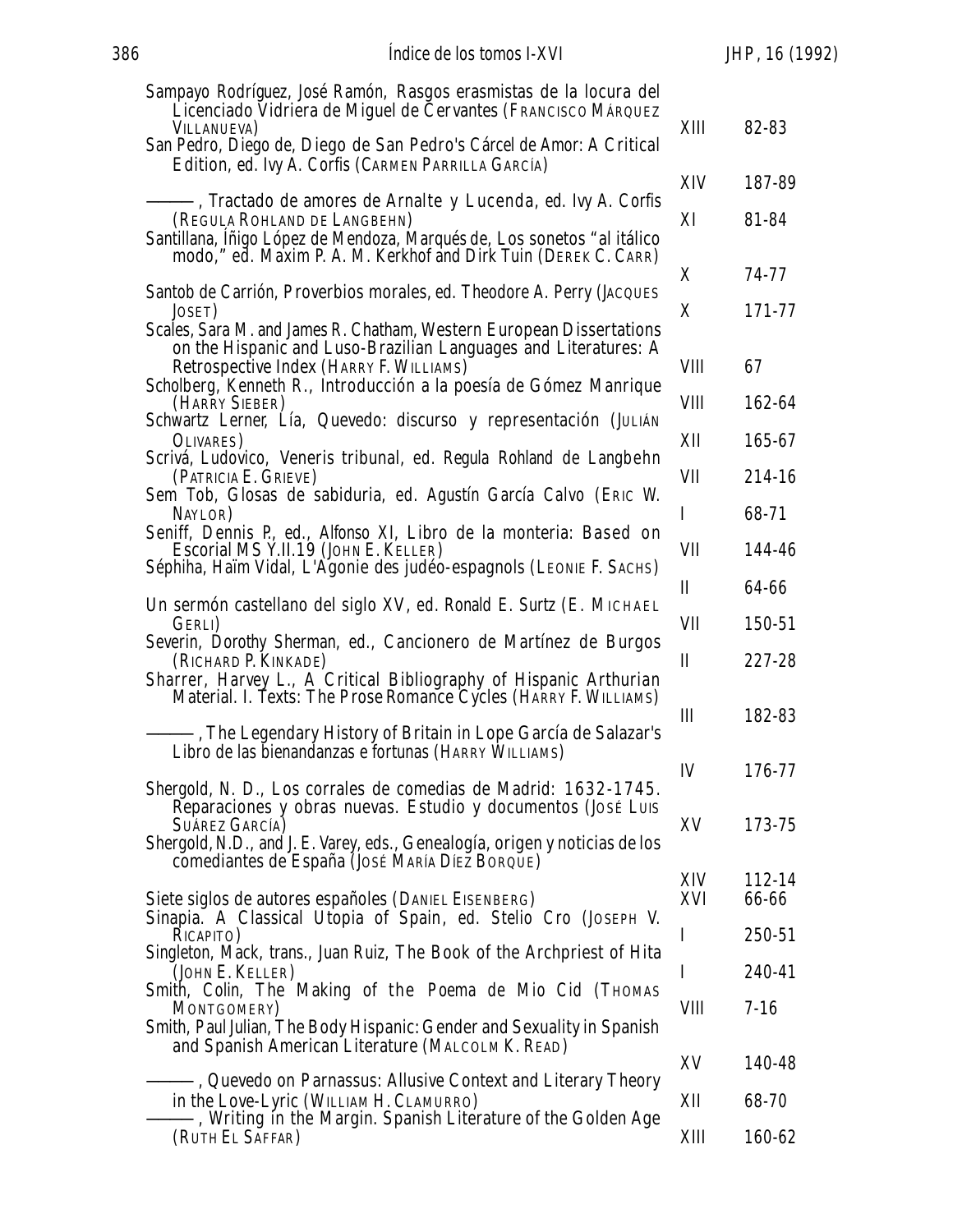| Sampayo Rodríguez, José Ramón, <i>Rasgos erasmistas de la locura del</i><br>Licenciado Vidriera de Miguel de Cervantes (FRANCISCO MÁRQUEZ<br>VILLANUEVA)                                                                      | XIII         | 82-83           |
|-------------------------------------------------------------------------------------------------------------------------------------------------------------------------------------------------------------------------------|--------------|-----------------|
| San Pedro, Diego de, Diego de San Pedro's Cárcel de Amor: A Critical<br>Edition, ed. Ivy A. Corfis (CARMEN PARRILLA GARCÍA)                                                                                                   |              |                 |
| -, <i>Tractado de amores de Arnalte y Lucenda</i> , ed. Ivy A. Corfis                                                                                                                                                         | XIV          | 187-89          |
| (REGULA ROHLAND DE LANGBEHN)<br>Santillana, Iñigo López de Mendoza, Marqués de, Los sonetos "al itálico<br>modo," ed. Maxim P. A. M. Kerkhof and Dirk Tuin (DEREK C. CARR)                                                    | XI           | 81-84           |
| Santob de Carrión, Proverbios morales, ed. Theodore A. Perry (JACQUES                                                                                                                                                         | X            | 74-77           |
| JOSET)<br>Scales, Sara M. and James R. Chatham, Western European Dissertations                                                                                                                                                | X            | 171-77          |
| on the Hispanic and Luso-Brazilian Languages and Literatures: A<br>Retrospective Index (HARRY F. WILLIAMS)                                                                                                                    | <b>VIII</b>  | 67              |
| Scholberg, Kenneth R., Introducción a la poesía de Gómez Manrique<br>(HARRY SIEBER)<br>Schwartz Lerner, Lía, Quevedo: discurso y representación (JULIÁN                                                                       | <b>VIII</b>  | 162-64          |
| OLIVARES)<br>Scrivá, Ludovico, Veneris tribunal, ed. Regula Rohland de Langbehn                                                                                                                                               | XII          | 165-67          |
| (PATRICIA E. GRIEVE)                                                                                                                                                                                                          | VII          | 214-16          |
| Sem Tob, <i>Glosas de sabiduria</i> , ed. Agustín García Calvo (ERIC W.<br>NAYLOR)                                                                                                                                            | I            | 68-71           |
| Seniff, Dennis P., ed., Alfonso XI, Libro de la monteria: Based on<br><i>Escorial MS Y.II.19</i> (JOHN E. KELLER)                                                                                                             | VII          | 144-46          |
| Séphiha, Haïm Vidal, L'Agonie des judéo-espagnols (LEONIE F. SACHS)                                                                                                                                                           | $\mathbf{I}$ | 64-66           |
| Un sermón castellano del siglo XV, ed. Ronald E. Surtz (E. MICHAEL<br>GERLI)                                                                                                                                                  | VII          | 150-51          |
| Severin, Dorothy Sherman, ed., Cancionero de Martínez de Burgos<br>(RICHARD P. KINKADE)                                                                                                                                       | II           | 227-28          |
| Sharrer, Harvey L., A Critical Bibliography of Hispanic Arthurian<br>Material. I. Texts: The Prose Romance Cycles (HARRY F. WILLIAMS)                                                                                         | Ш            | 182-83          |
| , The Legendary History of Britain in Lope García de Salazar's<br>Libro de las bienandanzas e fortunas (HARRY WILLIAMS)                                                                                                       |              |                 |
| Shergold, N. D., Los corrales de comedias de Madrid: 1632-1745.                                                                                                                                                               | IV           | 176-77          |
| Reparaciones y obras nuevas. Estudio y documentos (JOSÉ LUIS<br>Suárez García)<br>Shergold, N.D., and J. E. Varey, eds., <i>Genealogía, origen y noticias de los</i><br><i>comediantes de España</i> (José María Díez Borque) | XV           | 173-75          |
| Siete siglos de autores españoles (DANIEL EISENBERG)                                                                                                                                                                          | XIV<br>XVI   | 112-14<br>66-66 |
| Sinapia. A Classical Utopia of Spain, ed. Stelio Cro (JOSEPH V.<br>RICAPITO)                                                                                                                                                  | L            | 250-51          |
| Singleton, Mack, trans., Juan Ruiz, The Book of the Archpriest of Hita<br>(JOHN E. KELLER)                                                                                                                                    | T            | 240-41          |
| Smith, Colin, The Making of the Poema de Mio Cid (THOMAS<br>MONTGOMERY)<br>Smith, Paul Julian, The Body Hispanic: Gender and Sexuality in Spanish                                                                             | VIII         | $7 - 16$        |
| and Spanish American Literature (MALCOLM K. READ)                                                                                                                                                                             | XV           | 140-48          |
| , Quevedo on Parnassus: Allusive Context and Literary Theory<br>in the Love-Lyric (WILLIAM H. CLAMURRO)                                                                                                                       | XII          | 68-70           |
| , Writing in the Margin. Spanish Literature of the Golden Age<br>(RUTH EL SAFFAR)                                                                                                                                             | XIII         | 160-62          |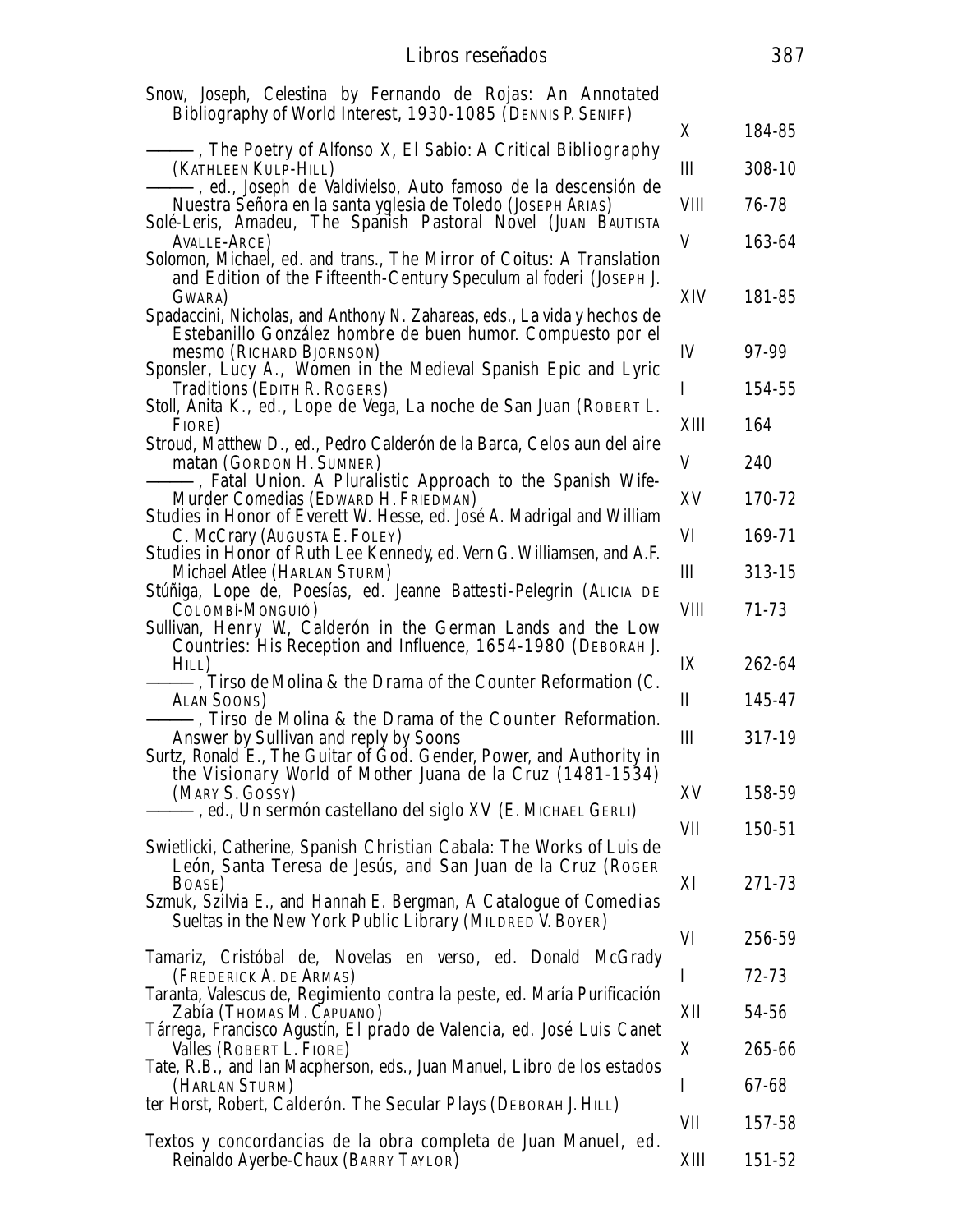| Snow, Joseph, Celestina <i>by Fernando de Rojas: An Annotated</i>                                                                                                                                                                 |          |        |
|-----------------------------------------------------------------------------------------------------------------------------------------------------------------------------------------------------------------------------------|----------|--------|
| Bibliography of World Interest, 1930-1085 (DENNIS P. SENIFF)                                                                                                                                                                      | X        | 184-85 |
| -, The Poetry of Alfonso X, El Sabio: A Critical Bibliography<br>(KATHLEEN KULP-HILL)                                                                                                                                             | Ш        | 308-10 |
| —, ed., Joseph de Valdivielso, <i>Auto famoso de la descensión de</i><br>Nuestra Señora en la santa yglesia de Toledo (JOSEPH ARIAS)                                                                                              | VIII     | 76-78  |
| Solé-Leris, Amadeu, <i>The Spanish Pastoral Novel</i> (JUAN BAUTISTA<br>AVALLE-ARCE)                                                                                                                                              | V        | 163-64 |
| Solomon, Michael, ed. and trans., The Mirror of Coitus: A Translation<br>and Edition of the Fifteenth-Century Speculum al foderi (JOSEPH J.<br>GWARA)<br>Spadaccini, Nicholas, and Anthony N. Zahareas, eds., La vida y hechos de | XIV      | 181-85 |
| Estebanillo González hombre de buen humor. Compuesto por el<br><i>mesmo</i> (RICHARD BJORNSON)                                                                                                                                    | IV       | 97-99  |
| Sponsler, Lucy A., Women in the Medieval Spanish Epic and Lyric<br><b>Traditions (EDITH R. ROGERS)</b>                                                                                                                            | L        | 154-55 |
| Stoll, Anita K., ed., Lope de Vega, <i>La noche de San Juan</i> (ROBERT L.<br>FIORE)                                                                                                                                              | XШ       | 164    |
| Stroud, Matthew D., ed., Pedro Calderón de la Barca, <i>Celos aun del aire</i><br><i>matan</i> (GORDON H. SUMNER)                                                                                                                 | V        | 240    |
| -, Fatal Union. A Pluralistic Approach to the Spanish Wife-<br>Murder Comedias (EDWARD H. FRIEDMAN)                                                                                                                               | XV       | 170-72 |
| Studies in Honor of Everett W. Hesse, ed. José A. Madrigal and William<br>C. McCrary (AUGUSTA E. FOLEY)                                                                                                                           | VI       | 169-71 |
| Studies in Honor of Ruth Lee Kennedy, ed. Vern G. Williamsen, and A.F.<br>Michael Atlee (HARLAN STURM)                                                                                                                            | Ш        | 313-15 |
| Stúñiga, Lope de, Poesías, ed. Jeanne Battesti-Pelegrin (ALICIA DE<br>COLOMBÍ-MONGUIÓ)                                                                                                                                            | VШ       | 71-73  |
| Sullivan, Henry W, Calderón in the German Lands and the Low<br>Countries: His Reception and Influence, 1654-1980 (DEBORAH J.                                                                                                      |          |        |
| HILL)<br>, Tirso de Molina & the Drama of the Counter Reformation (C.                                                                                                                                                             | IX       | 262-64 |
| <b>ALAN SOONS</b> )<br>-, Tirso de Molina & the Drama of the Counter Reformation.                                                                                                                                                 | II       | 145-47 |
| Answer by Sullivan and reply by Soons<br>Surtz, Ronald E., The Guitar of God. Gender, Power, and Authority in                                                                                                                     | III      | 317-19 |
| the Visionary World of Mother Juana de la Cruz (1481-1534)<br>(MARY S. GOSSY)                                                                                                                                                     | XV       | 158-59 |
| -, ed., Un sermón castellano del siglo XV (E. MICHAEL GERLI)                                                                                                                                                                      | VII      | 150-51 |
| Swietlicki, Catherine, <i>Spanish Christian Cabala: The Works of Luis de</i><br>León, Santa Teresa de Jesús, and San Juan de la Cruz (ROGER<br>BOASE)<br>Szmuk, Szilvia E., and Hannah E. Bergman, A Catalogue of Comedias        | XI       | 271-73 |
| Sueltas in the New York Public Library (MILDRED V. BOYER)                                                                                                                                                                         | VI       | 256-59 |
| Tamariz, Cristóbal de, <i>Novelas en verso</i> , ed. Donald McGrady<br>(FREDERICK A. DE ARMAS)                                                                                                                                    | $\bf{l}$ | 72-73  |
| Taranta, Valescus de, <i>Regimiento contra la peste</i> , ed. María Purificación<br>Zabía (Thomas M. Capuano)                                                                                                                     | XII      | 54-56  |
| Tárrega, Francisco Agustín, El prado de Valencia, ed. José Luis Canet<br>Valles (ROBERT L. FIORE)                                                                                                                                 | X        | 265-66 |
| Tate, R.B., and Ian Macpherson, eds., Juan Manuel, <i>Libro de los estados</i><br>(HARLAN STURM)                                                                                                                                  | I        | 67-68  |
| ter Horst, Robert, <i>Calderón. The Secular Plays</i> (DEBORAH J. HILL)                                                                                                                                                           | VII      | 157-58 |
| Textos y concordancias de la obra completa de Juan Manuel, ed.<br>Reinaldo Ayerbe-Chaux (BARRY TAYLOR)                                                                                                                            | XШ       | 151-52 |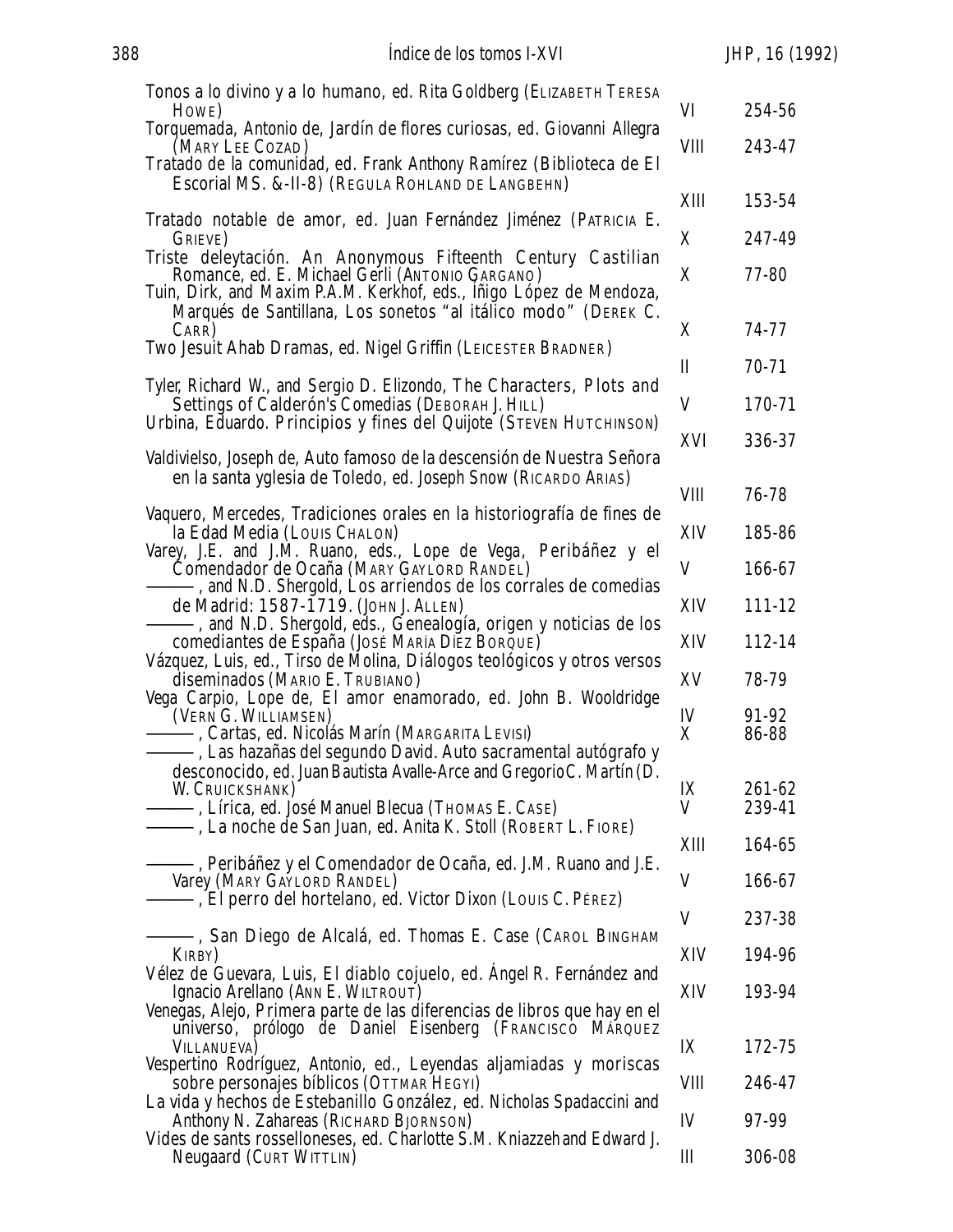| 388 | Indice de los tomos I-XVI                                                                                                                                                                                                       |             | JHP, 16 (1992)   |
|-----|---------------------------------------------------------------------------------------------------------------------------------------------------------------------------------------------------------------------------------|-------------|------------------|
|     | Tonos a lo divino y a lo humano, ed. Rita Goldberg (ELIZABETH TERESA<br>Howe)                                                                                                                                                   | VI          | 254-56           |
|     | Torquemada, Antonio de, Jardín de flores curiosas, ed. Giovanni Allegra<br>(MARY LEE COZAD)<br>Tratado de la comunidad, ed. Frank Anthony Ramírez <i>(Biblioteca de El</i>                                                      | VIII        | 243-47           |
|     | <i>Escorial MS. &amp;-II-8</i> ) (REGULA ROHLAND DE LANGBEHN)                                                                                                                                                                   | XIII        | 153-54           |
|     | <i>Tratado notable de amor</i> , ed. Juan Fernández Jiménez (PATRICIA E.<br>GRIEVE)                                                                                                                                             | X           | 247-49           |
|     | Triste deleytación. An Anonymous Fifteenth Century Castilian<br>Romance, ed. E. Michael Gerli (ANTONIO GARGANO)<br>Tuin, Dirk, and Maxim P.A.M. Kerkhof, eds., Iñigo López de Mendoza,                                          | X           | 77-80            |
|     | Marqués de Santillana, Los sonetos "al itálico modo" (DEREK C.<br>CARR)<br><i>Two Jesuit Ahab Dramas, ed. Nigel Griffin (LEICESTER BRADNER)</i>                                                                                 | X           | 74-77            |
|     | Tyler, Richard W., and Sergio D. Elizondo, The Characters, Plots and                                                                                                                                                            | II          | $70 - 71$        |
|     | Settings of Calderón's Comedias (DEBORAH J. HILL)                                                                                                                                                                               | V           | 170-71           |
|     | Urbina, Eduardo. Principios y fines del Quijote (STEVEN HUTCHINSON)<br>Valdivielso, Joseph de, Auto famoso de la descensión de Nuestra Señora                                                                                   | XVI         | 336-37           |
|     | en la santa yglesia de Toledo, ed. Joseph Snow (RICARDO ARIAS)                                                                                                                                                                  | <b>VIII</b> | 76-78            |
|     | Vaquero, Mercedes, Tradiciones orales en la historiografía de fines de<br>la Edad Media (LOUIS CHALON)                                                                                                                          | XIV         | 185-86           |
|     | Varey, J.E. and J.M. Ruano, eds., Lope de Vega, Peribáñez y el<br>Comendador de Ocaña (MARY GAYLORD RANDEL)<br>-, and N.D. Shergold, <i>Los arriendos de los corrales de comedias</i>                                           | V           | 166-67           |
|     | de Madrid: 1587-1719. (JOHN J. ALLEN)<br>-, and N.D. Shergold, eds., <i>Genealogía, origen y noticias de los</i>                                                                                                                | XIV         | 111-12           |
|     | comediantes de España (JOSÉ MARÍA DÍEZ BORQUE)<br>Vázquez, Luis, ed., Tirso de Molina, Diálogos teológicos y otros versos                                                                                                       | XIV         | 112-14           |
|     | diseminados (MARIO E. TRUBIANO)<br>Vega Carpio, Lope de, El amor enamorado, ed. John B. Wooldridge                                                                                                                              | XV          | 78-79            |
|     | (VERN G. WILLIAMSEN)<br>-, <i>Cartas</i> , ed. Nicolás Marín (MARGARITA LEVISI)<br>-, Las hazañas del segundo David. Auto sacramental autógrafo y                                                                               | IV<br>X     | 91-92<br>86-88   |
|     | desconocido, ed. Juan Bautista Avalle-Arce and Gregorio C. Martín (D.<br>W. CRUICKSHANK)<br>-, <i>Lírica</i> , ed. José Manuel Blecua (Thomas E. Case)<br>-, <i>La noche de San Juan</i> , ed. Anita K. Stoll (ROBERT L. FIORE) | IX<br>V     | 261-62<br>239-41 |
|     | ——, <i>Peribáñez y el Comendador de Ocaña</i> , ed. J.M. Ruano and J.E.                                                                                                                                                         | XIII        | 164-65           |
|     | Varey (MARY GAYLORD RANDEL)<br>-, El perro del hortelano, ed. Victor Dixon (LOUIS C. PÉREZ)                                                                                                                                     | V           | 166-67           |
|     | -, <i>San Diego de Alcalá</i> , ed. Thomas E. Case (Carol Bingham                                                                                                                                                               | V           | 237-38           |
|     | <b>KIRBY</b> )<br>Vélez de Guevara, Luis, El diablo cojuelo, ed. Angel R. Fernández and                                                                                                                                         | XIV         | 194-96           |
|     | Ignacio Arellano (ANN E. WILTROUT)<br>Venegas, Alejo, <i>Primera parte de las diferencias de libros que hay en el</i><br>universo, prólogo de Daniel Eisenberg (FRANCISCO MÁRQUEZ                                               | XIV         | 193-94           |
|     | <b>VILLANUEVA</b><br>Vespertino Rodríguez, Antonio, ed., Leyendas aljamiadas y moriscas                                                                                                                                         | IX          | 172-75           |
|     | sobre personajes bíblicos (OTTMAR HEGYI)<br>La vida y hechos de Estebanillo González, ed. Nicholas Spadaccini and                                                                                                               | VIII        | 246-47           |
|     | Anthony N. Zahareas (RICHARD BJORNSON)                                                                                                                                                                                          | IV          | 97-99            |
|     | Vides de sants rosselloneses, ed. Charlotte S.M. Kniazzeh and Edward J.<br>Neugaard (CURT WITTLIN)                                                                                                                              | Ш           | 306-08           |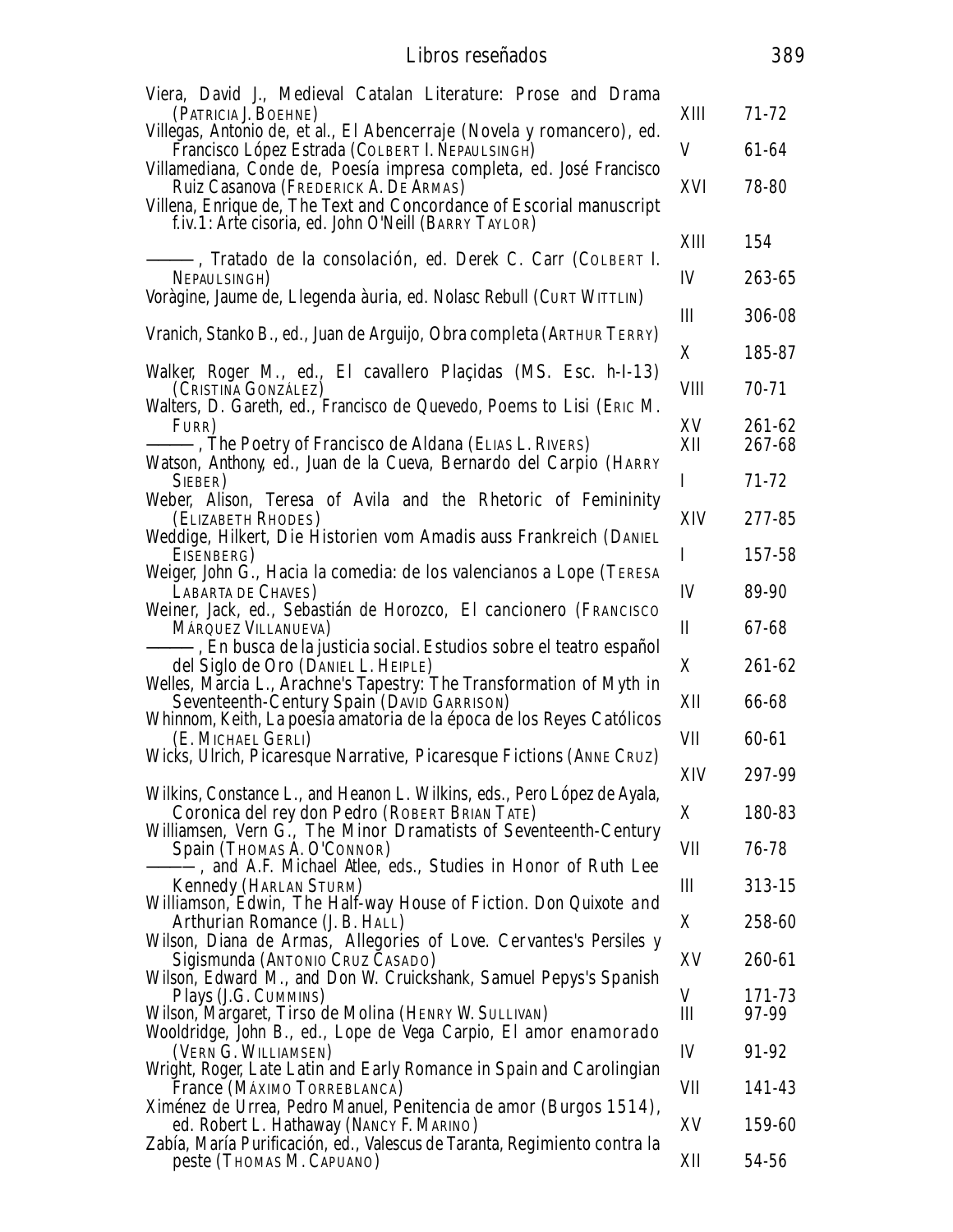| Libros reseñados                                                                                                                                                                                                                               |           | 389              |
|------------------------------------------------------------------------------------------------------------------------------------------------------------------------------------------------------------------------------------------------|-----------|------------------|
| Viera, David J., Medieval Catalan Literature: Prose and Drama<br>(PATRICIA J. BOEHNE)<br>Villegas, Antonio de, et al., El Abencerraje (Novela y romancero), ed.                                                                                | XIII      | $71 - 72$        |
| Francisco López Estrada (COLBERT I. NEPAULSINGH)                                                                                                                                                                                               | V         | 61-64            |
| Villamediana, Conde de, Poesía impresa completa, ed. José Francisco<br>Ruiz Casanova (FREDERICK A. DE ARMAS)<br>Villena, Enrique de, The Text and Concordance of Escorial manuscript<br>f.iv. 1: Arte cisoria, ed. John O'Neill (BARRY TAYLOR) | XVI       | 78-80            |
|                                                                                                                                                                                                                                                | XIII      | 154              |
| -, <i>Tratado de la consolación</i> , ed. Derek C. Carr (COLBERT I.<br>NEPAULSINGH)                                                                                                                                                            | IV        | 263-65           |
| Voràgine, Jaume de, <i>Llegenda àuria</i> , ed. Nolasc Rebull (CURT WITTLIN)                                                                                                                                                                   | Ш         | 306-08           |
| Vranich, Stanko B., ed., Juan de Arguijo, <i>Obra completa</i> (ARTHUR TERRY)                                                                                                                                                                  | X         | 185-87           |
| Walker, Roger M., ed., El cavallero Placidas (MS. Esc. h-I-13)<br>(CRISTINA GONZÁLEZ)                                                                                                                                                          | VШ        | 70-71            |
| Walters, D. Gareth, ed., Francisco de Quevedo, <i>Poems to Lisi</i> (ERIC M.<br>FURR)<br>-, <i>The Poetry of Francisco de Aldana</i> (Elias L. Rivers)                                                                                         | XV<br>XII | 261-62<br>267-68 |
| Watson, Anthony, ed., Juan de la Cueva, Bernardo del Carpio (HARRY<br>SIEBER)                                                                                                                                                                  | I         | $71 - 72$        |
| Weber, Alison, Teresa of Avila and the Rhetoric of Femininity<br>(ELIZABETH RHODES)                                                                                                                                                            | XIV       | 277-85           |
| Weddige, Hilkert, Die Historien vom Amadis auss Frankreich (DANIEL<br>EISENBERG)                                                                                                                                                               | I         | 157-58           |
| Weiger, John G., Hacia la comedia: de los valencianos a Lope (TERESA<br><b>LABARTA DE CHAVES)</b>                                                                                                                                              | IV        | 89-90            |
| Weiner, Jack, ed., Sebastián de Horozco, El cancionero (FRANCISCO<br>MÁRQUEZ VILLANUEVA)<br>-, En busca de la justicia social. Estudios sobre el teatro español                                                                                | П         | 67-68            |
| del Siglo de Oro (DANIEL L. HEIPLE)                                                                                                                                                                                                            | X         | 261-62           |
| Welles, Marcia L., Arachne's Tapestry: The Transformation of Myth in<br>Seventeenth-Century Spain (DAVID GARRISON)                                                                                                                             | XII       | 66-68            |
| Whinnom, Keith, La poesía amatoria de la época de los Reyes Católicos<br>(E. MICHAEL GERLI)                                                                                                                                                    | VII       | 60-61            |
| Wicks, Ulrich, Picaresque Narrative, Picaresque Fictions (ANNE CRUZ)                                                                                                                                                                           | XIV       | 297-99           |
| Wilkins, Constance L., and Heanon L. Wilkins, eds., Pero López de Ayala,<br>Coronica del rey don Pedro (ROBERT BRIAN TATE)                                                                                                                     | X         | 180-83           |
| Williamsen, Vern G., The Minor Dramatists of Seventeenth-Century<br>Spain (THOMAS A. O'CONNOR)<br>-, and A.F. Michael Atlee, eds., <i>Studies in Honor of Ruth Lee</i>                                                                         | VII       | 76-78            |
| <b>Kennedy (HARLAN STURM)</b>                                                                                                                                                                                                                  | Ш         | 313-15           |
| Williamson, Edwin, The Half-way House of Fiction. Don Quixote and<br>Arthurian Romance (J. B. HALL)                                                                                                                                            | X         | 258-60           |
| Wilson, Diana de Armas, Allegories of Love. Cervantes's Persiles y<br>Sigismunda (ANTONIO CRUZ CASADO)                                                                                                                                         | XV        | 260-61           |
| Wilson, Edward M., and Don W. Cruickshank, Samuel Pepys's Spanish<br><i>Plays</i> (J.G. CUMMINS)<br>Wilson, Margaret, Tirso de Molina (HENRY W. SULLIVAN)                                                                                      | V<br>Ш    | 171-73<br>97-99  |
| Wooldridge, John B., ed., Lope de Vega Carpio, El amor enamorado<br>(VERN G. WILLIAMSEN)                                                                                                                                                       | IV        | 91-92            |
| Wright, Roger, Late Latin and Early Romance in Spain and Carolingian<br><i>France</i> (MÁXIMO TORREBLANCA)                                                                                                                                     | VII       | 141-43           |
| Ximénez de Urrea, Pedro Manuel, Penitencia de amor (Burgos 1514),                                                                                                                                                                              |           |                  |
| ed. Robert L. Hathaway (NANCY F. MARINO)<br>Zabía, María Purificación, ed., Valescus de Taranta, Regimiento contra la                                                                                                                          | XV        | 159-60           |
| <i>peste</i> (Thomas M. Capuano)                                                                                                                                                                                                               | XII       | 54-56            |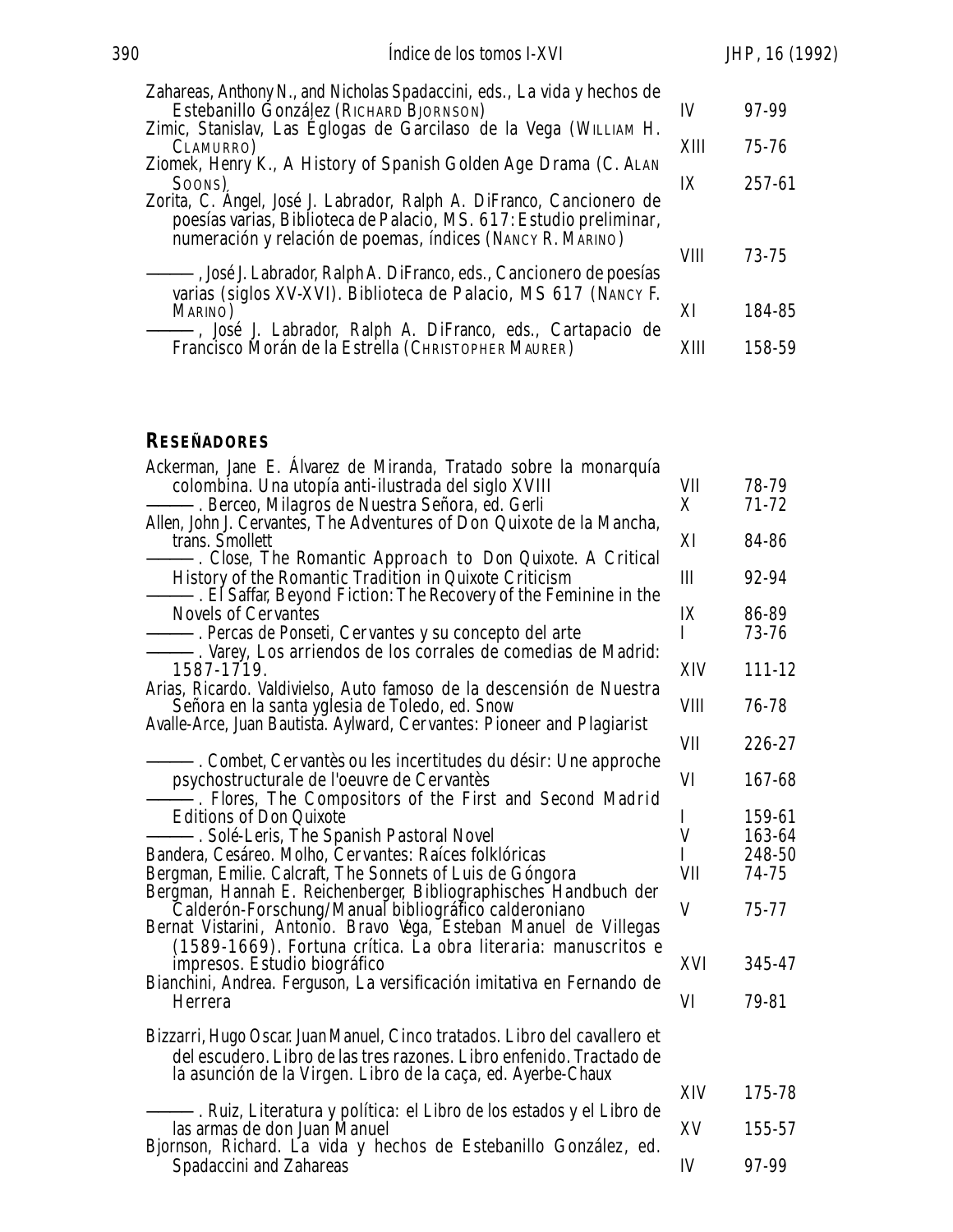| 390 | Indice de los tomos I-XVI                                                                                                                                                                |      | <i>JHP</i> , 16 (1992) |
|-----|------------------------------------------------------------------------------------------------------------------------------------------------------------------------------------------|------|------------------------|
|     | Zahareas, Anthony N., and Nicholas Spadaccini, eds., La vida y hechos de<br>Estebanillo González (RICHARD BJORNSON)<br>Zimic, Stanislav, Las Églogas de Garcilaso de la Vega (WILLIAM H. | IV   | 97-99                  |
|     | CLAMURRO)                                                                                                                                                                                | XIII | 75-76                  |
|     | Ziomek, Henry K., A History of Spanish Golden Age Drama (C. ALAN<br>SOONS)<br>Zorita, C. Angel, José J. Labrador, Ralph A. DiFranco, Cancionero de                                       | IX   | 257-61                 |
|     | poesías varias, Biblioteca de Palacio, MS. 617: Estudio preliminar,<br>numeración y relación de poemas, índices (NANCY R. MARINO)                                                        | VIII | 73-75                  |
|     | —, José J. Labrador, Ralph A. DiFranco, eds., <i>Cancionero de poesías</i><br>varias (siglos XV-XVI). Biblioteca de Palacio, MS 617 (NANCY F.<br>MARINO)                                 | XI   | 184-85                 |
|     | -, José J. Labrador, Ralph A. DiFranco, eds., Cartapacio de<br>Francisco Morán de la Estrella (CHRISTOPHER MAURER)                                                                       | XШ   | 158-59                 |

### **RESEÑADORES**

| Ackerman, Jane E. Álvarez de Miranda, Tratado sobre la monarquía                                                                                                                                                  |             |                    |
|-------------------------------------------------------------------------------------------------------------------------------------------------------------------------------------------------------------------|-------------|--------------------|
| colombina. Una utopía anti-ilustrada del siglo XVIII<br>-. Berceo, <i>Milagros de Nuestra Señora</i> , ed. Gerli                                                                                                  | VII<br>X    | 78-79<br>$71 - 72$ |
| Allen, John J. Cervantes, The Adventures of Don Quixote de la Mancha,<br>trans. Smollett                                                                                                                          | XI          | 84-86              |
| -. Close, The Romantic Approach to Don Quixote. A Critical<br>History of the Romantic Tradition in Quixote Criticism                                                                                              | III         | 92-94              |
| -. El Saffar, <i>Beyond Fiction: The Recovery of the Feminine in the</i><br><b>Novels of Cervantes</b><br>--------------. Percas de Ponseti, Cervantes y su concepto del arte                                     | IX<br>I     | 86-89<br>73-76     |
| ----------------. Varey, Los arriendos de los corrales de comedias de Madrid:<br>1587-1719.                                                                                                                       | XIV         | 111-12             |
| Arias, Ricardo. Valdivielso, Auto famoso de la descensión de Nuestra<br>Señora en la santa yglesia de Toledo, ed. Snow                                                                                            | <b>VIII</b> | 76-78              |
| Avalle-Arce, Juan Bautista. Aylward, Cervantes: Pioneer and Plagiarist                                                                                                                                            | VII         | 226-27             |
| -. Combet, <i>Cervantès ou les incertitudes du désir: Une approche</i><br>psychostructurale de l'oeuvre de Cervantès                                                                                              | VI          | 167-68             |
| -. Flores, The Compositors of the First and Second Madrid<br><b>Editions of Don Quixote</b><br>-. Solé-Leris, <i>The Spanish Pastoral Novel</i>                                                                   | I<br>V      | 159-61<br>163-64   |
| Bandera, Cesáreo. Molho, Cervantes: Raíces folklóricas<br>Bergman, Emilie. Calcraft, The Sonnets of Luis de Góngora                                                                                               | I<br>VII    | 248-50<br>74-75    |
| Bergman, Hannah E. Reichenberger, Bibliographisches Handbuch der<br>Calderón-Forschung/Manual bibliográfico calderoniano<br>Bernat Vistarini, Antonio. Bravo Vega, Esteban Manuel de Villegas                     | V           | 75-77              |
| (1589-1669). Fortuna crítica. La obra literaria: manuscritos e<br>impresos. Estudio biográfico                                                                                                                    | XVI         | 345-47             |
| Bianchini, Andrea. Ferguson, La versificación imitativa en Fernando de<br>Herrera                                                                                                                                 | VI          | 79-81              |
| Bizzarri, Hugo Oscar. Juan Manuel, Cinco tratados. Libro del cavallero et<br>del escudero. Libro de las tres razones. Libro enfenido. Tractado de<br>la asunción de la Virgen. Libro de la caça, ed. Ayerbe-Chaux |             |                    |
|                                                                                                                                                                                                                   | XIV         | 175-78             |
| -. Ruiz, Literatura y política: el Libro de los estados y el Libro de<br>las armas de don Juan Manuel<br>Bjornson, Richard. La vida y hechos de Estebanillo González, ed.                                         | XV          | 155-57             |
| Spadaccini and Zahareas                                                                                                                                                                                           | IV          | 97-99              |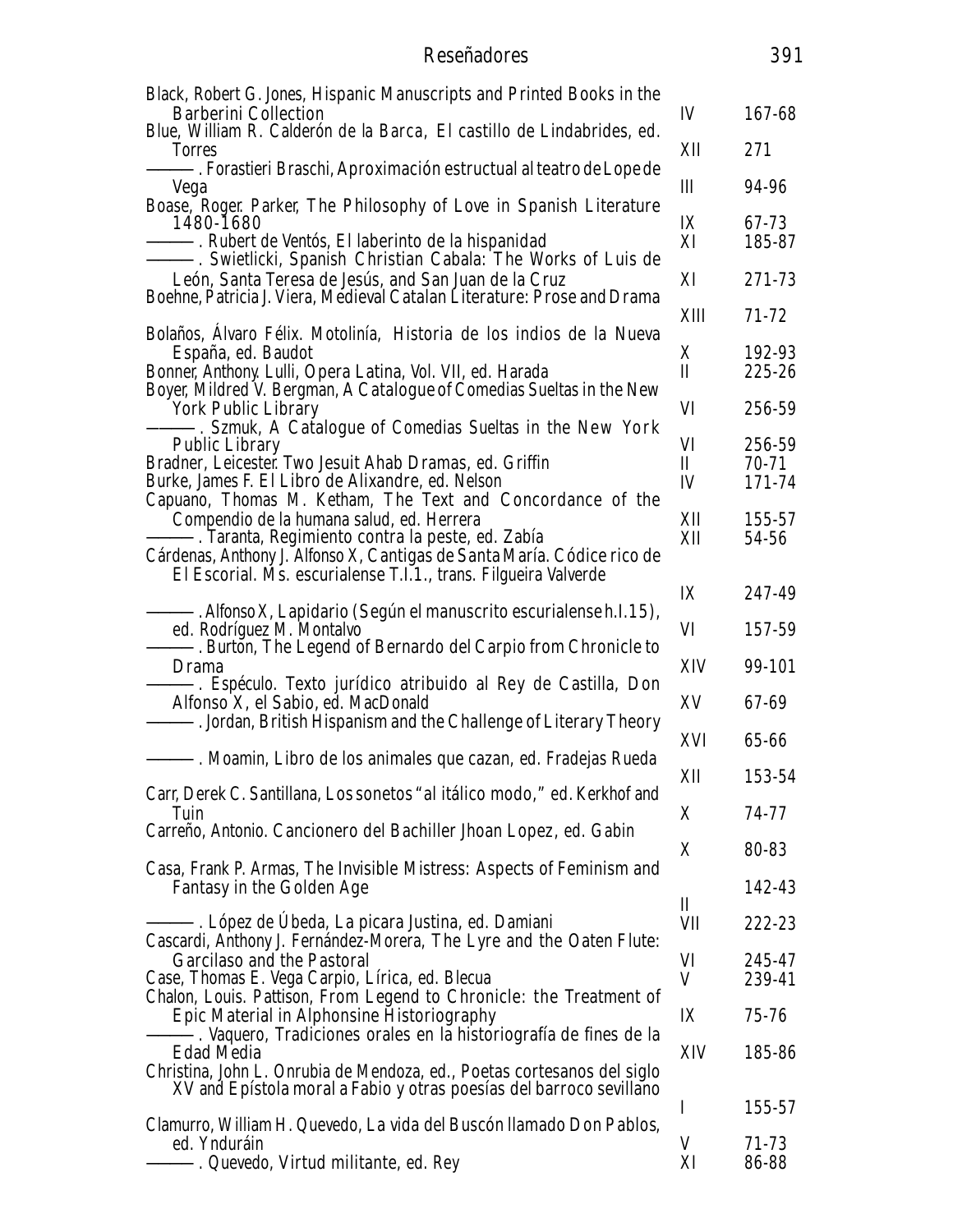| Reseñadores                                                                                                                                                                                                                                     |                   | 391                       |
|-------------------------------------------------------------------------------------------------------------------------------------------------------------------------------------------------------------------------------------------------|-------------------|---------------------------|
| Black, Robert G. Jones, <i>Hispanic Manuscripts and Printed Books in the</i>                                                                                                                                                                    |                   |                           |
| <b>Barberini Collection</b><br>Blue, William R. Calderón de la Barca, El castillo de Lindabrides, ed.                                                                                                                                           | IV                | 167-68                    |
| 'I'orres<br>—. Forastieri Braschi, <i>Aproximación estructual al teatro de Lope de</i>                                                                                                                                                          | XII               | 271                       |
| Vega<br>Boase, Roger Parker, The Philosophy of Love in Spanish Literature                                                                                                                                                                       | III               | 94-96                     |
| 1480-1680<br>-. Rubert de Ventós, <i>El laberinto de la hispanidad</i>                                                                                                                                                                          | IX<br>XI          | 67-73<br>185-87           |
| -. Swietlicki, <i>Spanish Christian Cabala: The Works of Luis de</i><br>León, Santa Teresa de Jesús, and San Juan de la Cruz                                                                                                                    | XI                | 271-73                    |
| Boehne, Patricia J. Viera, Medieval Catalan Literature: Prose and Drama                                                                                                                                                                         | XIII              | 71-72                     |
| Bolaños, Alvaro Félix. Motolinía, <i>Historia de los indios de la Nueva</i><br><i>España</i> , ed. Baudot<br>Bonner, Anthony. Lulli, <i>Opera Latina</i> , Vol. VII, ed. Harada                                                                 | X<br>$\mathbf{I}$ | 192-93<br>225-26          |
| Boyer, Mildred V. Bergman, A Catalogue of Comedias Sueltas in the New<br><b>York Public Library</b>                                                                                                                                             | VI                | 256-59                    |
| -. Szmuk, A Catalogue of Comedias Sueltas in the New York<br><b>Public Library</b><br>Bradner, Leicester. Two Jesuit Ahab Dramas, ed. Griffin<br>Burke, James F. El Libro de Alixandre, ed. Nelson                                              | VI<br>П<br>IV     | 256-59<br>70-71<br>171-74 |
| Capuano, Thomas M. Ketham, The Text and Concordance of the<br>Compendio de la humana salud, ed. Herrera<br>-. Taranta, <i>Regimiento contra la peste</i> , ed. Zabía<br>Cárdenas, Anthony J. Alfonso X, Cantigas de Santa María. Códice rico de | XII<br>XII        | 155-57<br>54-56           |
| El Escorial. Ms. escurialense T.I.1., trans. Filgueira Valverde                                                                                                                                                                                 | IX                | 247-49                    |
| -. Alfonso X, <i>Lapidario (Según el manuscrito escurialense h.I.15)</i> ,<br>ed. Rodríguez M. Montalvo                                                                                                                                         | VI                | 157-59                    |
| -. Burton, The Legend of Bernardo del Carpio from Chronicle to<br>Drama<br>-. Espéculo. <i>Texto jurídico atribuido al Rey de Castilla, Don</i><br>Alfonso X, el Sabio, ed. MacDonald                                                           | XIV               | 99-101                    |
|                                                                                                                                                                                                                                                 | XV                | 67-69                     |
| -. Jordan, <i>British Hispanism and the Challenge of Literary Theory</i>                                                                                                                                                                        | XVI               | 65-66                     |
| -. Moamin, <i>Libro de los animales que cazan</i> , ed. Fradejas Rueda<br>Carr, Derek C. Santillana, <i>Los sonetos "al itálico modo,</i> " ed. Kerkhof and                                                                                     | XII               | 153-54                    |
| Tuin                                                                                                                                                                                                                                            | X                 | 74-77                     |
| Carreño, Antonio. <i>Cancionero del Bachiller Jhoan Lopez</i> , ed. Gabin                                                                                                                                                                       | X                 | 80-83                     |
| Casa, Frank P. Armas, The Invisible Mistress: Aspects of Feminism and<br><b>Fantasy in the Golden Age</b>                                                                                                                                       | $\mathbf{I}$      | 142-43                    |
| -. López de Übeda, <i>La picara Justina,</i> ed. Damiani<br>Cascardi, Anthony J. Fernández-Morera, The Lyre and the Oaten Flute:                                                                                                                | VII               | 222-23                    |
| Garcilaso and the Pastoral<br>Case, Thomas E. Vega Carpio, Lírica, ed. Blecua<br>Chalon, Louis. Pattison, <i>From Legend to Chronicle: the Treatment of</i><br>Epic Material in Alphonsine Historiography                                       | VI<br>V           | 245-47<br>239-41          |
|                                                                                                                                                                                                                                                 | IX                | 75-76                     |
| -. Vaquero, <i>Tradiciones orales en la historiografía de fines de la</i><br>Edad Media<br>Christina, John L. Onrubia de Mendoza, ed., Poetas cortesanos del siglo                                                                              | XIV               | 185-86                    |
| XV and Epístola moral a Fabio y otras poesías del barroco sevillano                                                                                                                                                                             | $\mathbf{I}$      | 155-57                    |
| Clamurro, William H. Quevedo, <i>La vida del Buscón llamado Don Pablos</i> ,<br>ed. Ynduráin<br>. Quevedo, <i>Virtud militante</i> , ed. Rey                                                                                                    | V<br>XI           | 71-73<br>86-88            |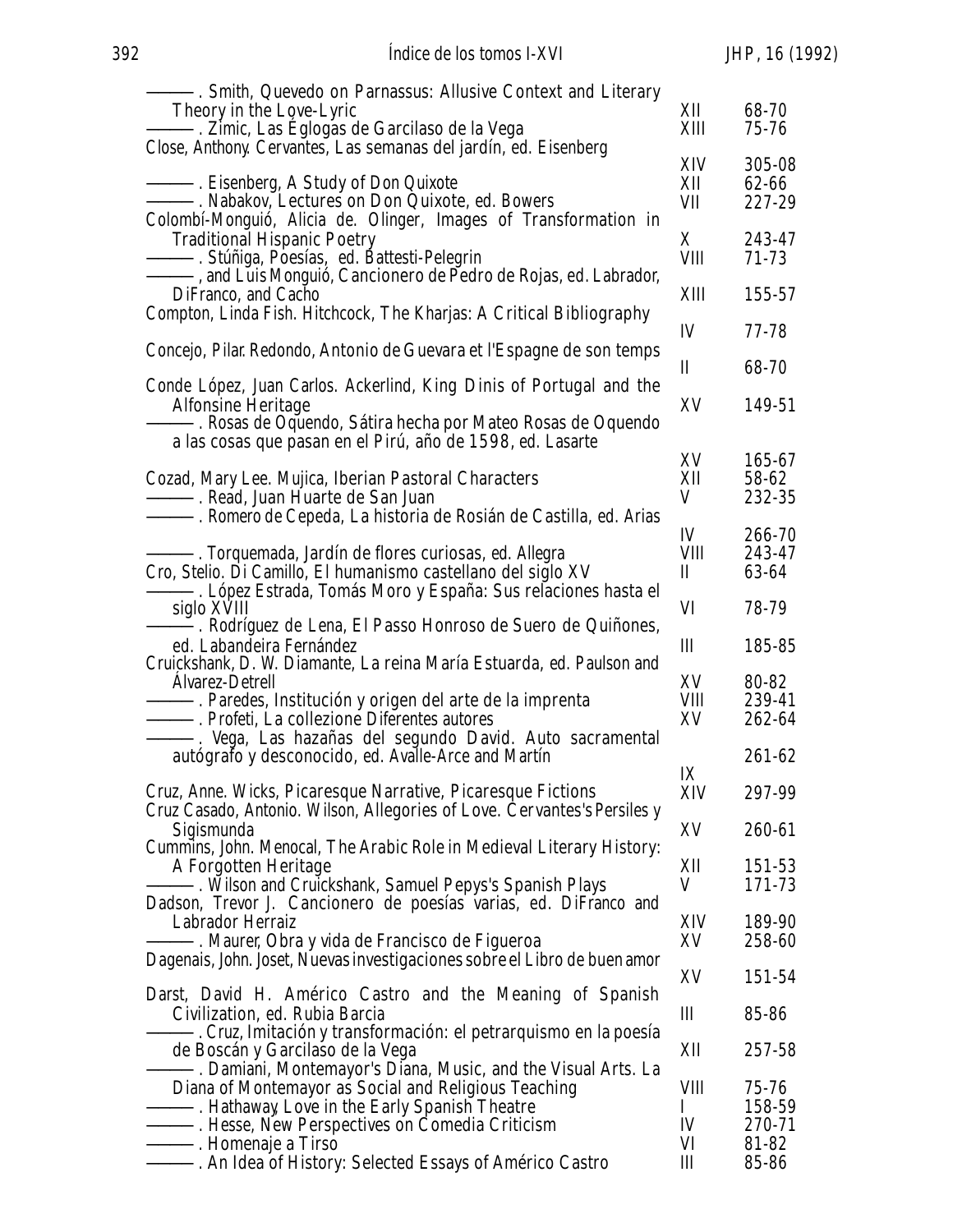| -. Smith, Quevedo on Parnassus: Allusive Context and Literary                                          |             |        |
|--------------------------------------------------------------------------------------------------------|-------------|--------|
| Theory in the Love-Lyric                                                                               | XII         | 68-70  |
| —. Zimic, <i>Las Eglogas de Garcilaso de la Vega</i>                                                   | XIII        | 75-76  |
| Close, Anthony. Cervantes, Las semanas del jardín, ed. Eisenberg                                       |             |        |
|                                                                                                        | XIV         | 305-08 |
| ------------. Eisenberg, A Study of Don Quixote                                                        | XII<br>VII  | 62-66  |
|                                                                                                        |             | 227-29 |
| Colombí-Monguió, Alicia de. Olinger, Images of Transformation in<br><b>Traditional Hispanic Poetry</b> | X           | 243-47 |
| -. Stúñiga, <i>Poesías,</i> ed. Battesti-Pelegrin                                                      | <b>VIII</b> | 71-73  |
| - and Luis Monguió, Cancionero de Pedro de Rojas, ed. Labrador,                                        |             |        |
| DiFranco, and Cacho                                                                                    | XIII        | 155-57 |
| Compton, Linda Fish. Hitchcock, The Kharjas: A Critical Bibliography                                   |             |        |
|                                                                                                        | IV          | 77-78  |
| Concejo, Pilar Redondo, Antonio de Guevara et l'Espagne de son temps                                   |             |        |
|                                                                                                        | $\mathbf I$ | 68-70  |
| Conde López, Juan Carlos. Ackerlind, King Dinis of Portugal and the                                    |             |        |
| Alfonsine Heritage                                                                                     | XV          | 149-51 |
| -. Rosas de Oquendo, <i>Sátira hecha por Mateo Rosas de Oquendo</i>                                    |             |        |
| a las cosas que pasan en el Pirú, año de 1598, ed. Lasarte                                             |             |        |
|                                                                                                        | XV          | 165-67 |
| Cozad, Mary Lee. Mujica, Iberian Pastoral Characters                                                   | XII         | 58-62  |
| –. Read, Juan Huarte de San Juan                                                                       | V           | 232-35 |
| -. Romero de Cepeda, <i>La historia de Rosián de Castilla</i> , ed. Arias                              |             |        |
|                                                                                                        | IV          | 266-70 |
| –. Torquemada, <i>Jardín de flores curiosas</i> , ed. Allegra                                          | <b>VIII</b> | 243-47 |
| Cro, Stelio. Di Camillo, El humanismo castellano del siglo XV                                          | $\mathbf I$ | 63-64  |
| . López Estrada, <i>Tomás Moro y España: Sus relaciones hasta el</i>                                   |             |        |
| siglo XVIII<br>-. Rodríguez de Lena, <i>El Passo Honroso de Suero de Quiñones</i> ,                    | VI          | 78-79  |
| ed. Labandeira Fernández                                                                               | III         | 185-85 |
| Cruickshank, D. W. Diamante, La reina María Estuarda, ed. Paulson and                                  |             |        |
| Alvarez-Detrell                                                                                        | XV          | 80-82  |
| -. Paredes, <i>Institución y origen del arte de la imprenta</i>                                        | <b>VIII</b> | 239-41 |
| -. Profeti, La collezione Diferentes autores                                                           | XV          | 262-64 |
| -. Vega, <i>Las hazañas del segundo David. Auto sacramental</i>                                        |             |        |
| <i>autógrafo y desconocido</i> , ed. Avalle-Arce and Martín                                            |             | 261-62 |
|                                                                                                        | IX          |        |
| Cruz, Anne. Wicks, Picaresque Narrative, Picaresque Fictions                                           | XIV         | 297-99 |
| Cruz Casado, Antonio. Wilson, Allegories of Love. Cervantes's Persiles y                               |             |        |
| Sigismunda                                                                                             | XV          | 260-61 |
| Cummins, John. Menocal, The Arabic Role in Medieval Literary History:                                  |             |        |
| A Forgotten Heritage                                                                                   | XII         | 151-53 |
| -. Wilson and Cruickshank, <i>Samuel Pepys's Spanish Plays</i>                                         | V           | 171-73 |
| Dadson, Trevor J. Cancionero de poesías varias, ed. DiFranco and                                       |             |        |
| Labrador Herraiz                                                                                       | XIV         | 189-90 |
| –. Maurer, <i>Obra y vida de Francisco de Figueroa</i>                                                 | XV          | 258-60 |
| Dagenais, John. Joset, <i>Nuevas investigaciones sobre el</i> Libro de buen amor                       | XV          | 151-54 |
| Darst, David H. Américo Castro and the Meaning of Spanish                                              |             |        |
| Civilization, ed. Rubia Barcia                                                                         | Ш           | 85-86  |
| -. Cruz, Imitación y transformación: el petrarquismo en la poesía                                      |             |        |
| de Boscán y Garcilaso de la Vega                                                                       | XII         | 257-58 |
| –. Damiani, <i>Montemayor's</i> Diana, <i>Music, and the Visual Arts.</i> La                           |             |        |
| Diana of Montemayor as Social and Religious Teaching                                                   | VIII        | 75-76  |
| –. Hathaway, <i>Love in the Early Spanish Theatre</i>                                                  | $\bf{l}$    | 158-59 |
| -------------- Hesse, New Perspectives on Comedia Criticism                                            | IV          | 270-71 |
| ---------- Homenaje a Tirso                                                                            | VI          | 81-82  |
| -. An Idea of History: Selected Essays of Américo Castro                                               | Ш           | 85-86  |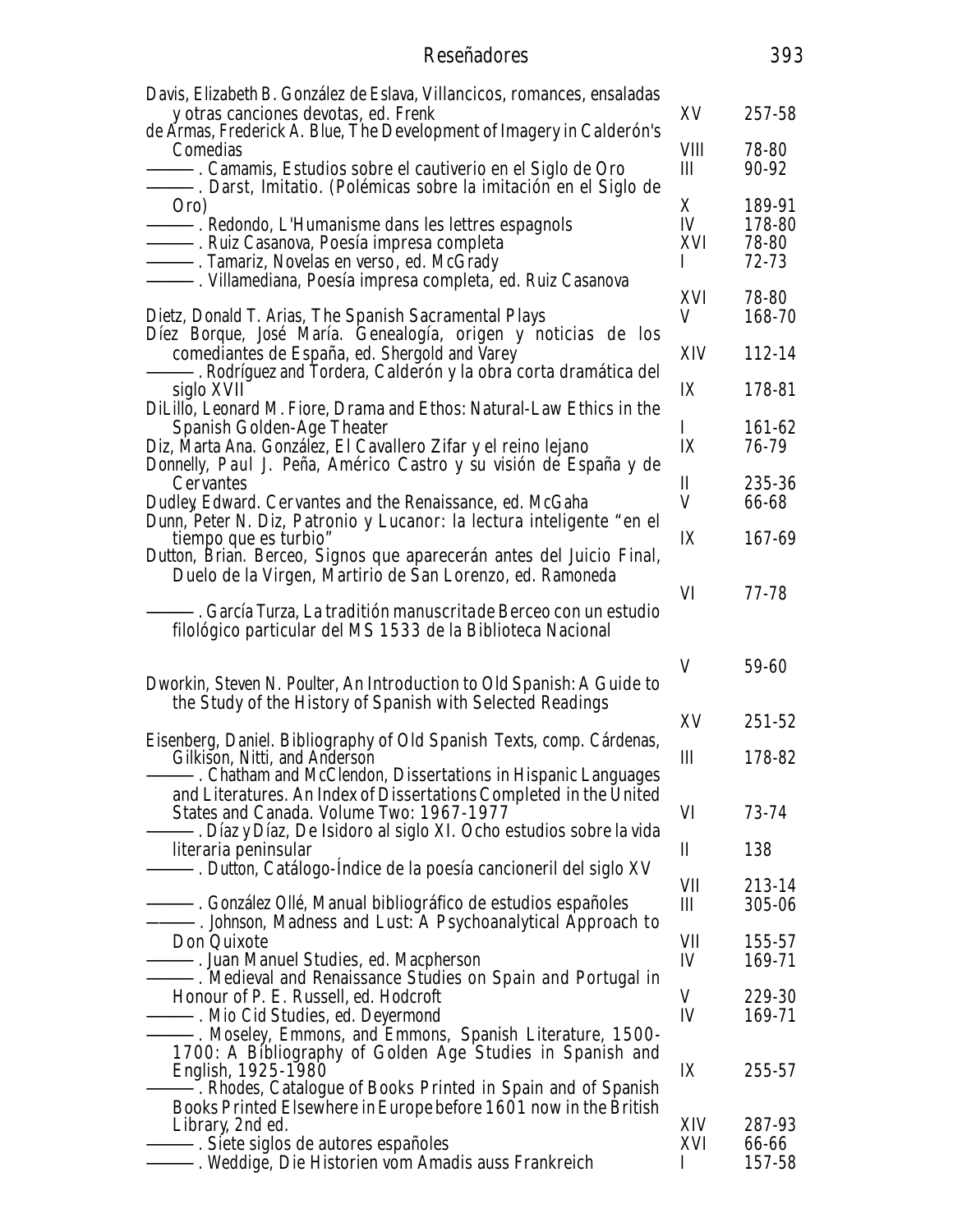| Reseñadores                                                                                                                                                                                                          |                     | 393                                |
|----------------------------------------------------------------------------------------------------------------------------------------------------------------------------------------------------------------------|---------------------|------------------------------------|
| Davis, Elizabeth B. González de Eslava, Villancicos, romances, ensaladas<br>y otras canciones devotas, ed. Frenk<br>de Ármas, Frederick A. Blue, The Development of Imagery in Calderón's                            | XV                  | 257-58                             |
| Comedias<br>—. Camamis, <i>Estudios sobre el cautiverio en el Siglo de Oro</i><br>-- Darst, Imitatio. (Polémicas sobre la imitación en el Siglo de                                                                   | <b>VIII</b><br>III  | 78-80<br>90-92                     |
| Oro)<br>- Ruiz Casanova, Poesía impresa completa<br>- Tamariz, Novelas en verso, ed. McGrady<br>- Villamediana, Poesía impresa completa, ed. Ruiz Casanova                                                           | X<br>IV<br>XVI<br>L | 189-91<br>178-80<br>78-80<br>72-73 |
| Dietz, Donald T. Arias, The Spanish Sacramental Plays<br>Díez Borque, José María. <i>Genealogía, origen y noticias de los</i>                                                                                        | XVI<br>V            | 78-80<br>168-70                    |
| comediantes de España, ed. Shergold and Varey<br>-. Rodríguez and Tordera, <i>Calderón y la obra corta dramática del</i>                                                                                             | XIV                 | 112-14                             |
| siglo XVII<br>DiLillo, Leonard M. Fiore, Drama and Ethos: Natural-Law Ethics in the<br>Spanish Golden-Age Theater<br>Diz, Marta Ana. González, El Cavallero Zifar y el reino lejano                                  | IX<br>T<br>IX       | 178-81<br>161-62<br>76-79          |
| Donnelly, Paul J. Peña, Américo Castro y su visión de España y de<br>Cervantes<br>Dudley, Edward. Cervantes and the Renaissance, ed. McGaha                                                                          | Ш<br>V              | 235-36<br>66-68                    |
| Dunn, Peter N. Diz, Patronio y Lucanor: la lectura inteligente "en el<br>tiempo que es turbio"<br>Dutton, Brian. Berceo, Signos que aparecerán antes del Juicio Final,                                               | IX                  | 167-69                             |
| Duelo de la Virgen, Martirio de San Lorenzo, ed. Ramoneda<br>-. García Turza, <i>La traditión manuscrita de Berceo con un estudio</i><br>filológico particular del MS 1533 de la Biblioteca Nacional                 | VI                  | 77-78                              |
| Dworkin, Steven N. Poulter, An Introduction to Old Spanish: A Guide to<br>the Study of the History of Spanish with Selected Readings                                                                                 | V                   | 59-60                              |
| Eisenberg, Daniel. Bibliography of Old Spanish Texts, comp. Cárdenas,                                                                                                                                                | XV                  | 251-52                             |
| Gilkison, Nitti, and Anderson<br>. Chatham and McClendon, <i>Dissertations in Hispanic Languages</i><br>and Literatures. An Index of Dissertations Completed in the United                                           | $\mathbf{I}$        | 178-82                             |
| States and Canada. Volume Two: 1967-1977<br>-. Díaz y Díaz, <i>De Isidoro al siglo XI. Ocho estudios sobre la vida</i>                                                                                               | VI                  | 73-74                              |
| literaria peninsular<br>. Dutton, <i>Catálogo-Indice de la poesía cancioneril del siglo XV</i>                                                                                                                       | $\mathbf{I}$        | 138                                |
| -. González Ollé, Manual bibliográfico de estudios españoles<br>-. Johnson, Madness and Lust: A Psychoanalytical Approach to                                                                                         | VII<br>III          | 213-14<br>305-06                   |
| Don Quixote<br><i>-. Juan Manuel Studies,</i> ed. Macpherson                                                                                                                                                         | VII<br>IV           | 155-57<br>169-71                   |
| . Medieval and Renaissance Studies on Spain and Portugal in<br><i>Honour of P. E. Russell, ed. Hodcroft</i><br>-. Mio Cid <i>Studies</i> , ed. Deyermond<br>Moseley, Emmons, and Emmons, Spanish Literature, 1500-   | V<br>IV             | 229-30<br>169-71                   |
| 1700: A Bibliography of Golden Age Studies in Spanish and<br>English, 1925-1980<br>-. Rhodes, Catalogue of Books Printed in Spain and of Spanish<br>Books Printed Elsewhere in Europe before 1601 now in the British | IX                  | 255-57                             |
| Library, 2nd ed.<br>-. Siete siglos de autores españoles<br>. Weddige, <i>Die Historien vom Amadis auss Frankreich</i>                                                                                               | XIV<br>XVI<br>L     | 287-93<br>66-66<br>157-58          |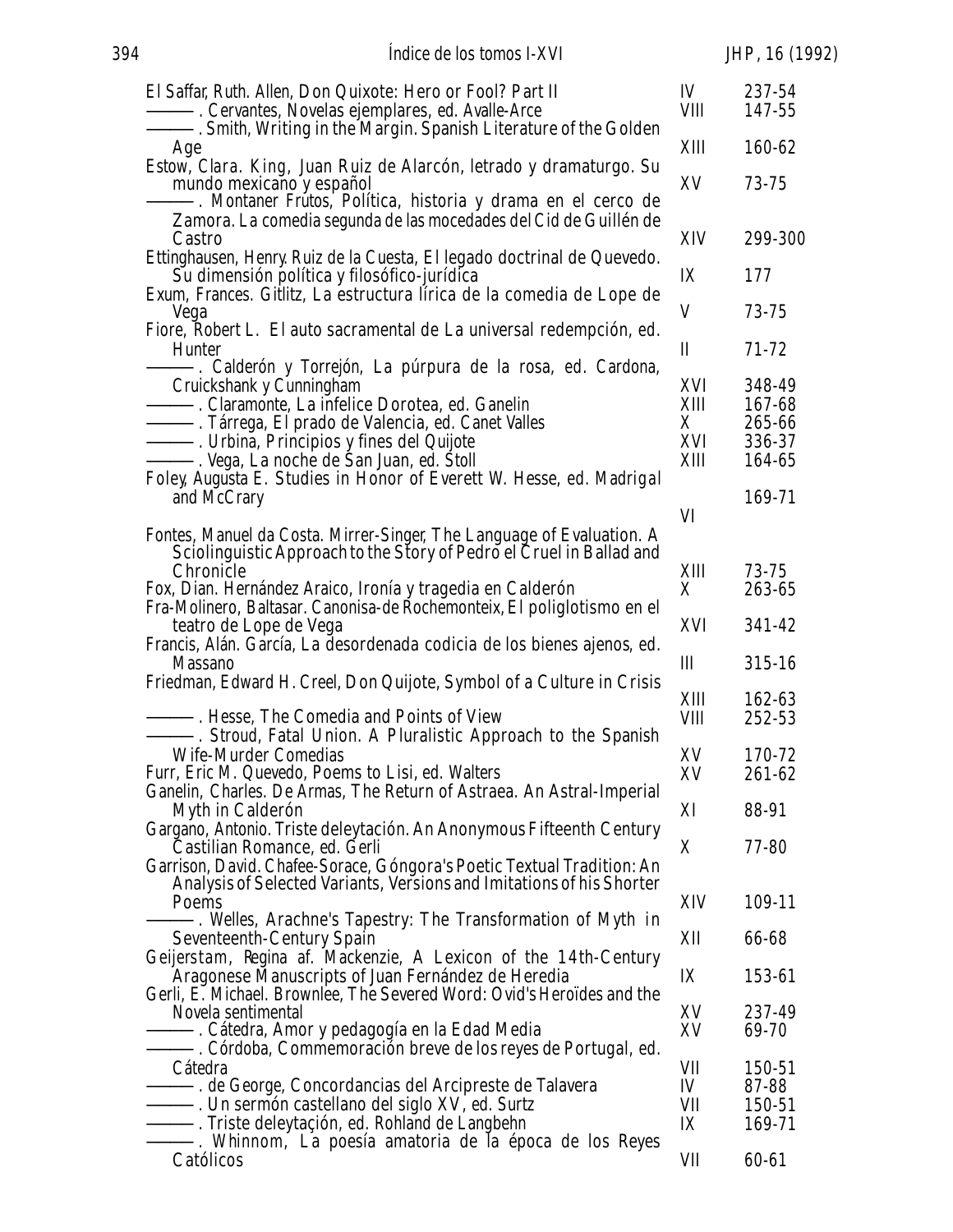| El Saffar, Ruth. Allen, <i>Don Quixote: Hero or Fool? Part II</i><br>-. Cervantes, <i>Novelas ejemplares,</i> ed. Avalle-Arce                                                                   | IV<br><b>VIII</b> | 237-54<br>147-55 |
|-------------------------------------------------------------------------------------------------------------------------------------------------------------------------------------------------|-------------------|------------------|
| –. Smith, <i>Writing in the Margin. Spanish Literature of the Golden</i><br>Age                                                                                                                 | XIII              | 160-62           |
| Estow, Clara. King, Juan Ruiz de Alarcón, letrado y dramaturgo. Su<br>mundo mexicano y español<br>-. Montaner Frutos, <i>Política, historia y drama en el cerco de</i>                          | XV                | 73-75            |
| Zamora. La comedia segunda de las mocedades del Cid <i>de Guillén de</i><br>Castro                                                                                                              | XIV               | 299-300          |
| Ettinghausen, Henry. Ruiz de la Cuesta, El legado doctrinal de Quevedo.<br>Su dimensión política y filosófico-jurídica<br>Exum, Frances. Gitlitz, La estructura lírica de la comedia de Lope de | IX                | 177              |
| Vega<br>Fiore, Robert L. El auto sacramental de La universal redempción, ed.                                                                                                                    | V                 | 73-75            |
| Hunter                                                                                                                                                                                          | П                 | 71-72            |
| . Calderón y Torrejón, <i>La púrpura de la rosa,</i> ed. Cardona,<br>Cruickshank y Cunningham                                                                                                   | XVI               | 348-49           |
| —. Claramonte, <i>La infelice Dorotea</i> , ed. Ganelin                                                                                                                                         | XIII              | 167-68           |
| - Tárrega, El prado de Valencia, ed. Canet Valles                                                                                                                                               | X                 | 265-66           |
| - Urbina, Principios y fines del Quijote                                                                                                                                                        | XVI               | 336-37           |
| –. Vega, <i>La noche de San Juan</i> , ed. Stoll                                                                                                                                                | XIII              | 164-65           |
| Foley, Augusta E. Studies in Honor of Everett W. Hesse, ed. Madrigal                                                                                                                            |                   |                  |
| and McCrary                                                                                                                                                                                     |                   | 169-71           |
|                                                                                                                                                                                                 | VI                |                  |
| Fontes, Manuel da Costa. Mirrer-Singer, The Language of Evaluation. A<br>Sciolinguistic Approach to the Story of Pedro el Cruel in Ballad and                                                   |                   |                  |
| <i>Chronicle</i>                                                                                                                                                                                | XIII              | 73-75            |
| Fox, Dian. Hernández Araico, Ironía y tragedia en Calderón                                                                                                                                      | X                 | 263-65           |
|                                                                                                                                                                                                 |                   |                  |
| Fra-Molinero, Baltasar. Canonisa-de Rochemonteix, El poliglotismo en el<br>teatro de Lope de Vega<br>Francis, Alán. García, La desordenada codicia de los bienes ajenos, ed.                    | XVI               | 341-42           |
|                                                                                                                                                                                                 |                   |                  |
| <b>Massano</b>                                                                                                                                                                                  | $\mathbf{I}$      | 315-16           |
| Friedman, Edward H. Creel, Don Quijote, Symbol of a Culture in Crisis                                                                                                                           |                   |                  |
|                                                                                                                                                                                                 | XIII              | 162-63           |
| -. Hesse, <i>The Comedia and Points of View</i>                                                                                                                                                 | VIII              | 252-53           |
| -. Stroud, Fatal Union. A Pluralistic Approach to the Spanish                                                                                                                                   |                   |                  |
| <b>Wife-Murder Comedias</b>                                                                                                                                                                     | XV                | 170-72           |
| Furr, Eric M. Quevedo, Poems to Lisi, ed. Walters                                                                                                                                               | XV                | 261-62           |
| Ganelin, Charles. De Armas, The Return of Astraea. An Astral-Imperial                                                                                                                           |                   |                  |
|                                                                                                                                                                                                 |                   | 88-91            |
| Myth in Calderón                                                                                                                                                                                | XI                |                  |
| Gargano, Antonio. Triste deleytación. An Anonymous Fifteenth Century                                                                                                                            |                   |                  |
| <i>Castilian Romance</i> , ed. Gerli                                                                                                                                                            | X                 | 77-80            |
| Garrison, David. Chafee-Sorace, Góngora's Poetic Textual Tradition: An                                                                                                                          |                   |                  |
| Analysis of Selected Variants, Versions and Imitations of his Shorter                                                                                                                           |                   |                  |
| Poems                                                                                                                                                                                           | XIV               | 109-11           |
| -. Welles, Arachne's Tapestry: The Transformation of Myth in                                                                                                                                    |                   |                  |
| Seventeenth-Century Spain                                                                                                                                                                       | XII               | 66-68            |
| Geijerstam, Regina af. Mackenzie, A Lexicon of the 14th-Century                                                                                                                                 |                   |                  |
| Aragonese Manuscripts of Juan Fernández de Heredia                                                                                                                                              | IX                | 153-61           |
|                                                                                                                                                                                                 |                   |                  |
| Gerli, E. Michael. Brownlee, The Severed Word: Ovid's Heroïdes and the                                                                                                                          |                   |                  |
| Novela sentimental                                                                                                                                                                              | XV                | 237-49           |
| -. Cátedra, <i>Amor y pedagogía en la Edad Media</i>                                                                                                                                            | XV                | 69-70            |
| -. Córdoba, <i>Commemoración breve de los reyes de Portugal</i> , ed.                                                                                                                           |                   |                  |
| Cátedra                                                                                                                                                                                         | VII               | 150-51           |
| -. de George, <i>Concordancias del Arcipreste de Talavera</i>                                                                                                                                   | IV                | 87-88            |
| –. <i>Un sermón castellano del siglo XV</i> , ed. Surtz                                                                                                                                         | VII               | 150-51           |
| - Triste deleytaçión, ed. Rohland de Langbehn                                                                                                                                                   | IX                | 169-71           |
| –. Whinnom, <i>La poesía amatoria de la época de los Reyes</i>                                                                                                                                  |                   |                  |
|                                                                                                                                                                                                 |                   |                  |
| Católicos                                                                                                                                                                                       | VII               | 60-61            |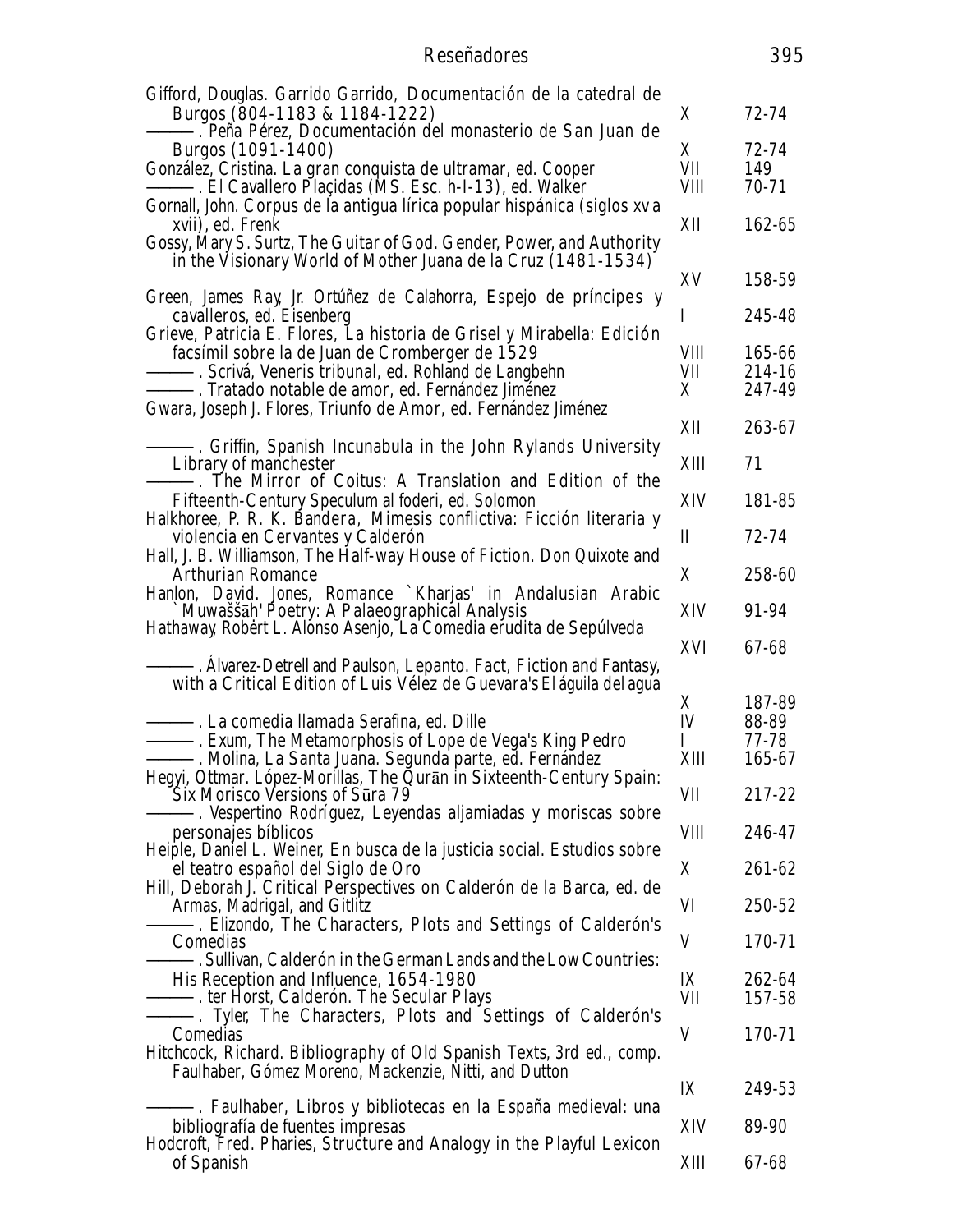|  | Reseñadores |
|--|-------------|
|  |             |

| Gifford, Douglas. Garrido Garrido, Documentación de la catedral de<br>Burgos (804-1183 & 1184-1222)<br>–. Peña Pérez, <i>Documentación del monasterio de San Juan de</i>        | X           | $72 - 74$      |
|---------------------------------------------------------------------------------------------------------------------------------------------------------------------------------|-------------|----------------|
| Burgos (1091-1400)<br>González, Cristina. La gran conquista de ultramar, ed. Cooper                                                                                             | X<br>VII    | 72-74<br>149   |
| -. <i>El Cavallero Plaçidas (MS. Esc. h-I-13)</i> , ed. Walker<br>Gornall, John. Corpus de la antigua lírica popular hispánica (siglos xv a                                     | <b>VIII</b> | 70-71          |
| <i>xvii</i> ), ed. Frenk<br>Gossy, Mary S. Surtz, The Guitar of God. Gender, Power, and Authority<br>in the Visionary World of Mother Juana de la Cruz (1481-1534)              | XII         | 162-65         |
|                                                                                                                                                                                 | XV          | 158-59         |
| Green, James Ray, Jr. Ortúñez de Calahorra, Espejo de príncipes y<br><i>cavalleros, ed. Eisenberg</i><br>Grieve, Patricia E. Flores, La historia de Grisel y Mirabella: Edición | I           | 245-48         |
| facsímil sobre la de Juan de Cromberger de 1529                                                                                                                                 | VIII        | 165-66         |
|                                                                                                                                                                                 | VII         | 214-16         |
| ————. <i>Tratado notable de amor</i> , ed. Fernández Jiménez                                                                                                                    | X           | 247-49         |
| Gwara, Joseph J. Flores, Triunfo de Amor, ed. Fernández Jiménez                                                                                                                 | XII         | 263-67         |
| —— Criffin, <i>Spanish Incunabula in the John Rylands University</i><br>Library of manchester                                                                                   | XIII        | 71             |
| -. The Mirror of Coitus: A Translation and Edition of the                                                                                                                       |             |                |
| Fifteenth-Century Speculum al foderi, ed. Solomon<br>Halkhoree, P. R. K. Bandera, Mimesis conflictiva: Ficción literaria y                                                      | XIV         | 181-85         |
| violencia en Cervantes y Calderón                                                                                                                                               | $\mathbf I$ | 72-74          |
| Hall, J. B. Williamson, The Half-way House of Fiction. Don Quixote and<br><b>Arthurian Romance</b>                                                                              | X           | 258-60         |
| Hanlon, David. Jones, Romance `Kharjas' in Andalusian Arabic<br>`Muwaššāh' Poetry: A Palaeographical Analysis                                                                   | XIV         | 91-94          |
| Hathaway, Robert L. Alonso Asenjo, La Comedia erudita de Sepúlveda                                                                                                              |             |                |
| -. Alvarez-Detrell and Paulson, <i>Lepanto. Fact, Fiction and Fantasy,</i>                                                                                                      | XVI         | 67-68          |
| with a Critical Edition of Luis Vélez de Guevara's El águila del agua                                                                                                           |             |                |
|                                                                                                                                                                                 | X           | 187-89         |
| ————. <i>La comedia llamada</i> Serafina, ed. Dille                                                                                                                             | IV          | 88-89<br>77-78 |
|                                                                                                                                                                                 | XШ          | 165-67         |
| Hegyi, Ottmar. López-Morillas, The Qurān in Sixteenth-Century Spain:                                                                                                            |             |                |
| Six Morisco Versions of Sura 79<br>-. Vespertino Rodríguez, Leyendas aljamiadas y moriscas sobre                                                                                | VII         | 217-22         |
| personajes bíblicos<br>Heiple, Daniel L. Weiner, En busca de la justicia social. Estudios sobre                                                                                 | <b>VIII</b> | 246-47         |
| el teatro español del Siglo de Oro                                                                                                                                              | X           | 261-62         |
| Hill, Deborah J. Critical Perspectives on Calderón de la Barca, ed. de<br>Armas, Madrigal, and Gitlitz                                                                          | VI          | 250-52         |
| -. Elizondo, <i>The Characters, Plots and Settings of Calderón's</i><br>Comedias                                                                                                | V           | 170-71         |
| -. Sullivan, <i>Calderón in the German Lands and the Low Countries:</i><br>His Reception and Influence, 1654-1980                                                               | IX          | 262-64         |
| ———— ter Horst, <i>Calderón. The Secular Plays</i>                                                                                                                              | VII         | 157-58         |
| - Tyler, The Characters, Plots and Settings of Calderón's<br>Comedias                                                                                                           | V           | 170-71         |
| Hitchcock, Richard. Bibliography of Old Spanish Texts, 3rd ed., comp.                                                                                                           |             |                |
| Faulhaber, Gómez Moreno, Mackenzie, Nitti, and Dutton                                                                                                                           | IX          | 249-53         |
| —. Faulhaber, <i>Libros y bibliotecas en la España medieval: una</i>                                                                                                            | XIV         |                |
| bibliografía de fuentes impresas<br>Hodcroft, Fred. Pharies, Structure and Analogy in the Playful Lexicon                                                                       |             | 89-90          |
| of Spanish                                                                                                                                                                      | XIII        | 67-68          |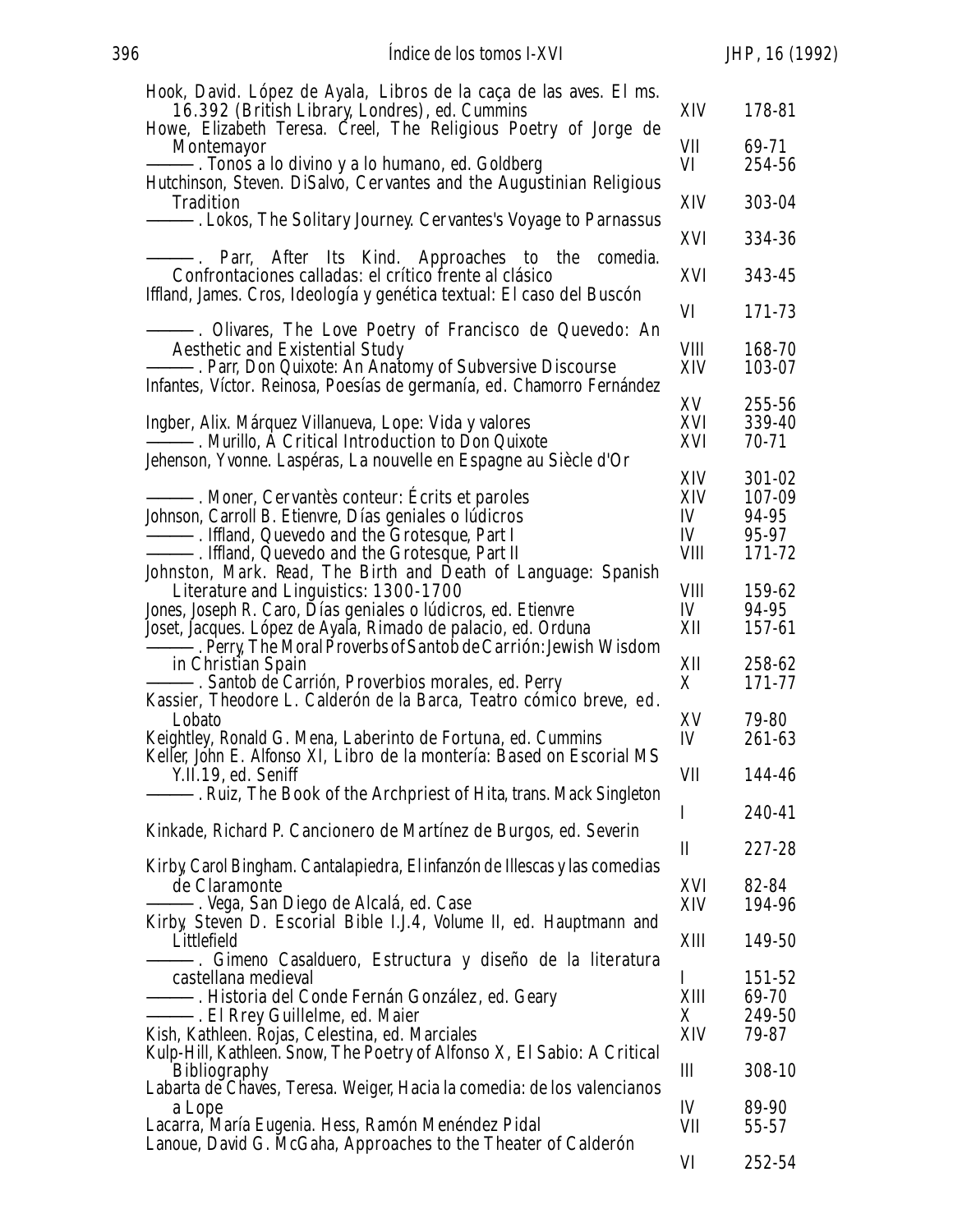| Hook, David. López de Ayala, Libros de la caça de las aves. El ms.<br>16.392 (British Library, Londres), ed. Cummins<br>Howe, Elizabeth Teresa. Creel, The Religious Poetry of Jorge de                                  | XIV               | 178-81           |
|--------------------------------------------------------------------------------------------------------------------------------------------------------------------------------------------------------------------------|-------------------|------------------|
| Montemayor<br>-------------. <i>Tonos a lo divino y a lo humano</i> , ed. Goldberg                                                                                                                                       | VII<br>VI         | 69-71<br>254-56  |
| Hutchinson, Steven. DiSalvo, Cervantes and the Augustinian Religious<br><b>Tradition</b><br>— Lokos, The Solitary Journey. Cervantes's Voyage to Parnassus                                                               | XIV               | 303-04           |
|                                                                                                                                                                                                                          | XVI               | 334-36           |
| - Parr, After Its Kind. Approaches to the comedia.<br>Confrontaciones calladas: el crítico frente al clásico<br>Iffland, James. Cros, Ideología y genética textual: El caso del Buscón                                   | XVI               | 343-45           |
|                                                                                                                                                                                                                          | VI                | 171-73           |
| <b>Aesthetic and Existential Study</b><br>Infantes, Víctor. Reinosa, Poesías de germanía, ed. Chamorro Fernández                                                                                                         | VIII<br>XIV       | 168-70<br>103-07 |
| Ingber, Alix. Márquez Villanueva, Lope: Vida y valores                                                                                                                                                                   | XV<br>XVI         | 255-56<br>339-40 |
| ------------ Murillo, A Critical Introduction to Don Quixote<br>Jehenson, Yvonne. Laspéras, La nouvelle en Espagne au Siècle d'Or                                                                                        | XVI               | $70 - 71$        |
|                                                                                                                                                                                                                          | XIV               | 301-02           |
|                                                                                                                                                                                                                          | XIV               | 107-09           |
| Johnson, Carroll B. Etienvre, Días geniales o lúdicros                                                                                                                                                                   | IV                | 94-95            |
|                                                                                                                                                                                                                          | IV<br><b>VIII</b> | 95-97<br>171-72  |
| Johnston, Mark. Read, The Birth and Death of Language: Spanish                                                                                                                                                           |                   |                  |
| Literature and Linguistics: 1300-1700                                                                                                                                                                                    | <b>VIII</b><br>IV | 159-62<br>94-95  |
| Jones, Joseph R. Caro, <i>Días geniales o lúdicros</i> , ed. Etienvre<br>Joset, Jacques. López de Ayala, Rimado de palacio, ed. Orduna<br>-. Perry, <i>The</i> Moral Proverbs <i>of Santob de Carrión: Jewish Wisdom</i> | XII               | 157-61           |
| in Christian Spain                                                                                                                                                                                                       | XII               | 258-62           |
| Kassier, Theodore L. Calderón de la Barca, Teatro cómico breve, ed.                                                                                                                                                      | X                 | 171-77           |
| Lobato                                                                                                                                                                                                                   | XV                | 79-80            |
| Keightley, Ronald G. Mena, <i>Laberinto de Fortuna</i> , ed. Cummins<br>Keller, John E. Alfonso XI, Libro de la montería: Based on Escorial MS                                                                           | IV                | 261-63           |
| Y.II.19, ed. Seniff<br>-. Ruiz, <i>The Book of the Archpriest of Hita</i> , trans. Mack Singleton                                                                                                                        | VII               | 144-46           |
| Kinkade, Richard P. Cancionero de Martínez de Burgos, ed. Severin                                                                                                                                                        | L                 | 240-41           |
| Kirby, Carol Bingham. Cantalapiedra, El infanzón de Illescas y las comedias                                                                                                                                              | $\mathbb I$       | 227-28           |
| de Claramonte                                                                                                                                                                                                            | XVI               | 82-84            |
| -. Vega, <i>San Diego de Alcalá</i> , ed. Case<br>Kirby, Steven D. <i>Escorial Bible I.J.4</i> , Volume II, ed. Hauptmann and                                                                                            | XIV               | 194-96           |
| Littlefield<br>-. Gimeno Casalduero, <i>Estructura y diseño de la literatura</i>                                                                                                                                         | XIII              | 149-50           |
| castellana medieval                                                                                                                                                                                                      | I                 | 151-52           |
|                                                                                                                                                                                                                          | XIII              | 69-70            |
|                                                                                                                                                                                                                          | X                 | 249-50           |
| Kish, Kathleen. Rojas, Celestina, ed. Marciales                                                                                                                                                                          | XIV               | 79-87            |
| Kulp-Hill, Kathleen. Snow, The Poetry of Alfonso X, El Sabio: A Critical<br>Bibliography<br>Labarta de Chaves, Teresa. Weiger, Hacia la comedia: de los valencianos                                                      | III               | 308-10           |
| a Lope                                                                                                                                                                                                                   | IV                | 89-90            |
| Lacarra, María Eugenia. Hess, Ramón Menéndez Pidal<br>Lanoue, David G. McGaha, Approaches to the Theater of Calderón                                                                                                     | VII               | 55-57            |
|                                                                                                                                                                                                                          | VI                | 252-54           |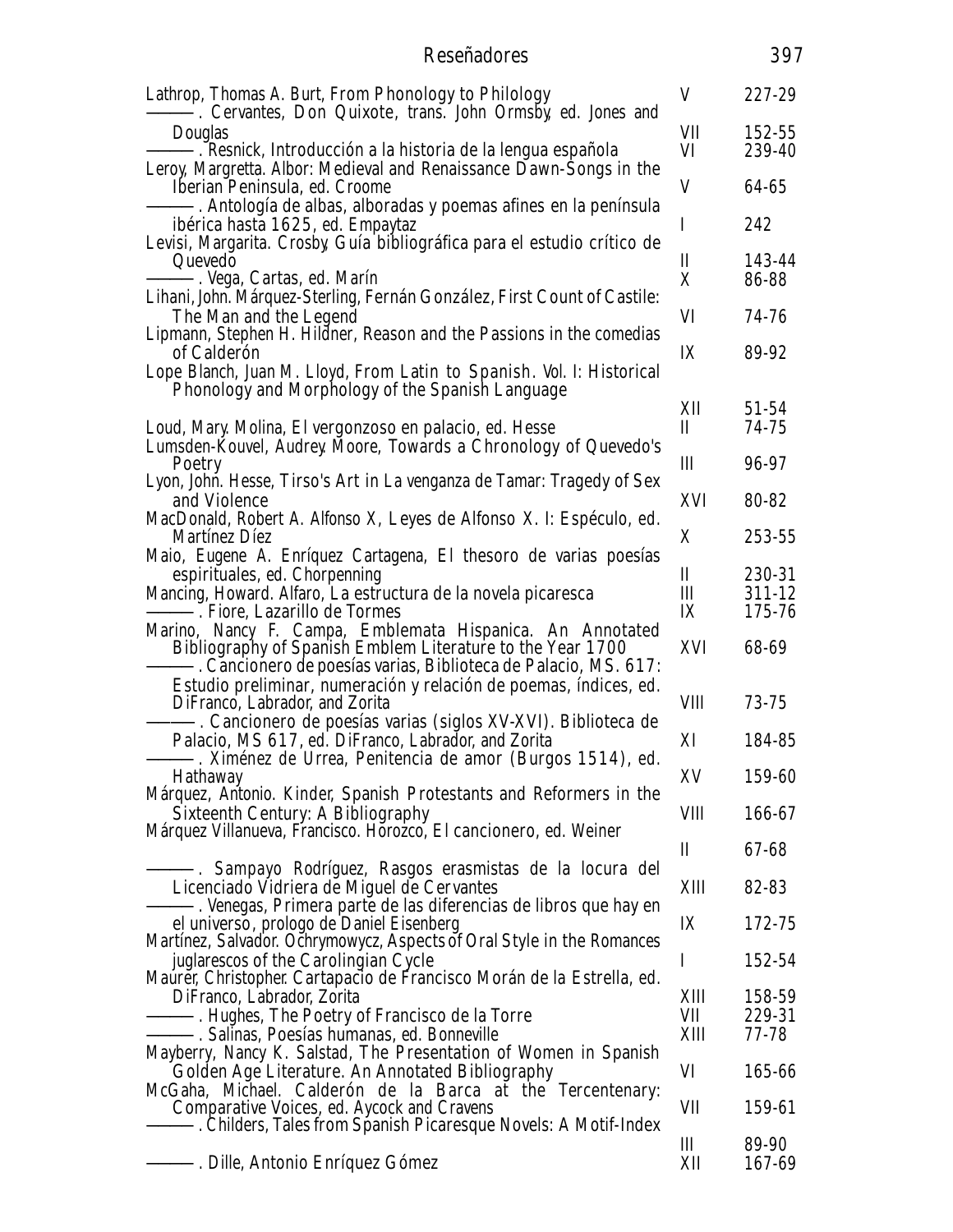| Lathrop, Thomas A. Burt, From Phonology to Philology<br>-. Cervantes, <i>Don Quixote</i> , trans. John Ormsby, ed. Jones and                                                                          | V                                    | 227-29                     |
|-------------------------------------------------------------------------------------------------------------------------------------------------------------------------------------------------------|--------------------------------------|----------------------------|
| Douglas<br>Resnick, Introducción a la historia de la lengua española                                                                                                                                  | VII<br>VI                            | 152-55<br>239-40           |
| Leroy, Margretta. Albor: Medieval and Renaissance Dawn-Songs in the<br><i>Iberian Peninsula, ed. Croome</i>                                                                                           | V                                    | 64-65                      |
| -. Antología de albas, alboradas y poemas afines en la península<br><i>ibérica hasta 1625</i> , ed. Empaytaz                                                                                          | I                                    | 242                        |
| Levisi, Margarita. Crosby, Guía bibliográfica para el estudio crítico de<br>Quevedo<br>-. Vega, <i>Cartas</i> , ed. Marín                                                                             | $\mathop{\mathrm{II}}\nolimits$<br>X | 143-44<br>86-88            |
| Lihani, John. Márquez-Sterling, Fernán González, First Count of Castile:<br>The Man and the Legend                                                                                                    | VI                                   | 74-76                      |
| Lipmann, Stephen H. Hildner, Reason and the Passions in the comedias<br>of Calderón                                                                                                                   | IX                                   | 89-92                      |
| Lope Blanch, Juan M. Lloyd, From Latin to Spanish. Vol. I: Historical<br>Phonology and Morphology of the Spanish Language                                                                             |                                      |                            |
| Loud, Mary. Molina, <i>El vergonzoso en palacio</i> , ed. Hesse<br>Lumsden-Kouvel, Audrey Moore, Towards a Chronology of Quevedo's                                                                    | XII<br>Π                             | 51-54<br>74-75             |
| Poetry<br>Lyon, John. Hesse, Tirso's Art in La venganza de Tamar: Tragedy of Sex                                                                                                                      | III                                  | 96-97                      |
| and Violence<br>MacDonald, Robert A. Alfonso X, Leyes de Alfonso X. I: Espéculo, ed.                                                                                                                  | XVI                                  | 80-82                      |
| <b>Martínez Díez</b><br>Maio, Eugene A. Enríquez Cartagena, El thesoro de varias poesías                                                                                                              | X                                    | 253-55                     |
| espirituales, ed. Chorpenning<br>Mancing, Howard. Alfaro, La estructura de la novela picaresca<br>-. Fiore, Lazarillo de Tormes                                                                       | Π<br>III<br>IX                       | 230-31<br>311-12<br>175-76 |
| Marino, Nancy F. Campa, <i>Emblemata Hispanica</i> . An Annotated<br>Bibliography of Spanish Emblem Literature to the Year 1700<br>. Cancionero de poesías varias, Biblioteca de Palacio, MS. 617:    | XVI                                  | 68-69                      |
| Estudio preliminar, numeración y relación de poemas, índices, ed.<br>DiFranco, Labrador, and Zorita                                                                                                   | <b>VIII</b>                          | 73-75                      |
| . Cancionero de poesías varias (siglos XV-XVI). Biblioteca de<br><i>Palacio, MS 617, ed. DiFranco, Labrador, and Zorita</i>                                                                           | XI                                   | 184-85                     |
| . Ximénez de Urrea, <i>Penitencia de amor (Burgos 1514),</i> ed.<br>Hathaway                                                                                                                          | XV                                   | 159-60                     |
| Márquez, Antonio. Kinder, Spanish Protestants and Reformers in the<br><b>Sixteenth Century: A Bibliography</b>                                                                                        | VШ                                   | 166-67                     |
| Márquez Villanueva, Francisco. Horozco, El cancionero, ed. Weiner                                                                                                                                     | II                                   | 67-68                      |
| –. Sampayo Rodríguez, <i>Rasgos erasmistas de la locura del</i><br>Licenciado Vidriera de Miguel de Cervantes                                                                                         | XIII                                 | 82-83                      |
| -. Venegas, <i>Primera parte d<u>e</u> las diferencias de libros que hay en</i><br>el universo, prologo de Daniel Eisenberg<br>Martinez, Salvador. Ochrymowycz, Aspects of Oral Style in the Romances | IX                                   | 172-75                     |
| juglarescos of the Carolingian Cycle<br>Maurer, Christopher. Cartapacio de Francisco Morán de la Estrella, ed.                                                                                        | I                                    | 152-54                     |
| DiFranco, Labrador, Zorita<br>-. Hughes, <i>The Poetry of Francisco de la Torre</i>                                                                                                                   | XШ<br>VII                            | 158-59<br>229-31           |
| –. Salinas, <i>Poesías humanas</i> , ed. Bonneville<br>Mayberry, Nancy K. Salstad, The Presentation of Women in Spanish                                                                               | XIII                                 | 77-78                      |
| Golden Age Literature. An Annotated Bibliography<br>McGaha, Michael. Calderón de la Barca at the Tercentenary:                                                                                        | VI                                   | 165-66                     |
| <i>Comparative Voices, ed. Aycock and Cravens</i><br>. Childers, <i>Tales from Spanish Picaresque Novels: A Motif-Index</i>                                                                           | VII                                  | 159-61                     |
| -. Dille, <i>Antonio Enríquez Gómez</i>                                                                                                                                                               | Ш<br>XII                             | 89-90<br>167-69            |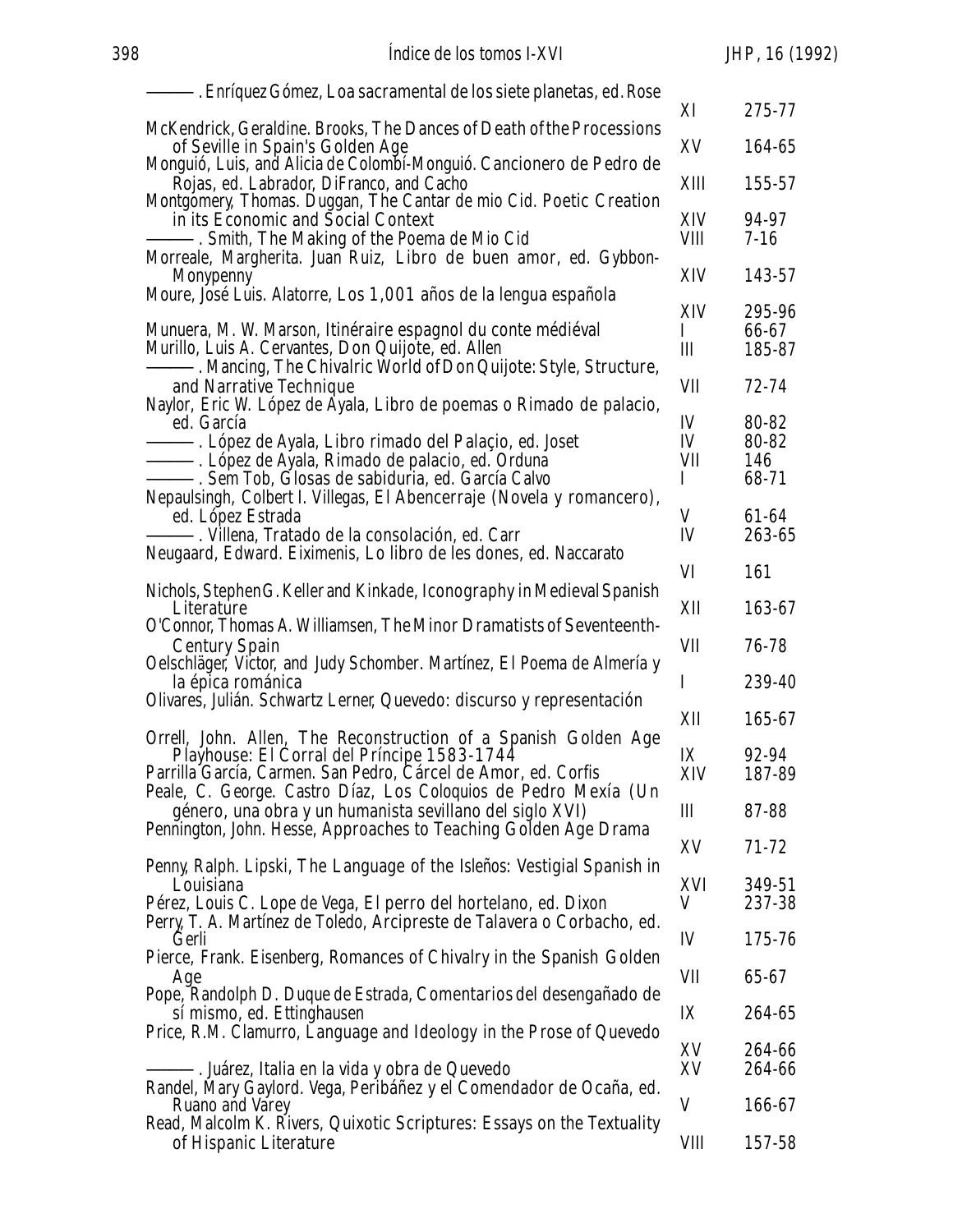| -. Enríquez Gómez, <i>Loa sacramental de los siete planetas,</i> ed. Rose                                                                                                                                                                                                               |                      |                                |
|-----------------------------------------------------------------------------------------------------------------------------------------------------------------------------------------------------------------------------------------------------------------------------------------|----------------------|--------------------------------|
|                                                                                                                                                                                                                                                                                         | XI                   | 275-77                         |
| McKendrick, Geraldine. Brooks, The Dances of Death of the Processions<br>of Seville in Spain's Golden Age                                                                                                                                                                               | XV                   | 164-65                         |
| Monguió, Luis, and Alicia de Colombí-Monguió. Cancionero de Pedro de<br><i>Rojas</i> , ed. Labrador, DiFranco, and Cacho                                                                                                                                                                | XIII                 | 155-57                         |
| Montgomery, Thomas. Duggan, The Cantar de mio Cid. Poetic Creation<br>in its Economic and Social Context<br>-. Smith, <i>The Making of the</i> Poema de Mio Cid<br>Morreale, Margherita. Juan Ruiz, Libro de buen amor, ed. Gybbon-                                                     | XIV<br>VIII          | 94-97<br>7-16                  |
| Monypenny<br>Moure, José Luis. Alatorre, Los 1,001 años de la lengua española                                                                                                                                                                                                           | XIV                  | 143-57                         |
| Munuera, M. W. Marson, Itinéraire espagnol du conte médiéval<br>Murillo, Luis A. Cervantes, <i>Don Quijote</i> , ed. Allen<br>-. Mancing, <i>The Chivalric World of Don Quijote: Style, Structure,</i>                                                                                  | XIV<br>L<br>III      | 295-96<br>66-67<br>185-87      |
| and Narrative Technique<br>Naylor, Eric W. López de Ayala, Libro de poemas o Rimado de palacio,                                                                                                                                                                                         | VII                  | 72-74                          |
| ed. García<br>-. López de Ayala, <i>Libro rimado del Palaçio</i> , ed. Joset<br>-. López de Ayala, <i>Rimado de palacio</i> , ed. Orduna<br>-. Sem Tob, <i>Glosas de sabiduria</i> , ed. García Calvo<br>Nepaulsingh, Colbert I. Villegas, <i>El Abencerraje (Novela y romancero)</i> , | IV<br>IV<br>VII<br>I | 80-82<br>80-82<br>146<br>68-71 |
| ed. López Estrada<br>-. Villena, <i>Tratado de la consolación</i> , ed. Carr<br>Neugaard, Edward. Eiximenis, Lo libro de les dones, ed. Naccarato                                                                                                                                       | V<br>IV              | 61-64<br>263-65                |
|                                                                                                                                                                                                                                                                                         | VI                   | 161                            |
| Nichols, Stephen G. Keller and Kinkade, <i>Iconography in Medieval Spanish</i><br>Literature                                                                                                                                                                                            | XII                  | 163-67                         |
| O'Connor, Thomas A. Williamsen, The Minor Dramatists of Seventeenth-<br>Century Spain                                                                                                                                                                                                   | VII                  | 76-78                          |
| Oelschläger, Victor, and Judy Schomber. Martínez, El Poema de Almería y<br>la épica románica<br>Olivares, Julián. Schwartz Lerner, Quevedo: discurso y representación                                                                                                                   | I                    | 239-40                         |
|                                                                                                                                                                                                                                                                                         | XII                  | 165-67                         |
| Orrell, John. Allen, <i>The Reconstruction of a Spanish Golden Age</i><br>Playhouse: El Corral del Príncipe 1583-1744<br>Parrilla García, Carmen. San Pedro, Cárcel de Amor, ed. Corfis<br>Peale, C. George. Castro Díaz, Los Coloquios de Pedro Mexía (Un                              | IX<br>XIV            | 92-94<br>187-89                |
| género, una obra y un humanista sevillano del siglo XVI)<br>Pennington, John. Hesse, Approaches to Teaching Golden Age Drama                                                                                                                                                            | Ш                    | 87-88                          |
| Penny, Ralph. Lipski, <i>The Language of the Isleños: Vestigial Spanish in</i>                                                                                                                                                                                                          | XV                   | 71-72                          |
| Louisiana<br>Pérez, Louis C. Lope de Vega, <i>El perro del hortelano</i> , ed. Dixon                                                                                                                                                                                                    | XVI<br>V             | 349-51<br>237-38               |
| Perry, T. A. Martínez de Toledo, Arcipreste de Talavera o Corbacho, ed.<br>Gerli                                                                                                                                                                                                        | IV                   | 175-76                         |
| Pierce, Frank. Eisenberg, Romances of Chivalry in the Spanish Golden<br>Age                                                                                                                                                                                                             | VII                  | 65-67                          |
| Pope, Randolph D. Duque de Estrada, Comentarios del desengañado de<br><i>sí mismo</i> , ed. Ettinghausen<br>Price, R.M. Clamurro, Language and Ideology in the Prose of Quevedo                                                                                                         | IX                   | 264-65                         |
|                                                                                                                                                                                                                                                                                         | XV                   | 264-66                         |
| -. Juárez, Italia en la vida y obra de Quevedo<br>Randel, Mary Gaylord. Vega, Peribáñez y el Comendador de Ocaña, ed.<br>Ruano and Varey                                                                                                                                                | XV<br>V              | 264-66<br>166-67               |
| Read, Malcolm K. Rivers, Quixotic Scriptures: Essays on the Textuality<br>of Hispanic Literature                                                                                                                                                                                        | VШ                   | 157-58                         |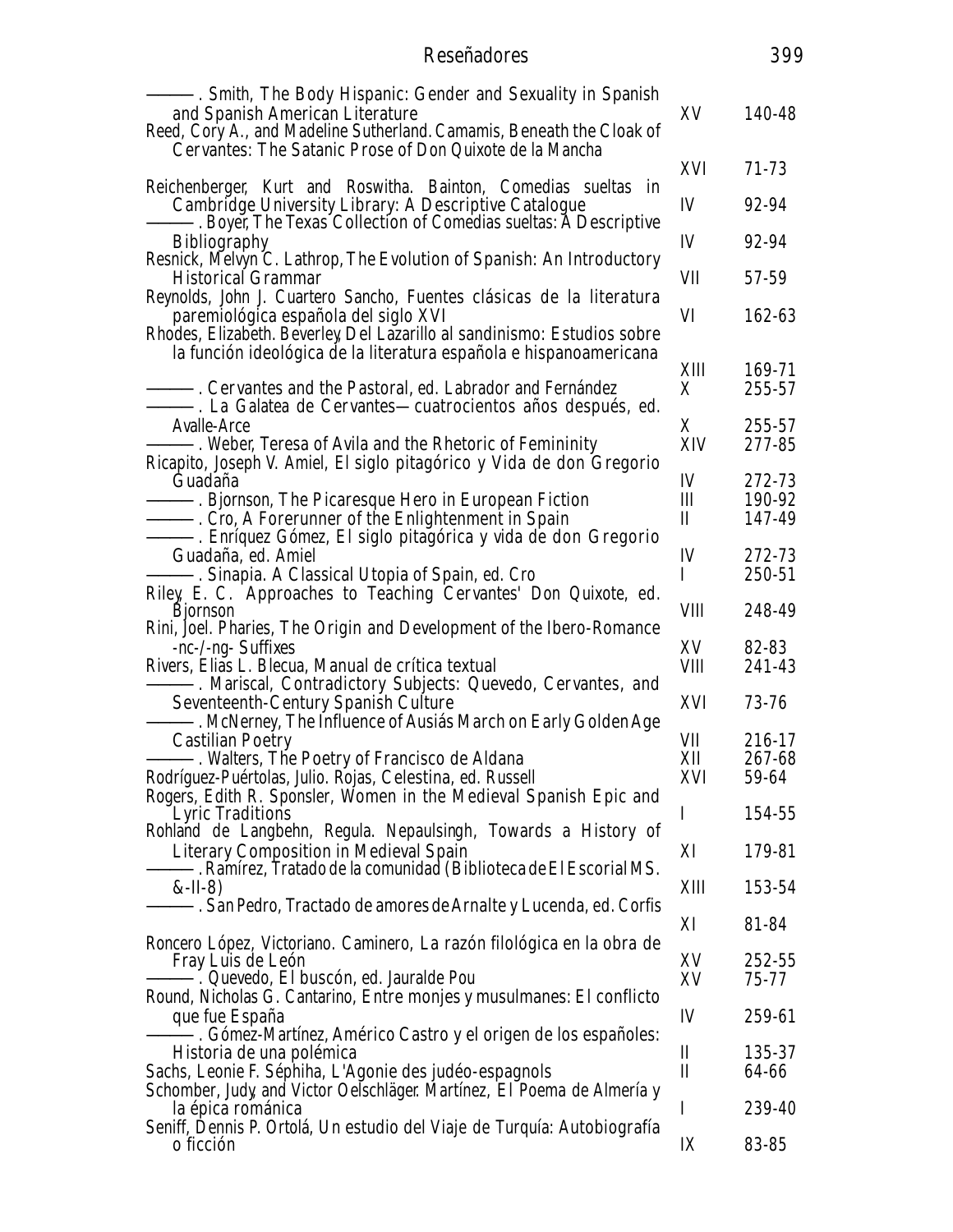| Reseñadores                                                                                                                                                                                                                                                    |                                      | 399              |
|----------------------------------------------------------------------------------------------------------------------------------------------------------------------------------------------------------------------------------------------------------------|--------------------------------------|------------------|
| -. Smith, <i>The Body Hispanic: Gender and Sexuality in Spanish</i><br>and Spanish American Literature<br>Reed, Cory A., and Madeline Sutherland. Camamis, Beneath the Cloak of<br>Cervantes: The Satanic Prose of Don Quixote de la Mancha                    | XV                                   | 140-48           |
|                                                                                                                                                                                                                                                                | XVI                                  | 71-73            |
| Reichenberger, Kurt and Roswitha. Bainton, Comedias sueltas in<br>Cambridge University Library: A Descriptive Catalogue<br>-. Boyer, <i>The Texas Collection of</i> Comedias sueltas: A Descriptive                                                            | IV                                   | 92-94            |
| <i>Bibliography</i>                                                                                                                                                                                                                                            | IV                                   | 92-94            |
| Resnick, Melvyn C. Lathrop, The Evolution of Spanish: An Introductory<br>Historical Grammar                                                                                                                                                                    | VII                                  | 57-59            |
| Reynolds, John J. Cuartero Sancho, Fuentes clásicas de la literatura<br>paremiológica española del siglo XVI<br>Rhodes, Elizabeth. Beverley, Del Lazarillo al sandinismo: Estudios sobre<br>la función ideológica de la literatura española e hispanoamericana | VI                                   | 162-63           |
| -. <i>Cervantes and the Pastoral,</i> ed. Labrador and Fernández<br>-. La Galatea <i>de Cervantes—cuatrocientos años después</i> , ed.                                                                                                                         | XIII<br>X                            | 169-71<br>255-57 |
| Avalle-Arce<br>-. Weber, <i>Teresa of Avila and the Rhetoric of Femininity</i><br>Ricapito, Joseph V. Amiel, El siglo pitagórico y Vida de don Gregorio                                                                                                        | X<br>XIV                             | 255-57<br>277-85 |
| Guadaña                                                                                                                                                                                                                                                        | IV<br>III                            | 272-73<br>190-92 |
| -. Bjornson, <i>The Picaresque Hero in European Fiction</i><br>-. Cro, A Forerunner of the Enlightenment in Spain<br>-. Enríquez Gómez, El siglo pitagórica y vida de don Gregorio                                                                             | II                                   | 147-49           |
| <i>Guadaña</i> , ed. Amiel<br>-. <i>Sinapia. A Classical Utopia of Spain</i> , ed. Cro                                                                                                                                                                         | IV<br>Ι                              | 272-73<br>250-51 |
| Riley, E. C. Approaches to Teaching Cervantes' Don Quixote, ed.<br><b>B</b> iornson<br>Rini, Joel. Pharies, The Origin and Development of the Ibero-Romance                                                                                                    | VШ                                   | 248-49           |
| -nc-/-ng- Suffixes<br>Rivers, Elias L. Blecua, Manual de crítica textual                                                                                                                                                                                       | XV<br>VШ                             | 82-83<br>241-43  |
| -. Mariscal, <i>Contradictory Subjects: Quevedo, Cervantes, and</i><br><b>Seventeenth-Century Spanish Culture</b><br>–. McNerney, <i>The Influence of Ausiás March on Early Golden Age</i>                                                                     | XVI                                  | 73-76            |
| Castilian Poetry                                                                                                                                                                                                                                               | VII                                  | 216-17           |
| -. Walters, <i>The Poetry of Francisco de Aldana</i><br>Rodríguez-Puértolas, Julio. Rojas, <i>Celestina</i> , ed. Russell                                                                                                                                      | XII<br>XVI                           | 267-68<br>59-64  |
| Rogers, Edith R. Sponsler, Women in the Medieval Spanish Epic and<br>Lyric Traditions                                                                                                                                                                          | I                                    | 154-55           |
| Rohland de Langbehn, Regula. Nepaulsingh, Towards a History of<br>Literary Composition in Medieval Spain                                                                                                                                                       | XI                                   | 179-81           |
| -. Ramírez, Tratado de la comunidad <i>(Biblioteca de El Escorial MS.</i><br>$&$ -II-8)                                                                                                                                                                        | XIII                                 | 153-54           |
| -. San Pedro, <i>Tractado de amores de Arnalte y Lucenda</i> , ed. Corfis                                                                                                                                                                                      | XI                                   | 81-84            |
| Roncero López, Victoriano. Caminero, La razón filológica en la obra de<br>Fray Luis de León<br>-. Quevedo, <i>El buscón,</i> ed. Jauralde Pou                                                                                                                  | XV<br>XV                             | 252-55<br>75-77  |
| Round, Nicholas G. Cantarino, <i>Entre monjes y musulmanes: El conflicto</i><br>que fue España                                                                                                                                                                 | IV                                   | 259-61           |
| -. Gómez-Martínez, <i>Américo Castro y el origen de los españoles:</i><br>Historia de una polémica                                                                                                                                                             | $\mathop{\mathrm{I}\hspace{-.1em}I}$ | 135-37           |
| Sachs, Leonie F. Séphiha, L'Agonie des judéo-espagnols                                                                                                                                                                                                         | $\mathbf I$                          | 64-66            |
| Schomber, Judy, and Victor Oelschläger Martínez, El Poema de Almería y<br>la épica románica                                                                                                                                                                    | $\bf{l}$                             | 239-40           |
| Seniff, Dennis P. Ortolá, <i>Un estudio del</i> Viaje de Turquía: Autobiografía<br>o ficción                                                                                                                                                                   | IX                                   | 83-85            |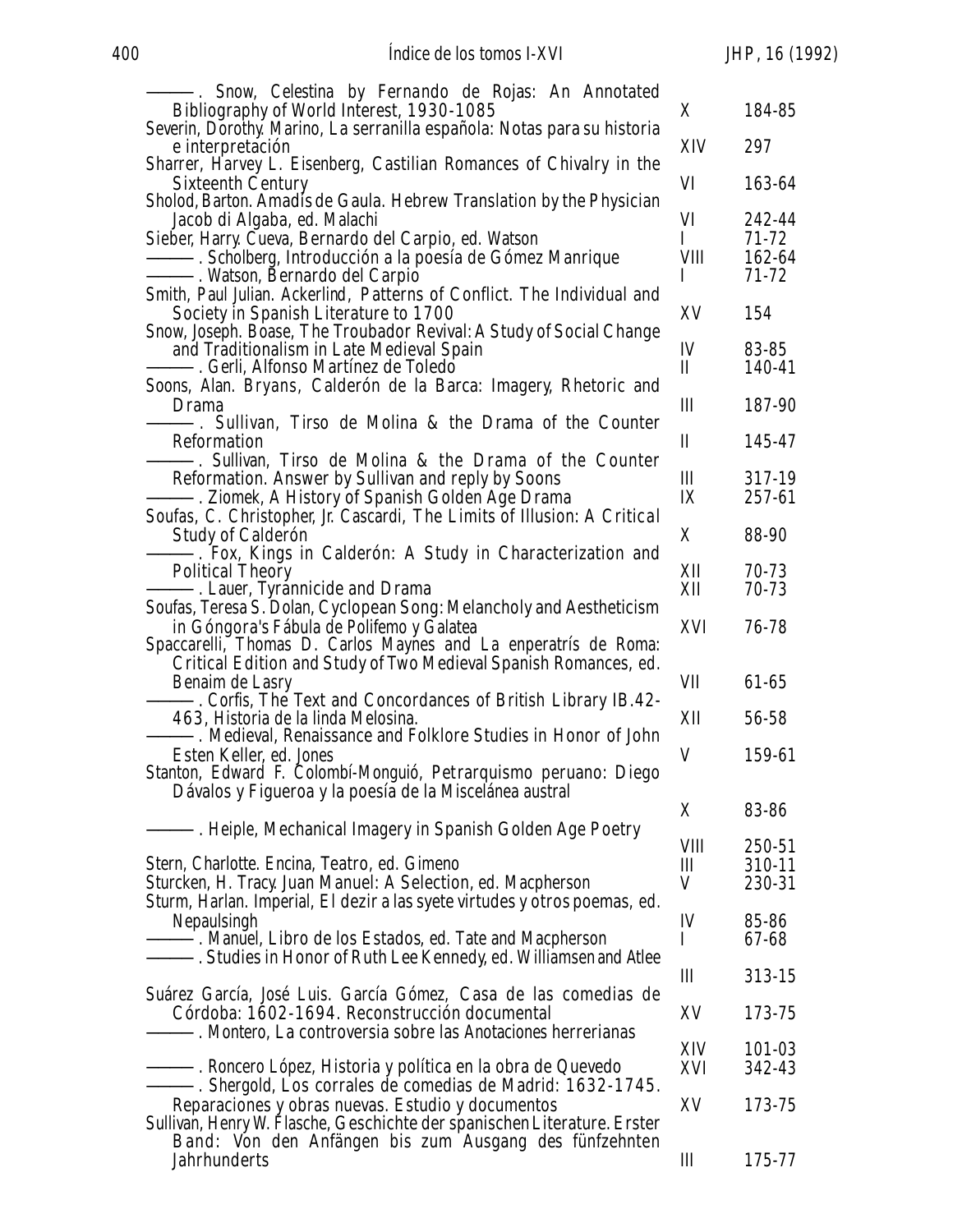| -. Snow, Celestina by Fernando de Rojas: An Annotated                                                            |              |                  |
|------------------------------------------------------------------------------------------------------------------|--------------|------------------|
| Bibliography of World Interest, 1930-1085                                                                        | X            | 184-85           |
| Severin, Dorothy. Marino, La serranilla española: Notas para su historia                                         |              |                  |
| e interpretación                                                                                                 | XIV          | 297              |
| Sharrer, Harvey L. Eisenberg, Castilian Romances of Chivalry in the                                              |              |                  |
| <b>Sixteenth Century</b>                                                                                         | VI           | 163-64           |
| Sholod, Barton. Amadís de Gaula. Hebrew Translation by the Physician                                             |              |                  |
| Jacob di Algaba, ed. Malachi                                                                                     | VI           | 242-44           |
| Sieber, Harry. Cueva, <i>Bernardo del Carpio</i> , ed. Watson                                                    | I            | $71 - 72$        |
| -. Scholberg, Introducción a la poesía de Gómez Manrique                                                         | <b>VIII</b>  | 162-64           |
| –. Watson, <i>Bernardo del Carpio</i>                                                                            | L            | $71 - 72$        |
| Smith, Paul Julian. Ackerlind, Patterns of Conflict. The Individual and<br>Society in Spanish Literature to 1700 | XV           | 154              |
| Snow, Joseph. Boase, The Troubador Revival: A Study of Social Change                                             |              |                  |
| and Traditionalism in Late Medieval Spain                                                                        | IV           | 83-85            |
| —. Gerli, <i>Alfonso Martínez de Toledô</i>                                                                      | $\mathbf{I}$ | 140-41           |
| Soons, Alan. Bryans, Calderón de la Barca: Imagery, Rhetoric and                                                 |              |                  |
| Drama                                                                                                            | III          | 187-90           |
| -. Sullivan, <i>Tirso de Molina &amp; the Drama of the Counter</i>                                               |              |                  |
| Reformation                                                                                                      | $\mathbf{I}$ | 145-47           |
| -. Sullivan, <i>Tirso de Molina &amp; the Drama of the Counter</i>                                               |              |                  |
| Reformation. Answer by Sullivan and reply by Soons                                                               | III          | 317-19           |
| -. Ziomek, A History of Spanish Golden Age Drama                                                                 | IX           | 257-61           |
| Soufas, C. Christopher, Jr. Cascardi, The Limits of Illusion: A Critical                                         |              |                  |
| Study of Calderón                                                                                                | X            | 88-90            |
| -. Fox, Kings in Calderón: A Study in Characterization and                                                       |              |                  |
| <b>Political Theory</b>                                                                                          | XII          | 70-73            |
| -. Lauer, Tyrannicide and Drama<br>Soufas, Teresa S. Dolan, <i>Cyclopean Song: Melancholy and Aestheticism</i>   | XII          | 70-73            |
| in Góngora's Fábula de Polifemo y Galatea                                                                        | XVI          | 76-78            |
| Spaccarelli, Thomas D. Carlos Maynes and La enperatris de Roma:                                                  |              |                  |
| Critical Edition and Study of Two Medieval Spanish Romances, ed.                                                 |              |                  |
| Benaim de Lasry                                                                                                  | VII          | 61-65            |
| -. Corfis, The Text and Concordances of British Library IB.42-                                                   |              |                  |
| 463, Historia de la linda Melosina.                                                                              | XII          | 56-58            |
| -. Medieval, Renaissance and Folklore Studies in Honor of John                                                   |              |                  |
| <i>Esten Keller, ed. Jones</i>                                                                                   | V            | 159-61           |
| Stanton, Edward F. Colombi-Monguió, Petrarquismo peruano: Diego                                                  |              |                  |
| Dávalos y Figueroa y la poesía de la Miscelánea austral                                                          |              |                  |
|                                                                                                                  | X            | 83-86            |
| –. Heiple, <i>Mechanical Imagery in Spanish Golden Age Poetry</i>                                                |              |                  |
| Stern, Charlotte. Encina, <i>Teatro</i> , ed. Gimeno                                                             | VIII<br>Ш    | 250-51<br>310-11 |
| Sturcken, H. Tracy. Juan Manuel: A Selection, ed. Macpherson                                                     | V            | 230-31           |
| Sturm, Harlan. Imperial, <i>El dezir a las syete virtudes y otros poemas</i> , ed.                               |              |                  |
| Nepaulsingh                                                                                                      | IV           | 85-86            |
| -. Manuel, <i>Libro de los Estados</i> , ed. Tate and Macpherson                                                 | I            | 67-68            |
| –. <i>Studies in Honor of Ruth Lee Kennedy,</i> ed. Williamsen and Atlee                                         |              |                  |
|                                                                                                                  | $\mathbf{I}$ | 313-15           |
| Suárez García, José Luis. García Gómez, <i>Casa de las comedias de</i>                                           |              |                  |
| Córdoba: 1602-1694. Reconstrucción documental                                                                    | XV           | 173-75           |
| -. Montero, <i>La controversia sobre las</i> Anotaciones <i>herrerianas</i>                                      |              |                  |
|                                                                                                                  | XIV          | 101-03           |
| —. Roncero López, <i>Historia y política en la obra de Quevedo</i>                                               | XVI          | 342-43           |
| ------------. Shergold, Los corrales de comedias de Madrid: 1632-1745.                                           |              |                  |
| Reparaciones y obras nuevas. Estudio y documentos                                                                | XV           | 173-75           |
| Sullivan, Henry W. Flasche, <i>Geschichte der spanischen Literature. Erster</i>                                  |              |                  |
| Band: Von den Anfängen bis zum Ausgang des fünfzehnten<br><b><i>Jahrhunderts</i></b>                             | III          | 175-77           |
|                                                                                                                  |              |                  |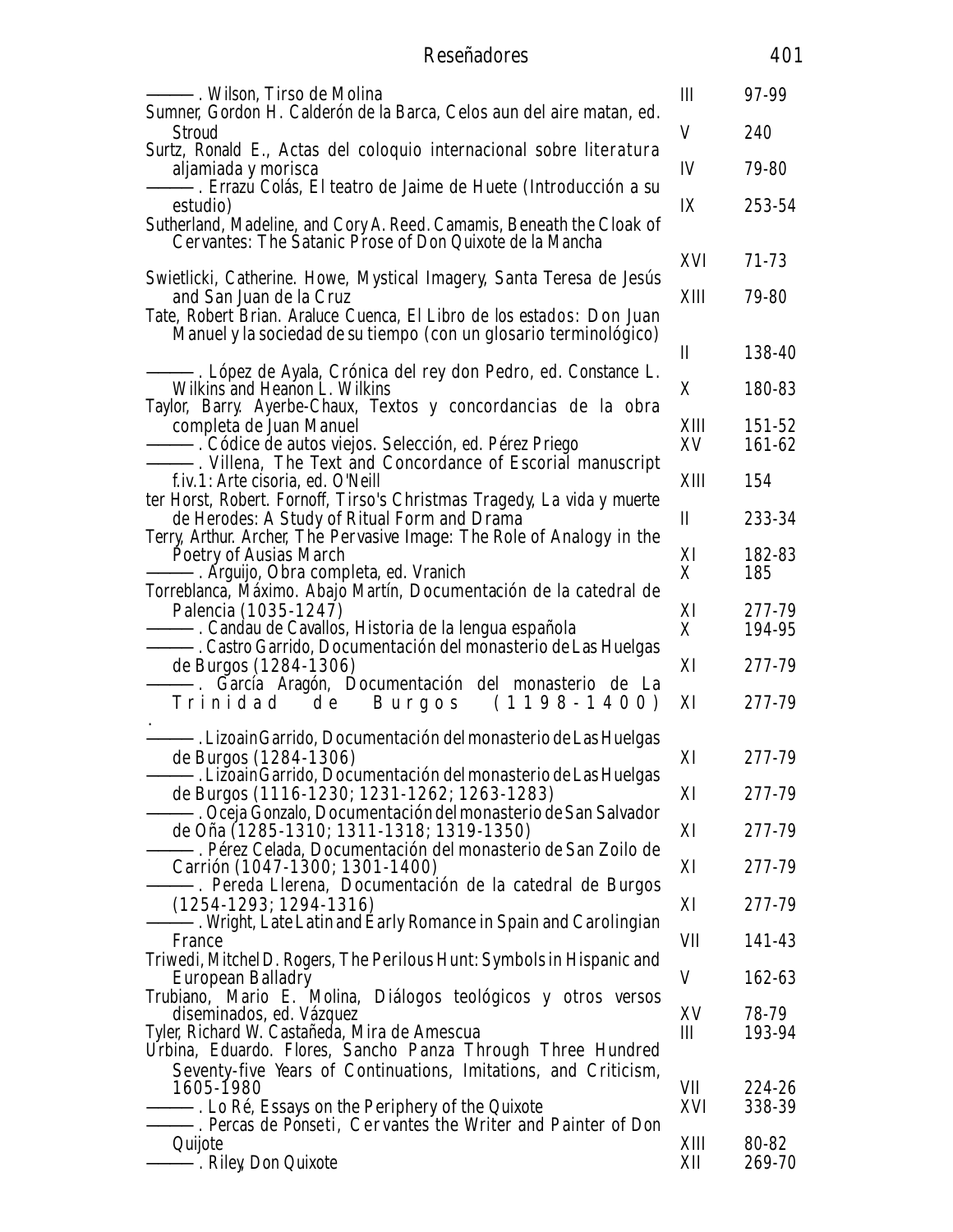## Reseñadores 401

| ————. Wilson, <i>Tirso de Molina</i>                                                                                                        | III          | 97-99            |
|---------------------------------------------------------------------------------------------------------------------------------------------|--------------|------------------|
| Sumner, Gordon H. Calderón de la Barca, Celos aun del aire matan, ed.<br><b>Stroud</b>                                                      | V            | 240              |
| Surtz, Ronald E., Actas del coloquio internacional sobre literatura<br>aljamiada y morisca                                                  | IV           | 79-80            |
| — Errazu Colás, <i>El teatro de Jaime de Huete (Introducción a su</i><br>estudio)                                                           | IX           | 253-54           |
| Sutherland, Madeline, and Cory A. Reed. Camamis, Beneath the Cloak of<br>Cervantes: The Satanic Prose of Don Quixote de la Mancha           |              |                  |
| Swietlicki, Catherine. Howe, Mystical Imagery, Santa Teresa de Jesús                                                                        | XVI          | 71-73            |
| and San Juan de la Cruz<br>Tate, Robert Brian. Araluce Cuenca, El Libro de los estados: Don Juan                                            | XIII         | 79-80            |
| Manuel y la sociedad de su tiempo (con un glosario terminológico)                                                                           | П            | 138-40           |
| -. López de Ayala, <i>Crónica del rey don Pedro</i> , ed. Constance L.<br>Wilkins and Heanon L. Wilkins                                     |              |                  |
| Taylor, Barry. Ayerbe-Chaux, Textos y concordancias de la obra                                                                              | X            | 180-83           |
| completa de Juan Manuel                                                                                                                     | XIII<br>XV   | 151-52<br>161-62 |
| f.iv. 1: Arte cisoria, ed. O'Neill                                                                                                          | XIII         | 154              |
| ter Horst, Robert. Fornoff, Tirso's Christmas Tragedy, La vida y muerte<br>de Herodes: A Study of Ritual Form and Drama                     | $\mathbf{I}$ | 233-34           |
| Terry, Arthur. Archer, The Pervasive Image: The Role of Analogy in the                                                                      |              |                  |
| Poetry of Ausias March<br>-. Arguijo, <i>Obra completa</i> , ed. Vranich                                                                    | XI<br>X      | 182-83<br>185    |
| Torreblanca, Máximo. Abajo Martín, Documentación de la catedral de<br>Palencia (1035-1247)                                                  | XI           | 277-79           |
| ————. Candau de Cavallos, <i>Historia de la lengua española</i><br>-----------. Castro Garrido, Documentación del monasterio de Las Huelgas | X            | 194-95           |
| de Burgos (1284-1306)                                                                                                                       | XI           | 277-79           |
| García Aragón, Documentación del monasterio de La<br>Burgos (1198-1400)<br>$Triindad \quad de$                                              | XI           | 277-79           |
| –. Lizoain Garrido, <i>Documentación del monasterio de Las Huelgas</i>                                                                      |              |                  |
| de Burgos (1284-1306)<br>-. Lizoain Garrido, Documentación del monasterio de Las Huelgas                                                    | XI           | 277-79           |
| de Burgos (1116-1230; 1231-1262; 1263-1283)<br>-. Oceja Gonzalo, <i>Documentación del monasterio de San Salvador</i>                        | XI           | 277-79           |
| de Oña (1285-1310; 1311-1318; 1319-1350)<br>-. Pérez Celada, <i>Documentación del monasterio de San Zoilo de</i>                            | XI           | 277-79           |
| Carrión (1047-1300; 1301-1400)<br>-. Pereda Llerena, <i>Documentación de la catedral de Burgos</i>                                          | XI           | 277-79           |
| $(1254-1293; 1294-1316)$                                                                                                                    | XI           | 277-79           |
| -. Wright, Late Latin and Early Romance in Spain and Carolingian<br><i>France</i>                                                           | VII          | 141-43           |
| Triwedi, Mitchel D. Rogers, The Perilous Hunt: Symbols in Hispanic and<br>European Balladry                                                 | V            | 162-63           |
| Trubiano, Mario E. Molina, Diálogos teológicos y otros versos<br><i>diseminados, ed.</i> Vázquez                                            | XV           | 78-79            |
| Tyler, Richard W. Castañeda, Mira de Amescua                                                                                                | III          | 193-94           |
| Urbina, Eduardo. Flores, Sancho Panza Through Three Hundred<br>Seventy-five Years of Continuations, Imitations, and Criticism,              |              |                  |
| 1605-1980<br>–. Lo Ré, <i>Essays on the Periphery of the</i> Quixote                                                                        | VII<br>XVI   | 224-26<br>338-39 |
| -. Percas de Ponseti, <i>Cervantes the Writer and Painter of</i> Don<br>Quijote                                                             | XIII         | 80-82            |
| -. Riley, Don Quixote                                                                                                                       | XII          | 269-70           |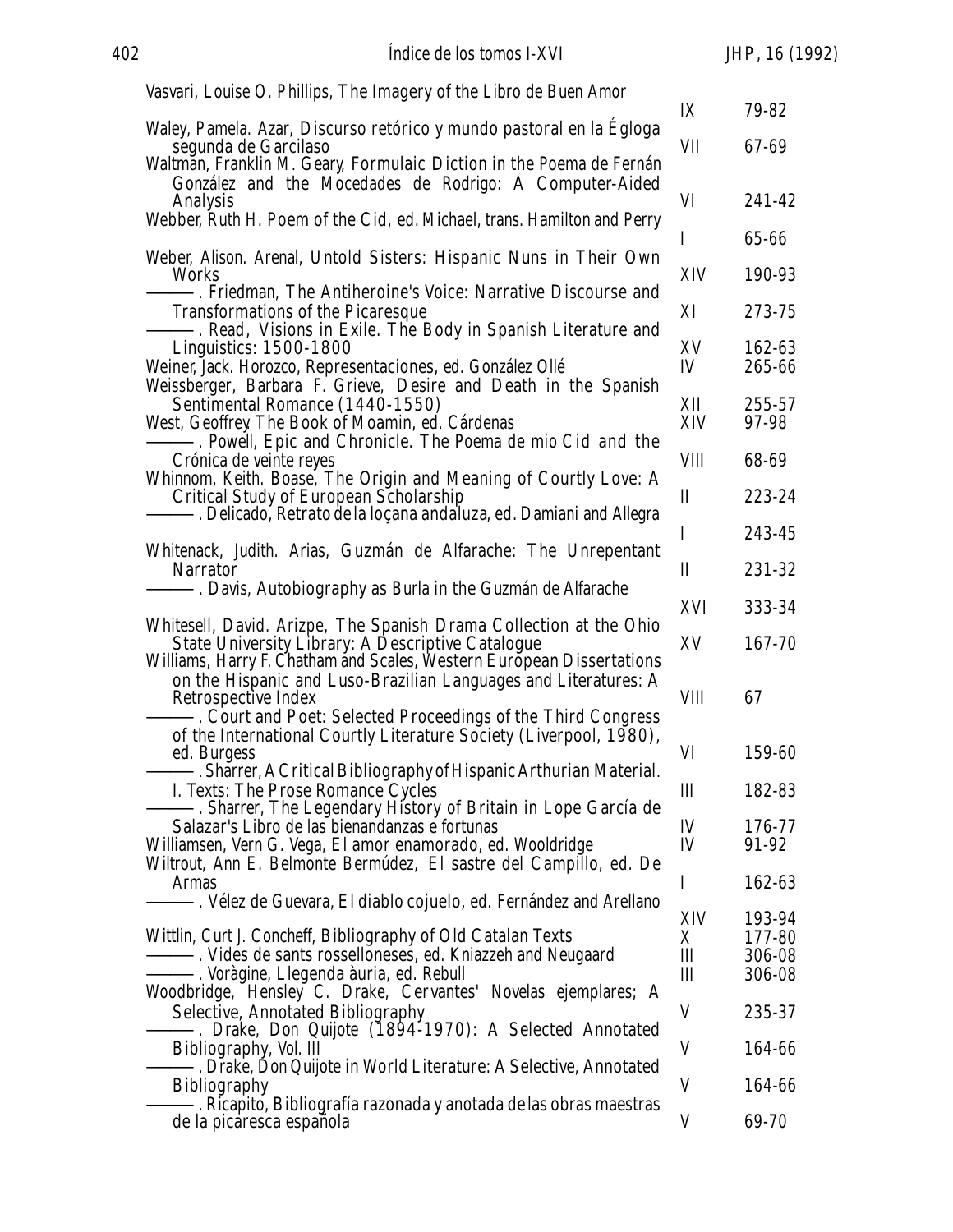| Vasvari, Louise O. Phillips, The Imagery of the Libro de Buen Amor                                                            |              |                  |
|-------------------------------------------------------------------------------------------------------------------------------|--------------|------------------|
|                                                                                                                               | IX           | 79-82            |
| Waley, Pamela. Azar, Discurso retórico y mundo pastoral en la Egloga<br>segunda de Garcilaso                                  | VII          | 67-69            |
| Waltman, Franklin M. Geary, Formulaic Diction in the Poema de Fernán                                                          |              |                  |
| González and the Mocedades de Rodrigo: A Computer-Aided                                                                       |              |                  |
| <i>Analysis</i>                                                                                                               | VI           | 241-42           |
| Webber, Ruth H. Poem of the Cid, ed. Michael, trans. Hamilton and Perry                                                       | $\mathbf{I}$ | 65-66            |
| Weber, Alison. Arenal, Untold Sisters: Hispanic Nuns in Their Own                                                             |              |                  |
| Works                                                                                                                         | XIV          | 190-93           |
| -. Friedman, <i>The Antiheroine's Voice: Narrative Discourse and</i><br>Transformations of the Picaresque                     | XI           | 273-75           |
| -. Read, Visions in Exile. The Body in Spanish Literature and                                                                 |              |                  |
| <i>Linguistics: 1500-1800</i>                                                                                                 | XV           | 162-63           |
| Weiner, Jack. Horozco, Representaciones, ed. González Ollé<br>Weissberger, Barbara F. Grieve, Desire and Death in the Spanish | IV           | 265-66           |
| Sentimental Romance (1440-1550)                                                                                               | XII          | 255-57           |
| West, Geoffrey. The Book of Moamin, ed. Cárdenas                                                                              | XIV          | 97-98            |
| -. Powell, <i>Epic and Chronicle. The Poema de mio Cid and the</i><br>Crónica de veinte reyes                                 | VIII         | 68-69            |
| Whinnom, Keith. Boase, The Origin and Meaning of Courtly Love: A                                                              |              |                  |
| Critical Study of European Scholarship                                                                                        | $\mathbf{I}$ | 223-24           |
| . Delicado, <i>Retrato de la loçana andaluza</i> , ed. Damiani and Allegra                                                    | I            | 243-45           |
| Whitenack, Judith. Arias, <i>Guzmán de Alfarache: The Unrepentant</i>                                                         |              |                  |
| <b>Narrator</b>                                                                                                               | $\mathbf{I}$ | 231-32           |
| -. Davis, <i>Autobiography as</i> Burla <i>in the</i> Guzmán de Alfarache                                                     | XVI          | 333-34           |
| Whitesell, David. Arizpe, The Spanish Drama Collection at the Ohio                                                            |              |                  |
| State University Library: A Descriptive Catalogue                                                                             | XV           | 167-70           |
| Williams, Harry F. Chatham and Scales, Western European Dissertations                                                         |              |                  |
| on the Hispanic and Luso-Brazilian Languages and Literatures: A<br>Retrospective Index                                        | VIII         | 67               |
| -. Court and Poet: Selected Proceedings of the Third Congress                                                                 |              |                  |
| of the International Courtly Literature Society (Liverpool, 1980),                                                            | VI           | 159-60           |
| ed. Burgess<br>. Sharrer, A Critical Bibliography of Hispanic Arthurian Material.                                             |              |                  |
| I. Texts: The Prose Romance Cycles                                                                                            | III          | 182-83           |
| Sharrer, The Legendary History of Britain in Lope García de                                                                   | IV           | 176-77           |
| <i>Salazar's</i> Libro de las bienandanzas e fortunas<br>Williamsen, Vern G. Vega, <i>El amor enamorado</i> , ed. Wooldridge  | IV           | 91-92            |
| Wiltrout, Ann E. Belmonte Bermúdez, <i>El sastre del Campillo</i> , ed. De                                                    |              |                  |
|                                                                                                                               |              |                  |
| Armas                                                                                                                         | $\mathbf{I}$ | 162-63           |
| -. Vélez de Guevara, <i>El diablo cojuelo,</i> ed. Fernández and Arellano                                                     |              |                  |
| Wittlin, Curt J. Concheff, <i>Bibliography of Old Catalan Texts</i>                                                           | XIV<br>X     | 193-94<br>177-80 |
| -. <i>Vides de sants rosselloneses</i> , ed. Kniazzeh and Neugaard                                                            | Ш            | 306-08           |
| –. Voràgine, <i>Llegenda àuria</i> , ed. Rebull                                                                               | III          | 306-08           |
| Woodbridge, Hensley C. Drake, <i>Cervantes'</i> Novelas ejemplares; A<br>Selective, Annotated Bibliography                    | V            | 235-37           |
| -. Drake, Don Quijote (1894-1970): A Selected Annotated                                                                       |              |                  |
| <i>Bibliography</i> , Vol. III                                                                                                | V            | 164-66           |
| -. Drake, Don Quijote <i>in World Literature: A Selective, Annotated</i><br><b>Bibliography</b>                               | V            | 164-66           |
| -. Ricapito, <i>Bibliografía razonada y anotada de las obras maestras</i><br>de la picaresca española                         | V            | 69-70            |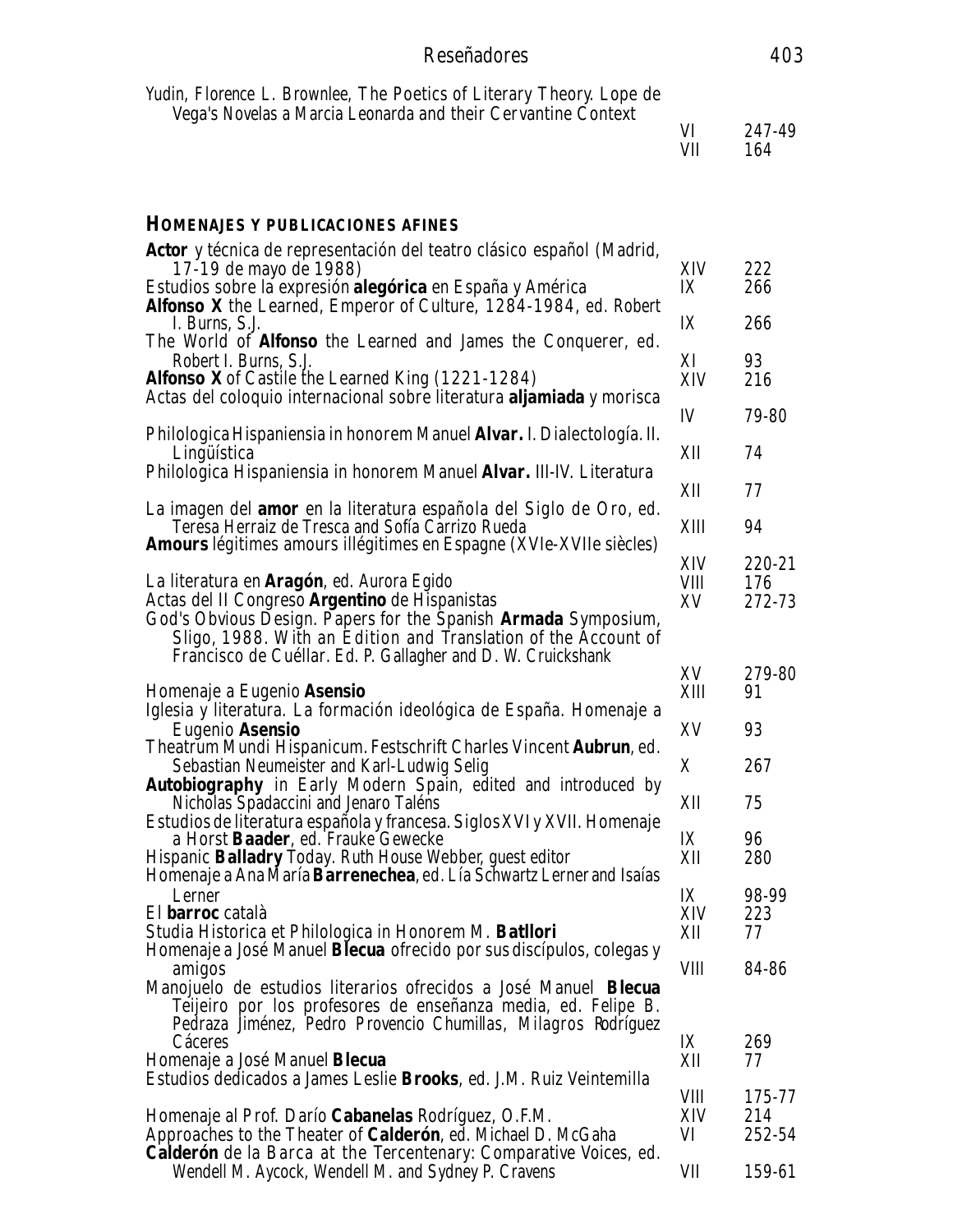| Yudin, Florence L. Brownlee, <i>The Poetics of Literary Theory. Lope de</i><br>Vega's Novelas a Marcia Leonarda and their Cervantine Context                                                                                                                                                                                 | VI<br>VII                | 247-49<br>164           |
|------------------------------------------------------------------------------------------------------------------------------------------------------------------------------------------------------------------------------------------------------------------------------------------------------------------------------|--------------------------|-------------------------|
| <b>HOMENAJES Y PUBLICACIONES AFINES</b>                                                                                                                                                                                                                                                                                      |                          |                         |
| <b>Actor</b> y técnica de representación del teatro clásico español (Madrid,<br>17-19 de mayo de 1988)<br>Estudios sobre la expresión <b>alegórica</b> en España y América<br><b>Alfonso X</b> the Learned, Emperor of Culture, 1284-1984, ed. Robert                                                                        | XIV<br>IX                | 222<br>266              |
| I. Burns, S.J.<br>The World of <b>Alfonso</b> the Learned and James the Conquerer, ed.                                                                                                                                                                                                                                       | IX                       | 266                     |
| Robert I. Burns, S.J.<br><b>Alfonso X</b> of Castile the Learned King $(1221-1284)$<br>Actas del coloquio internacional sobre literatura <b>aljamiada</b> y morisca                                                                                                                                                          | XI<br>XIV                | 93<br>216               |
| Philologica Hispaniensia in honorem Manuel <b>Alvar.</b> I. Dialectología. II.                                                                                                                                                                                                                                               | IV                       | 79-80                   |
| Lingüística<br>Philologica Hispaniensia in honorem Manuel <b>Alvar.</b> III-IV. Literatura                                                                                                                                                                                                                                   | XII                      | 74                      |
| La imagen del <b>amor</b> en la literatura española del Siglo de Oro, ed.                                                                                                                                                                                                                                                    | XII                      | 77                      |
| Teresa Herraiz de Tresca and Sofía Carrizo Rueda<br><b>Amours</b> légitimes amours illégitimes en Espagne (XVIe-XVIIe siècles)                                                                                                                                                                                               | XШ                       | 94                      |
| La literatura en <b>Aragón</b> , ed. Aurora Egido<br>Actas del II Congreso <b>Argentino</b> de Hispanistas<br>God's Obvious Design. Papers for the Spanish <b>Armada</b> Symposium,<br>Sligo, 1988. With an Edition and Translation of the Account of<br><i>Francisco de Cuéllar.</i> Ed. P. Gallagher and D. W. Cruickshank | XIV<br><b>VIII</b><br>XV | 220-21<br>176<br>272-73 |
| Homenaje a Eugenio <b>Asensio</b>                                                                                                                                                                                                                                                                                            | XV<br>XIII               | 279-80<br>91            |
| Iglesia y literatura. La formación ideológica de España. Homenaje a<br>Eugenio <b>Asensio</b><br>Theatrum Mundi Hispanicum. Festschrift Charles Vincent Aubrun, ed.                                                                                                                                                          | XV                       | 93                      |
| Sebastian Neumeister and Karl-Ludwig Selig<br><b>Autobiography</b> in Early Modern Spain, edited and introduced by                                                                                                                                                                                                           | X                        | 267                     |
| Nicholas Spadaccini and Jenaro Taléns<br>Estudios de literatura española y francesa. Siglos XVI y XVII. Homenaje                                                                                                                                                                                                             | XII                      | 75                      |
| <i>a Horst <b>Baader</b></i> , ed. Frauke Gewecke<br>Hispanic <b>Balladry</b> Today. Ruth House Webber, guest editor<br><i>Homenaje a Ana María <b>Barrenechea</b></i> , ed. Lía Schwartz Lerner and Isaías                                                                                                                  | IX<br>XII                | 96<br>280               |
| Lerner<br>El <b>barroc</b> català<br>Studia Historica et Philologica in Honorem M. <b>Batllori</b>                                                                                                                                                                                                                           | IX<br>XIV<br>XII         | 98-99<br>223<br>77      |
| Homenaje a José Manuel <b>Blecua</b> ofrecido por sus discípulos, colegas y<br>amigos<br>Manojuelo de estudios literarios ofrecidos a José Manuel <b>Blecua</b><br>Teijeiro por los profesores de enseñanza media, ed. Felipe B.                                                                                             | VШ                       | 84-86                   |
| Pedraza Jiménez, Pedro Provencio Chumillas, Milagros Rodríguez<br>Cáceres<br>Homenaje a José Manuel <b>Blecua</b><br>Estudios dedicados a James Leslie <b>Brooks</b> , ed. J.M. Ruiz Veintemilla                                                                                                                             | IX<br>XII                | 269<br>77               |
| Homenaje al Prof. Darío <b>Cabanelas</b> Rodríguez, O.F.M.<br>Approaches to the Theater of <b>Calderón</b> , ed. Michael D. McGaha                                                                                                                                                                                           | VIII<br>XIV<br>VI        | 175-77<br>214<br>252-54 |
| <b>Calderón</b> de la Barca at the Tercentenary: Comparative Voices, ed.<br>Wendell M. Aycock, Wendell M. and Sydney P. Cravens                                                                                                                                                                                              | VІІ                      | 159-61                  |

Reseñadores 403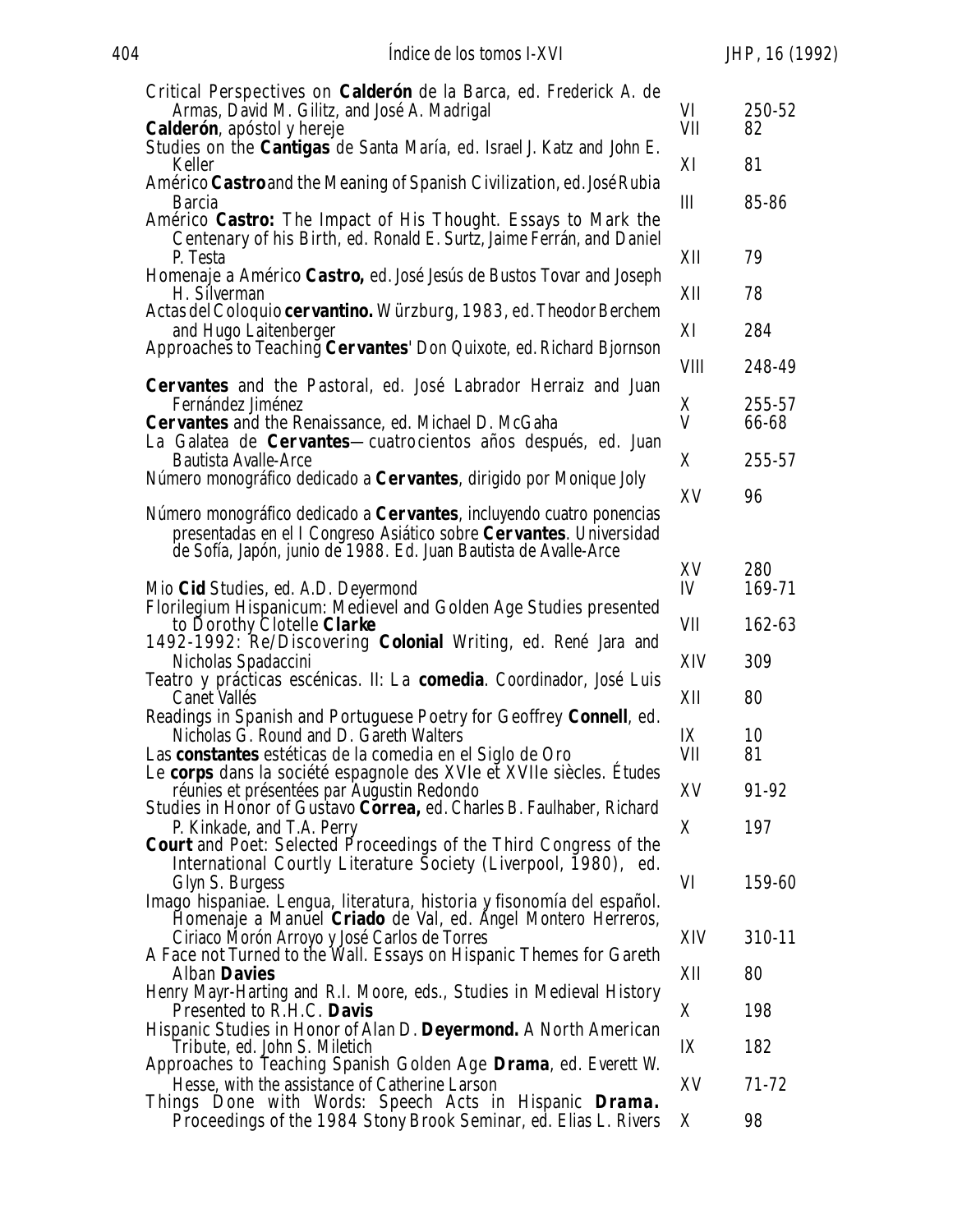| Critical Perspectives on <b>Calderón</b> de la Barca, ed. Frederick A. de<br>Armas, David M. Gilitz, and José A. Madrigal<br><b>Calderón</b> , apóstol y hereje                                                        | VI<br>VII   | 250-52<br>82    |
|------------------------------------------------------------------------------------------------------------------------------------------------------------------------------------------------------------------------|-------------|-----------------|
| Studies on the <b>Cantigas</b> de Santa María, ed. Israel J. Katz and John E.<br>Keller                                                                                                                                | XI          | 81              |
| Américo <b>Castro</b> and the Meaning of Spanish Civilization, ed. José Rubia                                                                                                                                          |             |                 |
| <b>Barcia</b><br>Américo <b>Castro:</b> The Impact of His Thought. Essays to Mark the<br>Centenary of his Birth, ed. Ronald E. Surtz, Jaime Ferrán, and Daniel                                                         | III         | 85-86           |
| P. Testa<br>Homenaje a Américo <b>Castro</b> , ed. José Jesús de Bustos Tovar and Joseph                                                                                                                               | XII         | 79              |
| H. Silverman<br>Actas del Coloquio cervantino. Würzburg, 1983, ed. Theodor Berchem                                                                                                                                     | XII         | 78              |
| and Hugo Laitenberger<br>Approaches to Teaching Cervantes' Don Quixote, ed. Richard Bjornson                                                                                                                           | XI          | 284             |
|                                                                                                                                                                                                                        | <b>VIII</b> | 248-49          |
| <b>Cervantes</b> and the Pastoral, ed. José Labrador Herraiz and Juan<br>Fernández Jiménez<br><b>Cervantes</b> and the Renaissance, ed. Michael D. McGaha                                                              | X<br>V      | 255-57<br>66-68 |
| La Galatea de <b>Cervantes</b> —cuatrocientos años después, ed. Juan<br><b>Bautista Avalle-Arce</b><br>Número monográfico dedicado a Cervantes, dirigido por Monique Joly                                              | X           | 255-57          |
|                                                                                                                                                                                                                        | XV          | 96              |
| Número monográfico dedicado a <b>Cervantes</b> , incluyendo cuatro ponencias<br>presentadas en el I Congreso Asiático sobre Cervantes. Universidad<br>de Sofía, Japón, junio de 1988. Ed. Juan Bautista de Avalle-Arce |             |                 |
| Mio Cid Studies, ed. A.D. Deyermond<br>Florilegium Hispanicum: Medievel and Golden Age Studies presented                                                                                                               | XV<br>IV    | 280<br>169-71   |
| to Dorothy Clotelle <b>Clarke</b><br>1492-1992: Re/Discovering <b>Colonial</b> Writing, ed. René Jara and                                                                                                              | VII         | 162-63          |
| Nicholas Spadaccini<br>Teatro y prácticas escénicas. II: La comedia. Coordinador, José Luis                                                                                                                            | XIV         | 309             |
| Canet Vallés                                                                                                                                                                                                           | XII         | 80              |
| Readings in Spanish and Portuguese Poetry for Geoffrey <b>Connell</b> , ed.<br>Nicholas G. Round and D. Gareth Walters                                                                                                 | IX          | 10              |
| Las constantes estéticas de la comedia en el Siglo de Oro<br>Le corps dans la société espagnole des XVIe et XVIIe siècles. Études réunies et présentées par Augustin Redondo                                           | VII         | 81              |
| Studies in Honor of Gustavo <b>Correa</b> , ed. Charles B. Faulhaber, Richard                                                                                                                                          | XV          | 91-92           |
| P. Kinkade, and T.A. Perry<br><b>Court</b> and Poet: Selected Proceedings of the Third Congress of the                                                                                                                 | X           | 197             |
| International Courtly Literature Society (Liverpool, 1980), ed.<br>Glyn S. Burgess                                                                                                                                     | VI          | 159-60          |
| Imago hispaniae. Lengua, literatura, historia y fisonomía del español.<br>Homenaje a Manuel <b>Criado</b> de Val, ed. Angel Montero Herreros,                                                                          |             |                 |
| Ciriaco Morón Arroyo y José Carlos de Torres<br>A Face not Turned to the Wall. Essays on Hispanic Themes for Gareth                                                                                                    | XIV         | 310-11          |
| Alban <b>Davies</b><br>Henry Mayr-Harting and R.I. Moore, eds., Studies in Medieval History                                                                                                                            | XII         | 80              |
| Presented to R.H.C. Davis<br>Hispanic Studies in Honor of Alan D. <b>Deyermond.</b> A North American                                                                                                                   | X           | 198             |
| Tribute, ed. John S. Miletich                                                                                                                                                                                          | IX          | 182             |
| <i>Approaches to Teaching Spanish Golden Age <b>Drama</b>, ed. Everett W.</i><br>Hesse, with the assistance of Catherine Larson                                                                                        | XV          | 71-72           |
| Things Done with Words: Speech Acts in Hispanic <b>Drama.</b><br><i>Proceedings of the 1984 Stony Brook Seminar, ed. Elias L. Rivers</i>                                                                               | X           | 98              |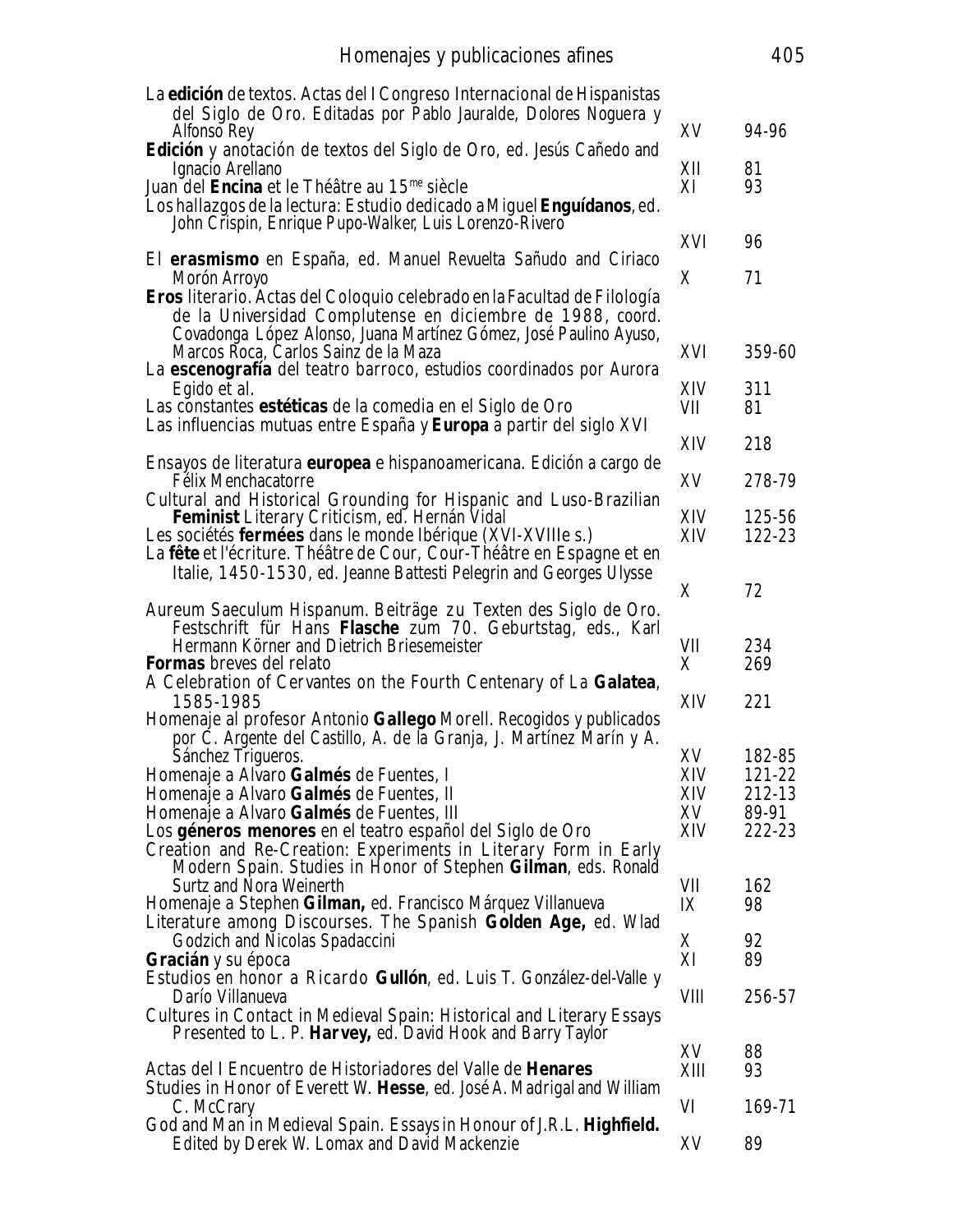| Homenajes y publicaciones afines                                                                                                                                                                                                                                                                             |                  | 405                       |
|--------------------------------------------------------------------------------------------------------------------------------------------------------------------------------------------------------------------------------------------------------------------------------------------------------------|------------------|---------------------------|
| La <b>edición</b> de textos. Actas del I Congreso Internacional de Hispanistas<br>del Siglo de Oro. Editadas por Pablo Jauralde, Dolores Noguera y<br>Alfonso Rey                                                                                                                                            | XV               | 94-96                     |
| Edición y anotación de textos del Siglo de Oro, ed. Jesús Cañedo and                                                                                                                                                                                                                                         |                  |                           |
| Ignacio Arellano<br>Juan del <b>Encina</b> et le Théâtre au 15 <sup>me</sup> siècle<br><i>Los hallazgos de la lectura: Estudio dedicado a Miguel <b>Enguídanos</b>, ed.</i><br>John Crispin, Enrique Pupo-Walker, Luis Lorenzo-Rivero                                                                        | XII<br>XI        | 81<br>93                  |
|                                                                                                                                                                                                                                                                                                              | XVI              | 96                        |
| <i>El erasmismo en España</i> , ed. Manuel Revuelta Sañudo and Ciriaco<br>Morón Arroyo<br><b>Eros</b> literario. Actas del Coloquio celebrado en la Facultad de Filología<br>de la Universidad Complutense en diciembre de 1988, coord.<br>Covadonga López Alonso, Juana Martínez Gómez, José Paulino Ayuso, | X                | 71                        |
| Marcos Roca, Carlos Sainz de la Maza<br>La <b>escenografía</b> del teatro barroco, estudios coordinados por Aurora                                                                                                                                                                                           | XVI              | 359-60                    |
| Egido <i>et al.</i><br>Las constantes <b>estéticas</b> de la comedia en el Siglo de Oro<br>Las influencias mutuas entre España y <b>Europa</b> a partir del siglo XVI                                                                                                                                        | XIV<br>VII       | 311<br>81                 |
|                                                                                                                                                                                                                                                                                                              | XIV              | 218                       |
| <i>Ensayos de literatura europea e hispanoamericana. Edición a cargo de</i><br><b>Félix Menchacatorre</b><br>Cultural and Historical Grounding for Hispanic and Luso-Brazilian                                                                                                                               | XV               | 278-79                    |
| Feminist Literary Criticism, ed. Hernán Vidal<br>Les sociétés <b>fermées</b> dans le monde Ibérique (XVI-XVIIIe s.)<br>La fête et l'écriture. Théâtre de Cour, Cour-Théâtre en Espagne et en                                                                                                                 | XIV<br>XIV       | 125-56<br>122-23          |
| Italie, 1450-1530, ed. Jeanne Battesti Pelegrin and Georges Ulysse<br>Aureum Saeculum Hispanum. Beiträge zu Texten des Siglo de Oro.                                                                                                                                                                         | X                | 72                        |
| Festschrift für Hans Flasche zum 70. Geburtstag, eds., Karl<br>Hermann Körner and Dietrich Briesemeister<br><b>Formas</b> breves del relato                                                                                                                                                                  | VII<br>X         | 234<br>269                |
| A Celebration of Cervantes on the Fourth Centenary of La Galatea,<br>1585-1985<br><i>Homenaje al profesor Antonio Gallego Morell.</i> Recogidos y publicados                                                                                                                                                 | XIV              | 221                       |
| por Č. Argente del Castillo, A. de la Granja, J. Martínez Marín y A.<br>Sánchez Trigueros.                                                                                                                                                                                                                   | XV               | 182-85                    |
| <i>Homenaje a Alvaro Galmés de Fuentes, I</i><br>Homenaje a Alvaro <b>Galmés</b> de Fuentes, II<br>Homenaje a Alvaro Galmés de Fuentes, III                                                                                                                                                                  | XIV<br>XIV<br>XV | 121-22<br>212-13<br>89-91 |
| Los <b>géneros menores</b> en el teatro español del Siglo de Oro<br>Creation and Re-Creation: Experiments in Literary Form in Early<br>Modern Spain. Studies in Honor of Stephen Gilman, eds. Ronald                                                                                                         | XIV              | 222-23                    |
| <b>Surtz and Nora Weinerth</b><br><i>Homenaje a Stephen Gilman</i> , ed. Francisco Márquez Villanueva<br>Literature among Discourses. The Spanish <b>Golden Age</b> , ed. Wlad                                                                                                                               | VII<br>IX        | 162<br>98                 |
| Godzich and Nicolas Spadaccini<br><b>Gracián</b> y su época                                                                                                                                                                                                                                                  | X<br>XI          | 92<br>89                  |
| Estudios en honor a Ricardo Gullón, ed. Luis T. González-del-Valle y<br>Darío Villanueva<br>Cultures in Contact in Medieval Spain: Historical and Literary Essays<br><i>Presented to L. P. <b>Harvey</b></i> , ed. David Hook and Barry Taylor                                                               | VШ               | 256-57                    |
| Actas del I Encuentro de Historiadores del Valle de Henares<br><i>Studies in Honor of Everett W. <b>Hesse</b>,</i> ed. José A. Madrigal and William                                                                                                                                                          | XV<br>XIII       | 88<br>93                  |
| C. McCrary                                                                                                                                                                                                                                                                                                   | VI               | 169-71                    |
| God and Man in Medieval Spain. Essays in Honour of J.R.L. <b>Highfield.</b><br>Edited by Derek W. Lomax and David Mackenzie                                                                                                                                                                                  | XV               | 89                        |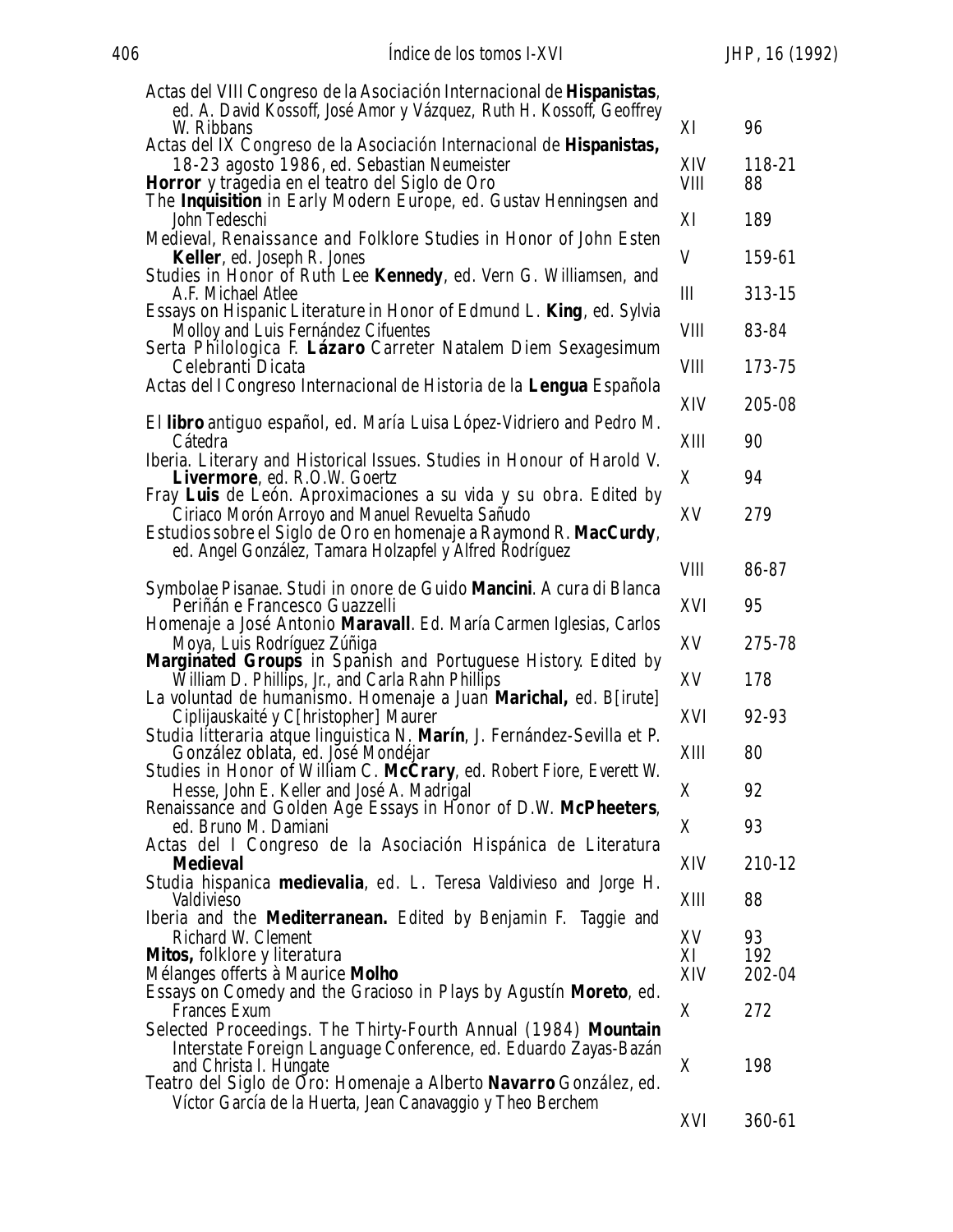| Actas del VIII Congreso de la Asociación Internacional de <b>Hispanistas</b> ,                                               |             |               |
|------------------------------------------------------------------------------------------------------------------------------|-------------|---------------|
| ed. A. David Kossoff, José Amor y Vázquez, Ruth H. Kossoff, Geoffrey<br>W. Ribbans                                           | XI          | 96            |
| Actas del IX Congreso de la Asociación Internacional de Hispanistas,<br>18-23 agosto 1986, ed. Sebastian Neumeister          | XIV         | 118-21        |
| Horror y tragedia en el teatro del Siglo de Oro<br>The <b>Inquisition</b> in Early Modern Europe, ed. Gustav Henningsen and  | <b>VIII</b> | 88            |
| John Tedeschi                                                                                                                | XI          | 189           |
| Medieval, Renaissance and Folklore Studies in Honor of John Esten<br>Keller, ed. Joseph R. Jones                             | V           | 159-61        |
| Studies in Honor of Ruth Lee <b>Kennedy</b> , ed. Vern G. Williamsen, and<br>A.F. Michael Atlee                              | III         | 313-15        |
| Essays on Hispanic Literature in Honor of Edmund L. <b>King</b> , ed. Sylvia<br>Molloy and Luis Fernández Cifuentes          | <b>VIII</b> | 83-84         |
| Serta Philologica F. Lázaro Carreter Natalem Diem Sexagesimum<br>Celebranti Dicata                                           | <b>VIII</b> | 173-75        |
| Actas del I Congreso Internacional de Historia de la Lengua Española                                                         | XIV         | 205-08        |
| <i>El libro antiguo español, ed. María Luisa López-Vidriero and Pedro M.</i><br>Cátedra                                      | XIII        | 90            |
| Iberia. Literary and Historical Issues. Studies in Honour of Harold V.<br>Livermore, ed. R.O.W. Goertz                       | X           | 94            |
| Fray Luis de León. Aproximaciones a su vida y su obra. Edited by<br>Ciriaco Morón Arroyo and Manuel Revuelta Sañudo          | XV          | 279           |
| Estudios sobre el Sigló de Oro en homenaje a Raymond R. MacCurdy,<br>ed. Angel González, Tamara Holzapfel y Alfred Rodríguez |             |               |
| Symbolae Pisanae. Studi in onore de Guido <b>Mancini</b> . A cura di Blanca                                                  | <b>VIII</b> | 86-87         |
| Periñán e Francesco Guazzelli<br>Homenaje a José Antonio <b>Maravall</b> . Ed. María Carmen Iglesias, Carlos                 | XVI         | 95            |
| Moya, Luis Rodríguez Zúñiga                                                                                                  | XV          | 275-78        |
| Marginated Groups in Spanish and Portuguese History. Edited by<br>William D. Phillips, Jr., and Carla Rahn Phillips          | XV          | 178           |
| La voluntad de humanismo. Homenaje a Juan Marichal, ed. B[irute]<br>Ciplijauskaité y C[hristopher] Maurer                    | XVI         | 92-93         |
| Studia litteraria atque linguistica N. Marín, J. Fernández-Sevilla et P.<br>González oblata, ed. José Mondéjar               | XIII        | 80            |
| Studies in Honor of William C. McCrary, ed. Robert Fiore, Everett W.<br>Hesse, John E. Keller and José A. Madrigal           | X           | 92            |
| Renaissance and Golden Age Essays in Honor of D.W. McPheeters,<br>ed. Bruno M. Damiani                                       | X           | 93            |
| Actas del I Congreso de la Asociación Hispánica de Literatura<br><b>Medieval</b>                                             | XIV         | 210-12        |
| Studia hispanica <b>medievalia</b> , ed. L. Teresa Valdivieso and Jorge H.<br>Valdivieso                                     | XIII        | 88            |
| <i>Iberia and the <b>Mediterranean.</b></i> Edited by Benjamin F. Taggie and<br>Richard W. Clement                           | XV          | 93            |
| <b>Mitos,</b> folklore y literatura<br><i>Mélanges offerts à Maurice Molho</i>                                               | XI<br>XIV   | 192<br>202-04 |
| <i>Essays on Comedy and the Gracioso in Plays by Agustín <b>Moreto</b>, ed.</i>                                              |             |               |
| <b>Frances Exum</b><br>Selected Proceedings. The Thirty-Fourth Annual (1984) <b>Mountain</b>                                 | X           | 272           |
| Interstate Foreign Language Conference, ed. Eduardo Zayas-Bazán<br>and Christa I. Hungate                                    | X           | 198           |
| Teatro del Siglo de Oro: Homenaje a Alberto Navarro González, ed.                                                            |             |               |
| Víctor García de la Huerta, Jean Canavaggio y Theo Berchem                                                                   | XVI         | 360-61        |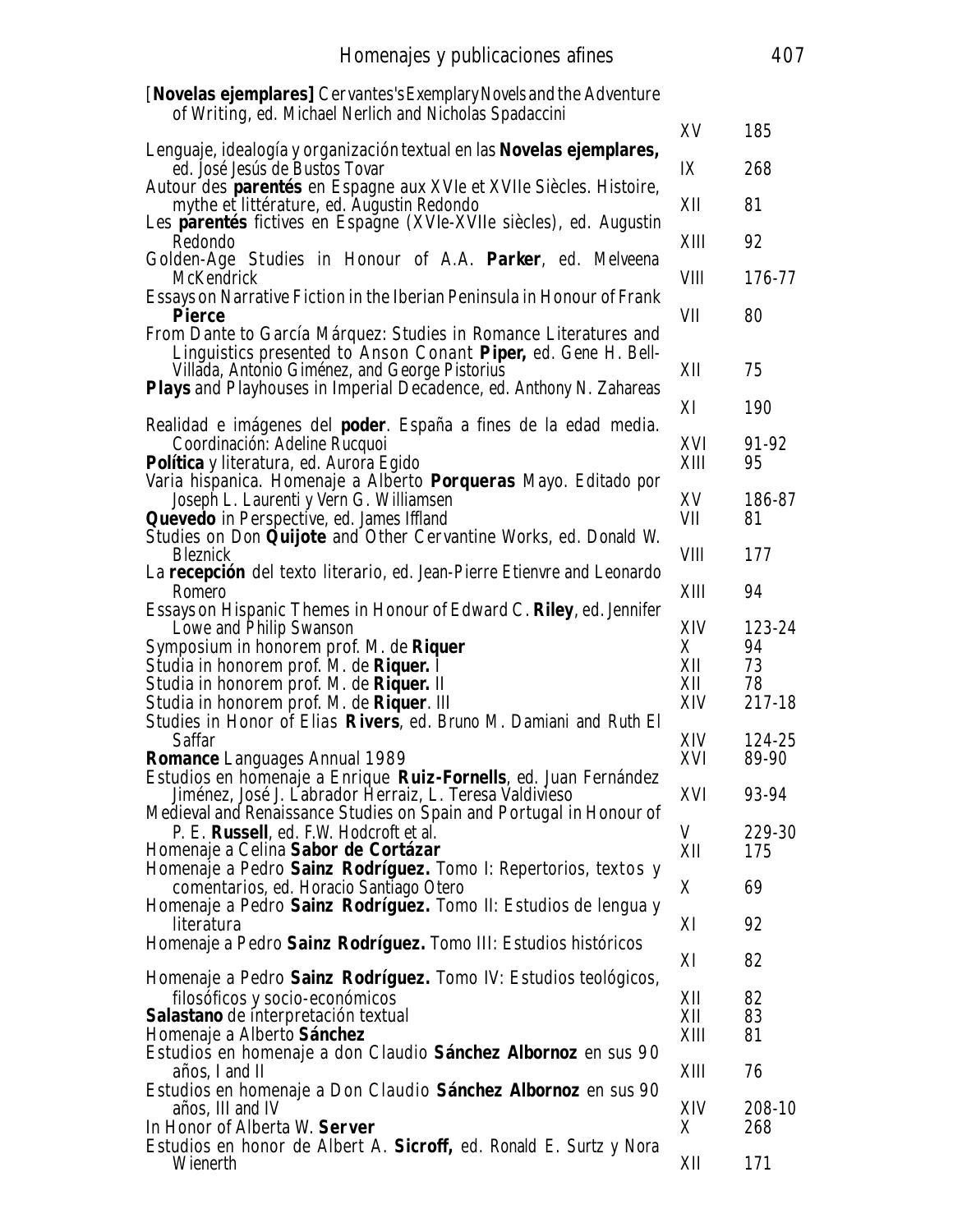| Homenajes y publicaciones afines                                                                                                                                              |                    | 407                |
|-------------------------------------------------------------------------------------------------------------------------------------------------------------------------------|--------------------|--------------------|
| <i>[Novelas ejemplares] Cervantes's</i> Exemplary Novels and the Adventure<br>of Writing, ed. Michael Nerlich and Nicholas Spadaccini                                         | XV                 | 185                |
| Lenguaje, idealogía y organización textual en las <b>Novelas ejemplares,</b><br>ed. José Jesús de Bustos Tovar                                                                | IX                 | 268                |
| Autour des <b>parentés</b> en Espagne aux XVIe et XVIIe Siècles. Histoire,<br>mythe et littérature, ed. Augustin Redondo                                                      | XII                | 81                 |
| Les <b>parentés</b> fictives en Espagne (XVIe-XVIIe siècles), ed. Augustin<br>Redondo                                                                                         | XIII               | 92                 |
| Golden-Age Studies in Honour of A.A. <b>Parker</b> , ed. Melveena<br>McKendrick                                                                                               | VIII               | 176-77             |
| Essays on Narrative Fiction in the Iberian Peninsula in Honour of Frank<br><b>Pierce</b><br>From Dante to García Márquez: Studies in Romance Literatures and                  | VII                | 80                 |
| Linguistics presented to Anson Conant <b>Piper</b> , ed. Gene H. Bell-<br>Villada, Antonio Giménez, and George Pistorius                                                      | XII                | 75                 |
| <b>Plays</b> and Playhouses in Imperial Decadence, ed. Anthony N. Zahareas                                                                                                    | XI                 | 190                |
| Realidad e imágenes del <b>poder</b> . España a fines de la edad media.<br>Coordinación: Adeline Rucquoi<br><b>Política</b> y literatura, ed. Aurora Egido                    | XVI<br>XIII        | 91-92<br>95        |
| Varia hispanica. Homenaje a Alberto <b>Porqueras</b> Mayo. Editado por<br>Joseph L. Laurenti y Vern G. Williamsen<br><b>Quevedo</b> in Perspective, ed. James Iffland         | XV<br>VII          | 186-87<br>81       |
| Studies on Don Quijote and Other Cervantine Works, ed. Donald W.<br><b>Bleznick</b>                                                                                           | VШ                 | 177                |
| La recepción del texto literario, ed. Jean-Pierre Etienvre and Leonardo<br>Romero                                                                                             | XIII               | 94                 |
| <i>Essays on Hispanic Themes in Honour of Edward C. Riley, ed. Jennifer</i><br>Lowe and Philip Swanson<br>Symposium in honorem prof. M. de <b>Riquer</b>                      | XIV<br>X           | 123-24<br>94       |
| Studia in honorem prof. M. de <b>Riquer.</b> I<br>Studia in honorem prof. M. de Riquer. II<br>Studia in honorem prof. M. de <b>Riquer</b> . III                               | XII<br>XII<br>XIV  | 73<br>78<br>217-18 |
| Studies in Honor of Elias Rivers, ed. Bruno M. Damiani and Ruth El<br>Saffar                                                                                                  | XIV                | 124-25             |
| <b>Romance</b> Languages Annual 1989<br>Estudios en homenaje a Enrique <b>Ruiz-Fornells</b> , ed. Juan Fernández<br>Jiménez, José J. Labrador Herraiz, L. Teresa Valdivieso   | XVI<br>XVI         | 89-90<br>93-94     |
| Medieval and Renaissance Studies on Spain and Portugal in Honour of<br>P. E. <b>Russell</b> , ed. F.W. Hodcroft et al.<br>Homenaje a Celina <b>Sabor de Cortázar</b>          | V<br>XII           | 229-30<br>175      |
| Homenaje a Pedro <b>Sainz Rodríguez.</b> Tomo I: Repertorios, textos y<br><i>comentarios, ed. Horacio Santiago Otero</i>                                                      | X                  | 69                 |
| Homenaje a Pedro <b>Sainz Rodríguez.</b> Tomo II: Estudios de lengua y<br>literatura                                                                                          | XI                 | 92                 |
| Homenaje a Pedro <b>Sainz Rodríguez.</b> Tomo III: Estudios históricos                                                                                                        | XI                 | 82                 |
| Homenaje a Pedro <b>Sainz Rodríguez.</b> Tomo IV: Estudios teológicos,<br>filosóficos y socio-económicos<br>Salastano de interpretación textual<br>Homenaje a Alberto Sánchez | XII<br>XII<br>XIII | 82<br>83<br>81     |
| Estudios en homenaje a don Claudio Sánchez Albornoz en sus 90<br>$a\tilde{n}$ os, I and II                                                                                    | XIII               | 76                 |
| Estudios en homenaje a Don Claudio <b>Sánchez Albornoz</b> en sus 90<br>años, III and IV<br>In Honor of Alberta W. Server                                                     | XIV<br>X           | 208-10<br>268      |
| <i>Estudios en honor de Albert A. Sicroff</i> , ed. Ronald E. Surtz y Nora<br>Wienerth                                                                                        | XII                | 171                |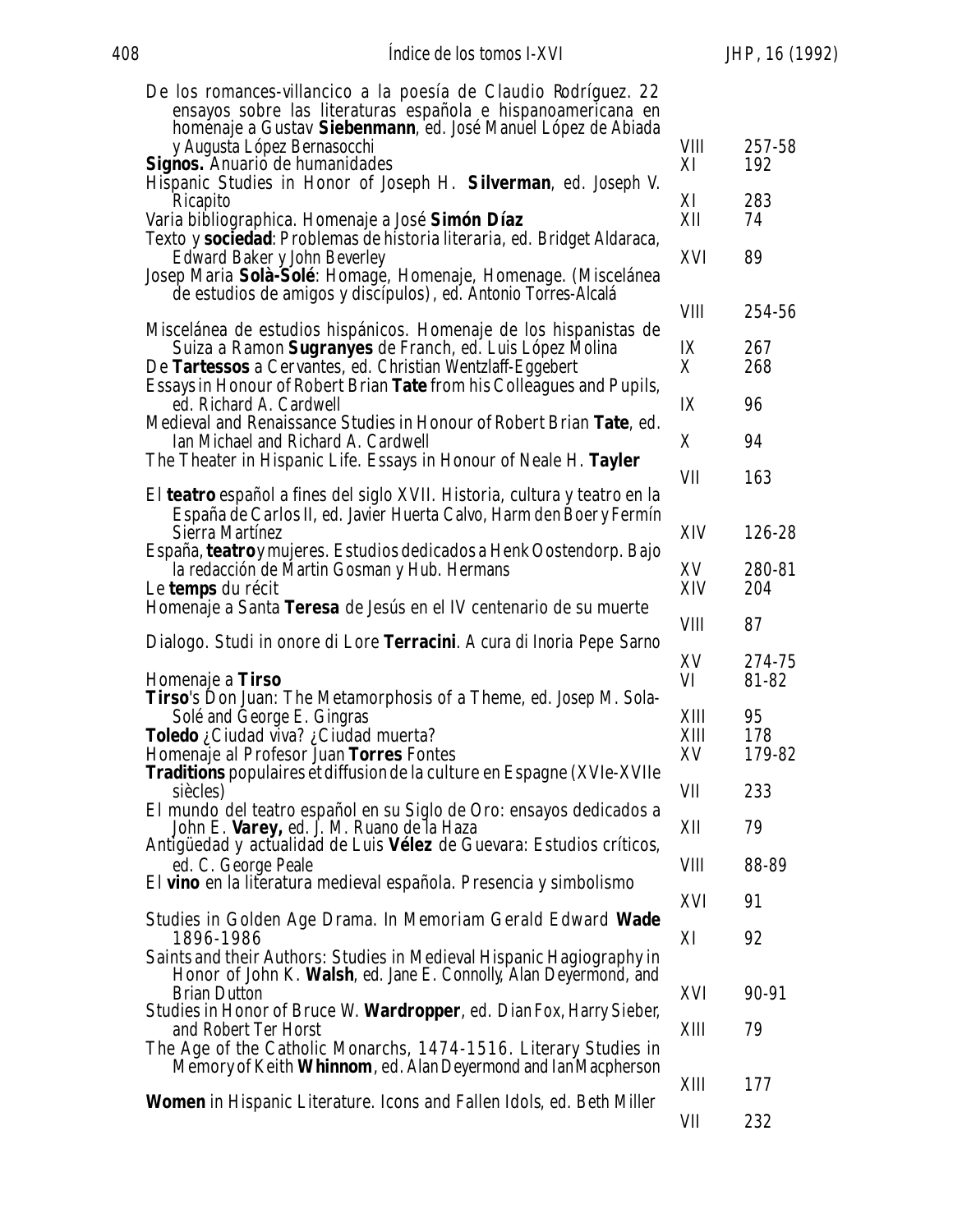| De los romances-villancico a la poesía de Claudio Rodríguez. 22<br>ensayos sobre las literaturas española e hispanoamericana en<br>homenaje a Gustav <b>Siebenmann</b> , ed. José Manuel López de Abiada |             |        |
|----------------------------------------------------------------------------------------------------------------------------------------------------------------------------------------------------------|-------------|--------|
| y Augusta López Bernasocchi                                                                                                                                                                              | VIII        | 257-58 |
| <b>Signos.</b> Anuario de humanidades                                                                                                                                                                    | XI          | 192    |
| Hispanic Studies in Honor of Joseph H. Silverman, ed. Joseph V.                                                                                                                                          |             |        |
| Ricapito                                                                                                                                                                                                 | XI          | 283    |
| Varia bibliographica. Homenaje a José Simón Díaz                                                                                                                                                         | XII         | 74     |
| Texto y <b>sociedad</b> : Problemas de historia literaria, ed. Bridget Aldaraca,                                                                                                                         |             |        |
| Edward Baker y John Beverley                                                                                                                                                                             | XVI         | 89     |
| Josep Maria Solà-Solé: Homage, Homenaje, Homenage. (Miscelánea                                                                                                                                           |             |        |
| de estudios de amigos y discípulos), ed. Antonio Torres-Alcalá                                                                                                                                           |             |        |
|                                                                                                                                                                                                          | <b>VIII</b> | 254-56 |
| Miscelánea de estudios hispánicos. Homenaje de los hispanistas de                                                                                                                                        |             |        |
| Suiza a Ramon Sugranyes de Franch, ed. Luis López Molina                                                                                                                                                 | IX          | 267    |
| De <b>Tartessos</b> a Cervantes, ed. Christian Wentzlaff-Eggebert                                                                                                                                        | X           | 268    |
| Essays in Honour of Robert Brian <b>Tate</b> from his Colleagues and Pupils,<br>ed. Richard A. Cardwell                                                                                                  | IX          | 96     |
| Medieval and Renaissance Studies in Honour of Robert Brian Tate, ed.                                                                                                                                     |             |        |
| Ian Michael and Richard A. Cardwell                                                                                                                                                                      | X           | 94     |
| The Theater in Hispanic Life. Essays in Honour of Neale H. Tayler                                                                                                                                        |             |        |
|                                                                                                                                                                                                          | VII         | 163    |
| El teatro español a fines del siglo XVII. Historia, cultura y teatro en la                                                                                                                               |             |        |
| <i>España de Carlos II, ed. Javier Huerta Calvo, Harm den Boer y Fermín</i>                                                                                                                              |             |        |
| Sierra Martínez                                                                                                                                                                                          | XIV         | 126-28 |
| España, <b>teatro</b> y mujeres. Estudios dedicados a Henk Oostendorp. Bajo                                                                                                                              |             |        |
| la redacción de Martin Gosman y Hub. Hermans                                                                                                                                                             | XV          | 280-81 |
| Le <b>temps</b> du récit                                                                                                                                                                                 | XIV         | 204    |
| Homenaje a Santa <b>Teresa</b> de Jesús en el IV centenario de su muerte                                                                                                                                 |             |        |
|                                                                                                                                                                                                          | <b>VIII</b> | 87     |
| <i>Dialogo. Studi in onore di Lore <b>Terracini</b></i> . A cura di Inoria Pepe Sarno                                                                                                                    |             |        |
|                                                                                                                                                                                                          | XV          | 274-75 |
| Homenaje a Tirso                                                                                                                                                                                         | VI          | 81-82  |
| <b>Tirso</b> 's Don Juan: The Metamorphosis of a Theme, ed. Josep M. Sola-                                                                                                                               | XIII        | 95     |
| Solé and George E. Gingras                                                                                                                                                                               | XIII        | 178    |
| Toledo ¿Ciudad viva? ¿Ciudad muerta?<br>Homenaje al Profesor Juan Torres Fontes                                                                                                                          | XV          | 179-82 |
| <b>Traditions</b> populaires et diffusion de la culture en Espagne (XVIe-XVIIe                                                                                                                           |             |        |
| siècles)                                                                                                                                                                                                 | VII         | 233    |
| El mundo del teatro español en su Siglo de Oro: ensayos dedicados a                                                                                                                                      |             |        |
| John E. Varey, ed. J. M. Ruano de la Haza                                                                                                                                                                | XII         | 79     |
| Antigüedad y actualidad de Luis Vélez de Guevara: Estudios críticos,                                                                                                                                     |             |        |
| ed. C. George Peale                                                                                                                                                                                      | VIII        | 88-89  |
| El <b>vino</b> en la literatura medieval española. Presencia y simbolismo                                                                                                                                |             |        |
|                                                                                                                                                                                                          | XVI         | 91     |
| Studies in Golden Age Drama. In Memoriam Gerald Edward <b>Wade</b>                                                                                                                                       |             |        |
| 1896-1986                                                                                                                                                                                                | XI          | 92     |
| Saints and their Authors: Studies in Medieval Hispanic Hagiography in                                                                                                                                    |             |        |
| <i>Honor of John K. Walsh, ed. Jane E. Connolly, Alan Deyermond, and</i>                                                                                                                                 |             |        |
| <b>Brian Dutton</b>                                                                                                                                                                                      | XVI         | 90-91  |
| <i>Studies in Honor of Bruce W. Wardropper, ed. Dian Fox, Harry Sieber,</i><br>and Robert Ter Horst                                                                                                      | XIII        | 79     |
| The Age of the Catholic Monarchs, 1474-1516. Literary Studies in                                                                                                                                         |             |        |
| Memory of Keith <b>Whinnom</b> , ed. Alan Deyermond and Ian Macpherson                                                                                                                                   |             |        |
|                                                                                                                                                                                                          | XIII        | 177    |
| <b>Women</b> in Hispanic Literature. Icons and Fallen Idols, ed. Beth Miller                                                                                                                             |             |        |
|                                                                                                                                                                                                          | VII         | 232    |
|                                                                                                                                                                                                          |             |        |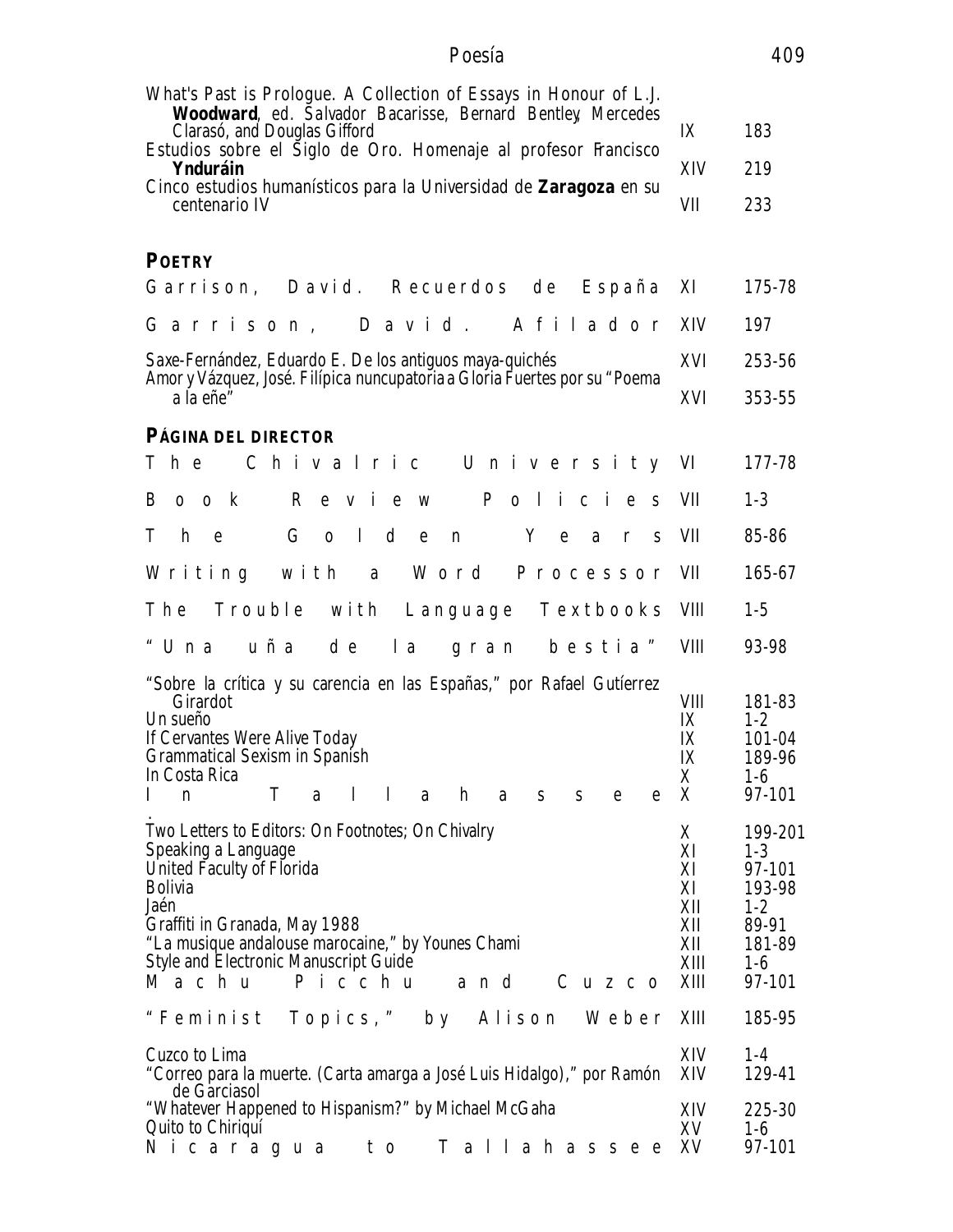| Poesía                                                                                                                                                                                                                                                                                                                                              |                                                          | 409                                                                                   |
|-----------------------------------------------------------------------------------------------------------------------------------------------------------------------------------------------------------------------------------------------------------------------------------------------------------------------------------------------------|----------------------------------------------------------|---------------------------------------------------------------------------------------|
| What's Past is Prologue. A Collection of Essays in Honour of L.J.<br><b>Woodward</b> , ed. Salvador Bacarisse, Bernard Bentley, Mercedes<br>Clarasó, and Douglas Gifford<br>Estudios sobre el Siglo de Oro. Homenaje al profesor Francisco<br>Ynduráin<br>Cinco estudios humanísticos para la Universidad de <b>Zaragoza</b> en su<br>centenario IV | IX<br>XIV<br>VII                                         | 183<br>219<br>233                                                                     |
| <b>POETRY</b>                                                                                                                                                                                                                                                                                                                                       |                                                          |                                                                                       |
| Garrison, David. Recuerdos de España                                                                                                                                                                                                                                                                                                                | XI                                                       | 175-78                                                                                |
| Garrison, David. Afilador                                                                                                                                                                                                                                                                                                                           | XIV                                                      | 197                                                                                   |
| Saxe-Fernández, Eduardo E. De los antiguos maya-quichés<br>Amor y Vázquez, José. Filípica nuncupatoria a Gloria Fuertes por su "Poema                                                                                                                                                                                                               | XVI                                                      | 253-56                                                                                |
| a la eñe"                                                                                                                                                                                                                                                                                                                                           | XVI                                                      | 353-55                                                                                |
| PÁGINA DEL DIRECTOR                                                                                                                                                                                                                                                                                                                                 |                                                          |                                                                                       |
| Chivalric University VI<br>T h e                                                                                                                                                                                                                                                                                                                    |                                                          | 177-78                                                                                |
| $o$ $o$ $k$<br>$R$ e v i e<br>Policie<br>B<br>W<br>S                                                                                                                                                                                                                                                                                                | VII                                                      | $1-3$                                                                                 |
| $G$ o $1$ d<br>T<br>h<br>Y e<br>e e<br>${\bf e}$<br>$\mathbf{n}$<br>$\mathbf{a}$<br>$\Gamma$<br>${\bf S}$                                                                                                                                                                                                                                           | VII                                                      | 85-86                                                                                 |
| Writing with a Word Processor                                                                                                                                                                                                                                                                                                                       | VII                                                      | 165-67                                                                                |
| T h e<br>Trouble with Language Textbooks                                                                                                                                                                                                                                                                                                            | <b>VIII</b>                                              | $1-5$                                                                                 |
| "Una uña<br>de la gran bestia"                                                                                                                                                                                                                                                                                                                      | VIII                                                     | 93-98                                                                                 |
| "Sobre la crítica y su carencia en las Españas," por Rafael Gutierrez<br>Girardot<br>Un sueño<br>If Cervantes Were Alive Today<br>Grammatical Sexism in Spanish<br>In Costa Rica<br>T<br>$\mathbf{l}$<br>$\mathbf{l}$<br>$\mathbf{h}$<br>I<br>a<br>a<br>a<br>$\mathbf n$<br>S<br>S<br>e<br>e                                                        | VШ<br>IX<br>IX<br>IX<br>X<br>X                           | 181-83<br>$1 - 2$<br>101-04<br>189-96<br>$1-6$<br>97-101                              |
| Two Letters to Editors: On Footnotes; On Chivalry<br>Speaking a Language<br>United Faculty of Florida<br><b>Bolivia</b><br>Jaén<br>Graffiti in Granada, May 1988<br>"La musique andalouse marocaine," by Younes Chami<br><b>Style and Electronic Manuscript Guide</b><br>Picchu<br>a n d<br>$C$ u z c o<br>Machu                                    | X<br>XI<br>XI<br>XI<br>XII<br>XII<br>XII<br>XIII<br>XIII | 199-201<br>$1-3$<br>97-101<br>193-98<br>$1 - 2$<br>89-91<br>181-89<br>$1-6$<br>97-101 |
| "Feminist Topics," by<br>Alison<br>Weber                                                                                                                                                                                                                                                                                                            | XIII                                                     | 185-95                                                                                |
| Cuzco to Lima<br>"Correo para la muerte. (Carta amarga a José Luis Hidalgo)," por Ramón<br>de Garciasol                                                                                                                                                                                                                                             | XIV<br>XIV                                               | $1-4$<br>129-41                                                                       |
| "Whatever Happened to Hispanism?" by Michael McGaha<br>Quito to Chiriquí<br>T<br>allahasse e<br>Nicaragua<br>$t \ o$                                                                                                                                                                                                                                | XIV<br>XV<br>XV                                          | 225-30<br>$1-6$<br>97-101                                                             |